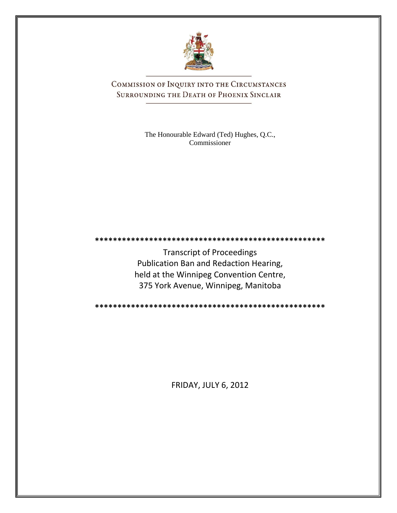

COMMISSION OF INQUIRY INTO THE CIRCUMSTANCES SURROUNDING THE DEATH OF PHOENIX SINCLAIR

> The Honourable Edward (Ted) Hughes, Q.C., Commissioner

**\*\*\*\*\*\*\*\*\*\*\*\*\*\*\*\*\*\*\*\*\*\*\*\*\*\*\*\*\*\*\*\*\*\*\*\*\*\*\*\*\*\*\*\*\*\*\*\*\*\*\***

Transcript of Proceedings Publication Ban and Redaction Hearing, held at the Winnipeg Convention Centre, 375 York Avenue, Winnipeg, Manitoba

**\*\*\*\*\*\*\*\*\*\*\*\*\*\*\*\*\*\*\*\*\*\*\*\*\*\*\*\*\*\*\*\*\*\*\*\*\*\*\*\*\*\*\*\*\*\*\*\*\*\*\***

FRIDAY, JULY 6, 2012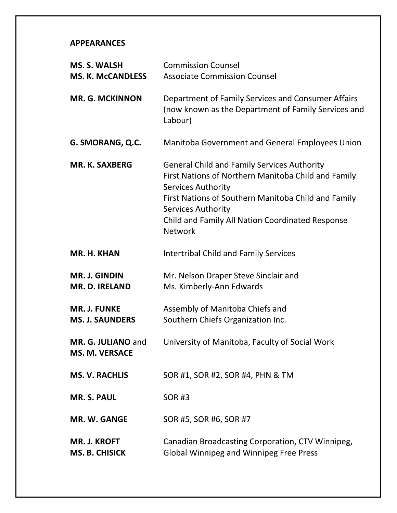#### **APPEARANCES**

| <b>MS. S. WALSH</b><br><b>MS. K. McCANDLESS</b> | <b>Commission Counsel</b><br><b>Associate Commission Counsel</b>                                                                                                                                                                                                                          |
|-------------------------------------------------|-------------------------------------------------------------------------------------------------------------------------------------------------------------------------------------------------------------------------------------------------------------------------------------------|
| <b>MR. G. MCKINNON</b>                          | Department of Family Services and Consumer Affairs<br>(now known as the Department of Family Services and<br>Labour)                                                                                                                                                                      |
| G. SMORANG, Q.C.                                | Manitoba Government and General Employees Union                                                                                                                                                                                                                                           |
| <b>MR. K. SAXBERG</b>                           | <b>General Child and Family Services Authority</b><br>First Nations of Northern Manitoba Child and Family<br>Services Authority<br>First Nations of Southern Manitoba Child and Family<br><b>Services Authority</b><br>Child and Family All Nation Coordinated Response<br><b>Network</b> |
| MR. H. KHAN                                     | <b>Intertribal Child and Family Services</b>                                                                                                                                                                                                                                              |
| <b>MR. J. GINDIN</b><br><b>MR. D. IRELAND</b>   | Mr. Nelson Draper Steve Sinclair and<br>Ms. Kimberly-Ann Edwards                                                                                                                                                                                                                          |
| <b>MR. J. FUNKE</b><br><b>MS. J. SAUNDERS</b>   | Assembly of Manitoba Chiefs and<br>Southern Chiefs Organization Inc.                                                                                                                                                                                                                      |
| MR. G. JULIANO and<br><b>MS. M. VERSACE</b>     | University of Manitoba, Faculty of Social Work                                                                                                                                                                                                                                            |
| <b>MS. V. RACHLIS</b>                           | SOR #1, SOR #2, SOR #4, PHN & TM                                                                                                                                                                                                                                                          |
| <b>MR. S. PAUL</b>                              | <b>SOR#3</b>                                                                                                                                                                                                                                                                              |
| MR. W. GANGE                                    | SOR #5, SOR #6, SOR #7                                                                                                                                                                                                                                                                    |
| <b>MR. J. KROFT</b><br><b>MS. B. CHISICK</b>    | Canadian Broadcasting Corporation, CTV Winnipeg,<br><b>Global Winnipeg and Winnipeg Free Press</b>                                                                                                                                                                                        |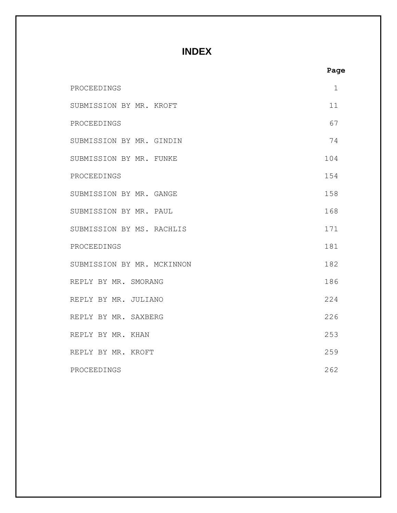#### **INDEX**

|                            | Page        |
|----------------------------|-------------|
| PROCEEDINGS                | $\mathbf 1$ |
| SUBMISSION BY MR. KROFT    | 11          |
| PROCEEDINGS                | 67          |
| SUBMISSION BY MR. GINDIN   | 74          |
| SUBMISSION BY MR. FUNKE    | 104         |
| PROCEEDINGS                | 154         |
| SUBMISSION BY MR. GANGE    | 158         |
| SUBMISSION BY MR. PAUL     | 168         |
| SUBMISSION BY MS. RACHLIS  | 171         |
| PROCEEDINGS                | 181         |
| SUBMISSION BY MR. MCKINNON | 182         |
| REPLY BY MR. SMORANG       | 186         |
| REPLY BY MR. JULIANO       | 224         |
| REPLY BY MR. SAXBERG       | 226         |
| REPLY BY MR. KHAN          | 253         |
| REPLY BY MR. KROFT         | 259         |
| PROCEEDINGS                | 262         |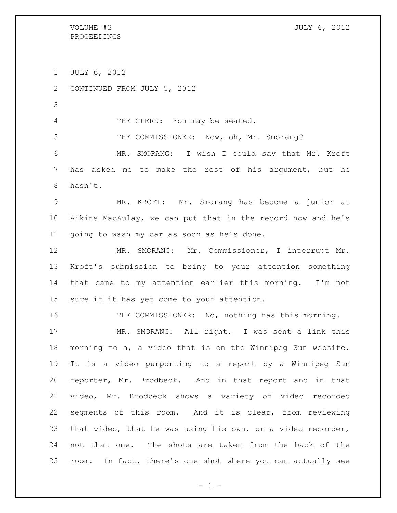VOLUME #3 JULY 6, 2012

JULY 6, 2012

CONTINUED FROM JULY 5, 2012

4 THE CLERK: You may be seated.

THE COMMISSIONER: Now, oh, Mr. Smorang?

 MR. SMORANG: I wish I could say that Mr. Kroft has asked me to make the rest of his argument, but he hasn't.

 MR. KROFT: Mr. Smorang has become a junior at Aikins MacAulay, we can put that in the record now and he's going to wash my car as soon as he's done.

 MR. SMORANG: Mr. Commissioner, I interrupt Mr. Kroft's submission to bring to your attention something that came to my attention earlier this morning. I'm not sure if it has yet come to your attention.

16 THE COMMISSIONER: No, nothing has this morning.

 MR. SMORANG: All right. I was sent a link this morning to a, a video that is on the Winnipeg Sun website. It is a video purporting to a report by a Winnipeg Sun reporter, Mr. Brodbeck. And in that report and in that video, Mr. Brodbeck shows a variety of video recorded segments of this room. And it is clear, from reviewing that video, that he was using his own, or a video recorder, not that one. The shots are taken from the back of the room. In fact, there's one shot where you can actually see

 $- 1 -$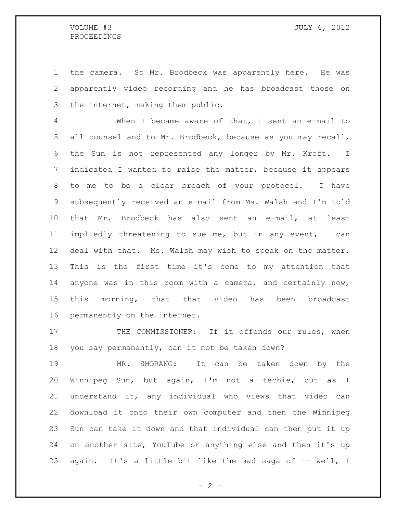the camera. So Mr. Brodbeck was apparently here. He was apparently video recording and he has broadcast those on the internet, making them public.

 When I became aware of that, I sent an e-mail to all counsel and to Mr. Brodbeck, because as you may recall, the Sun is not represented any longer by Mr. Kroft. I indicated I wanted to raise the matter, because it appears to me to be a clear breach of your protocol. I have subsequently received an e-mail from Ms. Walsh and I'm told that Mr. Brodbeck has also sent an e-mail, at least impliedly threatening to sue me, but in any event, I can deal with that. Ms. Walsh may wish to speak on the matter. This is the first time it's come to my attention that anyone was in this room with a camera, and certainly now, this morning, that that video has been broadcast permanently on the internet.

17 THE COMMISSIONER: If it offends our rules, when you say permanently, can it not be taken down?

 MR. SMORANG: It can be taken down by the Winnipeg Sun, but again, I'm not a techie, but as I understand it, any individual who views that video can download it onto their own computer and then the Winnipeg Sun can take it down and that individual can then put it up on another site, YouTube or anything else and then it's up 25 again. It's a little bit like the sad saga of -- well, I

 $- 2 -$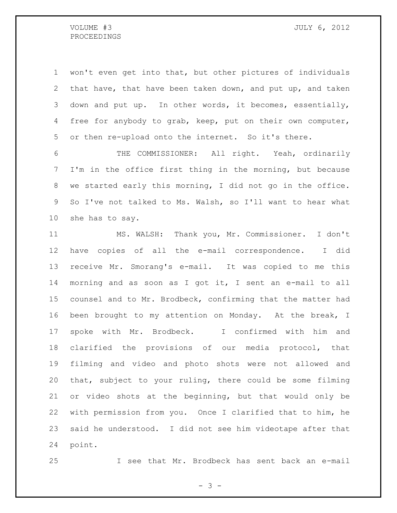won't even get into that, but other pictures of individuals that have, that have been taken down, and put up, and taken down and put up. In other words, it becomes, essentially, free for anybody to grab, keep, put on their own computer, or then re-upload onto the internet. So it's there.

 THE COMMISSIONER: All right. Yeah, ordinarily I'm in the office first thing in the morning, but because we started early this morning, I did not go in the office. So I've not talked to Ms. Walsh, so I'll want to hear what she has to say.

 MS. WALSH: Thank you, Mr. Commissioner. I don't have copies of all the e-mail correspondence. I did receive Mr. Smorang's e-mail. It was copied to me this morning and as soon as I got it, I sent an e-mail to all counsel and to Mr. Brodbeck, confirming that the matter had been brought to my attention on Monday. At the break, I spoke with Mr. Brodbeck. I confirmed with him and clarified the provisions of our media protocol, that filming and video and photo shots were not allowed and that, subject to your ruling, there could be some filming or video shots at the beginning, but that would only be with permission from you. Once I clarified that to him, he said he understood. I did not see him videotape after that point.

I see that Mr. Brodbeck has sent back an e-mail

 $- 3 -$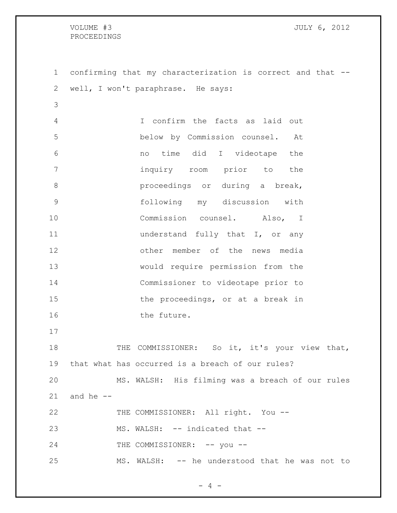confirming that my characterization is correct and that -- well, I won't paraphrase. He says: I confirm the facts as laid out below by Commission counsel. At no time did I videotape the inquiry room prior to the **blue proceedings** or during a break, following my discussion with Commission counsel. Also, I **understand fully that I**, or any other member of the news media would require permission from the Commissioner to videotape prior to 15 the proceedings, or at a break in 16 the future. 18 THE COMMISSIONER: So it, it's your view that, that what has occurred is a breach of our rules? MS. WALSH: His filming was a breach of our rules and he  $-$ 22 THE COMMISSIONER: All right. You --23 MS. WALSH: -- indicated that --24 THE COMMISSIONER: -- you --MS. WALSH: -- he understood that he was not to

 $- 4 -$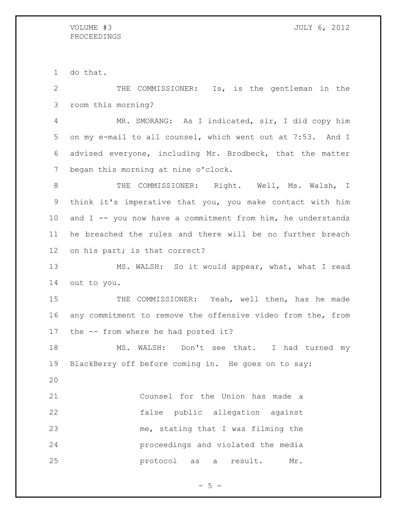do that.

 THE COMMISSIONER: Is, is the gentleman in the room this morning?

 MR. SMORANG: As I indicated, sir, I did copy him on my e-mail to all counsel, which went out at 7:53. And I advised everyone, including Mr. Brodbeck, that the matter began this morning at nine o'clock.

8 THE COMMISSIONER: Right. Well, Ms. Walsh, I think it's imperative that you, you make contact with him 10 and  $I$  -- you now have a commitment from him, he understands he breached the rules and there will be no further breach on his part; is that correct?

13 MS. WALSH: So it would appear, what, what I read out to you.

15 THE COMMISSIONER: Yeah, well then, has he made any commitment to remove the offensive video from the, from the -- from where he had posted it?

 MS. WALSH: Don't see that. I had turned my BlackBerry off before coming in. He goes on to say:

 Counsel for the Union has made a false public allegation against me, stating that I was filming the proceedings and violated the media protocol as a result. Mr.

 $- 5 -$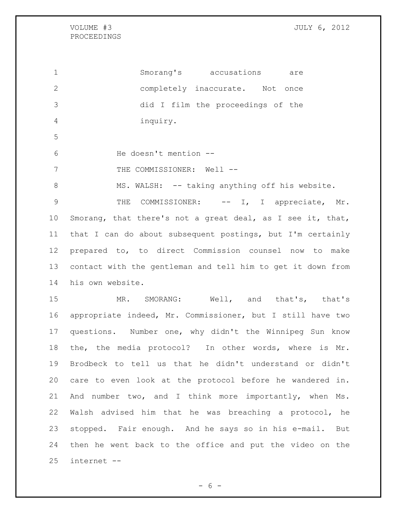VOLUME #3 JULY 6, 2012

#### PROCEEDINGS

 Smorang's accusations are completely inaccurate. Not once did I film the proceedings of the inquiry. He doesn't mention -- 7 THE COMMISSIONER: Well --8 MS. WALSH: -- taking anything off his website. 9 THE COMMISSIONER:  $--$  I, I appreciate, Mr. Smorang, that there's not a great deal, as I see it, that, that I can do about subsequent postings, but I'm certainly prepared to, to direct Commission counsel now to make contact with the gentleman and tell him to get it down from his own website. MR. SMORANG: Well, and that's, that's appropriate indeed, Mr. Commissioner, but I still have two questions. Number one, why didn't the Winnipeg Sun know the, the media protocol? In other words, where is Mr. Brodbeck to tell us that he didn't understand or didn't care to even look at the protocol before he wandered in. And number two, and I think more importantly, when Ms. Walsh advised him that he was breaching a protocol, he stopped. Fair enough. And he says so in his e-mail. But then he went back to the office and put the video on the internet --

 $- 6 -$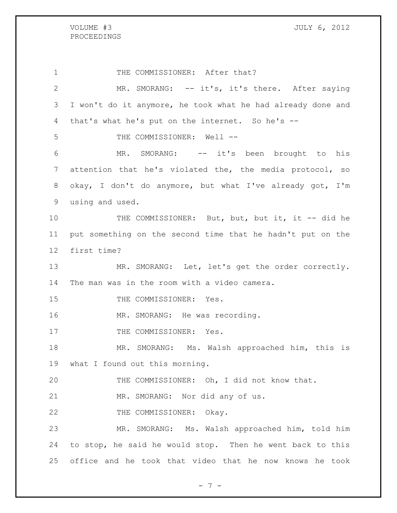1 THE COMMISSIONER: After that? MR. SMORANG: -- it's, it's there. After saying I won't do it anymore, he took what he had already done and that's what he's put on the internet. So he's -- THE COMMISSIONER: Well -- MR. SMORANG: -- it's been brought to his attention that he's violated the, the media protocol, so okay, I don't do anymore, but what I've already got, I'm using and used. 10 THE COMMISSIONER: But, but, but it, it -- did he put something on the second time that he hadn't put on the first time? 13 MR. SMORANG: Let, let's get the order correctly. The man was in the room with a video camera. 15 THE COMMISSIONER: Yes. 16 MR. SMORANG: He was recording. 17 THE COMMISSIONER: Yes. MR. SMORANG: Ms. Walsh approached him, this is what I found out this morning. THE COMMISSIONER: Oh, I did not know that. MR. SMORANG: Nor did any of us. 22 THE COMMISSIONER: Okay. MR. SMORANG: Ms. Walsh approached him, told him to stop, he said he would stop. Then he went back to this office and he took that video that he now knows he took

- 7 -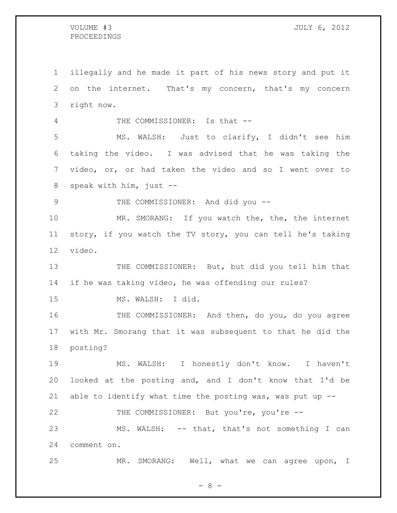illegally and he made it part of his news story and put it on the internet. That's my concern, that's my concern right now. 4 THE COMMISSIONER: Is that -- MS. WALSH: Just to clarify, I didn't see him taking the video. I was advised that he was taking the video, or, or had taken the video and so I went over to speak with him, just -- 9 THE COMMISSIONER: And did you --10 MR. SMORANG: If you watch the, the, the internet story, if you watch the TV story, you can tell he's taking video. 13 THE COMMISSIONER: But, but did you tell him that if he was taking video, he was offending our rules? MS. WALSH: I did. THE COMMISSIONER: And then, do you, do you agree with Mr. Smorang that it was subsequent to that he did the posting? MS. WALSH: I honestly don't know. I haven't looked at the posting and, and I don't know that I'd be able to identify what time the posting was, was put up -- THE COMMISSIONER: But you're, you're -- MS. WALSH: -- that, that's not something I can comment on. MR. SMORANG: Well, what we can agree upon, I

 $- 8 -$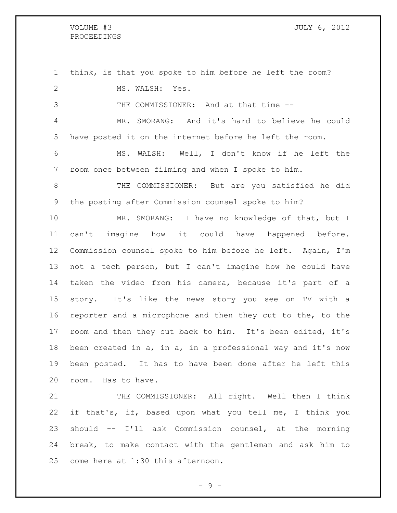VOLUME #3 JULY 6, 2012

 think, is that you spoke to him before he left the room? 2 MS. WALSH: Yes. THE COMMISSIONER: And at that time -- MR. SMORANG: And it's hard to believe he could have posted it on the internet before he left the room. MS. WALSH: Well, I don't know if he left the room once between filming and when I spoke to him. THE COMMISSIONER: But are you satisfied he did the posting after Commission counsel spoke to him? 10 MR. SMORANG: I have no knowledge of that, but I can't imagine how it could have happened before. Commission counsel spoke to him before he left. Again, I'm not a tech person, but I can't imagine how he could have taken the video from his camera, because it's part of a story. It's like the news story you see on TV with a reporter and a microphone and then they cut to the, to the room and then they cut back to him. It's been edited, it's been created in a, in a, in a professional way and it's now been posted. It has to have been done after he left this room. Has to have. 21 THE COMMISSIONER: All right. Well then I think if that's, if, based upon what you tell me, I think you should -- I'll ask Commission counsel, at the morning

 break, to make contact with the gentleman and ask him to come here at 1:30 this afternoon.

- 9 -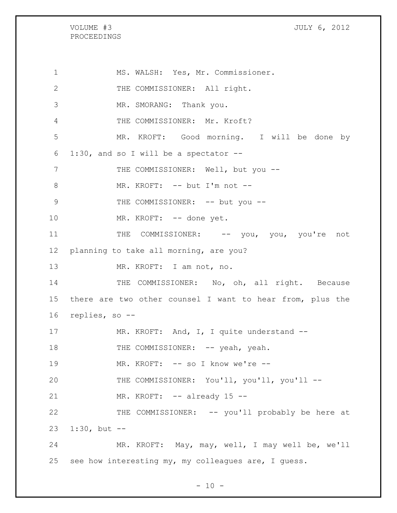# VOLUME #3 JULY 6, 2012 PROCEEDINGS 1 MS. WALSH: Yes, Mr. Commissioner. 2 THE COMMISSIONER: All right. 3 MR. SMORANG: Thank you. 4 THE COMMISSIONER: Mr. Kroft? 5 MR. KROFT: Good morning. I will be done by 6 1:30, and so I will be a spectator -- 7 THE COMMISSIONER: Well, but you --8 MR. KROFT: -- but I'm not --9 THE COMMISSIONER: -- but you --10 MR. KROFT: -- done yet. 11 THE COMMISSIONER: -- you, you, you're not 12 planning to take all morning, are you? 13 MR. KROFT: I am not, no. 14 THE COMMISSIONER: No, oh, all right. Because 15 there are two other counsel I want to hear from, plus the 16 replies, so -- 17 MR. KROFT: And, I, I quite understand --18 THE COMMISSIONER: -- yeah, yeah. 19 MR. KROFT: -- so I know we're --20 THE COMMISSIONER: You'll, you'll, you'll -- 21 MR. KROFT: -- already 15 --22 THE COMMISSIONER: -- you'll probably be here at 23 1:30, but -- 24 MR. KROFT: May, may, well, I may well be, we'll 25 see how interesting my, my colleagues are, I guess.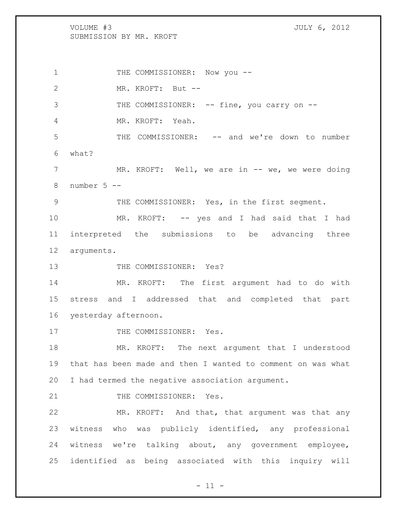VOLUME #3 JULY 6, 2012 SUBMISSION BY MR. KROFT 1 THE COMMISSIONER: Now you -- MR. KROFT: But -- 3 THE COMMISSIONER: -- fine, you carry on -- MR. KROFT: Yeah. THE COMMISSIONER: -- and we're down to number what? 7 MR. KROFT: Well, we are in -- we, we were doing 8 number  $5 - -$  THE COMMISSIONER: Yes, in the first segment. MR. KROFT: -- yes and I had said that I had interpreted the submissions to be advancing three arguments. 13 THE COMMISSIONER: Yes? MR. KROFT: The first argument had to do with stress and I addressed that and completed that part yesterday afternoon. 17 THE COMMISSIONER: Yes. MR. KROFT: The next argument that I understood that has been made and then I wanted to comment on was what I had termed the negative association argument. 21 THE COMMISSIONER: Yes. MR. KROFT: And that, that argument was that any witness who was publicly identified, any professional witness we're talking about, any government employee, identified as being associated with this inquiry will

 $- 11 -$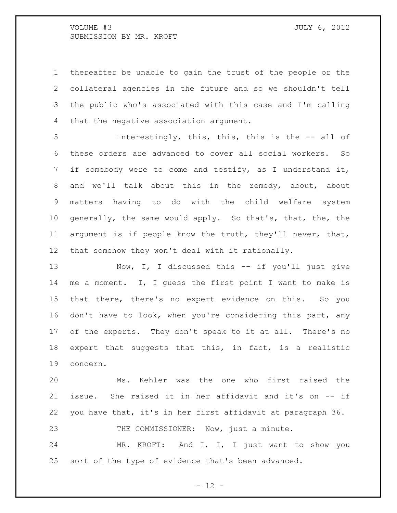thereafter be unable to gain the trust of the people or the collateral agencies in the future and so we shouldn't tell the public who's associated with this case and I'm calling that the negative association argument.

 Interestingly, this, this, this is the -- all of these orders are advanced to cover all social workers. So if somebody were to come and testify, as I understand it, and we'll talk about this in the remedy, about, about matters having to do with the child welfare system generally, the same would apply. So that's, that, the, the argument is if people know the truth, they'll never, that, that somehow they won't deal with it rationally.

13 Now, I, I discussed this -- if you'll just give me a moment. I, I guess the first point I want to make is that there, there's no expert evidence on this. So you don't have to look, when you're considering this part, any of the experts. They don't speak to it at all. There's no expert that suggests that this, in fact, is a realistic concern.

 Ms. Kehler was the one who first raised the issue. She raised it in her affidavit and it's on -- if you have that, it's in her first affidavit at paragraph 36. 23 THE COMMISSIONER: Now, just a minute.

 MR. KROFT: And I, I, I just want to show you sort of the type of evidence that's been advanced.

 $- 12 -$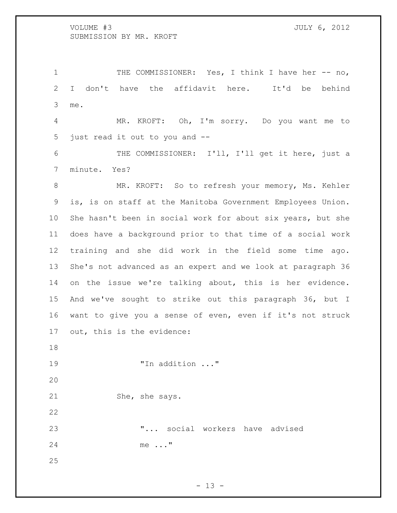1 THE COMMISSIONER: Yes, I think I have her -- no, I don't have the affidavit here. It'd be behind me.

 MR. KROFT: Oh, I'm sorry. Do you want me to just read it out to you and --

 THE COMMISSIONER: I'll, I'll get it here, just a minute. Yes?

8 MR. KROFT: So to refresh your memory, Ms. Kehler is, is on staff at the Manitoba Government Employees Union. She hasn't been in social work for about six years, but she does have a background prior to that time of a social work training and she did work in the field some time ago. She's not advanced as an expert and we look at paragraph 36 on the issue we're talking about, this is her evidence. And we've sought to strike out this paragraph 36, but I want to give you a sense of even, even if it's not struck out, this is the evidence:

"In addition ..."

21 She, she says.

 "... social workers have advised me ..."

 $- 13 -$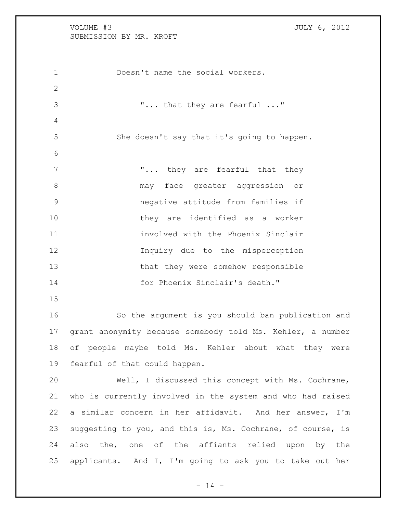Doesn't name the social workers. "... that they are fearful ..." She doesn't say that it's going to happen. 7 The village village that they are fearful that they may face greater aggression or negative attitude from families if they are identified as a worker involved with the Phoenix Sinclair Inquiry due to the misperception that they were somehow responsible for Phoenix Sinclair's death." So the argument is you should ban publication and grant anonymity because somebody told Ms. Kehler, a number of people maybe told Ms. Kehler about what they were fearful of that could happen. Well, I discussed this concept with Ms. Cochrane, who is currently involved in the system and who had raised a similar concern in her affidavit. And her answer, I'm suggesting to you, and this is, Ms. Cochrane, of course, is 24 also the, one of the affiants relied upon by the applicants. And I, I'm going to ask you to take out her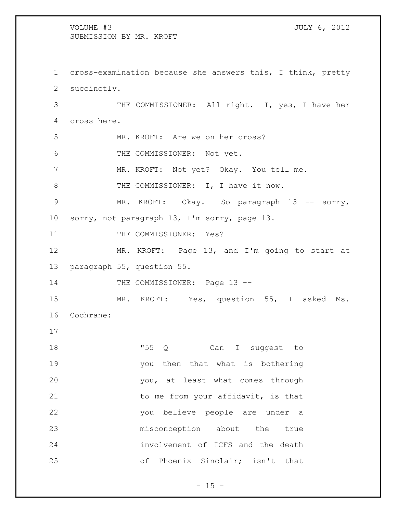cross-examination because she answers this, I think, pretty succinctly. THE COMMISSIONER: All right. I, yes, I have her cross here. MR. KROFT: Are we on her cross? THE COMMISSIONER: Not yet. MR. KROFT: Not yet? Okay. You tell me. 8 THE COMMISSIONER: I, I have it now. 9 MR. KROFT: Okay. So paragraph 13 -- sorry, sorry, not paragraph 13, I'm sorry, page 13. 11 THE COMMISSIONER: Yes? MR. KROFT: Page 13, and I'm going to start at paragraph 55, question 55. 14 THE COMMISSIONER: Page 13 --15 MR. KROFT: Yes, question 55, I asked Ms. Cochrane: 18 T55 Q Can I suggest to you then that what is bothering you, at least what comes through 21 to me from your affidavit, is that you believe people are under a misconception about the true involvement of ICFS and the death of Phoenix Sinclair; isn't that

 $- 15 -$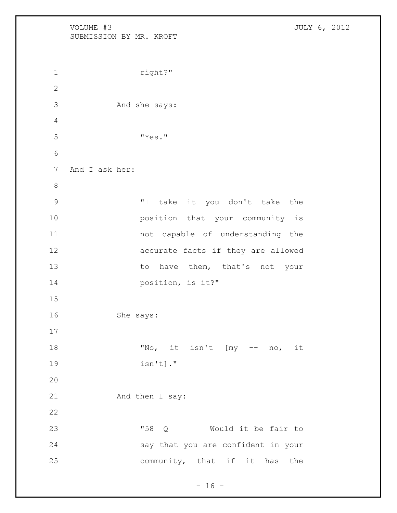VOLUME #3 JULY 6, 2012 SUBMISSION BY MR. KROFT 1 right?" And she says: "Yes." And I ask her: "I take it you don't take the position that your community is not capable of understanding the accurate facts if they are allowed 13 to have them, that's not your position, is it?" She says: "No, it isn't [my -- no, it isn't]." 21 And then I say: "58 Q Would it be fair to say that you are confident in your community, that if it has the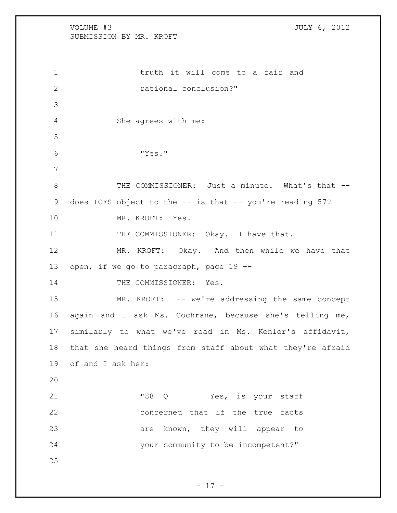VOLUME #3 JULY 6, 2012 SUBMISSION BY MR. KROFT 1 1 truth it will come to a fair and rational conclusion?" She agrees with me: "Yes." 8 THE COMMISSIONER: Just a minute. What's that -- does ICFS object to the -- is that -- you're reading 57? MR. KROFT: Yes. 11 THE COMMISSIONER: Okay. I have that. MR. KROFT: Okay. And then while we have that 13 open, if we go to paragraph, page 19 --14 THE COMMISSIONER: Yes. 15 MR. KROFT: -- we're addressing the same concept again and I ask Ms. Cochrane, because she's telling me, similarly to what we've read in Ms. Kehler's affidavit, that she heard things from staff about what they're afraid of and I ask her: 21 T88 Q Yes, is your staff concerned that if the true facts 23 are known, they will appear to your community to be incompetent?" 

 $- 17 -$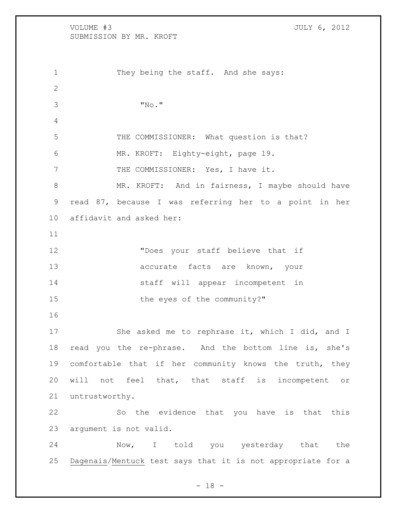VOLUME #3 JULY 6, 2012 SUBMISSION BY MR. KROFT 1 They being the staff. And she says: "No." THE COMMISSIONER: What question is that? MR. KROFT: Eighty-eight, page 19. 7 THE COMMISSIONER: Yes, I have it. 8 MR. KROFT: And in fairness, I maybe should have read 87, because I was referring her to a point in her affidavit and asked her: "Does your staff believe that if 13 accurate facts are known, your staff will appear incompetent in 15 the eyes of the community?" 17 She asked me to rephrase it, which I did, and I read you the re-phrase. And the bottom line is, she's comfortable that if her community knows the truth, they will not feel that, that staff is incompetent or untrustworthy. So the evidence that you have is that this argument is not valid. Now, I told you yesterday that the Dagenais/Mentuck test says that it is not appropriate for a

- 18 -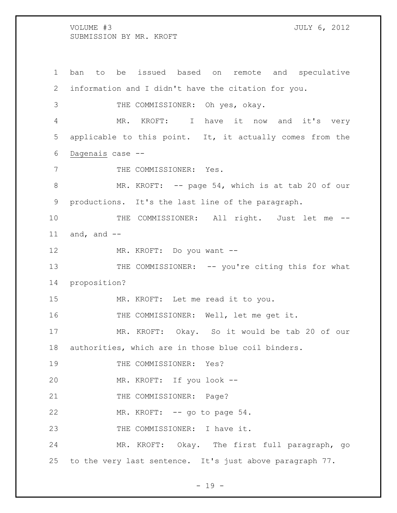ban to be issued based on remote and speculative information and I didn't have the citation for you. THE COMMISSIONER: Oh yes, okay. MR. KROFT: I have it now and it's very applicable to this point. It, it actually comes from the Dagenais case -- 7 THE COMMISSIONER: Yes. MR. KROFT: -- page 54, which is at tab 20 of our productions. It's the last line of the paragraph. 10 THE COMMISSIONER: All right. Just let me -- $and, and --$ 12 MR. KROFT: Do you want --13 THE COMMISSIONER: -- you're citing this for what proposition? MR. KROFT: Let me read it to you. THE COMMISSIONER: Well, let me get it. MR. KROFT: Okay. So it would be tab 20 of our authorities, which are in those blue coil binders. 19 THE COMMISSIONER: Yes? MR. KROFT: If you look -- 21 THE COMMISSIONER: Page? 22 MR. KROFT: -- go to page 54. 23 THE COMMISSIONER: I have it. MR. KROFT: Okay. The first full paragraph, go to the very last sentence. It's just above paragraph 77.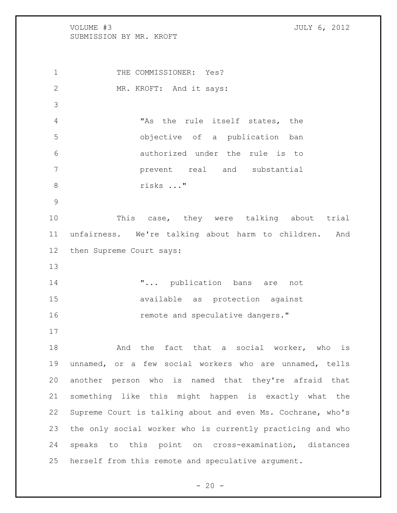VOLUME #3 JULY 6, 2012 SUBMISSION BY MR. KROFT 1 THE COMMISSIONER: Yes? 2 MR. KROFT: And it says: "As the rule itself states, the objective of a publication ban authorized under the rule is to prevent real and substantial risks ..." 10 This case, they were talking about trial unfairness. We're talking about harm to children. And then Supreme Court says:  $\ldots$  publication bans are not available as protection against **remote and speculative dangers.**" 18 and the fact that a social worker, who is unnamed, or a few social workers who are unnamed, tells another person who is named that they're afraid that something like this might happen is exactly what the Supreme Court is talking about and even Ms. Cochrane, who's the only social worker who is currently practicing and who speaks to this point on cross-examination, distances herself from this remote and speculative argument.

 $- 20 -$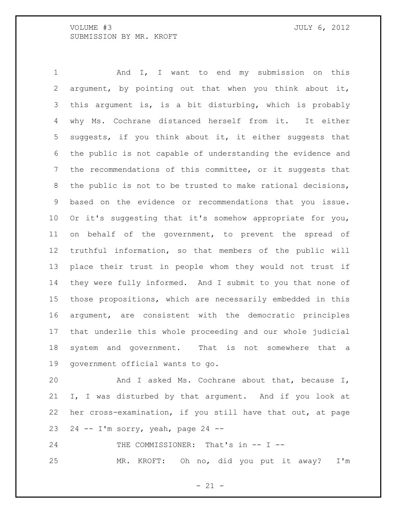And I, I want to end my submission on this argument, by pointing out that when you think about it, this argument is, is a bit disturbing, which is probably why Ms. Cochrane distanced herself from it. It either suggests, if you think about it, it either suggests that the public is not capable of understanding the evidence and the recommendations of this committee, or it suggests that the public is not to be trusted to make rational decisions, based on the evidence or recommendations that you issue. Or it's suggesting that it's somehow appropriate for you, on behalf of the government, to prevent the spread of truthful information, so that members of the public will place their trust in people whom they would not trust if they were fully informed. And I submit to you that none of those propositions, which are necessarily embedded in this argument, are consistent with the democratic principles that underlie this whole proceeding and our whole judicial system and government. That is not somewhere that a government official wants to go.

 And I asked Ms. Cochrane about that, because I, I, I was disturbed by that argument. And if you look at her cross-examination, if you still have that out, at page 23 24  $-$  I'm sorry, yeah, page 24  $-$ 

24 THE COMMISSIONER: That's in -- I --MR. KROFT: Oh no, did you put it away? I'm

 $- 21 -$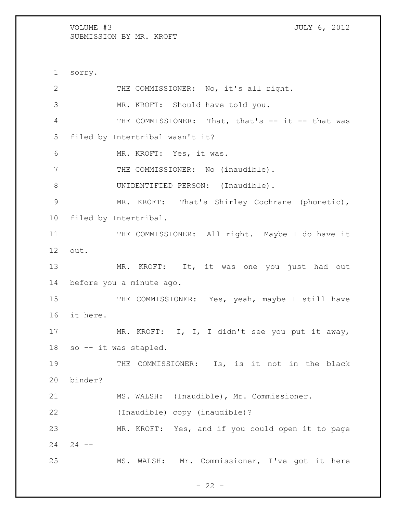1 sorry. 2 THE COMMISSIONER: No, it's all right. 3 MR. KROFT: Should have told you. 4 THE COMMISSIONER: That, that's -- it -- that was 5 filed by Intertribal wasn't it? 6 MR. KROFT: Yes, it was. 7 THE COMMISSIONER: No (inaudible). 8 UNIDENTIFIED PERSON: (Inaudible). 9 MR. KROFT: That's Shirley Cochrane (phonetic), 10 filed by Intertribal. 11 THE COMMISSIONER: All right. Maybe I do have it 12 out. 13 MR. KROFT: It, it was one you just had out 14 before you a minute ago. 15 THE COMMISSIONER: Yes, yeah, maybe I still have 16 it here. 17 MR. KROFT: I, I, I didn't see you put it away, 18 so -- it was stapled. 19 THE COMMISSIONER: Is, is it not in the black 20 binder? 21 MS. WALSH: (Inaudible), Mr. Commissioner. 22 (Inaudible) copy (inaudible)? 23 MR. KROFT: Yes, and if you could open it to page  $24 - 24 - -$ 25 MS. WALSH: Mr. Commissioner, I've got it here

 $- 22 -$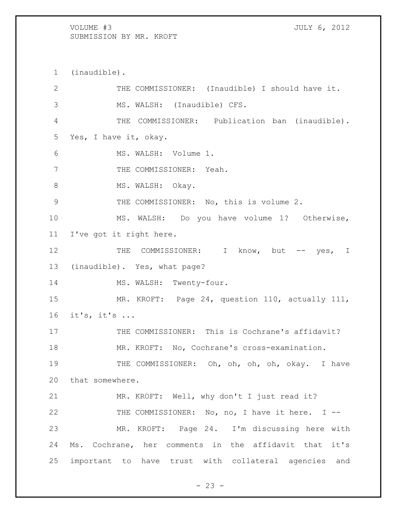(inaudible). THE COMMISSIONER: (Inaudible) I should have it. MS. WALSH: (Inaudible) CFS. THE COMMISSIONER: Publication ban (inaudible). Yes, I have it, okay. MS. WALSH: Volume 1. 7 THE COMMISSIONER: Yeah. 8 MS. WALSH: Okay. THE COMMISSIONER: No, this is volume 2. MS. WALSH: Do you have volume 1? Otherwise, I've got it right here. 12 THE COMMISSIONER: I know, but -- yes, I (inaudible). Yes, what page? 14 MS. WALSH: Twenty-four. MR. KROFT: Page 24, question 110, actually 111, it's, it's ... 17 THE COMMISSIONER: This is Cochrane's affidavit? MR. KROFT: No, Cochrane's cross-examination. THE COMMISSIONER: Oh, oh, oh, oh, okay. I have that somewhere. MR. KROFT: Well, why don't I just read it? 22 THE COMMISSIONER: No, no, I have it here. I -- MR. KROFT: Page 24. I'm discussing here with Ms. Cochrane, her comments in the affidavit that it's important to have trust with collateral agencies and

 $- 23 -$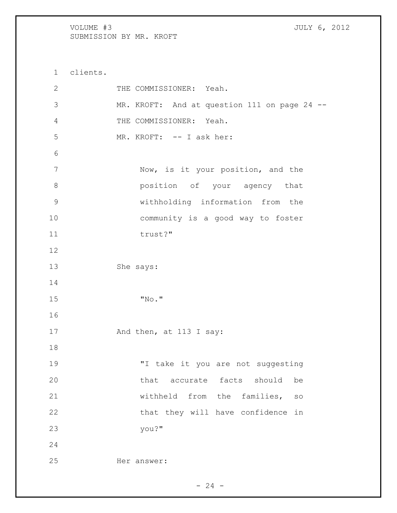clients. 2 THE COMMISSIONER: Yeah. MR. KROFT: And at question 111 on page 24 -- THE COMMISSIONER: Yeah. MR. KROFT: -- I ask her: Now, is it your position, and the position of your agency that withholding information from the community is a good way to foster 11 trust?" She says: "No." 17 And then, at 113 I say: "I take it you are not suggesting 20 that accurate facts should be withheld from the families, so 22 that they will have confidence in you?" Her answer: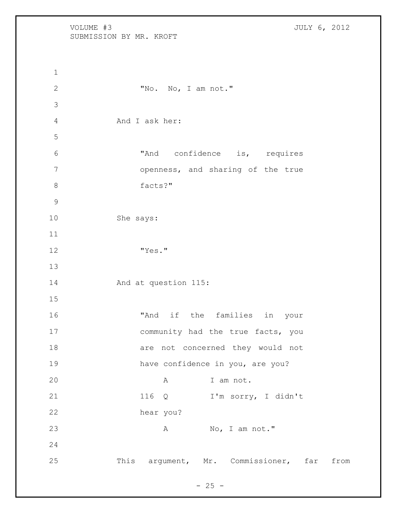VOLUME #3 JULY 6, 2012 SUBMISSION BY MR. KROFT "No. No, I am not." And I ask her: "And confidence is, requires openness, and sharing of the true facts?" She says: "Yes." And at question 115: "And if the families in your 17 community had the true facts, you 18 are not concerned they would not have confidence in you, are you? 20 A I am not. 116 Q I'm sorry, I didn't hear you? 23 A No, I am not." This argument, Mr. Commissioner, far from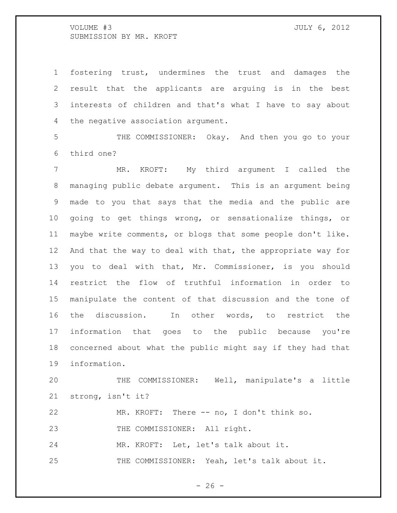fostering trust, undermines the trust and damages the result that the applicants are arguing is in the best interests of children and that's what I have to say about the negative association argument.

 THE COMMISSIONER: Okay. And then you go to your third one?

 MR. KROFT: My third argument I called the managing public debate argument. This is an argument being made to you that says that the media and the public are going to get things wrong, or sensationalize things, or maybe write comments, or blogs that some people don't like. And that the way to deal with that, the appropriate way for you to deal with that, Mr. Commissioner, is you should restrict the flow of truthful information in order to manipulate the content of that discussion and the tone of the discussion. In other words, to restrict the information that goes to the public because you're concerned about what the public might say if they had that information.

 THE COMMISSIONER: Well, manipulate's a little strong, isn't it?

MR. KROFT: There -- no, I don't think so.

23 THE COMMISSIONER: All right.

MR. KROFT: Let, let's talk about it.

THE COMMISSIONER: Yeah, let's talk about it.

 $- 26 -$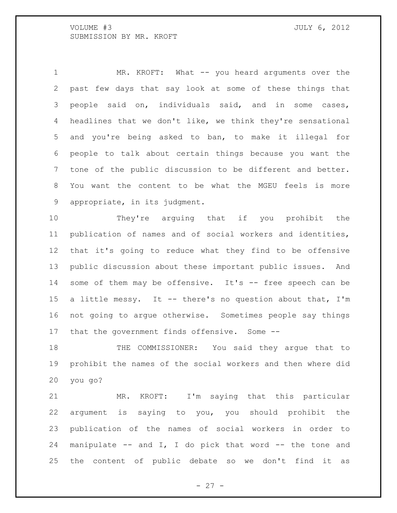1 MR. KROFT: What -- you heard arguments over the past few days that say look at some of these things that people said on, individuals said, and in some cases, headlines that we don't like, we think they're sensational and you're being asked to ban, to make it illegal for people to talk about certain things because you want the tone of the public discussion to be different and better. You want the content to be what the MGEU feels is more appropriate, in its judgment.

 They're arguing that if you prohibit the publication of names and of social workers and identities, that it's going to reduce what they find to be offensive public discussion about these important public issues. And 14 some of them may be offensive. It's -- free speech can be 15 a little messy. It -- there's no question about that, I'm not going to argue otherwise. Sometimes people say things that the government finds offensive. Some --

18 THE COMMISSIONER: You said they argue that to prohibit the names of the social workers and then where did you go?

 MR. KROFT: I'm saying that this particular argument is saying to you, you should prohibit the publication of the names of social workers in order to manipulate -- and I, I do pick that word -- the tone and the content of public debate so we don't find it as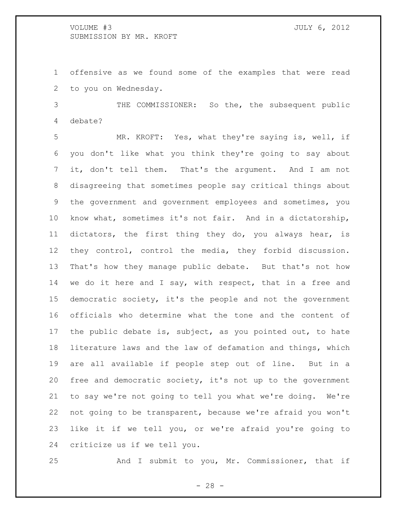offensive as we found some of the examples that were read to you on Wednesday.

 THE COMMISSIONER: So the, the subsequent public debate?

 MR. KROFT: Yes, what they're saying is, well, if you don't like what you think they're going to say about it, don't tell them. That's the argument. And I am not disagreeing that sometimes people say critical things about the government and government employees and sometimes, you know what, sometimes it's not fair. And in a dictatorship, dictators, the first thing they do, you always hear, is they control, control the media, they forbid discussion. That's how they manage public debate. But that's not how we do it here and I say, with respect, that in a free and democratic society, it's the people and not the government officials who determine what the tone and the content of the public debate is, subject, as you pointed out, to hate literature laws and the law of defamation and things, which are all available if people step out of line. But in a free and democratic society, it's not up to the government to say we're not going to tell you what we're doing. We're not going to be transparent, because we're afraid you won't like it if we tell you, or we're afraid you're going to criticize us if we tell you.

And I submit to you, Mr. Commissioner, that if

- 28 -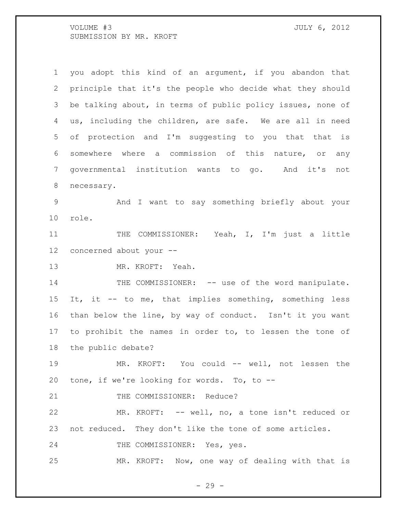you adopt this kind of an argument, if you abandon that principle that it's the people who decide what they should be talking about, in terms of public policy issues, none of us, including the children, are safe. We are all in need of protection and I'm suggesting to you that that is somewhere where a commission of this nature, or any governmental institution wants to go. And it's not necessary. And I want to say something briefly about your role. 11 THE COMMISSIONER: Yeah, I, I'm just a little concerned about your -- MR. KROFT: Yeah. 14 THE COMMISSIONER: -- use of the word manipulate. It, it -- to me, that implies something, something less than below the line, by way of conduct. Isn't it you want to prohibit the names in order to, to lessen the tone of the public debate? MR. KROFT: You could -- well, not lessen the tone, if we're looking for words. To, to -- 21 THE COMMISSIONER: Reduce? MR. KROFT: -- well, no, a tone isn't reduced or not reduced. They don't like the tone of some articles. 24 THE COMMISSIONER: Yes, yes. MR. KROFT: Now, one way of dealing with that is

- 29 -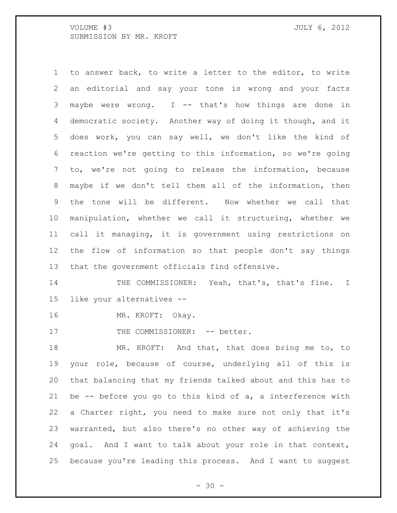to answer back, to write a letter to the editor, to write an editorial and say your tone is wrong and your facts maybe were wrong. I -- that's how things are done in democratic society. Another way of doing it though, and it does work, you can say well, we don't like the kind of reaction we're getting to this information, so we're going to, we're not going to release the information, because maybe if we don't tell them all of the information, then the tone will be different. Now whether we call that manipulation, whether we call it structuring, whether we call it managing, it is government using restrictions on the flow of information so that people don't say things that the government officials find offensive.

14 THE COMMISSIONER: Yeah, that's, that's fine. I like your alternatives --

MR. KROFT: Okay.

17 THE COMMISSIONER: -- better.

 MR. KROFT: And that, that does bring me to, to your role, because of course, underlying all of this is that balancing that my friends talked about and this has to be -- before you go to this kind of a, a interference with a Charter right, you need to make sure not only that it's warranted, but also there's no other way of achieving the goal. And I want to talk about your role in that context, because you're leading this process. And I want to suggest

 $- 30 -$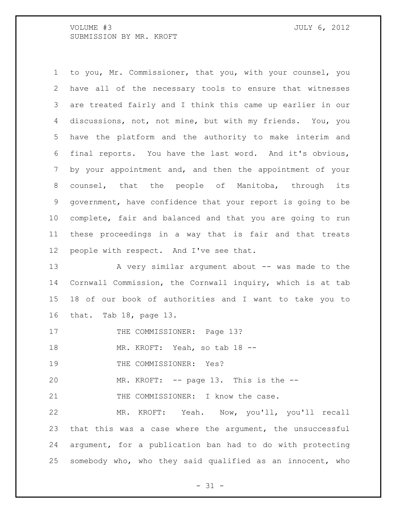to you, Mr. Commissioner, that you, with your counsel, you have all of the necessary tools to ensure that witnesses are treated fairly and I think this came up earlier in our discussions, not, not mine, but with my friends. You, you have the platform and the authority to make interim and final reports. You have the last word. And it's obvious, by your appointment and, and then the appointment of your counsel, that the people of Manitoba, through its government, have confidence that your report is going to be complete, fair and balanced and that you are going to run these proceedings in a way that is fair and that treats people with respect. And I've see that.

13 A very similar argument about -- was made to the Cornwall Commission, the Cornwall inquiry, which is at tab 18 of our book of authorities and I want to take you to that. Tab 18, page 13.

17 THE COMMISSIONER: Page 13?

MR. KROFT: Yeah, so tab 18 --

19 THE COMMISSIONER: Yes?

MR. KROFT: -- page 13. This is the --

21 THE COMMISSIONER: I know the case.

 MR. KROFT: Yeah. Now, you'll, you'll recall that this was a case where the argument, the unsuccessful argument, for a publication ban had to do with protecting somebody who, who they said qualified as an innocent, who

 $- 31 -$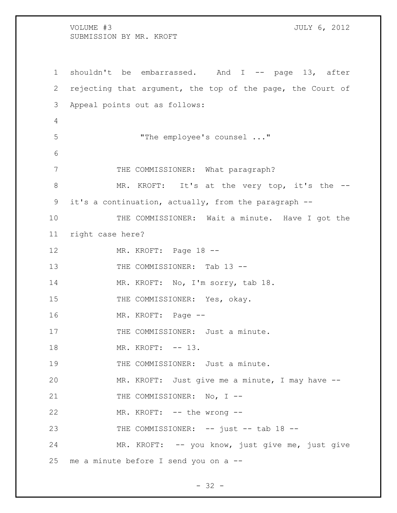VOLUME #3 JULY 6, 2012 SUBMISSION BY MR. KROFT 1 shouldn't be embarrassed. And I -- page 13, after 2 rejecting that argument, the top of the page, the Court of 3 Appeal points out as follows: 4 5 "The employee's counsel ..." 6 7 THE COMMISSIONER: What paragraph? 8 MR. KROFT: It's at the very top, it's the -- 9 it's a continuation, actually, from the paragraph -- 10 THE COMMISSIONER: Wait a minute. Have I got the 11 right case here? 12 MR. KROFT: Page 18 --13 THE COMMISSIONER: Tab 13 --14 MR. KROFT: No, I'm sorry, tab 18. 15 THE COMMISSIONER: Yes, okay. 16 MR. KROFT: Page -- 17 THE COMMISSIONER: Just a minute. 18 MR. KROFT:  $--$  13. 19 THE COMMISSIONER: Just a minute. 20 MR. KROFT: Just give me a minute, I may have -- 21 THE COMMISSIONER: No, I --22 MR. KROFT: -- the wrong --23 THE COMMISSIONER: -- just -- tab 18 --24 MR. KROFT: -- you know, just give me, just give 25 me a minute before I send you on a --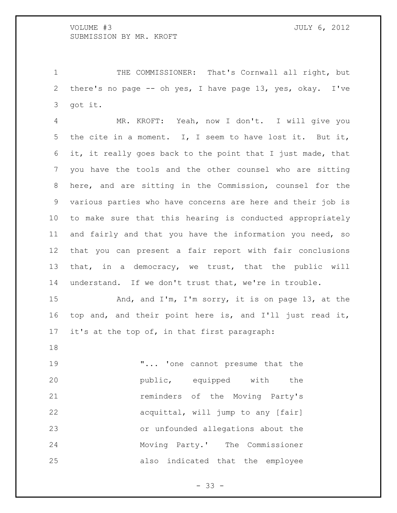THE COMMISSIONER: That's Cornwall all right, but there's no page -- oh yes, I have page 13, yes, okay. I've got it.

 MR. KROFT: Yeah, now I don't. I will give you the cite in a moment. I, I seem to have lost it. But it, it, it really goes back to the point that I just made, that you have the tools and the other counsel who are sitting here, and are sitting in the Commission, counsel for the various parties who have concerns are here and their job is to make sure that this hearing is conducted appropriately and fairly and that you have the information you need, so that you can present a fair report with fair conclusions that, in a democracy, we trust, that the public will understand. If we don't trust that, we're in trouble.

 And, and I'm, I'm sorry, it is on page 13, at the top and, and their point here is, and I'll just read it, it's at the top of, in that first paragraph:

19 T... 'one cannot presume that the **public,** equipped with the **reminders** of the Moving Party's **acquittal, will jump to any [fair]** acquittal, will jump to any [fair] or unfounded allegations about the Moving Party.' The Commissioner also indicated that the employee

- 33 -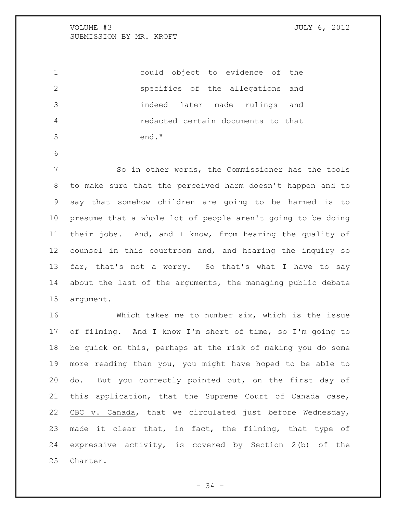|     | could object to evidence of the    |
|-----|------------------------------------|
|     | specifics of the allegations and   |
| -3  | indeed later made rulings and      |
| 4   | redacted certain documents to that |
| - 5 | end."                              |

 So in other words, the Commissioner has the tools to make sure that the perceived harm doesn't happen and to say that somehow children are going to be harmed is to presume that a whole lot of people aren't going to be doing their jobs. And, and I know, from hearing the quality of counsel in this courtroom and, and hearing the inquiry so far, that's not a worry. So that's what I have to say about the last of the arguments, the managing public debate argument.

 Which takes me to number six, which is the issue of filming. And I know I'm short of time, so I'm going to be quick on this, perhaps at the risk of making you do some more reading than you, you might have hoped to be able to do. But you correctly pointed out, on the first day of this application, that the Supreme Court of Canada case, CBC v. Canada, that we circulated just before Wednesday, made it clear that, in fact, the filming, that type of expressive activity, is covered by Section 2(b) of the Charter.

- 34 -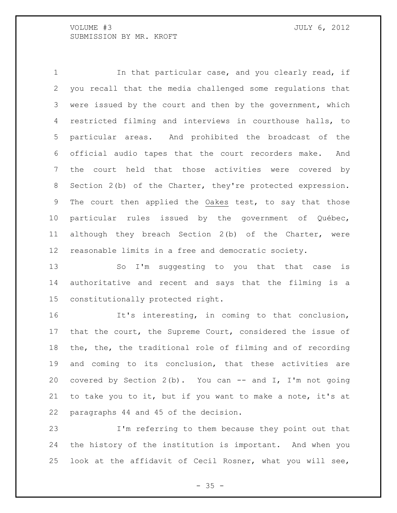1 1 In that particular case, and you clearly read, if you recall that the media challenged some regulations that were issued by the court and then by the government, which restricted filming and interviews in courthouse halls, to particular areas. And prohibited the broadcast of the official audio tapes that the court recorders make. And the court held that those activities were covered by Section 2(b) of the Charter, they're protected expression. The court then applied the Oakes test, to say that those particular rules issued by the government of Québec, although they breach Section 2(b) of the Charter, were reasonable limits in a free and democratic society.

13 So I'm suggesting to you that that case is authoritative and recent and says that the filming is a constitutionally protected right.

 It's interesting, in coming to that conclusion, that the court, the Supreme Court, considered the issue of the, the, the traditional role of filming and of recording and coming to its conclusion, that these activities are covered by Section 2(b). You can -- and I, I'm not going to take you to it, but if you want to make a note, it's at paragraphs 44 and 45 of the decision.

 I'm referring to them because they point out that the history of the institution is important. And when you look at the affidavit of Cecil Rosner, what you will see,

 $- 35 -$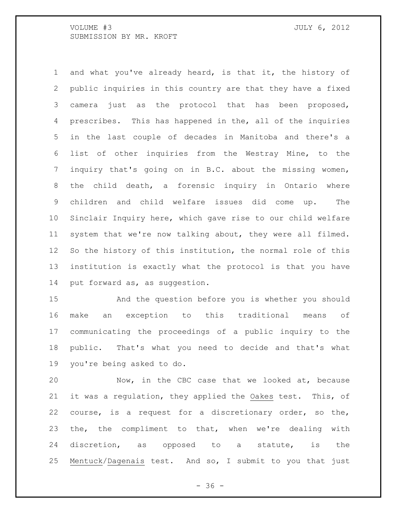and what you've already heard, is that it, the history of public inquiries in this country are that they have a fixed camera just as the protocol that has been proposed, prescribes. This has happened in the, all of the inquiries in the last couple of decades in Manitoba and there's a list of other inquiries from the Westray Mine, to the inquiry that's going on in B.C. about the missing women, the child death, a forensic inquiry in Ontario where children and child welfare issues did come up. The Sinclair Inquiry here, which gave rise to our child welfare system that we're now talking about, they were all filmed. So the history of this institution, the normal role of this institution is exactly what the protocol is that you have put forward as, as suggestion.

 And the question before you is whether you should make an exception to this traditional means of communicating the proceedings of a public inquiry to the public. That's what you need to decide and that's what you're being asked to do.

 Now, in the CBC case that we looked at, because it was a regulation, they applied the Oakes test. This, of course, is a request for a discretionary order, so the, 23 the, the compliment to that, when we're dealing with discretion, as opposed to a statute, is the Mentuck/Dagenais test. And so, I submit to you that just

 $- 36 -$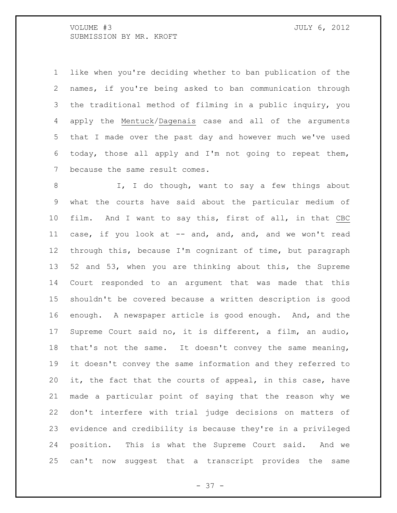like when you're deciding whether to ban publication of the names, if you're being asked to ban communication through the traditional method of filming in a public inquiry, you apply the Mentuck/Dagenais case and all of the arguments that I made over the past day and however much we've used today, those all apply and I'm not going to repeat them, because the same result comes.

8 I, I do though, want to say a few things about what the courts have said about the particular medium of film. And I want to say this, first of all, in that CBC 11 case, if you look at -- and, and, and, and we won't read through this, because I'm cognizant of time, but paragraph 52 and 53, when you are thinking about this, the Supreme Court responded to an argument that was made that this shouldn't be covered because a written description is good enough. A newspaper article is good enough. And, and the Supreme Court said no, it is different, a film, an audio, that's not the same. It doesn't convey the same meaning, it doesn't convey the same information and they referred to it, the fact that the courts of appeal, in this case, have made a particular point of saying that the reason why we don't interfere with trial judge decisions on matters of evidence and credibility is because they're in a privileged position. This is what the Supreme Court said. And we can't now suggest that a transcript provides the same

- 37 -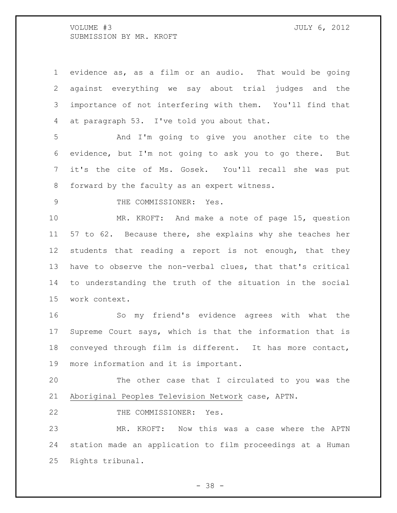evidence as, as a film or an audio. That would be going against everything we say about trial judges and the importance of not interfering with them. You'll find that at paragraph 53. I've told you about that.

 And I'm going to give you another cite to the evidence, but I'm not going to ask you to go there. But it's the cite of Ms. Gosek. You'll recall she was put forward by the faculty as an expert witness.

9 THE COMMISSIONER: Yes.

 MR. KROFT: And make a note of page 15, question 57 to 62. Because there, she explains why she teaches her students that reading a report is not enough, that they have to observe the non-verbal clues, that that's critical to understanding the truth of the situation in the social work context.

 So my friend's evidence agrees with what the Supreme Court says, which is that the information that is conveyed through film is different. It has more contact, more information and it is important.

 The other case that I circulated to you was the Aboriginal Peoples Television Network case, APTN.

22 THE COMMISSIONER: Yes.

 MR. KROFT: Now this was a case where the APTN station made an application to film proceedings at a Human Rights tribunal.

- 38 -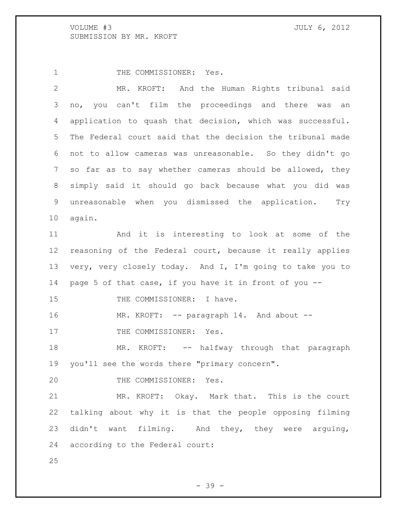1 THE COMMISSIONER: Yes.

 MR. KROFT: And the Human Rights tribunal said no, you can't film the proceedings and there was an application to quash that decision, which was successful. The Federal court said that the decision the tribunal made not to allow cameras was unreasonable. So they didn't go so far as to say whether cameras should be allowed, they simply said it should go back because what you did was unreasonable when you dismissed the application. Try again. And it is interesting to look at some of the reasoning of the Federal court, because it really applies very, very closely today. And I, I'm going to take you to page 5 of that case, if you have it in front of you -- 15 THE COMMISSIONER: I have. 16 MR. KROFT: -- paragraph 14. And about --17 THE COMMISSIONER: Yes. 18 MR. KROFT: -- halfway through that paragraph you'll see the words there "primary concern". 20 THE COMMISSIONER: Yes. MR. KROFT: Okay. Mark that. This is the court talking about why it is that the people opposing filming didn't want filming. And they, they were arguing, according to the Federal court: 

- 39 -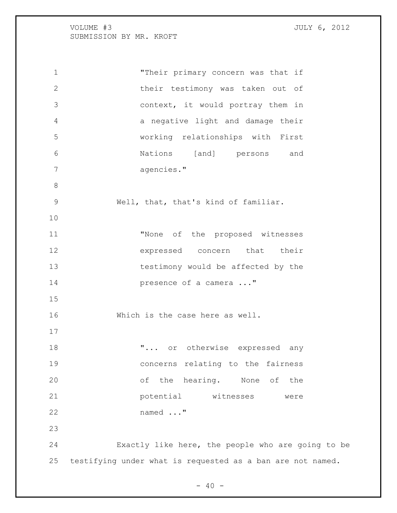"Their primary concern was that if their testimony was taken out of context, it would portray them in a negative light and damage their working relationships with First Nations [and] persons and agencies." Well, that, that's kind of familiar. "None of the proposed witnesses expressed concern that their testimony would be affected by the **presence of a camera ..."**  Which is the case here as well.  $\ldots$  or otherwise expressed any concerns relating to the fairness of the hearing. None of the potential witnesses were named ..." Exactly like here, the people who are going to be testifying under what is requested as a ban are not named.

 $- 40 -$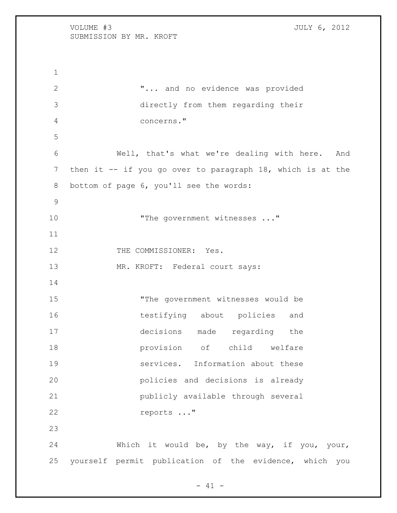VOLUME #3 JULY 6, 2012 SUBMISSION BY MR. KROFT "... and no evidence was provided directly from them regarding their concerns." Well, that's what we're dealing with here. And then it -- if you go over to paragraph 18, which is at the bottom of page 6, you'll see the words: 10 The government witnesses ..." 12 THE COMMISSIONER: Yes. MR. KROFT: Federal court says: "The government witnesses would be testifying about policies and decisions made regarding the provision of child welfare services. Information about these policies and decisions is already publicly available through several

reports ..."

 Which it would be, by the way, if you, your, yourself permit publication of the evidence, which you

 $- 41 -$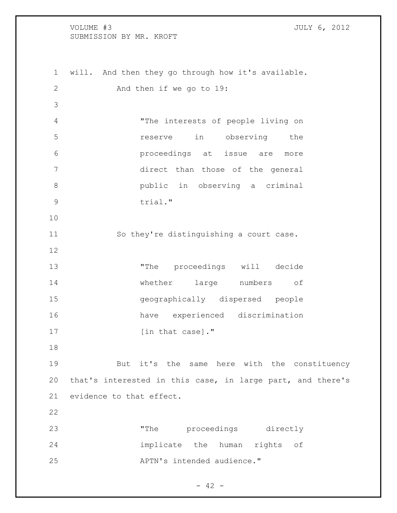will. And then they go through how it's available. And then if we go to 19: "The interests of people living on reserve in observing the proceedings at issue are more direct than those of the general public in observing a criminal 9 trial." So they're distinguishing a court case. "The proceedings will decide whether large numbers of geographically dispersed people have experienced discrimination 17 [in that case]." But it's the same here with the constituency that's interested in this case, in large part, and there's evidence to that effect. "The proceedings directly implicate the human rights of APTN's intended audience."

 $- 42 -$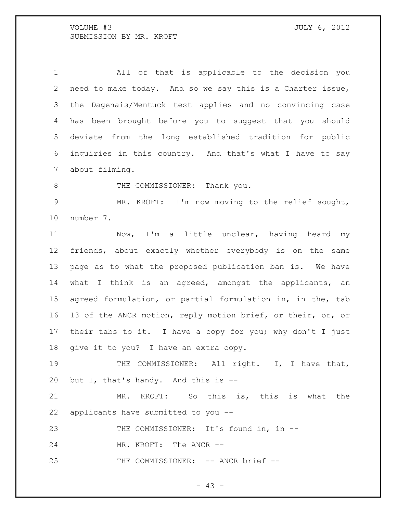All of that is applicable to the decision you need to make today. And so we say this is a Charter issue, the Dagenais/Mentuck test applies and no convincing case has been brought before you to suggest that you should deviate from the long established tradition for public inquiries in this country. And that's what I have to say about filming.

8 THE COMMISSIONER: Thank you.

 MR. KROFT: I'm now moving to the relief sought, number 7.

 Now, I'm a little unclear, having heard my friends, about exactly whether everybody is on the same page as to what the proposed publication ban is. We have what I think is an agreed, amongst the applicants, an agreed formulation, or partial formulation in, in the, tab 13 of the ANCR motion, reply motion brief, or their, or, or their tabs to it. I have a copy for you; why don't I just give it to you? I have an extra copy.

19 THE COMMISSIONER: All right. I, I have that, but I, that's handy. And this is --

 MR. KROFT: So this is, this is what the applicants have submitted to you --

THE COMMISSIONER: It's found in, in --

MR. KROFT: The ANCR --

25 THE COMMISSIONER: -- ANCR brief --

- 43 -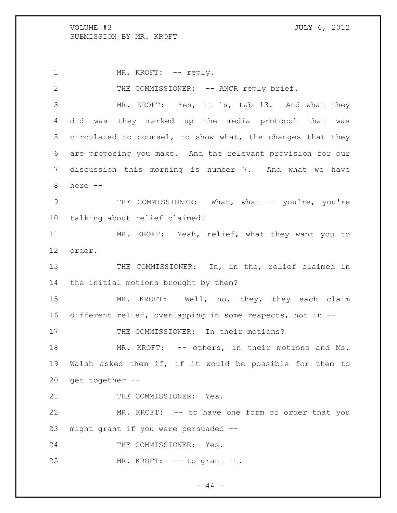1 MR. KROFT: -- reply.

2 THE COMMISSIONER: -- ANCR reply brief.

 MR. KROFT: Yes, it is, tab 13. And what they did was they marked up the media protocol that was circulated to counsel, to show what, the changes that they are proposing you make. And the relevant provision for our discussion this morning is number 7. And what we have 8 here --

9 THE COMMISSIONER: What, what -- you're, you're 10 talking about relief claimed?

11 MR. KROFT: Yeah, relief, what they want you to 12 order.

13 THE COMMISSIONER: In, in the, relief claimed in 14 the initial motions brought by them?

15 MR. KROFT: Well, no, they, they each claim 16 different relief, overlapping in some respects, not in --

17 THE COMMISSIONER: In their motions?

18 MR. KROFT: -- others, in their motions and Ms. 19 Walsh asked them if, if it would be possible for them to 20 get together --

21 THE COMMISSIONER: Yes.

22 MR. KROFT: -- to have one form of order that you 23 might grant if you were persuaded --

24 THE COMMISSIONER: Yes.

25 MR. KROFT: -- to grant it.

 $-44 -$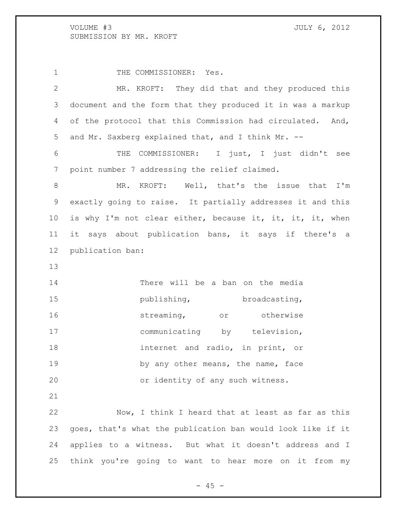1 THE COMMISSIONER: Yes. MR. KROFT: They did that and they produced this document and the form that they produced it in was a markup of the protocol that this Commission had circulated. And, and Mr. Saxberg explained that, and I think Mr. -- THE COMMISSIONER: I just, I just didn't see point number 7 addressing the relief claimed. MR. KROFT: Well, that's the issue that I'm exactly going to raise. It partially addresses it and this is why I'm not clear either, because it, it, it, it, when it says about publication bans, it says if there's a publication ban: There will be a ban on the media **broadcasting,** broadcasting, **streaming**, or otherwise 17 communicating by television, 18 internet and radio, in print, or 19 by any other means, the name, face or identity of any such witness. Now, I think I heard that at least as far as this goes, that's what the publication ban would look like if it applies to a witness. But what it doesn't address and I think you're going to want to hear more on it from my

 $- 45 -$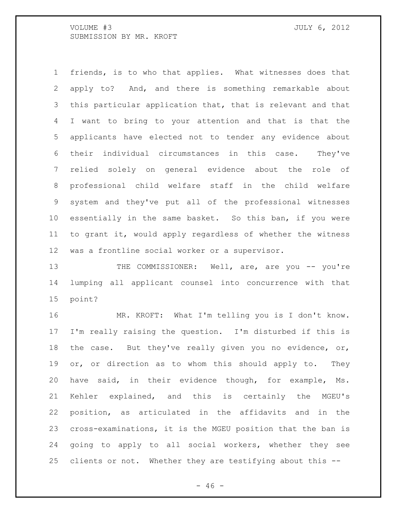friends, is to who that applies. What witnesses does that apply to? And, and there is something remarkable about this particular application that, that is relevant and that I want to bring to your attention and that is that the applicants have elected not to tender any evidence about their individual circumstances in this case. They've relied solely on general evidence about the role of professional child welfare staff in the child welfare system and they've put all of the professional witnesses essentially in the same basket. So this ban, if you were to grant it, would apply regardless of whether the witness was a frontline social worker or a supervisor.

13 THE COMMISSIONER: Well, are, are you -- you're lumping all applicant counsel into concurrence with that point?

 MR. KROFT: What I'm telling you is I don't know. I'm really raising the question. I'm disturbed if this is the case. But they've really given you no evidence, or, 19 or, or direction as to whom this should apply to. They have said, in their evidence though, for example, Ms. Kehler explained, and this is certainly the MGEU's position, as articulated in the affidavits and in the cross-examinations, it is the MGEU position that the ban is going to apply to all social workers, whether they see clients or not. Whether they are testifying about this --

 $- 46 -$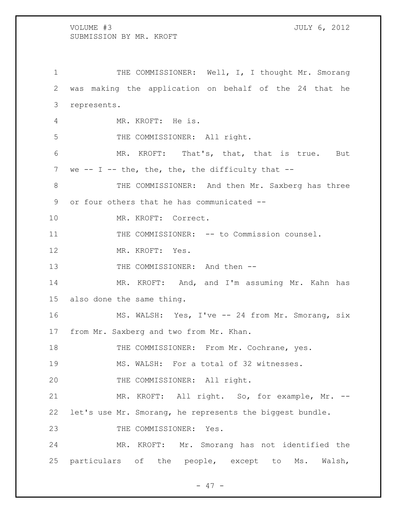1 THE COMMISSIONER: Well, I, I thought Mr. Smorang was making the application on behalf of the 24 that he represents. MR. KROFT: He is. 5 THE COMMISSIONER: All right. MR. KROFT: That's, that, that is true. But 7 we  $-$  I  $-$  the, the, the, the difficulty that  $-$ 8 THE COMMISSIONER: And then Mr. Saxberg has three or four others that he has communicated -- MR. KROFT: Correct. 11 THE COMMISSIONER: -- to Commission counsel. MR. KROFT: Yes. 13 THE COMMISSIONER: And then -- MR. KROFT: And, and I'm assuming Mr. Kahn has also done the same thing. MS. WALSH: Yes, I've -- 24 from Mr. Smorang, six from Mr. Saxberg and two from Mr. Khan. 18 THE COMMISSIONER: From Mr. Cochrane, yes. MS. WALSH: For a total of 32 witnesses. 20 THE COMMISSIONER: All right. MR. KROFT: All right. So, for example, Mr. -- let's use Mr. Smorang, he represents the biggest bundle. 23 THE COMMISSIONER: Yes. MR. KROFT: Mr. Smorang has not identified the particulars of the people, except to Ms. Walsh,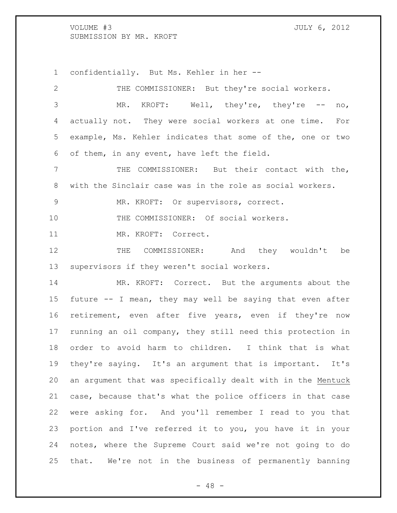confidentially. But Ms. Kehler in her --

THE COMMISSIONER: But they're social workers.

 MR. KROFT: Well, they're, they're -- no, actually not. They were social workers at one time. For example, Ms. Kehler indicates that some of the, one or two of them, in any event, have left the field. THE COMMISSIONER: But their contact with the, with the Sinclair case was in the role as social workers. MR. KROFT: Or supervisors, correct. THE COMMISSIONER: Of social workers. MR. KROFT: Correct. THE COMMISSIONER: And they wouldn't be supervisors if they weren't social workers. MR. KROFT: Correct. But the arguments about the future -- I mean, they may well be saying that even after retirement, even after five years, even if they're now running an oil company, they still need this protection in order to avoid harm to children. I think that is what they're saying. It's an argument that is important. It's an argument that was specifically dealt with in the Mentuck case, because that's what the police officers in that case were asking for. And you'll remember I read to you that portion and I've referred it to you, you have it in your notes, where the Supreme Court said we're not going to do that. We're not in the business of permanently banning

 $- 48 -$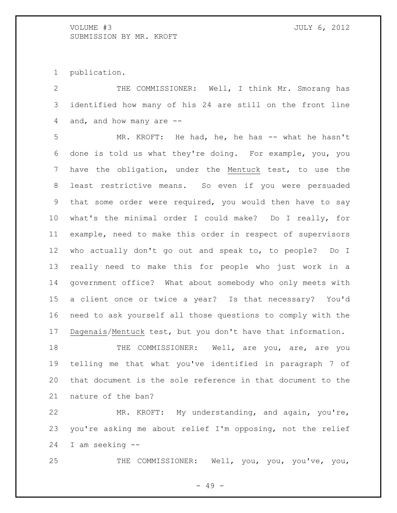publication.

 THE COMMISSIONER: Well, I think Mr. Smorang has identified how many of his 24 are still on the front line and, and how many are --

 MR. KROFT: He had, he, he has -- what he hasn't done is told us what they're doing. For example, you, you have the obligation, under the Mentuck test, to use the least restrictive means. So even if you were persuaded that some order were required, you would then have to say what's the minimal order I could make? Do I really, for example, need to make this order in respect of supervisors who actually don't go out and speak to, to people? Do I really need to make this for people who just work in a government office? What about somebody who only meets with a client once or twice a year? Is that necessary? You'd need to ask yourself all those questions to comply with the Dagenais/Mentuck test, but you don't have that information.

18 THE COMMISSIONER: Well, are you, are, are you telling me that what you've identified in paragraph 7 of that document is the sole reference in that document to the nature of the ban?

 MR. KROFT: My understanding, and again, you're, you're asking me about relief I'm opposing, not the relief I am seeking --

THE COMMISSIONER: Well, you, you, you've, you,

- 49 -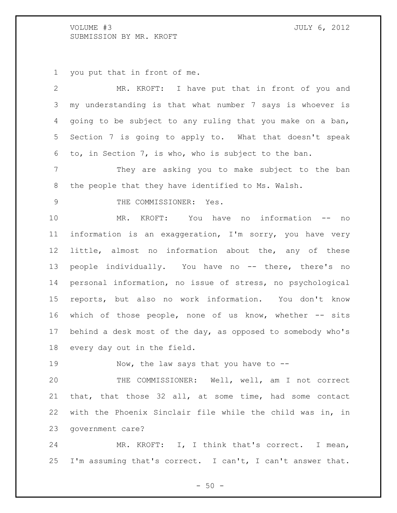you put that in front of me.

 MR. KROFT: I have put that in front of you and my understanding is that what number 7 says is whoever is going to be subject to any ruling that you make on a ban, Section 7 is going to apply to. What that doesn't speak to, in Section 7, is who, who is subject to the ban. They are asking you to make subject to the ban the people that they have identified to Ms. Walsh. 9 THE COMMISSIONER: Yes. MR. KROFT: You have no information -- no information is an exaggeration, I'm sorry, you have very little, almost no information about the, any of these 13 people individually. You have no -- there, there's no personal information, no issue of stress, no psychological reports, but also no work information. You don't know 16 which of those people, none of us know, whether -- sits behind a desk most of the day, as opposed to somebody who's every day out in the field. 19 Now, the law says that you have to -- THE COMMISSIONER: Well, well, am I not correct that, that those 32 all, at some time, had some contact with the Phoenix Sinclair file while the child was in, in government care? MR. KROFT: I, I think that's correct. I mean,

 $-50 -$ 

I'm assuming that's correct. I can't, I can't answer that.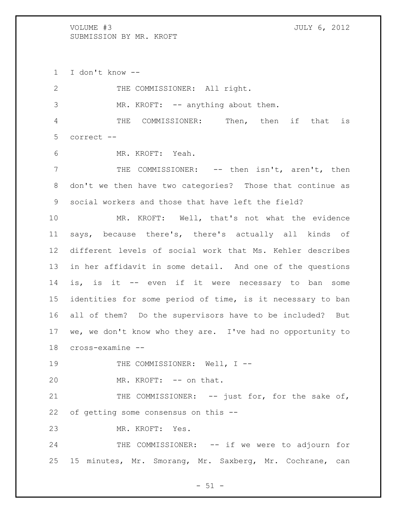I don't know --

2 THE COMMISSIONER: All right. 3 MR. KROFT: -- anything about them. THE COMMISSIONER: Then, then if that is correct -- MR. KROFT: Yeah. 7 THE COMMISSIONER: -- then isn't, aren't, then don't we then have two categories? Those that continue as social workers and those that have left the field? MR. KROFT: Well, that's not what the evidence says, because there's, there's actually all kinds of different levels of social work that Ms. Kehler describes in her affidavit in some detail. And one of the questions is, is it -- even if it were necessary to ban some identities for some period of time, is it necessary to ban all of them? Do the supervisors have to be included? But we, we don't know who they are. I've had no opportunity to cross-examine -- 19 THE COMMISSIONER: Well, I --20 MR. KROFT: -- on that. 21 THE COMMISSIONER: -- just for, for the sake of, of getting some consensus on this -- MR. KROFT: Yes. 24 THE COMMISSIONER: -- if we were to adjourn for 15 minutes, Mr. Smorang, Mr. Saxberg, Mr. Cochrane, can

 $-51 -$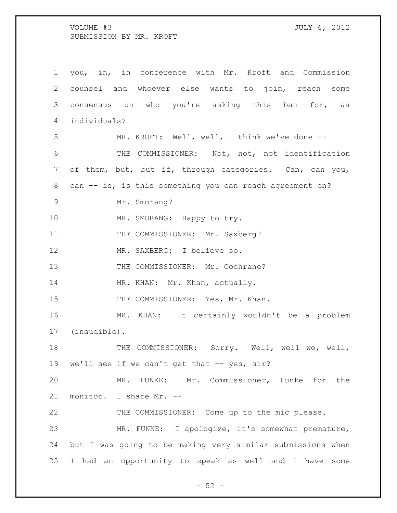you, in, in conference with Mr. Kroft and Commission counsel and whoever else wants to join, reach some consensus on who you're asking this ban for, as individuals? MR. KROFT: Well, well, I think we've done -- THE COMMISSIONER: Not, not, not identification of them, but, but if, through categories. Can, can you, can -- is, is this something you can reach agreement on? Mr. Smorang? 10 MR. SMORANG: Happy to try. 11 THE COMMISSIONER: Mr. Saxberg? MR. SAXBERG: I believe so. 13 THE COMMISSIONER: Mr. Cochrane? 14 MR. KHAN: Mr. Khan, actually. 15 THE COMMISSIONER: Yes, Mr. Khan. MR. KHAN: It certainly wouldn't be a problem (inaudible). 18 THE COMMISSIONER: Sorry. Well, well we, well, 19 we'll see if we can't get that -- yes, sir? MR. FUNKE: Mr. Commissioner, Funke for the monitor. I share Mr. -- THE COMMISSIONER: Come up to the mic please. MR. FUNKE: I apologize, it's somewhat premature, but I was going to be making very similar submissions when I had an opportunity to speak as well and I have some

 $-52 -$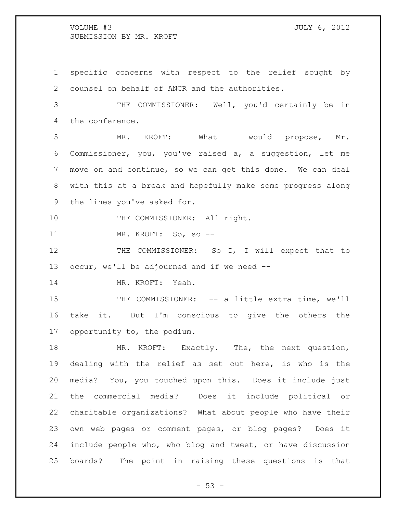specific concerns with respect to the relief sought by counsel on behalf of ANCR and the authorities. THE COMMISSIONER: Well, you'd certainly be in the conference. MR. KROFT: What I would propose, Mr. Commissioner, you, you've raised a, a suggestion, let me move on and continue, so we can get this done. We can deal with this at a break and hopefully make some progress along the lines you've asked for. 10 THE COMMISSIONER: All right. MR. KROFT: So, so -- THE COMMISSIONER: So I, I will expect that to occur, we'll be adjourned and if we need -- MR. KROFT: Yeah. 15 THE COMMISSIONER: -- a little extra time, we'll take it. But I'm conscious to give the others the opportunity to, the podium. MR. KROFT: Exactly. The, the next question, dealing with the relief as set out here, is who is the media? You, you touched upon this. Does it include just the commercial media? Does it include political or charitable organizations? What about people who have their own web pages or comment pages, or blog pages? Does it include people who, who blog and tweet, or have discussion boards? The point in raising these questions is that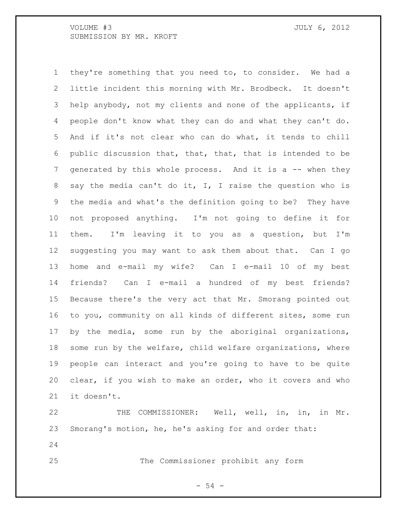they're something that you need to, to consider. We had a little incident this morning with Mr. Brodbeck. It doesn't help anybody, not my clients and none of the applicants, if people don't know what they can do and what they can't do. And if it's not clear who can do what, it tends to chill public discussion that, that, that, that is intended to be generated by this whole process. And it is a -- when they say the media can't do it, I, I raise the question who is the media and what's the definition going to be? They have not proposed anything. I'm not going to define it for them. I'm leaving it to you as a question, but I'm suggesting you may want to ask them about that. Can I go home and e-mail my wife? Can I e-mail 10 of my best friends? Can I e-mail a hundred of my best friends? Because there's the very act that Mr. Smorang pointed out to you, community on all kinds of different sites, some run by the media, some run by the aboriginal organizations, some run by the welfare, child welfare organizations, where people can interact and you're going to have to be quite clear, if you wish to make an order, who it covers and who it doesn't.

 THE COMMISSIONER: Well, well, in, in, in Mr. Smorang's motion, he, he's asking for and order that: 

The Commissioner prohibit any form

- 54 -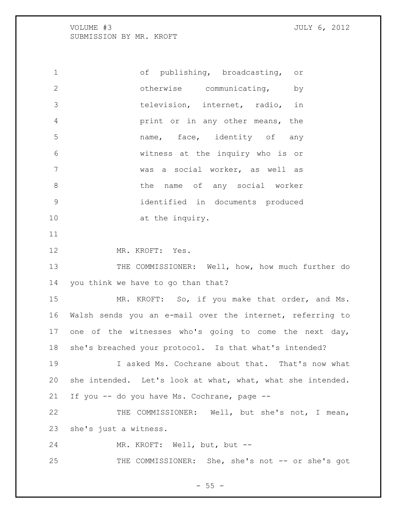of publishing, broadcasting, or otherwise communicating, by television, internet, radio, in print or in any other means, the name, face, identity of any witness at the inquiry who is or was a social worker, as well as 8 b the name of any social worker identified in documents produced 10 at the inquiry.

MR. KROFT: Yes.

13 THE COMMISSIONER: Well, how, how much further do you think we have to go than that?

 MR. KROFT: So, if you make that order, and Ms. Walsh sends you an e-mail over the internet, referring to 17 one of the witnesses who's going to come the next day, she's breached your protocol. Is that what's intended?

 I asked Ms. Cochrane about that. That's now what she intended. Let's look at what, what, what she intended. If you -- do you have Ms. Cochrane, page --

 THE COMMISSIONER: Well, but she's not, I mean, she's just a witness.

MR. KROFT: Well, but, but --

25 THE COMMISSIONER: She, she's not -- or she's got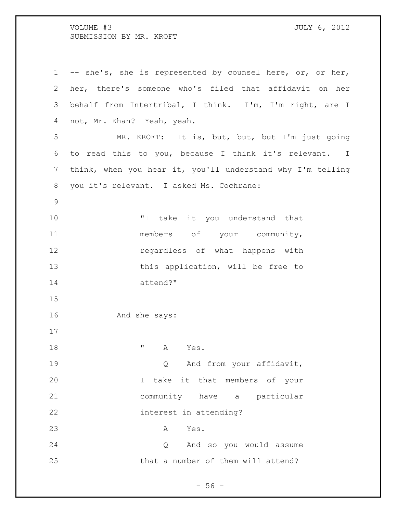-- she's, she is represented by counsel here, or, or her, her, there's someone who's filed that affidavit on her behalf from Intertribal, I think. I'm, I'm right, are I not, Mr. Khan? Yeah, yeah. MR. KROFT: It is, but, but, but I'm just going to read this to you, because I think it's relevant. I think, when you hear it, you'll understand why I'm telling you it's relevant. I asked Ms. Cochrane: 10 TI take it you understand that 11 members of your community, regardless of what happens with this application, will be free to attend?" And she says: **"** A Yes. 19 and from your affidavit, I take it that members of your community have a particular interest in attending? A Yes. Q And so you would assume that a number of them will attend?

 $-56 -$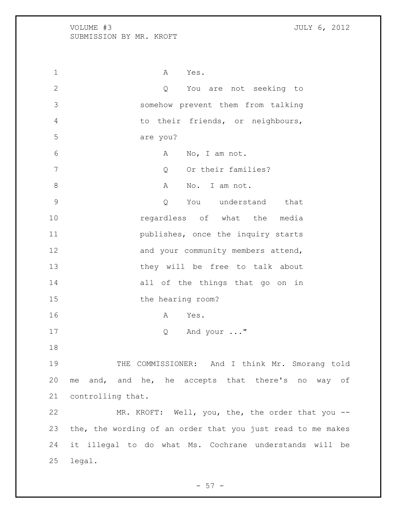1 A Yes. Q You are not seeking to somehow prevent them from talking to their friends, or neighbours, are you? 6 A No, I am not. 7 Compared Compared Compared Compared Compared Compared Compared Compared Compared Compared Compared Compared Compared Compared Compared Compared Compared Compared Compared Compared Compared Compared Compared Compared Comp 8 A No. I am not. Q You understand that **regardless** of what the media **publishes,** once the inquiry starts 12 and your community members attend, 13 they will be free to talk about all of the things that go on in 15 the hearing room? A Yes. Q And your ..." THE COMMISSIONER: And I think Mr. Smorang told me and, and he, he accepts that there's no way of controlling that. MR. KROFT: Well, you, the, the order that you -- the, the wording of an order that you just read to me makes it illegal to do what Ms. Cochrane understands will be legal.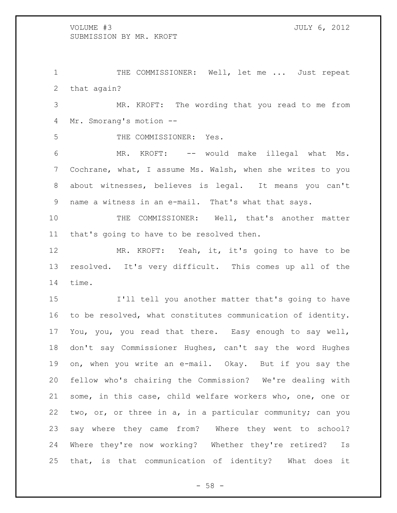1 THE COMMISSIONER: Well, let me ... Just repeat that again?

 MR. KROFT: The wording that you read to me from Mr. Smorang's motion --

THE COMMISSIONER: Yes.

 MR. KROFT: -- would make illegal what Ms. Cochrane, what, I assume Ms. Walsh, when she writes to you about witnesses, believes is legal. It means you can't name a witness in an e-mail. That's what that says.

 THE COMMISSIONER: Well, that's another matter that's going to have to be resolved then.

 MR. KROFT: Yeah, it, it's going to have to be resolved. It's very difficult. This comes up all of the time.

 I'll tell you another matter that's going to have to be resolved, what constitutes communication of identity. You, you, you read that there. Easy enough to say well, don't say Commissioner Hughes, can't say the word Hughes on, when you write an e-mail. Okay. But if you say the fellow who's chairing the Commission? We're dealing with some, in this case, child welfare workers who, one, one or two, or, or three in a, in a particular community; can you say where they came from? Where they went to school? Where they're now working? Whether they're retired? Is that, is that communication of identity? What does it

 $-58 -$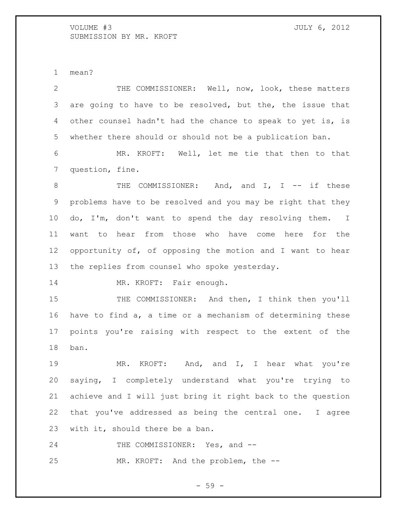mean?

 THE COMMISSIONER: Well, now, look, these matters are going to have to be resolved, but the, the issue that other counsel hadn't had the chance to speak to yet is, is whether there should or should not be a publication ban. MR. KROFT: Well, let me tie that then to that question, fine. 8 THE COMMISSIONER: And, and I, I -- if these problems have to be resolved and you may be right that they do, I'm, don't want to spend the day resolving them. I want to hear from those who have come here for the opportunity of, of opposing the motion and I want to hear the replies from counsel who spoke yesterday. 14 MR. KROFT: Fair enough. 15 THE COMMISSIONER: And then, I think then you'll have to find a, a time or a mechanism of determining these points you're raising with respect to the extent of the ban. MR. KROFT: And, and I, I hear what you're saying, I completely understand what you're trying to achieve and I will just bring it right back to the question that you've addressed as being the central one. I agree with it, should there be a ban. 24 THE COMMISSIONER: Yes, and --MR. KROFT: And the problem, the --

- 59 -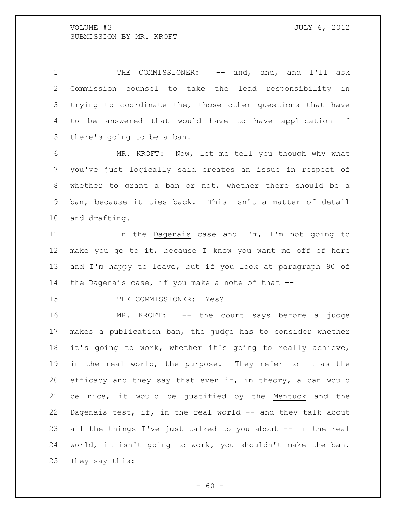1 THE COMMISSIONER: -- and, and, and I'll ask Commission counsel to take the lead responsibility in trying to coordinate the, those other questions that have to be answered that would have to have application if there's going to be a ban.

 MR. KROFT: Now, let me tell you though why what you've just logically said creates an issue in respect of whether to grant a ban or not, whether there should be a ban, because it ties back. This isn't a matter of detail and drafting.

11 11 In the Dagenais case and I'm, I'm not going to make you go to it, because I know you want me off of here and I'm happy to leave, but if you look at paragraph 90 of the Dagenais case, if you make a note of that --

15 THE COMMISSIONER: Yes?

 MR. KROFT: -- the court says before a judge makes a publication ban, the judge has to consider whether it's going to work, whether it's going to really achieve, in the real world, the purpose. They refer to it as the efficacy and they say that even if, in theory, a ban would be nice, it would be justified by the Mentuck and the Dagenais test, if, in the real world -- and they talk about all the things I've just talked to you about -- in the real world, it isn't going to work, you shouldn't make the ban. They say this:

 $- 60 -$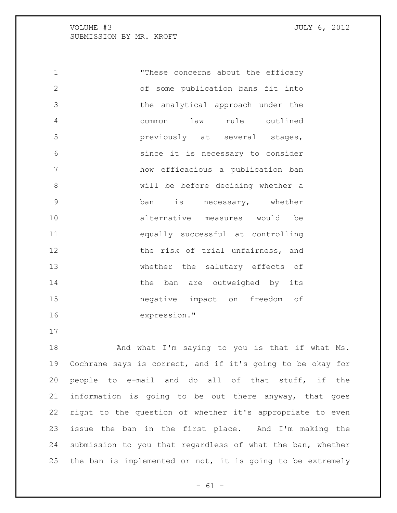"These concerns about the efficacy of some publication bans fit into the analytical approach under the common law rule outlined previously at several stages, since it is necessary to consider how efficacious a publication ban will be before deciding whether a ban is necessary, whether alternative measures would be equally successful at controlling 12 the risk of trial unfairness, and whether the salutary effects of 14 the ban are outweighed by its negative impact on freedom of expression."

18 And what I'm saying to you is that if what Ms. Cochrane says is correct, and if it's going to be okay for people to e-mail and do all of that stuff, if the information is going to be out there anyway, that goes right to the question of whether it's appropriate to even issue the ban in the first place. And I'm making the submission to you that regardless of what the ban, whether the ban is implemented or not, it is going to be extremely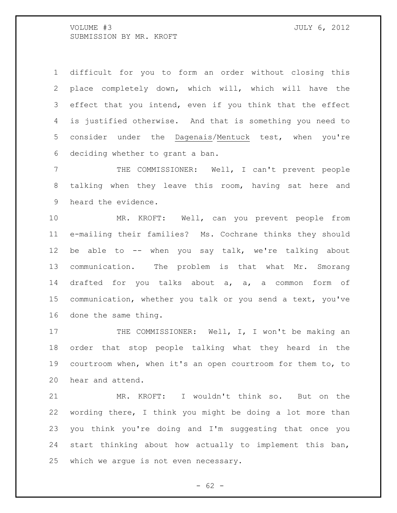difficult for you to form an order without closing this place completely down, which will, which will have the effect that you intend, even if you think that the effect is justified otherwise. And that is something you need to consider under the Dagenais/Mentuck test, when you're deciding whether to grant a ban.

 THE COMMISSIONER: Well, I can't prevent people talking when they leave this room, having sat here and heard the evidence.

 MR. KROFT: Well, can you prevent people from e-mailing their families? Ms. Cochrane thinks they should be able to -- when you say talk, we're talking about communication. The problem is that what Mr. Smorang drafted for you talks about a, a, a common form of communication, whether you talk or you send a text, you've done the same thing.

17 THE COMMISSIONER: Well, I, I won't be making an order that stop people talking what they heard in the courtroom when, when it's an open courtroom for them to, to hear and attend.

 MR. KROFT: I wouldn't think so. But on the wording there, I think you might be doing a lot more than you think you're doing and I'm suggesting that once you start thinking about how actually to implement this ban, which we argue is not even necessary.

 $- 62 -$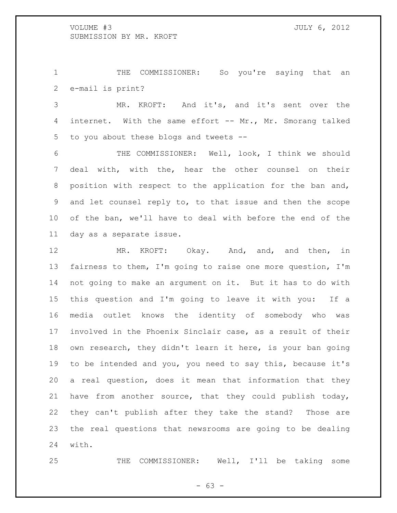THE COMMISSIONER: So you're saying that an e-mail is print?

 MR. KROFT: And it's, and it's sent over the internet. With the same effort -- Mr., Mr. Smorang talked to you about these blogs and tweets --

 THE COMMISSIONER: Well, look, I think we should deal with, with the, hear the other counsel on their position with respect to the application for the ban and, and let counsel reply to, to that issue and then the scope of the ban, we'll have to deal with before the end of the day as a separate issue.

12 MR. KROFT: Okay. And, and, and then, in fairness to them, I'm going to raise one more question, I'm not going to make an argument on it. But it has to do with this question and I'm going to leave it with you: If a media outlet knows the identity of somebody who was involved in the Phoenix Sinclair case, as a result of their own research, they didn't learn it here, is your ban going to be intended and you, you need to say this, because it's a real question, does it mean that information that they have from another source, that they could publish today, they can't publish after they take the stand? Those are the real questions that newsrooms are going to be dealing with.

THE COMMISSIONER: Well, I'll be taking some

 $- 63 -$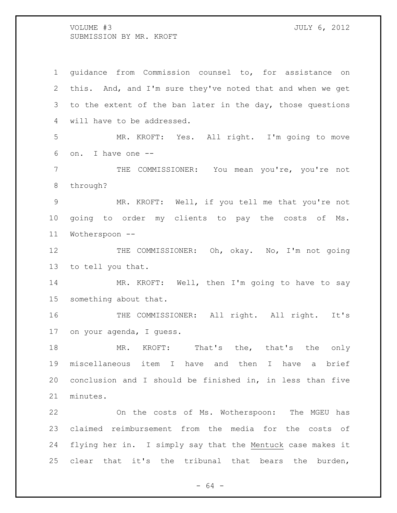guidance from Commission counsel to, for assistance on this. And, and I'm sure they've noted that and when we get to the extent of the ban later in the day, those questions will have to be addressed. MR. KROFT: Yes. All right. I'm going to move on. I have one -- THE COMMISSIONER: You mean you're, you're not through? MR. KROFT: Well, if you tell me that you're not going to order my clients to pay the costs of Ms. Wotherspoon -- 12 THE COMMISSIONER: Oh, okay. No, I'm not going to tell you that. MR. KROFT: Well, then I'm going to have to say something about that. 16 THE COMMISSIONER: All right. All right. It's on your agenda, I guess. 18 MR. KROFT: That's the, that's the only miscellaneous item I have and then I have a brief conclusion and I should be finished in, in less than five minutes. On the costs of Ms. Wotherspoon: The MGEU has claimed reimbursement from the media for the costs of flying her in. I simply say that the Mentuck case makes it clear that it's the tribunal that bears the burden,

 $- 64 -$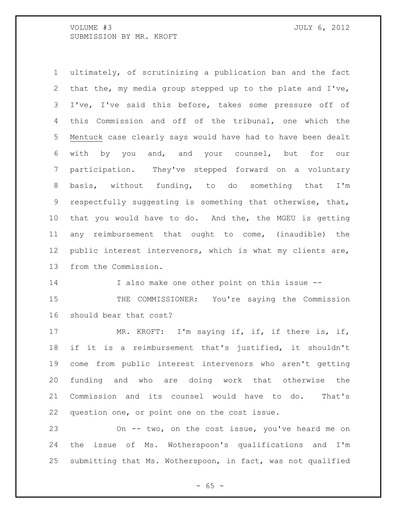ultimately, of scrutinizing a publication ban and the fact that the, my media group stepped up to the plate and I've, I've, I've said this before, takes some pressure off of this Commission and off of the tribunal, one which the Mentuck case clearly says would have had to have been dealt with by you and, and your counsel, but for our participation. They've stepped forward on a voluntary basis, without funding, to do something that I'm respectfully suggesting is something that otherwise, that, that you would have to do. And the, the MGEU is getting any reimbursement that ought to come, (inaudible) the public interest intervenors, which is what my clients are, from the Commission. I also make one other point on this issue -- 15 THE COMMISSIONER: You're saying the Commission should bear that cost? 17 MR. KROFT: I'm saying if, if, if there is, if,

 if it is a reimbursement that's justified, it shouldn't come from public interest intervenors who aren't getting funding and who are doing work that otherwise the Commission and its counsel would have to do. That's question one, or point one on the cost issue.

 On -- two, on the cost issue, you've heard me on the issue of Ms. Wotherspoon's qualifications and I'm submitting that Ms. Wotherspoon, in fact, was not qualified

 $- 65 -$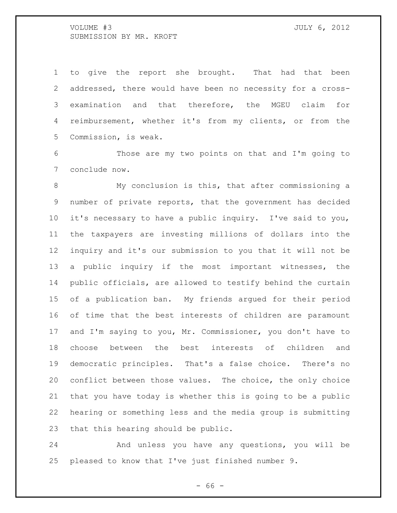to give the report she brought. That had that been addressed, there would have been no necessity for a cross- examination and that therefore, the MGEU claim for reimbursement, whether it's from my clients, or from the Commission, is weak.

 Those are my two points on that and I'm going to conclude now.

 My conclusion is this, that after commissioning a number of private reports, that the government has decided it's necessary to have a public inquiry. I've said to you, the taxpayers are investing millions of dollars into the inquiry and it's our submission to you that it will not be a public inquiry if the most important witnesses, the public officials, are allowed to testify behind the curtain of a publication ban. My friends argued for their period of time that the best interests of children are paramount and I'm saying to you, Mr. Commissioner, you don't have to choose between the best interests of children and democratic principles. That's a false choice. There's no conflict between those values. The choice, the only choice that you have today is whether this is going to be a public hearing or something less and the media group is submitting that this hearing should be public.

 And unless you have any questions, you will be pleased to know that I've just finished number 9.

- 66 -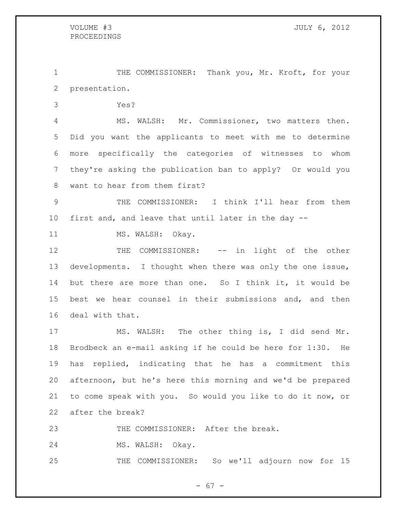THE COMMISSIONER: Thank you, Mr. Kroft, for your presentation.

Yes?

 MS. WALSH: Mr. Commissioner, two matters then. Did you want the applicants to meet with me to determine more specifically the categories of witnesses to whom they're asking the publication ban to apply? Or would you want to hear from them first?

 THE COMMISSIONER: I think I'll hear from them first and, and leave that until later in the day --

11 MS. WALSH: Okay.

12 THE COMMISSIONER: -- in light of the other developments. I thought when there was only the one issue, but there are more than one. So I think it, it would be best we hear counsel in their submissions and, and then deal with that.

 MS. WALSH: The other thing is, I did send Mr. Brodbeck an e-mail asking if he could be here for 1:30. He has replied, indicating that he has a commitment this afternoon, but he's here this morning and we'd be prepared to come speak with you. So would you like to do it now, or after the break?

THE COMMISSIONER: After the break.

MS. WALSH: Okay.

THE COMMISSIONER: So we'll adjourn now for 15

- 67 -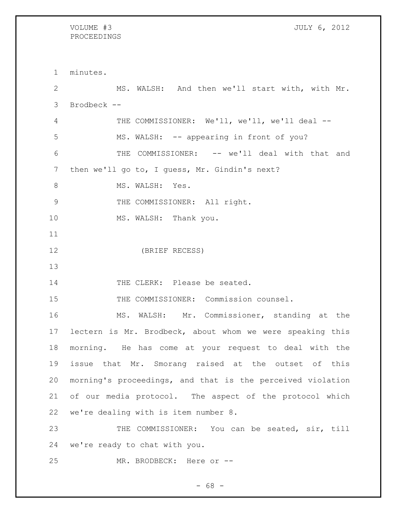# PROCEEDINGS

VOLUME #3 JULY 6, 2012

 minutes. MS. WALSH: And then we'll start with, with Mr. Brodbeck -- THE COMMISSIONER: We'll, we'll, we'll deal -- MS. WALSH: -- appearing in front of you? THE COMMISSIONER: -- we'll deal with that and then we'll go to, I guess, Mr. Gindin's next? 8 MS. WALSH: Yes. 9 THE COMMISSIONER: All right. 10 MS. WALSH: Thank you. (BRIEF RECESS) 14 THE CLERK: Please be seated. THE COMMISSIONER: Commission counsel. MS. WALSH: Mr. Commissioner, standing at the lectern is Mr. Brodbeck, about whom we were speaking this morning. He has come at your request to deal with the issue that Mr. Smorang raised at the outset of this morning's proceedings, and that is the perceived violation of our media protocol. The aspect of the protocol which we're dealing with is item number 8. THE COMMISSIONER: You can be seated, sir, till we're ready to chat with you. 25 MR. BRODBECK: Here or --

 $- 68 -$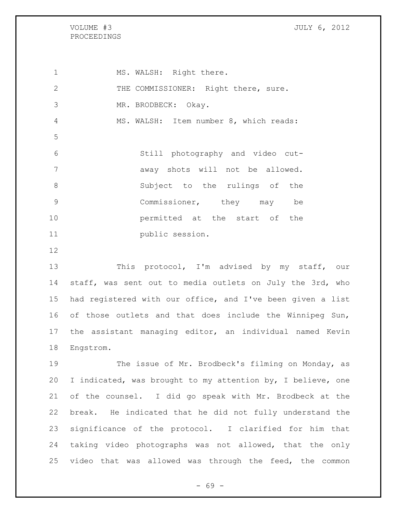## VOLUME #3 JULY 6, 2012 PROCEEDINGS

1 MS. WALSH: Right there. 2 THE COMMISSIONER: Right there, sure. MR. BRODBECK: Okay. MS. WALSH: Item number 8, which reads: Still photography and video cut-**away** shots will not be allowed. Subject to the rulings of the Commissioner, they may be permitted at the start of the 11 public session.

13 This protocol, I'm advised by my staff, our staff, was sent out to media outlets on July the 3rd, who had registered with our office, and I've been given a list 16 of those outlets and that does include the Winnipeg Sun, the assistant managing editor, an individual named Kevin Engstrom.

 The issue of Mr. Brodbeck's filming on Monday, as I indicated, was brought to my attention by, I believe, one of the counsel. I did go speak with Mr. Brodbeck at the break. He indicated that he did not fully understand the significance of the protocol. I clarified for him that taking video photographs was not allowed, that the only video that was allowed was through the feed, the common

- 69 -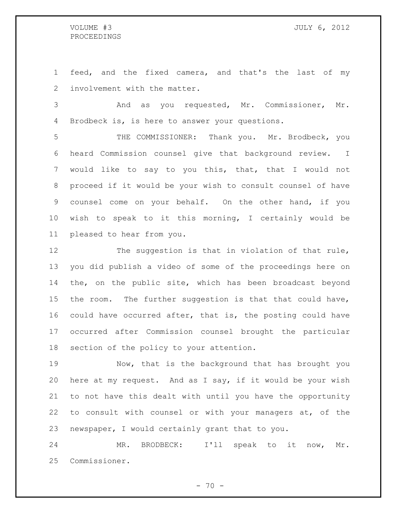feed, and the fixed camera, and that's the last of my involvement with the matter.

 And as you requested, Mr. Commissioner, Mr. Brodbeck is, is here to answer your questions.

 THE COMMISSIONER: Thank you. Mr. Brodbeck, you heard Commission counsel give that background review. I would like to say to you this, that, that I would not proceed if it would be your wish to consult counsel of have counsel come on your behalf. On the other hand, if you wish to speak to it this morning, I certainly would be pleased to hear from you.

12 The suggestion is that in violation of that rule, you did publish a video of some of the proceedings here on the, on the public site, which has been broadcast beyond the room. The further suggestion is that that could have, could have occurred after, that is, the posting could have occurred after Commission counsel brought the particular section of the policy to your attention.

 Now, that is the background that has brought you here at my request. And as I say, if it would be your wish to not have this dealt with until you have the opportunity to consult with counsel or with your managers at, of the newspaper, I would certainly grant that to you.

 MR. BRODBECK: I'll speak to it now, Mr. Commissioner.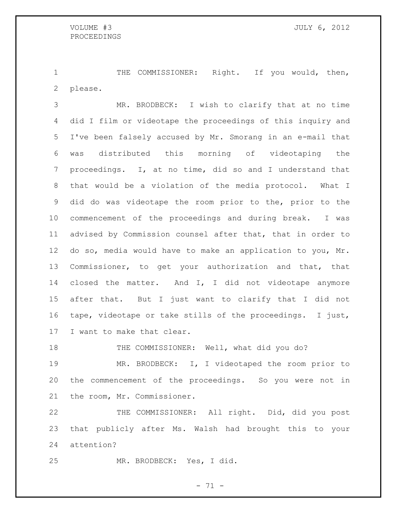1 THE COMMISSIONER: Right. If you would, then, please.

 MR. BRODBECK: I wish to clarify that at no time did I film or videotape the proceedings of this inquiry and I've been falsely accused by Mr. Smorang in an e-mail that was distributed this morning of videotaping the proceedings. I, at no time, did so and I understand that that would be a violation of the media protocol. What I did do was videotape the room prior to the, prior to the commencement of the proceedings and during break. I was advised by Commission counsel after that, that in order to do so, media would have to make an application to you, Mr. Commissioner, to get your authorization and that, that closed the matter. And I, I did not videotape anymore after that. But I just want to clarify that I did not tape, videotape or take stills of the proceedings. I just, I want to make that clear.

18 THE COMMISSIONER: Well, what did you do?

 MR. BRODBECK: I, I videotaped the room prior to the commencement of the proceedings. So you were not in the room, Mr. Commissioner.

 THE COMMISSIONER: All right. Did, did you post that publicly after Ms. Walsh had brought this to your attention?

MR. BRODBECK: Yes, I did.

- 71 -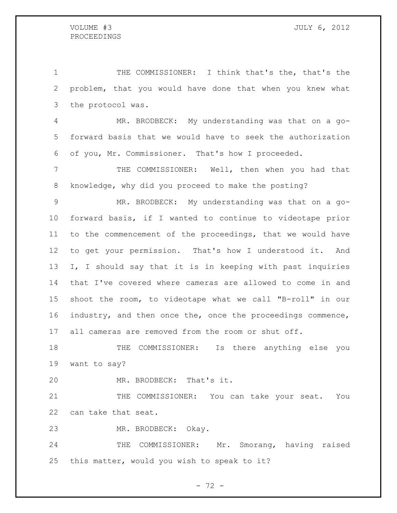THE COMMISSIONER: I think that's the, that's the problem, that you would have done that when you knew what the protocol was.

 MR. BRODBECK: My understanding was that on a go- forward basis that we would have to seek the authorization of you, Mr. Commissioner. That's how I proceeded.

 THE COMMISSIONER: Well, then when you had that knowledge, why did you proceed to make the posting?

 MR. BRODBECK: My understanding was that on a go- forward basis, if I wanted to continue to videotape prior to the commencement of the proceedings, that we would have to get your permission. That's how I understood it. And I, I should say that it is in keeping with past inquiries that I've covered where cameras are allowed to come in and shoot the room, to videotape what we call "B-roll" in our industry, and then once the, once the proceedings commence, all cameras are removed from the room or shut off.

 THE COMMISSIONER: Is there anything else you want to say?

MR. BRODBECK: That's it.

21 THE COMMISSIONER: You can take your seat. You can take that seat.

MR. BRODBECK: Okay.

 THE COMMISSIONER: Mr. Smorang, having raised this matter, would you wish to speak to it?

 $- 72 -$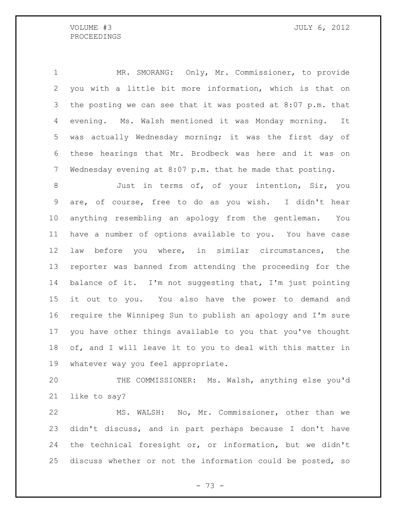VOLUME #3 JULY 6, 2012

 MR. SMORANG: Only, Mr. Commissioner, to provide you with a little bit more information, which is that on the posting we can see that it was posted at 8:07 p.m. that evening. Ms. Walsh mentioned it was Monday morning. It was actually Wednesday morning; it was the first day of these hearings that Mr. Brodbeck was here and it was on Wednesday evening at 8:07 p.m. that he made that posting.

 Just in terms of, of your intention, Sir, you are, of course, free to do as you wish. I didn't hear anything resembling an apology from the gentleman. You have a number of options available to you. You have case law before you where, in similar circumstances, the reporter was banned from attending the proceeding for the 14 balance of it. I'm not suggesting that, I'm just pointing it out to you. You also have the power to demand and require the Winnipeg Sun to publish an apology and I'm sure you have other things available to you that you've thought of, and I will leave it to you to deal with this matter in whatever way you feel appropriate.

 THE COMMISSIONER: Ms. Walsh, anything else you'd like to say?

 MS. WALSH: No, Mr. Commissioner, other than we didn't discuss, and in part perhaps because I don't have the technical foresight or, or information, but we didn't discuss whether or not the information could be posted, so

- 73 -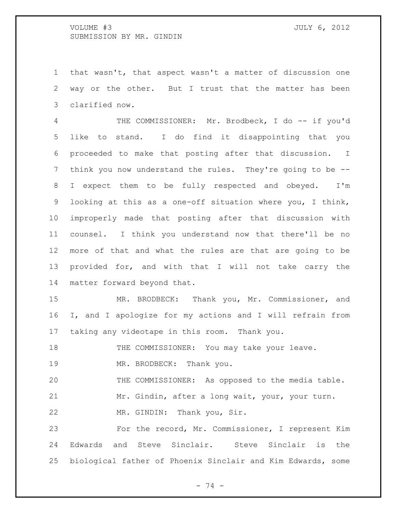that wasn't, that aspect wasn't a matter of discussion one way or the other. But I trust that the matter has been clarified now.

4 THE COMMISSIONER: Mr. Brodbeck, I do -- if you'd like to stand. I do find it disappointing that you proceeded to make that posting after that discussion. I think you now understand the rules. They're going to be -- I expect them to be fully respected and obeyed. I'm looking at this as a one-off situation where you, I think, improperly made that posting after that discussion with counsel. I think you understand now that there'll be no more of that and what the rules are that are going to be provided for, and with that I will not take carry the matter forward beyond that.

 MR. BRODBECK: Thank you, Mr. Commissioner, and I, and I apologize for my actions and I will refrain from taking any videotape in this room. Thank you.

18 THE COMMISSIONER: You may take your leave.

19 MR. BRODBECK: Thank you.

THE COMMISSIONER: As opposed to the media table.

Mr. Gindin, after a long wait, your, your turn.

MR. GINDIN: Thank you, Sir.

 For the record, Mr. Commissioner, I represent Kim Edwards and Steve Sinclair. Steve Sinclair is the biological father of Phoenix Sinclair and Kim Edwards, some

- 74 -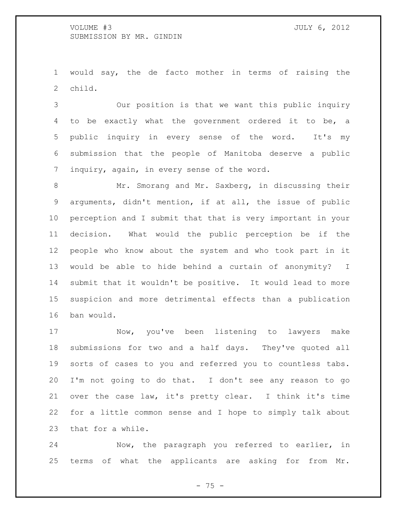would say, the de facto mother in terms of raising the child.

 Our position is that we want this public inquiry to be exactly what the government ordered it to be, a public inquiry in every sense of the word. It's my submission that the people of Manitoba deserve a public inquiry, again, in every sense of the word.

 Mr. Smorang and Mr. Saxberg, in discussing their arguments, didn't mention, if at all, the issue of public perception and I submit that that is very important in your decision. What would the public perception be if the people who know about the system and who took part in it would be able to hide behind a curtain of anonymity? I submit that it wouldn't be positive. It would lead to more suspicion and more detrimental effects than a publication ban would.

 Now, you've been listening to lawyers make submissions for two and a half days. They've quoted all sorts of cases to you and referred you to countless tabs. I'm not going to do that. I don't see any reason to go over the case law, it's pretty clear. I think it's time for a little common sense and I hope to simply talk about that for a while.

 Now, the paragraph you referred to earlier, in terms of what the applicants are asking for from Mr.

- 75 -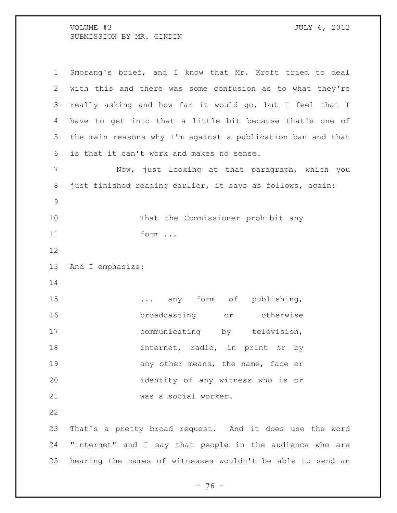| 1             | Smorang's brief, and I know that Mr. Kroft tried to deal    |
|---------------|-------------------------------------------------------------|
| 2             | with this and there was some confusion as to what they're   |
| 3             | really asking and how far it would go, but I feel that I    |
| 4             | have to get into that a little bit because that's one of    |
| 5             | the main reasons why I'm against a publication ban and that |
| 6             | is that it can't work and makes no sense.                   |
| 7             | Now, just looking at that paragraph, which you              |
| 8             | just finished reading earlier, it says as follows, again:   |
| $\mathcal{G}$ |                                                             |
| 10            | That the Commissioner prohibit any                          |
| 11            | form                                                        |
| 12            |                                                             |
| 13            | And I emphasize:                                            |
| 14            |                                                             |
| 15            | any form of publishing,                                     |
| 16            | broadcasting<br>or otherwise                                |
| 17            | communicating by television,                                |
| 18            | internet, radio, in print or by                             |
| 19            | any other means, the name, face or                          |
| 20            | identity of any witness who is or                           |
| 21            | was a social worker.                                        |
| 22            |                                                             |
| 23            | That's a pretty broad request. And it does use the word     |
| 24            | "internet" and I say that people in the audience who are    |
| 25            | hearing the names of witnesses wouldn't be able to send an  |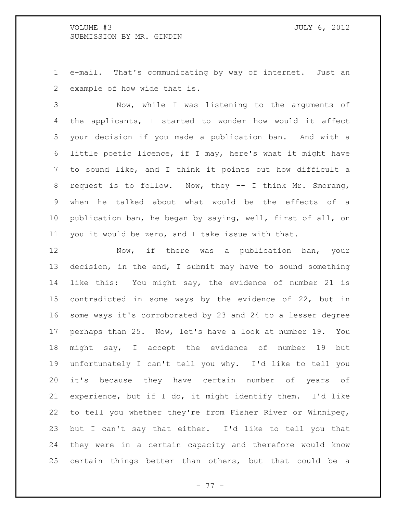e-mail. That's communicating by way of internet. Just an example of how wide that is.

 Now, while I was listening to the arguments of the applicants, I started to wonder how would it affect your decision if you made a publication ban. And with a little poetic licence, if I may, here's what it might have to sound like, and I think it points out how difficult a request is to follow. Now, they -- I think Mr. Smorang, when he talked about what would be the effects of a publication ban, he began by saying, well, first of all, on you it would be zero, and I take issue with that.

 Now, if there was a publication ban, your decision, in the end, I submit may have to sound something like this: You might say, the evidence of number 21 is contradicted in some ways by the evidence of 22, but in some ways it's corroborated by 23 and 24 to a lesser degree perhaps than 25. Now, let's have a look at number 19. You might say, I accept the evidence of number 19 but unfortunately I can't tell you why. I'd like to tell you it's because they have certain number of years of experience, but if I do, it might identify them. I'd like to tell you whether they're from Fisher River or Winnipeg, but I can't say that either. I'd like to tell you that they were in a certain capacity and therefore would know certain things better than others, but that could be a

- 77 -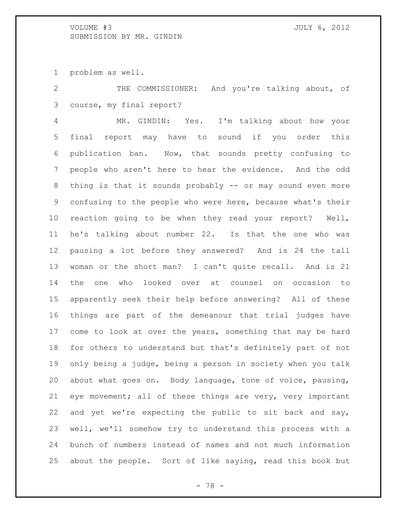problem as well.

 THE COMMISSIONER: And you're talking about, of course, my final report?

 MR. GINDIN: Yes. I'm talking about how your final report may have to sound if you order this publication ban. Now, that sounds pretty confusing to people who aren't here to hear the evidence. And the odd thing is that it sounds probably -- or may sound even more confusing to the people who were here, because what's their reaction going to be when they read your report? Well, he's talking about number 22. Is that the one who was pausing a lot before they answered? And is 24 the tall woman or the short man? I can't quite recall. And is 21 the one who looked over at counsel on occasion to apparently seek their help before answering? All of these things are part of the demeanour that trial judges have 17 come to look at over the years, something that may be hard for others to understand but that's definitely part of not only being a judge, being a person in society when you talk about what goes on. Body language, tone of voice, pausing, eye movement; all of these things are very, very important and yet we're expecting the public to sit back and say, well, we'll somehow try to understand this process with a bunch of numbers instead of names and not much information about the people. Sort of like saying, read this book but

- 78 -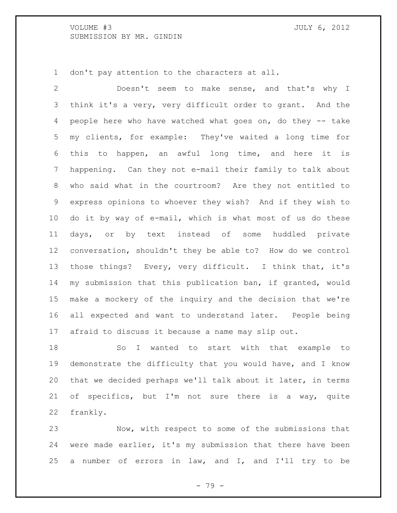don't pay attention to the characters at all.

 Doesn't seem to make sense, and that's why I think it's a very, very difficult order to grant. And the people here who have watched what goes on, do they -- take my clients, for example: They've waited a long time for this to happen, an awful long time, and here it is happening. Can they not e-mail their family to talk about who said what in the courtroom? Are they not entitled to express opinions to whoever they wish? And if they wish to do it by way of e-mail, which is what most of us do these days, or by text instead of some huddled private conversation, shouldn't they be able to? How do we control those things? Every, very difficult. I think that, it's my submission that this publication ban, if granted, would make a mockery of the inquiry and the decision that we're all expected and want to understand later. People being afraid to discuss it because a name may slip out.

 So I wanted to start with that example to demonstrate the difficulty that you would have, and I know that we decided perhaps we'll talk about it later, in terms of specifics, but I'm not sure there is a way, quite frankly.

 Now, with respect to some of the submissions that were made earlier, it's my submission that there have been 25 a number of errors in law, and I, and I'll try to be

- 79 -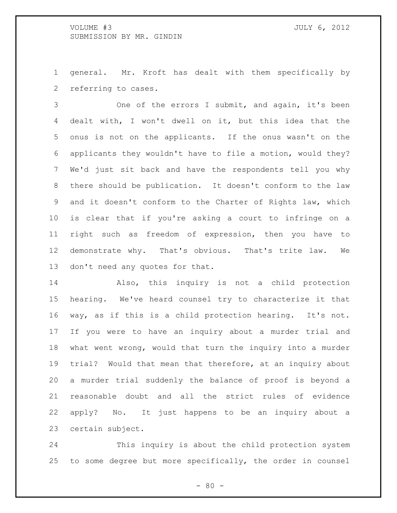general. Mr. Kroft has dealt with them specifically by referring to cases.

 One of the errors I submit, and again, it's been dealt with, I won't dwell on it, but this idea that the onus is not on the applicants. If the onus wasn't on the applicants they wouldn't have to file a motion, would they? We'd just sit back and have the respondents tell you why there should be publication. It doesn't conform to the law and it doesn't conform to the Charter of Rights law, which is clear that if you're asking a court to infringe on a right such as freedom of expression, then you have to demonstrate why. That's obvious. That's trite law. We don't need any quotes for that.

 Also, this inquiry is not a child protection hearing. We've heard counsel try to characterize it that way, as if this is a child protection hearing. It's not. If you were to have an inquiry about a murder trial and what went wrong, would that turn the inquiry into a murder trial? Would that mean that therefore, at an inquiry about a murder trial suddenly the balance of proof is beyond a reasonable doubt and all the strict rules of evidence apply? No. It just happens to be an inquiry about a certain subject.

 This inquiry is about the child protection system to some degree but more specifically, the order in counsel

 $- 80 -$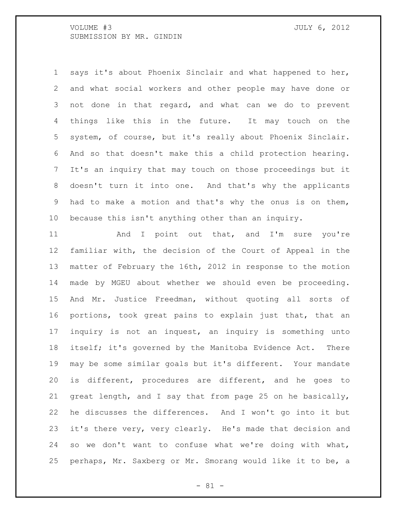says it's about Phoenix Sinclair and what happened to her, and what social workers and other people may have done or not done in that regard, and what can we do to prevent things like this in the future. It may touch on the system, of course, but it's really about Phoenix Sinclair. And so that doesn't make this a child protection hearing. It's an inquiry that may touch on those proceedings but it doesn't turn it into one. And that's why the applicants had to make a motion and that's why the onus is on them, because this isn't anything other than an inquiry.

11 And I point out that, and I'm sure you're familiar with, the decision of the Court of Appeal in the matter of February the 16th, 2012 in response to the motion made by MGEU about whether we should even be proceeding. And Mr. Justice Freedman, without quoting all sorts of portions, took great pains to explain just that, that an inquiry is not an inquest, an inquiry is something unto itself; it's governed by the Manitoba Evidence Act. There may be some similar goals but it's different. Your mandate is different, procedures are different, and he goes to great length, and I say that from page 25 on he basically, he discusses the differences. And I won't go into it but 23 it's there very, very clearly. He's made that decision and so we don't want to confuse what we're doing with what, perhaps, Mr. Saxberg or Mr. Smorang would like it to be, a

 $- 81 -$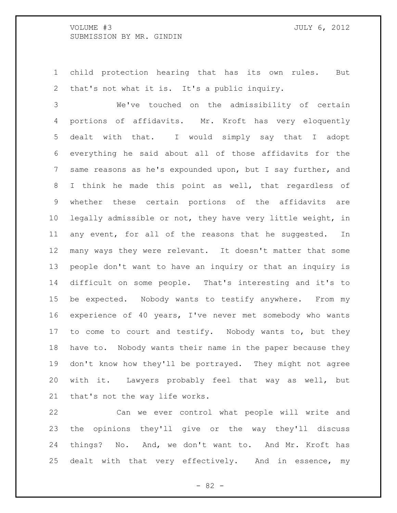child protection hearing that has its own rules. But that's not what it is. It's a public inquiry.

 We've touched on the admissibility of certain portions of affidavits. Mr. Kroft has very eloquently dealt with that. I would simply say that I adopt everything he said about all of those affidavits for the same reasons as he's expounded upon, but I say further, and I think he made this point as well, that regardless of whether these certain portions of the affidavits are legally admissible or not, they have very little weight, in any event, for all of the reasons that he suggested. In many ways they were relevant. It doesn't matter that some people don't want to have an inquiry or that an inquiry is difficult on some people. That's interesting and it's to be expected. Nobody wants to testify anywhere. From my experience of 40 years, I've never met somebody who wants 17 to come to court and testify. Nobody wants to, but they have to. Nobody wants their name in the paper because they don't know how they'll be portrayed. They might not agree with it. Lawyers probably feel that way as well, but that's not the way life works.

 Can we ever control what people will write and the opinions they'll give or the way they'll discuss things? No. And, we don't want to. And Mr. Kroft has dealt with that very effectively. And in essence, my

 $- 82 -$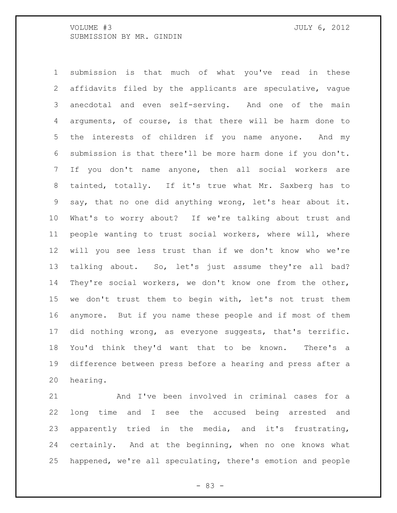submission is that much of what you've read in these affidavits filed by the applicants are speculative, vague anecdotal and even self-serving. And one of the main arguments, of course, is that there will be harm done to the interests of children if you name anyone. And my submission is that there'll be more harm done if you don't. If you don't name anyone, then all social workers are tainted, totally. If it's true what Mr. Saxberg has to say, that no one did anything wrong, let's hear about it. What's to worry about? If we're talking about trust and people wanting to trust social workers, where will, where will you see less trust than if we don't know who we're talking about. So, let's just assume they're all bad? They're social workers, we don't know one from the other, we don't trust them to begin with, let's not trust them anymore. But if you name these people and if most of them did nothing wrong, as everyone suggests, that's terrific. You'd think they'd want that to be known. There's a difference between press before a hearing and press after a hearing.

 And I've been involved in criminal cases for a long time and I see the accused being arrested and apparently tried in the media, and it's frustrating, certainly. And at the beginning, when no one knows what happened, we're all speculating, there's emotion and people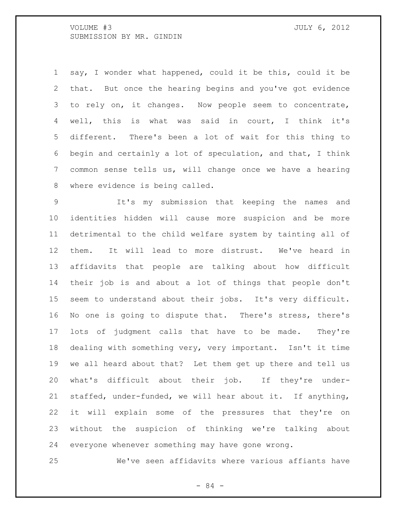say, I wonder what happened, could it be this, could it be that. But once the hearing begins and you've got evidence to rely on, it changes. Now people seem to concentrate, well, this is what was said in court, I think it's different. There's been a lot of wait for this thing to begin and certainly a lot of speculation, and that, I think common sense tells us, will change once we have a hearing where evidence is being called.

 It's my submission that keeping the names and identities hidden will cause more suspicion and be more detrimental to the child welfare system by tainting all of them. It will lead to more distrust. We've heard in affidavits that people are talking about how difficult their job is and about a lot of things that people don't seem to understand about their jobs. It's very difficult. No one is going to dispute that. There's stress, there's lots of judgment calls that have to be made. They're dealing with something very, very important. Isn't it time we all heard about that? Let them get up there and tell us what's difficult about their job. If they're under- staffed, under-funded, we will hear about it. If anything, it will explain some of the pressures that they're on without the suspicion of thinking we're talking about everyone whenever something may have gone wrong.

We've seen affidavits where various affiants have

- 84 -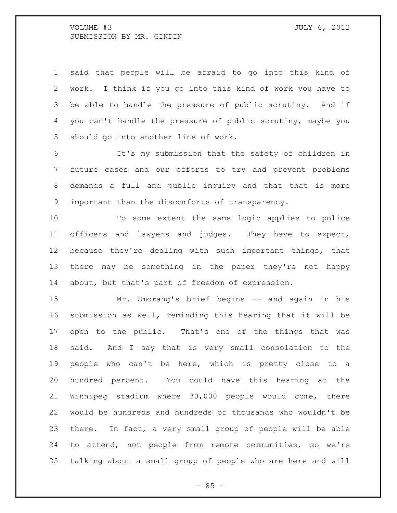said that people will be afraid to go into this kind of work. I think if you go into this kind of work you have to be able to handle the pressure of public scrutiny. And if you can't handle the pressure of public scrutiny, maybe you should go into another line of work.

 It's my submission that the safety of children in future cases and our efforts to try and prevent problems demands a full and public inquiry and that that is more important than the discomforts of transparency.

 To some extent the same logic applies to police officers and lawyers and judges. They have to expect, because they're dealing with such important things, that there may be something in the paper they're not happy about, but that's part of freedom of expression.

 Mr. Smorang's brief begins -- and again in his submission as well, reminding this hearing that it will be open to the public. That's one of the things that was said. And I say that is very small consolation to the people who can't be here, which is pretty close to a hundred percent. You could have this hearing at the Winnipeg stadium where 30,000 people would come, there would be hundreds and hundreds of thousands who wouldn't be there. In fact, a very small group of people will be able to attend, not people from remote communities, so we're talking about a small group of people who are here and will

 $- 85 -$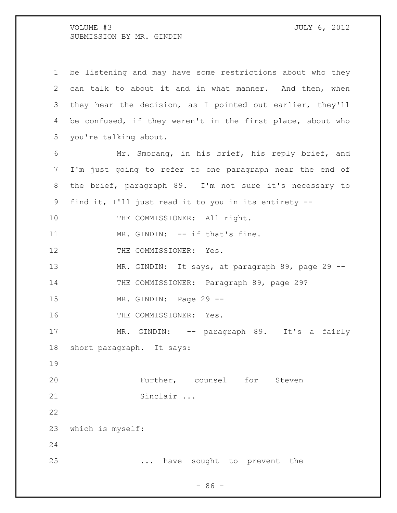be listening and may have some restrictions about who they can talk to about it and in what manner. And then, when they hear the decision, as I pointed out earlier, they'll be confused, if they weren't in the first place, about who you're talking about. Mr. Smorang, in his brief, his reply brief, and I'm just going to refer to one paragraph near the end of the brief, paragraph 89. I'm not sure it's necessary to find it, I'll just read it to you in its entirety -- 10 THE COMMISSIONER: All right. 11 MR. GINDIN: -- if that's fine. 12 THE COMMISSIONER: Yes. 13 MR. GINDIN: It says, at paragraph 89, page 29 --14 THE COMMISSIONER: Paragraph 89, page 29? MR. GINDIN: Page 29 -- 16 THE COMMISSIONER: Yes. 17 MR. GINDIN: -- paragraph 89. It's a fairly short paragraph. It says: Further, counsel for Steven Sinclair ... which is myself: ... have sought to prevent the

 $-86 -$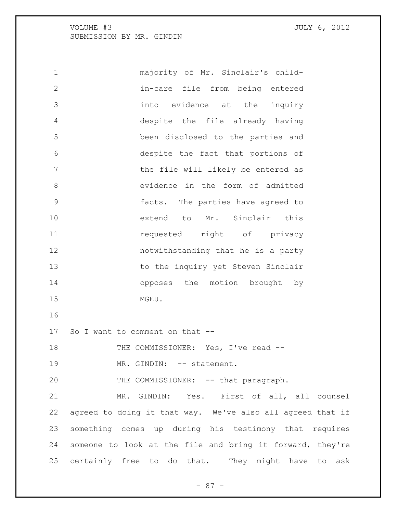majority of Mr. Sinclair's child- in-care file from being entered into evidence at the inquiry despite the file already having been disclosed to the parties and despite the fact that portions of 7 The file will likely be entered as evidence in the form of admitted facts. The parties have agreed to extend to Mr. Sinclair this **11** requested right of privacy notwithstanding that he is a party 13 to the inquiry yet Steven Sinclair 14 opposes the motion brought by MGEU. So I want to comment on that -- 18 THE COMMISSIONER: Yes, I've read --19 MR. GINDIN: -- statement. 20 THE COMMISSIONER: -- that paragraph. MR. GINDIN: Yes. First of all, all counsel agreed to doing it that way. We've also all agreed that if something comes up during his testimony that requires someone to look at the file and bring it forward, they're certainly free to do that. They might have to ask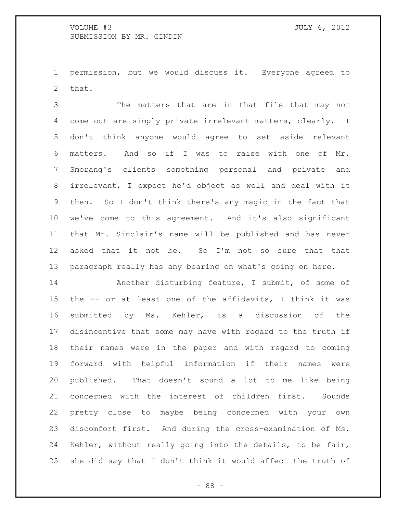permission, but we would discuss it. Everyone agreed to that.

 The matters that are in that file that may not come out are simply private irrelevant matters, clearly. I don't think anyone would agree to set aside relevant matters. And so if I was to raise with one of Mr. Smorang's clients something personal and private and irrelevant, I expect he'd object as well and deal with it then. So I don't think there's any magic in the fact that we've come to this agreement. And it's also significant that Mr. Sinclair's name will be published and has never asked that it not be. So I'm not so sure that that paragraph really has any bearing on what's going on here.

 Another disturbing feature, I submit, of some of the -- or at least one of the affidavits, I think it was submitted by Ms. Kehler, is a discussion of the disincentive that some may have with regard to the truth if their names were in the paper and with regard to coming forward with helpful information if their names were published. That doesn't sound a lot to me like being concerned with the interest of children first. Sounds pretty close to maybe being concerned with your own discomfort first. And during the cross-examination of Ms. Kehler, without really going into the details, to be fair, she did say that I don't think it would affect the truth of

- 88 -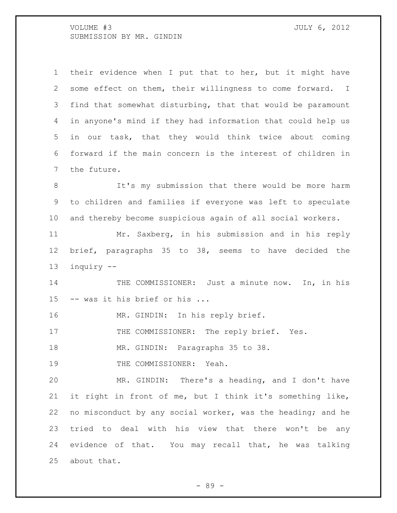their evidence when I put that to her, but it might have some effect on them, their willingness to come forward. I find that somewhat disturbing, that that would be paramount in anyone's mind if they had information that could help us in our task, that they would think twice about coming forward if the main concern is the interest of children in the future. It's my submission that there would be more harm to children and families if everyone was left to speculate and thereby become suspicious again of all social workers. Mr. Saxberg, in his submission and in his reply brief, paragraphs 35 to 38, seems to have decided the inquiry -- 14 THE COMMISSIONER: Just a minute now. In, in his -- was it his brief or his ... 16 MR. GINDIN: In his reply brief. 17 THE COMMISSIONER: The reply brief. Yes. MR. GINDIN: Paragraphs 35 to 38. 19 THE COMMISSIONER: Yeah. MR. GINDIN: There's a heading, and I don't have it right in front of me, but I think it's something like, no misconduct by any social worker, was the heading; and he tried to deal with his view that there won't be any evidence of that. You may recall that, he was talking about that.

- 89 -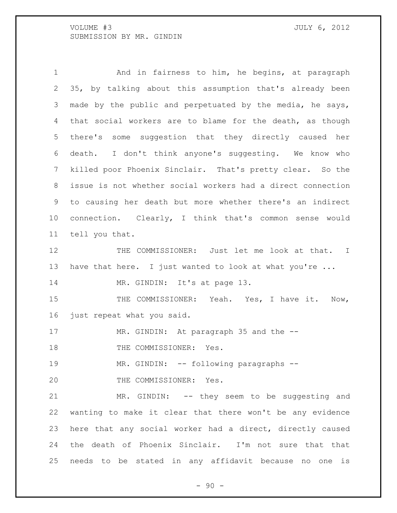1 And in fairness to him, he begins, at paragraph 35, by talking about this assumption that's already been made by the public and perpetuated by the media, he says, that social workers are to blame for the death, as though there's some suggestion that they directly caused her death. I don't think anyone's suggesting. We know who killed poor Phoenix Sinclair. That's pretty clear. So the issue is not whether social workers had a direct connection to causing her death but more whether there's an indirect connection. Clearly, I think that's common sense would tell you that.

12 THE COMMISSIONER: Just let me look at that. I have that here. I just wanted to look at what you're ...

14 MR. GINDIN: It's at page 13.

15 THE COMMISSIONER: Yeah. Yes, I have it. Now, just repeat what you said.

17 MR. GINDIN: At paragraph 35 and the --

18 THE COMMISSIONER: Yes.

19 MR. GINDIN: -- following paragraphs --

20 THE COMMISSIONER: Yes.

 MR. GINDIN: -- they seem to be suggesting and wanting to make it clear that there won't be any evidence here that any social worker had a direct, directly caused the death of Phoenix Sinclair. I'm not sure that that needs to be stated in any affidavit because no one is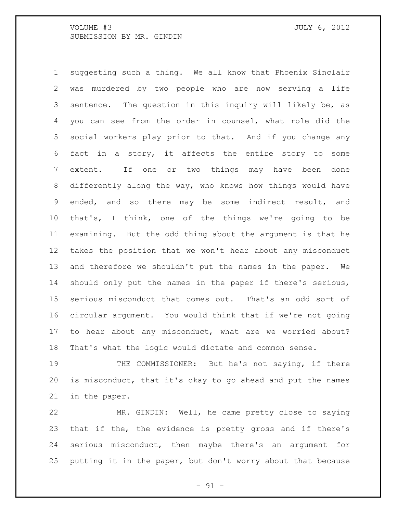suggesting such a thing. We all know that Phoenix Sinclair was murdered by two people who are now serving a life sentence. The question in this inquiry will likely be, as you can see from the order in counsel, what role did the social workers play prior to that. And if you change any fact in a story, it affects the entire story to some extent. If one or two things may have been done differently along the way, who knows how things would have ended, and so there may be some indirect result, and that's, I think, one of the things we're going to be examining. But the odd thing about the argument is that he takes the position that we won't hear about any misconduct and therefore we shouldn't put the names in the paper. We should only put the names in the paper if there's serious, serious misconduct that comes out. That's an odd sort of circular argument. You would think that if we're not going to hear about any misconduct, what are we worried about? That's what the logic would dictate and common sense.

 THE COMMISSIONER: But he's not saying, if there is misconduct, that it's okay to go ahead and put the names in the paper.

 MR. GINDIN: Well, he came pretty close to saying that if the, the evidence is pretty gross and if there's serious misconduct, then maybe there's an argument for putting it in the paper, but don't worry about that because

 $-91 -$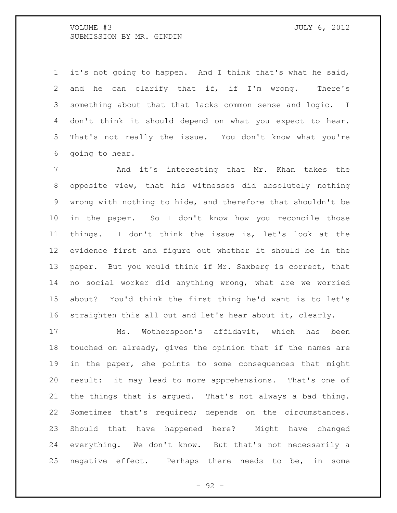it's not going to happen. And I think that's what he said, and he can clarify that if, if I'm wrong. There's something about that that lacks common sense and logic. I don't think it should depend on what you expect to hear. That's not really the issue. You don't know what you're going to hear.

7 And it's interesting that Mr. Khan takes the opposite view, that his witnesses did absolutely nothing wrong with nothing to hide, and therefore that shouldn't be in the paper. So I don't know how you reconcile those things. I don't think the issue is, let's look at the evidence first and figure out whether it should be in the paper. But you would think if Mr. Saxberg is correct, that no social worker did anything wrong, what are we worried about? You'd think the first thing he'd want is to let's straighten this all out and let's hear about it, clearly.

 Ms. Wotherspoon's affidavit, which has been touched on already, gives the opinion that if the names are in the paper, she points to some consequences that might result: it may lead to more apprehensions. That's one of the things that is argued. That's not always a bad thing. Sometimes that's required; depends on the circumstances. Should that have happened here? Might have changed everything. We don't know. But that's not necessarily a negative effect. Perhaps there needs to be, in some

- 92 -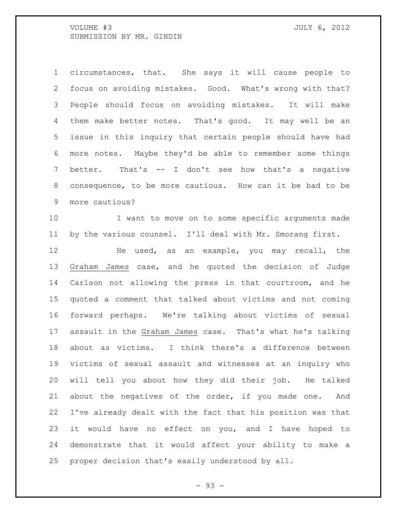circumstances, that. She says it will cause people to focus on avoiding mistakes. Good. What's wrong with that? People should focus on avoiding mistakes. It will make them make better notes. That's good. It may well be an issue in this inquiry that certain people should have had more notes. Maybe they'd be able to remember some things better. That's -- I don't see how that's a negative consequence, to be more cautious. How can it be bad to be more cautious?

 I want to move on to some specific arguments made by the various counsel. I'll deal with Mr. Smorang first.

 He used, as an example, you may recall, the Graham James case, and he quoted the decision of Judge Carlson not allowing the press in that courtroom, and he quoted a comment that talked about victims and not coming forward perhaps. We're talking about victims of sexual assault in the Graham James case. That's what he's talking about as victims. I think there's a difference between victims of sexual assault and witnesses at an inquiry who will tell you about how they did their job. He talked about the negatives of the order, if you made one. And I've already dealt with the fact that his position was that it would have no effect on you, and I have hoped to demonstrate that it would affect your ability to make a proper decision that's easily understood by all.

- 93 -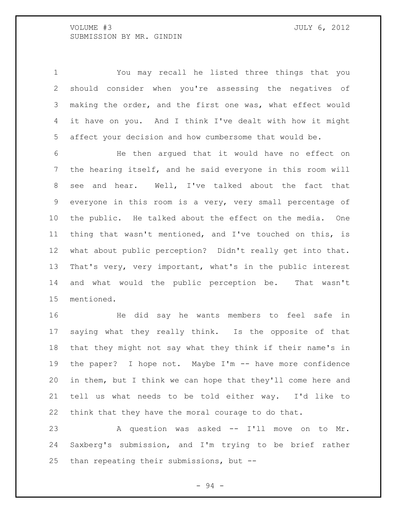You may recall he listed three things that you should consider when you're assessing the negatives of making the order, and the first one was, what effect would it have on you. And I think I've dealt with how it might affect your decision and how cumbersome that would be.

 He then argued that it would have no effect on the hearing itself, and he said everyone in this room will see and hear. Well, I've talked about the fact that everyone in this room is a very, very small percentage of the public. He talked about the effect on the media. One thing that wasn't mentioned, and I've touched on this, is what about public perception? Didn't really get into that. That's very, very important, what's in the public interest and what would the public perception be. That wasn't mentioned.

 He did say he wants members to feel safe in saying what they really think. Is the opposite of that that they might not say what they think if their name's in the paper? I hope not. Maybe I'm -- have more confidence in them, but I think we can hope that they'll come here and tell us what needs to be told either way. I'd like to think that they have the moral courage to do that.

 A question was asked -- I'll move on to Mr. Saxberg's submission, and I'm trying to be brief rather than repeating their submissions, but --

- 94 -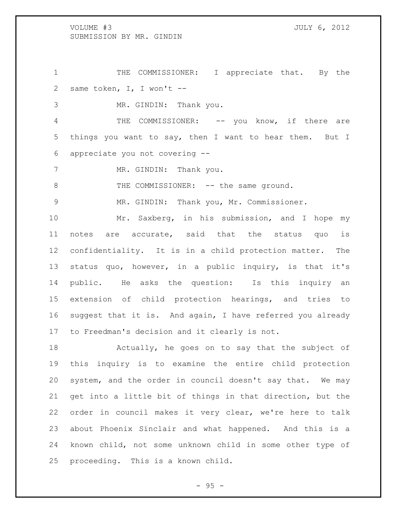1 THE COMMISSIONER: I appreciate that. By the same token, I, I won't --

MR. GINDIN: Thank you.

4 THE COMMISSIONER: -- you know, if there are things you want to say, then I want to hear them. But I appreciate you not covering --

7 MR. GINDIN: Thank you.

8 THE COMMISSIONER: -- the same ground.

MR. GINDIN: Thank you, Mr. Commissioner.

 Mr. Saxberg, in his submission, and I hope my notes are accurate, said that the status quo is confidentiality. It is in a child protection matter. The status quo, however, in a public inquiry, is that it's public. He asks the question: Is this inquiry an extension of child protection hearings, and tries to suggest that it is. And again, I have referred you already to Freedman's decision and it clearly is not.

 Actually, he goes on to say that the subject of this inquiry is to examine the entire child protection system, and the order in council doesn't say that. We may get into a little bit of things in that direction, but the order in council makes it very clear, we're here to talk about Phoenix Sinclair and what happened. And this is a known child, not some unknown child in some other type of proceeding. This is a known child.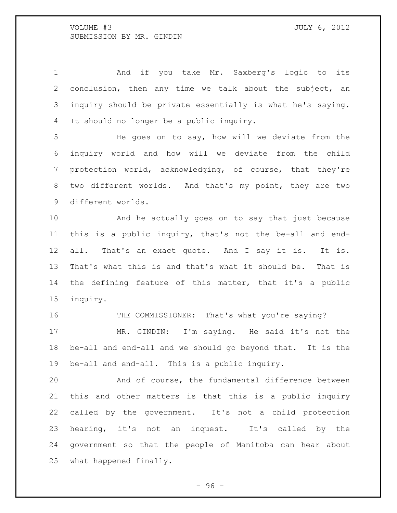1 And if you take Mr. Saxberg's logic to its conclusion, then any time we talk about the subject, an inquiry should be private essentially is what he's saying. It should no longer be a public inquiry.

 He goes on to say, how will we deviate from the inquiry world and how will we deviate from the child protection world, acknowledging, of course, that they're two different worlds. And that's my point, they are two different worlds.

 And he actually goes on to say that just because this is a public inquiry, that's not the be-all and end- all. That's an exact quote. And I say it is. It is. That's what this is and that's what it should be. That is the defining feature of this matter, that it's a public inquiry.

16 THE COMMISSIONER: That's what you're saying? MR. GINDIN: I'm saying. He said it's not the be-all and end-all and we should go beyond that. It is the be-all and end-all. This is a public inquiry.

 And of course, the fundamental difference between this and other matters is that this is a public inquiry called by the government. It's not a child protection hearing, it's not an inquest. It's called by the government so that the people of Manitoba can hear about what happened finally.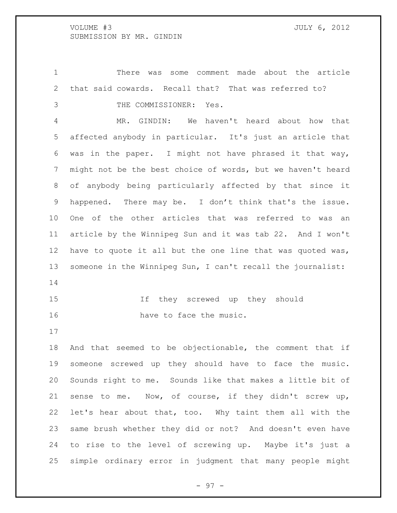There was some comment made about the article that said cowards. Recall that? That was referred to? THE COMMISSIONER: Yes.

 MR. GINDIN: We haven't heard about how that affected anybody in particular. It's just an article that was in the paper. I might not have phrased it that way, might not be the best choice of words, but we haven't heard of anybody being particularly affected by that since it happened. There may be. I don't think that's the issue. One of the other articles that was referred to was an article by the Winnipeg Sun and it was tab 22. And I won't have to quote it all but the one line that was quoted was, someone in the Winnipeg Sun, I can't recall the journalist: 

```
15 If they screwed up they should 
16 have to face the music.
```
 And that seemed to be objectionable, the comment that if someone screwed up they should have to face the music. Sounds right to me. Sounds like that makes a little bit of sense to me. Now, of course, if they didn't screw up, let's hear about that, too. Why taint them all with the same brush whether they did or not? And doesn't even have to rise to the level of screwing up. Maybe it's just a simple ordinary error in judgment that many people might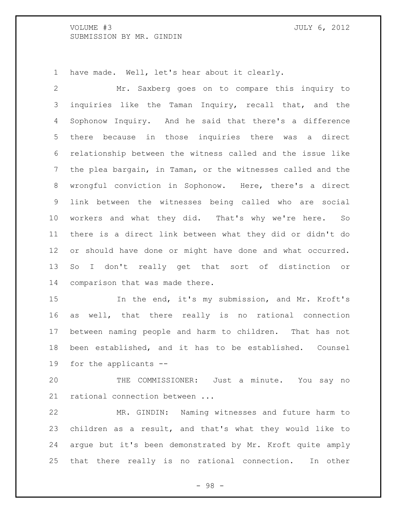have made. Well, let's hear about it clearly.

 Mr. Saxberg goes on to compare this inquiry to 3 inquiries like the Taman Inquiry, recall that, and the Sophonow Inquiry. And he said that there's a difference there because in those inquiries there was a direct relationship between the witness called and the issue like the plea bargain, in Taman, or the witnesses called and the wrongful conviction in Sophonow. Here, there's a direct link between the witnesses being called who are social workers and what they did. That's why we're here. So there is a direct link between what they did or didn't do or should have done or might have done and what occurred. So I don't really get that sort of distinction or comparison that was made there.

 In the end, it's my submission, and Mr. Kroft's as well, that there really is no rational connection between naming people and harm to children. That has not been established, and it has to be established. Counsel for the applicants --

 THE COMMISSIONER: Just a minute. You say no rational connection between ...

 MR. GINDIN: Naming witnesses and future harm to children as a result, and that's what they would like to argue but it's been demonstrated by Mr. Kroft quite amply that there really is no rational connection. In other

- 98 -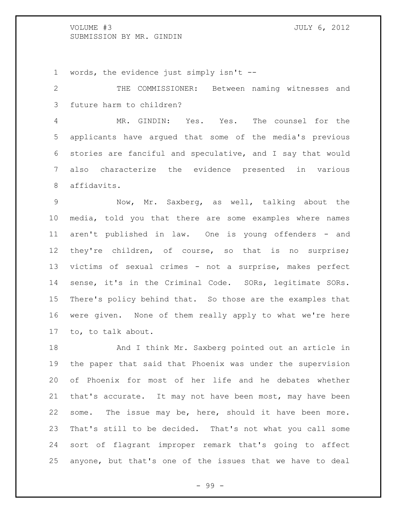words, the evidence just simply isn't --

 THE COMMISSIONER: Between naming witnesses and future harm to children?

 MR. GINDIN: Yes. Yes. The counsel for the applicants have argued that some of the media's previous stories are fanciful and speculative, and I say that would also characterize the evidence presented in various affidavits.

 Now, Mr. Saxberg, as well, talking about the media, told you that there are some examples where names 11 aren't published in law. One is young offenders - and they're children, of course, so that is no surprise; victims of sexual crimes - not a surprise, makes perfect sense, it's in the Criminal Code. SORs, legitimate SORs. There's policy behind that. So those are the examples that were given. None of them really apply to what we're here to, to talk about.

18 And I think Mr. Saxberg pointed out an article in the paper that said that Phoenix was under the supervision of Phoenix for most of her life and he debates whether that's accurate. It may not have been most, may have been some. The issue may be, here, should it have been more. That's still to be decided. That's not what you call some sort of flagrant improper remark that's going to affect anyone, but that's one of the issues that we have to deal

- 99 -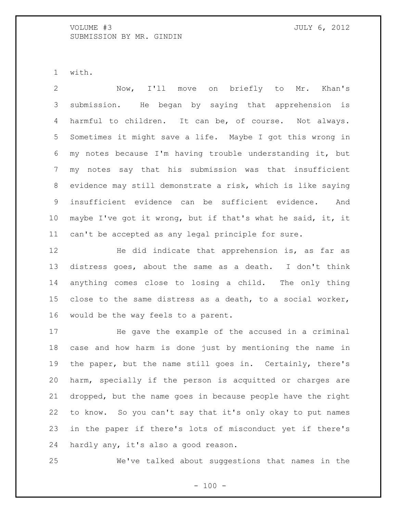with.

 Now, I'll move on briefly to Mr. Khan's submission. He began by saying that apprehension is harmful to children. It can be, of course. Not always. Sometimes it might save a life. Maybe I got this wrong in my notes because I'm having trouble understanding it, but my notes say that his submission was that insufficient evidence may still demonstrate a risk, which is like saying insufficient evidence can be sufficient evidence. And maybe I've got it wrong, but if that's what he said, it, it can't be accepted as any legal principle for sure.

 He did indicate that apprehension is, as far as distress goes, about the same as a death. I don't think anything comes close to losing a child. The only thing close to the same distress as a death, to a social worker, would be the way feels to a parent.

 He gave the example of the accused in a criminal case and how harm is done just by mentioning the name in the paper, but the name still goes in. Certainly, there's harm, specially if the person is acquitted or charges are dropped, but the name goes in because people have the right to know. So you can't say that it's only okay to put names in the paper if there's lots of misconduct yet if there's hardly any, it's also a good reason.

We've talked about suggestions that names in the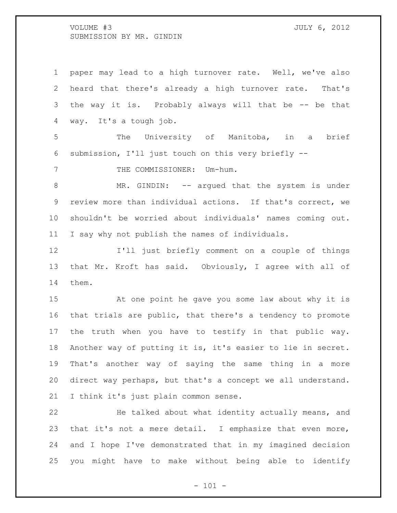paper may lead to a high turnover rate. Well, we've also heard that there's already a high turnover rate. That's the way it is. Probably always will that be -- be that way. It's a tough job. The University of Manitoba, in a brief submission, I'll just touch on this very briefly -- 7 THE COMMISSIONER: Um-hum. 8 MR. GINDIN: -- argued that the system is under review more than individual actions. If that's correct, we shouldn't be worried about individuals' names coming out. I say why not publish the names of individuals. I'll just briefly comment on a couple of things that Mr. Kroft has said. Obviously, I agree with all of them. At one point he gave you some law about why it is that trials are public, that there's a tendency to promote the truth when you have to testify in that public way. Another way of putting it is, it's easier to lie in secret. That's another way of saying the same thing in a more direct way perhaps, but that's a concept we all understand.

I think it's just plain common sense.

 He talked about what identity actually means, and that it's not a mere detail. I emphasize that even more, and I hope I've demonstrated that in my imagined decision you might have to make without being able to identify

 $- 101 -$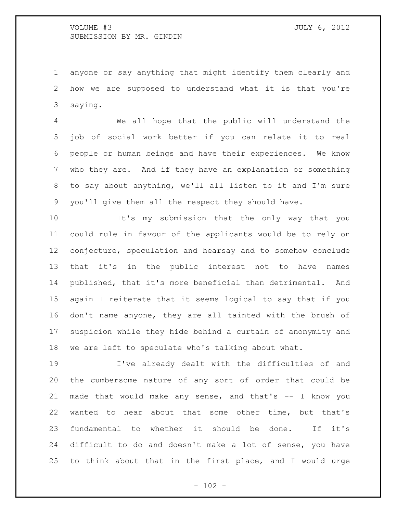anyone or say anything that might identify them clearly and how we are supposed to understand what it is that you're saying.

 We all hope that the public will understand the job of social work better if you can relate it to real people or human beings and have their experiences. We know who they are. And if they have an explanation or something to say about anything, we'll all listen to it and I'm sure you'll give them all the respect they should have.

 It's my submission that the only way that you could rule in favour of the applicants would be to rely on conjecture, speculation and hearsay and to somehow conclude that it's in the public interest not to have names published, that it's more beneficial than detrimental. And again I reiterate that it seems logical to say that if you don't name anyone, they are all tainted with the brush of suspicion while they hide behind a curtain of anonymity and we are left to speculate who's talking about what.

 I've already dealt with the difficulties of and the cumbersome nature of any sort of order that could be made that would make any sense, and that's -- I know you wanted to hear about that some other time, but that's fundamental to whether it should be done. If it's difficult to do and doesn't make a lot of sense, you have to think about that in the first place, and I would urge

 $- 102 -$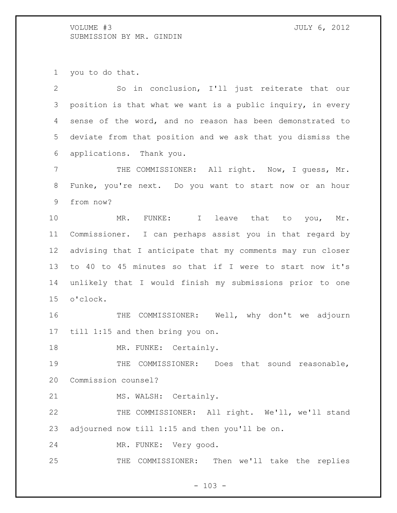you to do that.

 So in conclusion, I'll just reiterate that our position is that what we want is a public inquiry, in every sense of the word, and no reason has been demonstrated to deviate from that position and we ask that you dismiss the applications. Thank you. THE COMMISSIONER: All right. Now, I guess, Mr. Funke, you're next. Do you want to start now or an hour from now? 10 MR. FUNKE: I leave that to you, Mr. Commissioner. I can perhaps assist you in that regard by advising that I anticipate that my comments may run closer to 40 to 45 minutes so that if I were to start now it's unlikely that I would finish my submissions prior to one o'clock. THE COMMISSIONER: Well, why don't we adjourn till 1:15 and then bring you on. 18 MR. FUNKE: Certainly. 19 THE COMMISSIONER: Does that sound reasonable, Commission counsel? 21 MS. WALSH: Certainly. THE COMMISSIONER: All right. We'll, we'll stand adjourned now till 1:15 and then you'll be on. MR. FUNKE: Very good. THE COMMISSIONER: Then we'll take the replies

 $- 103 -$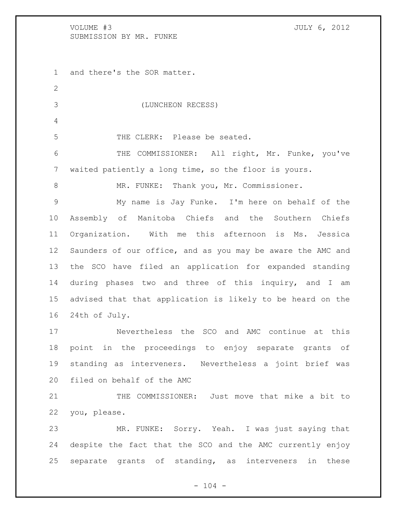and there's the SOR matter. (LUNCHEON RECESS) THE CLERK: Please be seated. THE COMMISSIONER: All right, Mr. Funke, you've waited patiently a long time, so the floor is yours. 8 MR. FUNKE: Thank you, Mr. Commissioner. My name is Jay Funke. I'm here on behalf of the Assembly of Manitoba Chiefs and the Southern Chiefs Organization. With me this afternoon is Ms. Jessica Saunders of our office, and as you may be aware the AMC and the SCO have filed an application for expanded standing during phases two and three of this inquiry, and I am advised that that application is likely to be heard on the 24th of July. Nevertheless the SCO and AMC continue at this point in the proceedings to enjoy separate grants of standing as interveners. Nevertheless a joint brief was filed on behalf of the AMC THE COMMISSIONER: Just move that mike a bit to you, please. MR. FUNKE: Sorry. Yeah. I was just saying that despite the fact that the SCO and the AMC currently enjoy separate grants of standing, as interveners in these

 $- 104 -$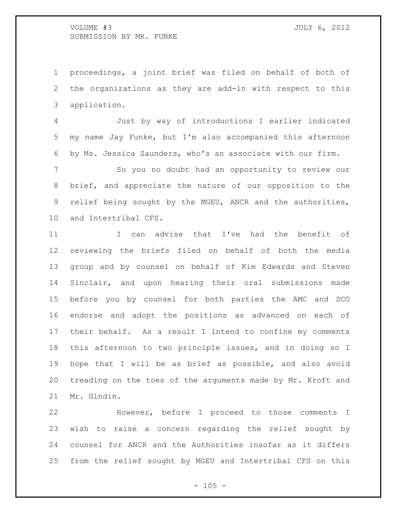proceedings, a joint brief was filed on behalf of both of the organizations as they are add-in with respect to this application.

 Just by way of introductions I earlier indicated my name Jay Funke, but I'm also accompanied this afternoon by Ms. Jessica Saunders, who's an associate with our firm.

 So you no doubt had an opportunity to review our brief, and appreciate the nature of our opposition to the relief being sought by the MGEU, ANCR and the authorities, and Intertribal CFS.

 I can advise that I've had the benefit of reviewing the briefs filed on behalf of both the media group and by counsel on behalf of Kim Edwards and Steven Sinclair, and upon hearing their oral submissions made before you by counsel for both parties the AMC and SCO endorse and adopt the positions as advanced on each of their behalf. As a result I intend to confine my comments this afternoon to two principle issues, and in doing so I hope that I will be as brief as possible, and also avoid treading on the toes of the arguments made by Mr. Kroft and Mr. Gindin.

 However, before I proceed to those comments I wish to raise a concern regarding the relief sought by counsel for ANCR and the Authorities insofar as it differs from the relief sought by MGEU and Intertribal CFS on this

 $- 105 -$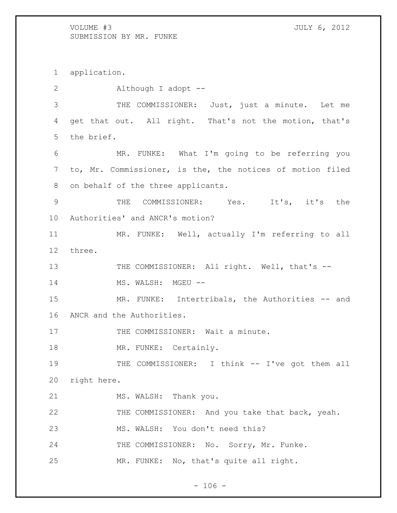application. Although I adopt -- THE COMMISSIONER: Just, just a minute. Let me get that out. All right. That's not the motion, that's the brief. MR. FUNKE: What I'm going to be referring you to, Mr. Commissioner, is the, the notices of motion filed on behalf of the three applicants. THE COMMISSIONER: Yes. It's, it's the Authorities' and ANCR's motion? MR. FUNKE: Well, actually I'm referring to all three. 13 THE COMMISSIONER: All right. Well, that's --14 MS. WALSH: MGEU --15 MR. FUNKE: Intertribals, the Authorities -- and ANCR and the Authorities. 17 THE COMMISSIONER: Wait a minute. 18 MR. FUNKE: Certainly. 19 THE COMMISSIONER: I think -- I've got them all right here. 21 MS. WALSH: Thank you. THE COMMISSIONER: And you take that back, yeah. MS. WALSH: You don't need this? 24 THE COMMISSIONER: No. Sorry, Mr. Funke. MR. FUNKE: No, that's quite all right.

 $- 106 -$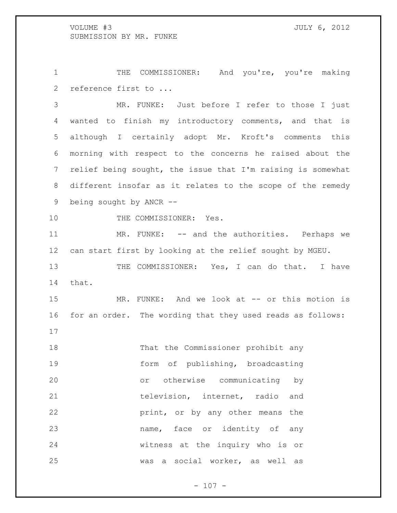1 THE COMMISSIONER: And you're, you're making reference first to ...

 MR. FUNKE: Just before I refer to those I just wanted to finish my introductory comments, and that is although I certainly adopt Mr. Kroft's comments this morning with respect to the concerns he raised about the relief being sought, the issue that I'm raising is somewhat different insofar as it relates to the scope of the remedy being sought by ANCR --

10 THE COMMISSIONER: Yes.

 MR. FUNKE: -- and the authorities. Perhaps we can start first by looking at the relief sought by MGEU.

13 THE COMMISSIONER: Yes, I can do that. I have that.

15 MR. FUNKE: And we look at -- or this motion is for an order. The wording that they used reads as follows:

 That the Commissioner prohibit any form of publishing, broadcasting or otherwise communicating by 21 television, internet, radio and **print,** or by any other means the name, face or identity of any witness at the inquiry who is or was a social worker, as well as

 $- 107 -$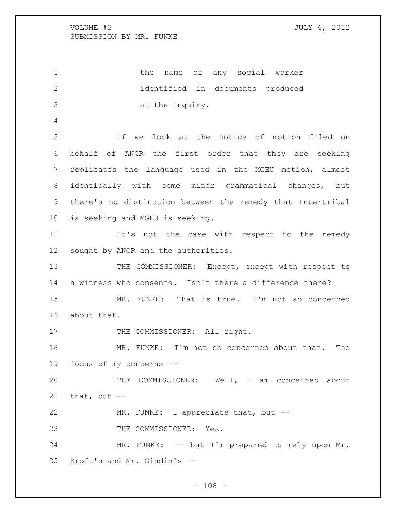1 the name of any social worker identified in documents produced at the inquiry. If we look at the notice of motion filed on behalf of ANCR the first order that they are seeking replicates the language used in the MGEU motion, almost identically with some minor grammatical changes, but there's no distinction between the remedy that Intertribal is seeking and MGEU is seeking. 11 It's not the case with respect to the remedy sought by ANCR and the authorities. 13 THE COMMISSIONER: Except, except with respect to a witness who consents. Isn't there a difference there? MR. FUNKE: That is true. I'm not so concerned about that. 17 THE COMMISSIONER: All right. MR. FUNKE: I'm not so concerned about that. The focus of my concerns -- THE COMMISSIONER: Well, I am concerned about that, but  $-$  MR. FUNKE: I appreciate that, but -- 23 THE COMMISSIONER: Yes. MR. FUNKE: -- but I'm prepared to rely upon Mr. Kroft's and Mr. Gindin's --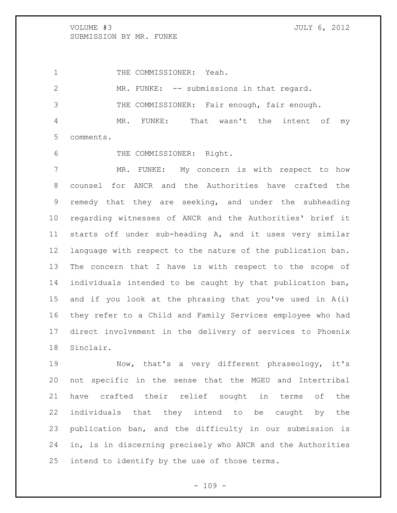1 THE COMMISSIONER: Yeah.

 MR. FUNKE: -- submissions in that regard. THE COMMISSIONER: Fair enough, fair enough. MR. FUNKE: That wasn't the intent of my comments.

6 THE COMMISSIONER: Right.

 MR. FUNKE: My concern is with respect to how counsel for ANCR and the Authorities have crafted the remedy that they are seeking, and under the subheading regarding witnesses of ANCR and the Authorities' brief it starts off under sub-heading A, and it uses very similar language with respect to the nature of the publication ban. The concern that I have is with respect to the scope of individuals intended to be caught by that publication ban, and if you look at the phrasing that you've used in A(i) they refer to a Child and Family Services employee who had direct involvement in the delivery of services to Phoenix Sinclair.

 Now, that's a very different phraseology, it's not specific in the sense that the MGEU and Intertribal have crafted their relief sought in terms of the individuals that they intend to be caught by the publication ban, and the difficulty in our submission is in, is in discerning precisely who ANCR and the Authorities intend to identify by the use of those terms.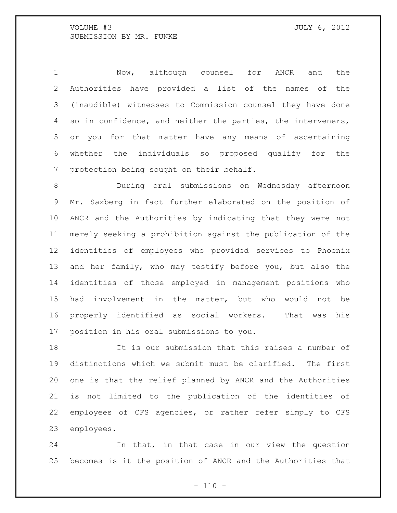Now, although counsel for ANCR and the Authorities have provided a list of the names of the (inaudible) witnesses to Commission counsel they have done so in confidence, and neither the parties, the interveners, or you for that matter have any means of ascertaining whether the individuals so proposed qualify for the protection being sought on their behalf.

 During oral submissions on Wednesday afternoon Mr. Saxberg in fact further elaborated on the position of ANCR and the Authorities by indicating that they were not merely seeking a prohibition against the publication of the identities of employees who provided services to Phoenix and her family, who may testify before you, but also the identities of those employed in management positions who had involvement in the matter, but who would not be properly identified as social workers. That was his position in his oral submissions to you.

 It is our submission that this raises a number of distinctions which we submit must be clarified. The first one is that the relief planned by ANCR and the Authorities is not limited to the publication of the identities of employees of CFS agencies, or rather refer simply to CFS employees.

 In that, in that case in our view the question becomes is it the position of ANCR and the Authorities that

 $- 110 -$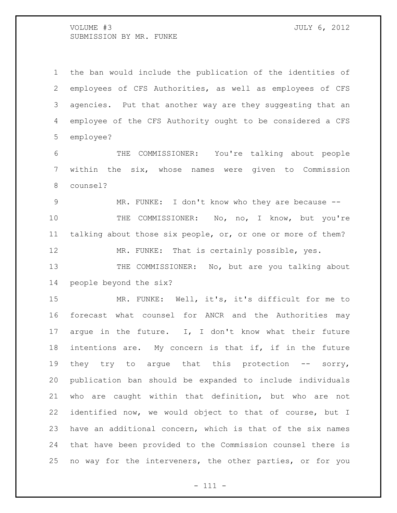the ban would include the publication of the identities of employees of CFS Authorities, as well as employees of CFS agencies. Put that another way are they suggesting that an employee of the CFS Authority ought to be considered a CFS employee?

 THE COMMISSIONER: You're talking about people within the six, whose names were given to Commission counsel?

9 MR. FUNKE: I don't know who they are because --10 THE COMMISSIONER: No, no, I know, but you're talking about those six people, or, or one or more of them? MR. FUNKE: That is certainly possible, yes.

13 THE COMMISSIONER: No, but are you talking about people beyond the six?

 MR. FUNKE: Well, it's, it's difficult for me to forecast what counsel for ANCR and the Authorities may argue in the future. I, I don't know what their future intentions are. My concern is that if, if in the future 19 they try to argue that this protection -- sorry, publication ban should be expanded to include individuals who are caught within that definition, but who are not identified now, we would object to that of course, but I have an additional concern, which is that of the six names that have been provided to the Commission counsel there is no way for the interveners, the other parties, or for you

- 111 -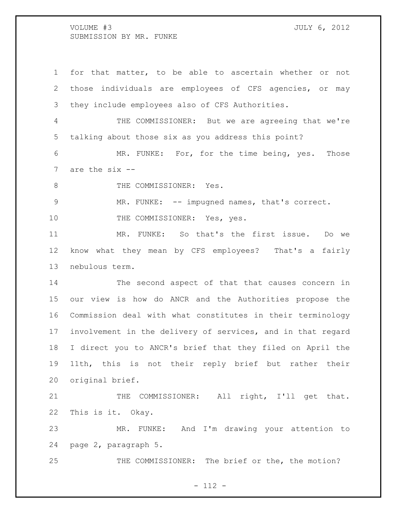for that matter, to be able to ascertain whether or not those individuals are employees of CFS agencies, or may they include employees also of CFS Authorities. THE COMMISSIONER: But we are agreeing that we're talking about those six as you address this point? MR. FUNKE: For, for the time being, yes. Those are the six -- 8 THE COMMISSIONER: Yes. MR. FUNKE: -- impugned names, that's correct. 10 THE COMMISSIONER: Yes, yes. MR. FUNKE: So that's the first issue. Do we know what they mean by CFS employees? That's a fairly nebulous term. The second aspect of that that causes concern in our view is how do ANCR and the Authorities propose the Commission deal with what constitutes in their terminology involvement in the delivery of services, and in that regard I direct you to ANCR's brief that they filed on April the 11th, this is not their reply brief but rather their original brief. 21 THE COMMISSIONER: All right, I'll get that. This is it. Okay. MR. FUNKE: And I'm drawing your attention to page 2, paragraph 5. 25 THE COMMISSIONER: The brief or the, the motion?

- 112 -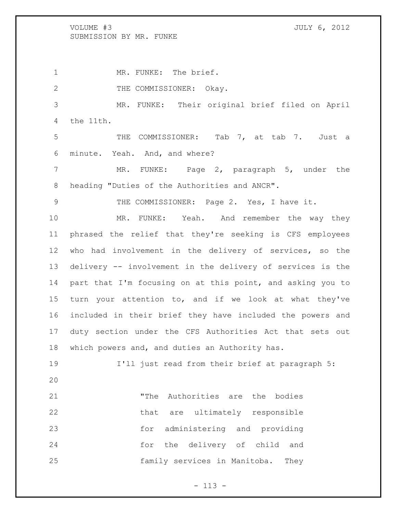1 MR. FUNKE: The brief. 2 THE COMMISSIONER: Okay. MR. FUNKE: Their original brief filed on April the 11th. THE COMMISSIONER: Tab 7, at tab 7. Just a minute. Yeah. And, and where? MR. FUNKE: Page 2, paragraph 5, under the heading "Duties of the Authorities and ANCR".

THE COMMISSIONER: Page 2. Yes, I have it.

 MR. FUNKE: Yeah. And remember the way they phrased the relief that they're seeking is CFS employees who had involvement in the delivery of services, so the delivery -- involvement in the delivery of services is the part that I'm focusing on at this point, and asking you to turn your attention to, and if we look at what they've included in their brief they have included the powers and duty section under the CFS Authorities Act that sets out which powers and, and duties an Authority has.

 I'll just read from their brief at paragraph 5: "The Authorities are the bodies 22 that are ultimately responsible

 for administering and providing for the delivery of child and family services in Manitoba. They

- 113 -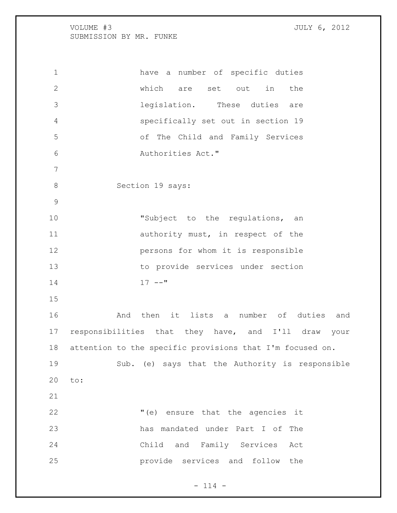have a number of specific duties which are set out in the legislation. These duties are specifically set out in section 19 of The Child and Family Services Authorities Act." 8 Section 19 says: 10 "Subject to the regulations, an 11 authority must, in respect of the persons for whom it is responsible to provide services under section  $17$   $-$ " And then it lists a number of duties and responsibilities that they have, and I'll draw your attention to the specific provisions that I'm focused on. Sub. (e) says that the Authority is responsible to: "(e) ensure that the agencies it has mandated under Part I of The Child and Family Services Act provide services and follow the

 $- 114 -$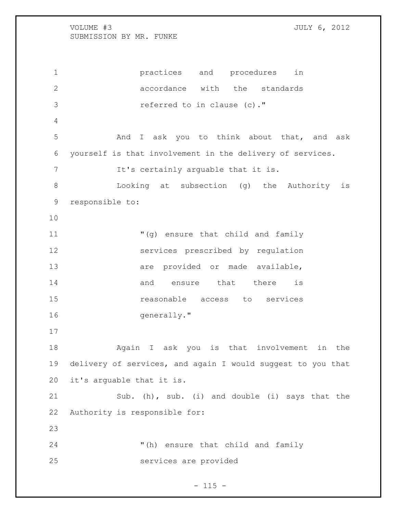practices and procedures in **b** accordance with the standards referred to in clause (c)." And I ask you to think about that, and ask yourself is that involvement in the delivery of services. 7 It's certainly arguable that it is. Looking at subsection (g) the Authority is responsible to: "(g) ensure that child and family services prescribed by regulation are provided or made available, 14 and ensure that there is reasonable access to services 16 generally." Again I ask you is that involvement in the delivery of services, and again I would suggest to you that it's arguable that it is. Sub. (h), sub. (i) and double (i) says that the Authority is responsible for: "(h) ensure that child and family services are provided

### $- 115 -$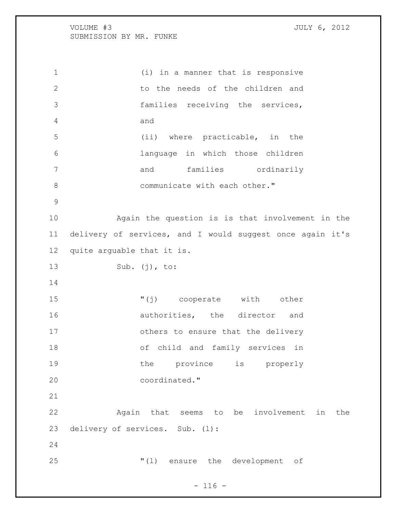(i) in a manner that is responsive 2 to the needs of the children and families receiving the services, and (ii) where practicable, in the language in which those children 7 and families ordinarily 8 communicate with each other." Again the question is is that involvement in the delivery of services, and I would suggest once again it's quite arguable that it is. Sub. (j), to: "(j) cooperate with other 16 authorities, the director and others to ensure that the delivery of child and family services in 19 the province is properly coordinated." Again that seems to be involvement in the delivery of services. Sub. (l): "(l) ensure the development of

 $- 116 -$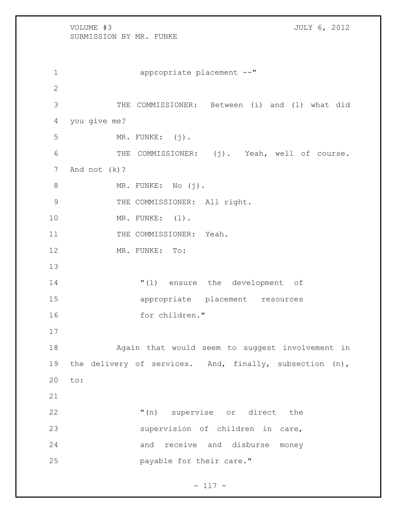VOLUME #3 JULY 6, 2012 SUBMISSION BY MR. FUNKE 1 appropriate placement --" 2 3 THE COMMISSIONER: Between (i) and (l) what did 4 you give me? 5 MR. FUNKE: (j). 6 THE COMMISSIONER: (j). Yeah, well of course. 7 And not (k)? 8 MR. FUNKE: No (j). 9 THE COMMISSIONER: All right. 10 MR. FUNKE: (1). 11 THE COMMISSIONER: Yeah. 12 MR. FUNKE: To: 13 14 "(l) ensure the development of 15 appropriate placement resources 16 for children." 17 18 Again that would seem to suggest involvement in 19 the delivery of services. And, finally, subsection (n), 20 to: 21 22 "(n) supervise or direct the 23 supervision of children in care, 24 and receive and disburse money 25 payable for their care."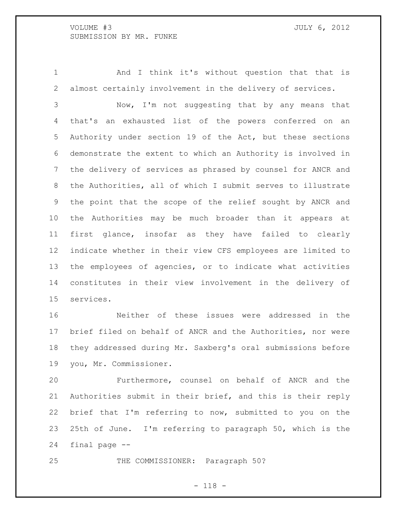And I think it's without question that that is almost certainly involvement in the delivery of services.

 Now, I'm not suggesting that by any means that that's an exhausted list of the powers conferred on an Authority under section 19 of the Act, but these sections demonstrate the extent to which an Authority is involved in the delivery of services as phrased by counsel for ANCR and the Authorities, all of which I submit serves to illustrate the point that the scope of the relief sought by ANCR and the Authorities may be much broader than it appears at first glance, insofar as they have failed to clearly indicate whether in their view CFS employees are limited to the employees of agencies, or to indicate what activities constitutes in their view involvement in the delivery of services.

 Neither of these issues were addressed in the brief filed on behalf of ANCR and the Authorities, nor were they addressed during Mr. Saxberg's oral submissions before you, Mr. Commissioner.

 Furthermore, counsel on behalf of ANCR and the Authorities submit in their brief, and this is their reply brief that I'm referring to now, submitted to you on the 25th of June. I'm referring to paragraph 50, which is the final page --

25 THE COMMISSIONER: Paragraph 50?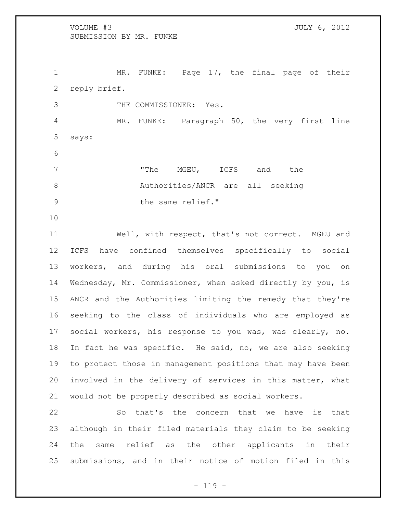1 MR. FUNKE: Page 17, the final page of their reply brief. THE COMMISSIONER: Yes. MR. FUNKE: Paragraph 50, the very first line says: 7 The MGEU, ICFS and the 8 Authorities/ANCR are all seeking 9 blue the same relief."

 Well, with respect, that's not correct. MGEU and ICFS have confined themselves specifically to social workers, and during his oral submissions to you on Wednesday, Mr. Commissioner, when asked directly by you, is ANCR and the Authorities limiting the remedy that they're seeking to the class of individuals who are employed as social workers, his response to you was, was clearly, no. In fact he was specific. He said, no, we are also seeking to protect those in management positions that may have been involved in the delivery of services in this matter, what would not be properly described as social workers.

 So that's the concern that we have is that although in their filed materials they claim to be seeking the same relief as the other applicants in their submissions, and in their notice of motion filed in this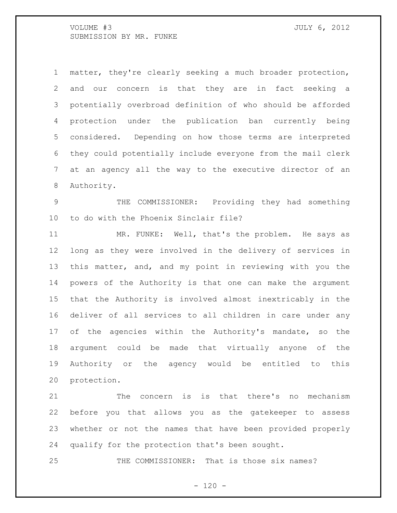matter, they're clearly seeking a much broader protection, and our concern is that they are in fact seeking a potentially overbroad definition of who should be afforded protection under the publication ban currently being considered. Depending on how those terms are interpreted they could potentially include everyone from the mail clerk at an agency all the way to the executive director of an Authority.

 THE COMMISSIONER: Providing they had something to do with the Phoenix Sinclair file?

 MR. FUNKE: Well, that's the problem. He says as long as they were involved in the delivery of services in this matter, and, and my point in reviewing with you the powers of the Authority is that one can make the argument that the Authority is involved almost inextricably in the deliver of all services to all children in care under any of the agencies within the Authority's mandate, so the argument could be made that virtually anyone of the Authority or the agency would be entitled to this protection.

 The concern is is that there's no mechanism before you that allows you as the gatekeeper to assess whether or not the names that have been provided properly qualify for the protection that's been sought.

25 THE COMMISSIONER: That is those six names?

 $- 120 -$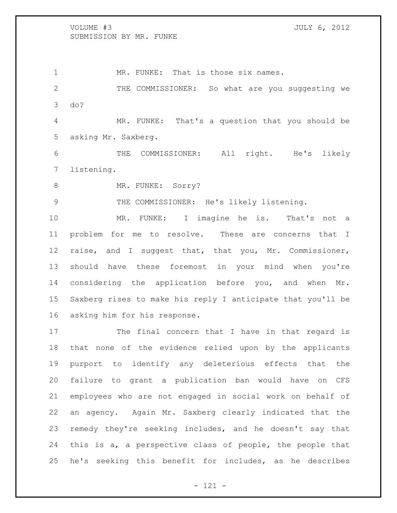1 MR. FUNKE: That is those six names. THE COMMISSIONER: So what are you suggesting we do? MR. FUNKE: That's a question that you should be asking Mr. Saxberg. THE COMMISSIONER: All right. He's likely

listening.

8 MR. FUNKE: Sorry?

THE COMMISSIONER: He's likely listening.

 MR. FUNKE: I imagine he is. That's not a problem for me to resolve. These are concerns that I raise, and I suggest that, that you, Mr. Commissioner, should have these foremost in your mind when you're considering the application before you, and when Mr. Saxberg rises to make his reply I anticipate that you'll be asking him for his response.

 The final concern that I have in that regard is that none of the evidence relied upon by the applicants purport to identify any deleterious effects that the failure to grant a publication ban would have on CFS employees who are not engaged in social work on behalf of an agency. Again Mr. Saxberg clearly indicated that the remedy they're seeking includes, and he doesn't say that this is a, a perspective class of people, the people that he's seeking this benefit for includes, as he describes

- 121 -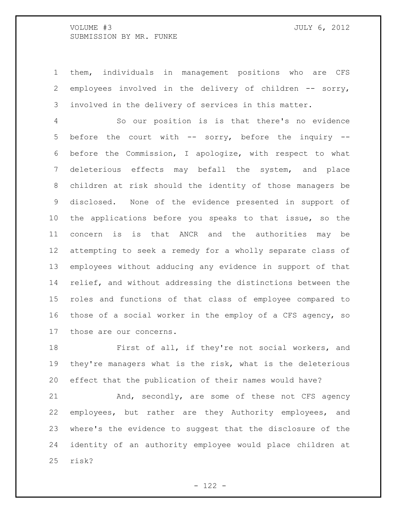them, individuals in management positions who are CFS employees involved in the delivery of children -- sorry, involved in the delivery of services in this matter.

 So our position is is that there's no evidence before the court with -- sorry, before the inquiry -- before the Commission, I apologize, with respect to what deleterious effects may befall the system, and place children at risk should the identity of those managers be disclosed. None of the evidence presented in support of the applications before you speaks to that issue, so the concern is is that ANCR and the authorities may be attempting to seek a remedy for a wholly separate class of employees without adducing any evidence in support of that relief, and without addressing the distinctions between the roles and functions of that class of employee compared to those of a social worker in the employ of a CFS agency, so those are our concerns.

 First of all, if they're not social workers, and they're managers what is the risk, what is the deleterious effect that the publication of their names would have?

21 And, secondly, are some of these not CFS agency employees, but rather are they Authority employees, and where's the evidence to suggest that the disclosure of the identity of an authority employee would place children at risk?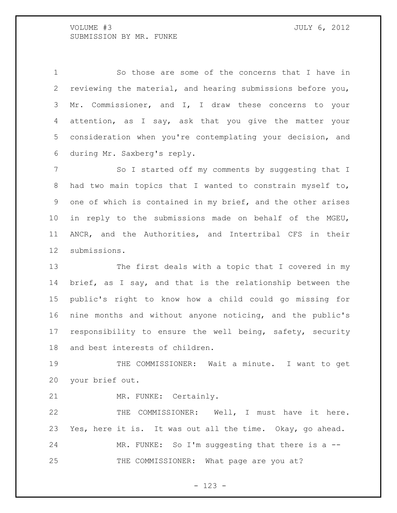So those are some of the concerns that I have in reviewing the material, and hearing submissions before you, Mr. Commissioner, and I, I draw these concerns to your 4 attention, as I say, ask that you give the matter your consideration when you're contemplating your decision, and during Mr. Saxberg's reply.

7 So I started off my comments by suggesting that I had two main topics that I wanted to constrain myself to, one of which is contained in my brief, and the other arises in reply to the submissions made on behalf of the MGEU, ANCR, and the Authorities, and Intertribal CFS in their submissions.

 The first deals with a topic that I covered in my brief, as I say, and that is the relationship between the public's right to know how a child could go missing for nine months and without anyone noticing, and the public's responsibility to ensure the well being, safety, security and best interests of children.

 THE COMMISSIONER: Wait a minute. I want to get your brief out.

MR. FUNKE: Certainly.

 THE COMMISSIONER: Well, I must have it here. Yes, here it is. It was out all the time. Okay, go ahead. MR. FUNKE: So I'm suggesting that there is a -- 25 THE COMMISSIONER: What page are you at?

- 123 -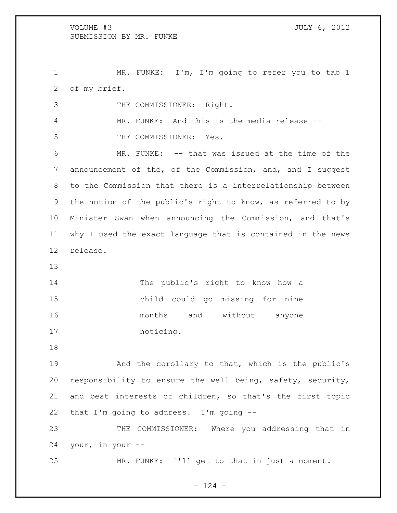1 MR. FUNKE: I'm, I'm going to refer you to tab 1 of my brief.

| 3               | THE COMMISSIONER: Right.                                    |
|-----------------|-------------------------------------------------------------|
| 4               | MR. FUNKE: And this is the media release --                 |
| 5               | THE COMMISSIONER: Yes.                                      |
| 6               | MR. FUNKE: -- that was issued at the time of the            |
| $7\phantom{.0}$ | announcement of the, of the Commission, and, and I suggest  |
| 8               | to the Commission that there is a interrelationship between |
| 9               | the notion of the public's right to know, as referred to by |
| 10 <sub>o</sub> | Minister Swan when announcing the Commission, and that's    |
| 11              | why I used the exact language that is contained in the news |
| 12              | release.                                                    |
| 13              |                                                             |

 The public's right to know how a child could go missing for nine months and without anyone noticing.

 And the corollary to that, which is the public's responsibility to ensure the well being, safety, security, and best interests of children, so that's the first topic that I'm going to address. I'm going --

 THE COMMISSIONER: Where you addressing that in your, in your --

MR. FUNKE: I'll get to that in just a moment.

 $- 124 -$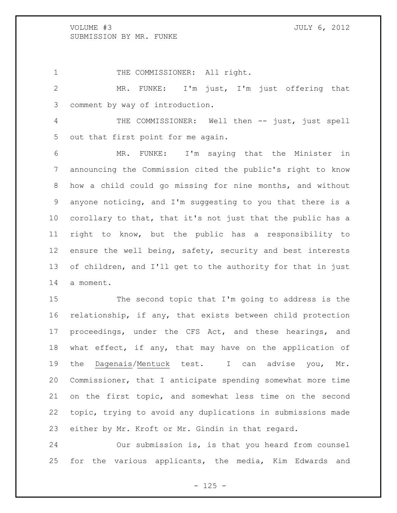out that first point for me again.

1 THE COMMISSIONER: All right. MR. FUNKE: I'm just, I'm just offering that comment by way of introduction. THE COMMISSIONER: Well then -- just, just spell

 MR. FUNKE: I'm saying that the Minister in announcing the Commission cited the public's right to know how a child could go missing for nine months, and without anyone noticing, and I'm suggesting to you that there is a corollary to that, that it's not just that the public has a right to know, but the public has a responsibility to 12 ensure the well being, safety, security and best interests of children, and I'll get to the authority for that in just a moment.

 The second topic that I'm going to address is the relationship, if any, that exists between child protection proceedings, under the CFS Act, and these hearings, and what effect, if any, that may have on the application of the Dagenais/Mentuck test. I can advise you, Mr. Commissioner, that I anticipate spending somewhat more time on the first topic, and somewhat less time on the second topic, trying to avoid any duplications in submissions made either by Mr. Kroft or Mr. Gindin in that regard.

 Our submission is, is that you heard from counsel for the various applicants, the media, Kim Edwards and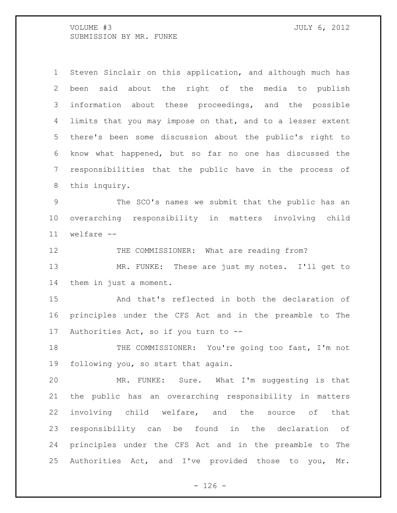Steven Sinclair on this application, and although much has been said about the right of the media to publish information about these proceedings, and the possible limits that you may impose on that, and to a lesser extent there's been some discussion about the public's right to know what happened, but so far no one has discussed the responsibilities that the public have in the process of this inquiry.

 The SCO's names we submit that the public has an overarching responsibility in matters involving child welfare --

12 THE COMMISSIONER: What are reading from? MR. FUNKE: These are just my notes. I'll get to them in just a moment.

 And that's reflected in both the declaration of principles under the CFS Act and in the preamble to The Authorities Act, so if you turn to --

18 THE COMMISSIONER: You're going too fast, I'm not following you, so start that again.

 MR. FUNKE: Sure. What I'm suggesting is that the public has an overarching responsibility in matters involving child welfare, and the source of that responsibility can be found in the declaration of principles under the CFS Act and in the preamble to The Authorities Act, and I've provided those to you, Mr.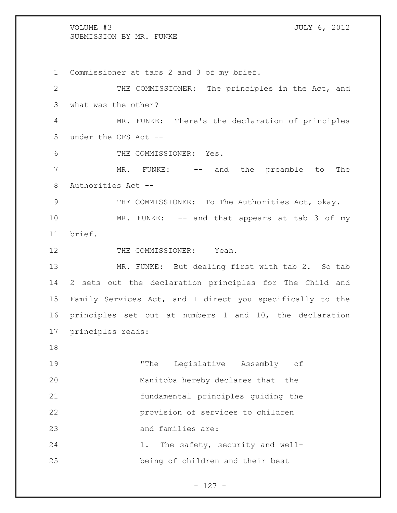Commissioner at tabs 2 and 3 of my brief. 2 THE COMMISSIONER: The principles in the Act, and what was the other? MR. FUNKE: There's the declaration of principles under the CFS Act -- THE COMMISSIONER: Yes. MR. FUNKE: -- and the preamble to The Authorities Act -- THE COMMISSIONER: To The Authorities Act, okay. 10 MR. FUNKE: -- and that appears at tab 3 of my brief. 12 THE COMMISSIONER: Yeah. MR. FUNKE: But dealing first with tab 2. So tab 2 sets out the declaration principles for The Child and Family Services Act, and I direct you specifically to the principles set out at numbers 1 and 10, the declaration principles reads: "The Legislative Assembly of Manitoba hereby declares that the fundamental principles guiding the provision of services to children and families are: 1. The safety, security and well-being of children and their best

- 127 -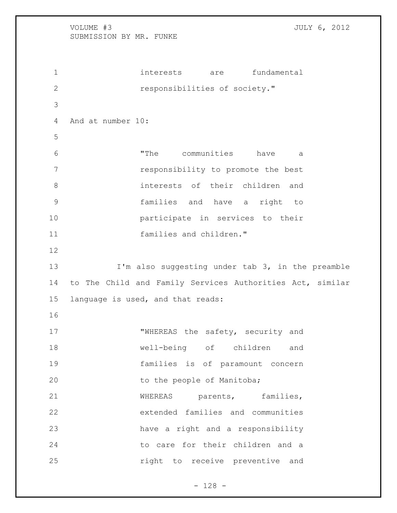interests are fundamental **responsibilities of society."**  And at number 10: "The communities have a responsibility to promote the best interests of their children and families and have a right to participate in services to their families and children." 13 I'm also suggesting under tab 3, in the preamble to The Child and Family Services Authorities Act, similar language is used, and that reads: **WHEREAS** the safety, security and well-being of children and families is of paramount concern 20 to the people of Manitoba; 21 WHEREAS parents, families, extended families and communities have a right and a responsibility to care for their children and a **houring** right to receive preventive and

- 128 -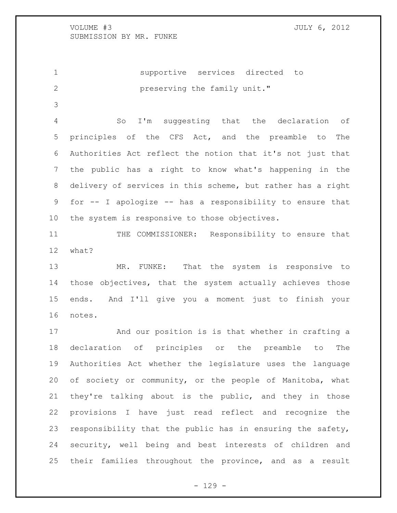supportive services directed to **preserving the family unit."** 

 So I'm suggesting that the declaration of principles of the CFS Act, and the preamble to The Authorities Act reflect the notion that it's not just that the public has a right to know what's happening in the delivery of services in this scheme, but rather has a right for -- I apologize -- has a responsibility to ensure that the system is responsive to those objectives.

 THE COMMISSIONER: Responsibility to ensure that what?

 MR. FUNKE: That the system is responsive to those objectives, that the system actually achieves those ends. And I'll give you a moment just to finish your notes.

 And our position is is that whether in crafting a declaration of principles or the preamble to The Authorities Act whether the legislature uses the language of society or community, or the people of Manitoba, what they're talking about is the public, and they in those provisions I have just read reflect and recognize the responsibility that the public has in ensuring the safety, security, well being and best interests of children and their families throughout the province, and as a result

- 129 -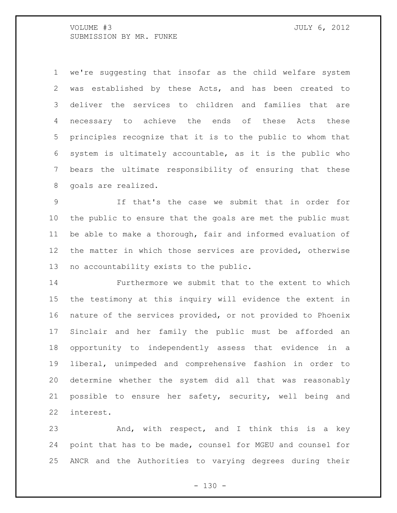we're suggesting that insofar as the child welfare system was established by these Acts, and has been created to deliver the services to children and families that are necessary to achieve the ends of these Acts these principles recognize that it is to the public to whom that system is ultimately accountable, as it is the public who bears the ultimate responsibility of ensuring that these goals are realized.

 If that's the case we submit that in order for the public to ensure that the goals are met the public must be able to make a thorough, fair and informed evaluation of the matter in which those services are provided, otherwise no accountability exists to the public.

 Furthermore we submit that to the extent to which the testimony at this inquiry will evidence the extent in nature of the services provided, or not provided to Phoenix Sinclair and her family the public must be afforded an opportunity to independently assess that evidence in a liberal, unimpeded and comprehensive fashion in order to determine whether the system did all that was reasonably possible to ensure her safety, security, well being and interest.

23 And, with respect, and I think this is a key point that has to be made, counsel for MGEU and counsel for ANCR and the Authorities to varying degrees during their

 $- 130 -$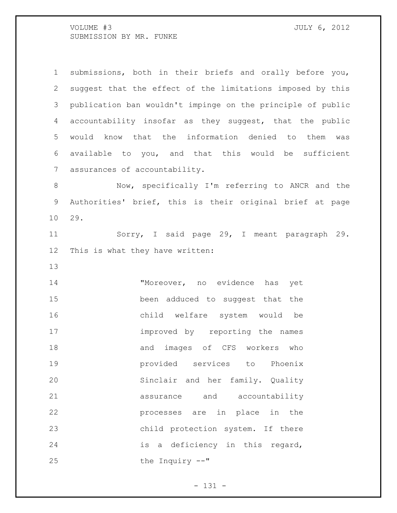submissions, both in their briefs and orally before you, suggest that the effect of the limitations imposed by this publication ban wouldn't impinge on the principle of public accountability insofar as they suggest, that the public would know that the information denied to them was available to you, and that this would be sufficient assurances of accountability.

 Now, specifically I'm referring to ANCR and the Authorities' brief, this is their original brief at page 29.

 Sorry, I said page 29, I meant paragraph 29. This is what they have written:

 "Moreover, no evidence has yet been adduced to suggest that the child welfare system would be 17 improved by reporting the names and images of CFS workers who provided services to Phoenix Sinclair and her family. Quality assurance and accountability processes are in place in the child protection system. If there is a deficiency in this regard, the Inquiry --"

- 131 -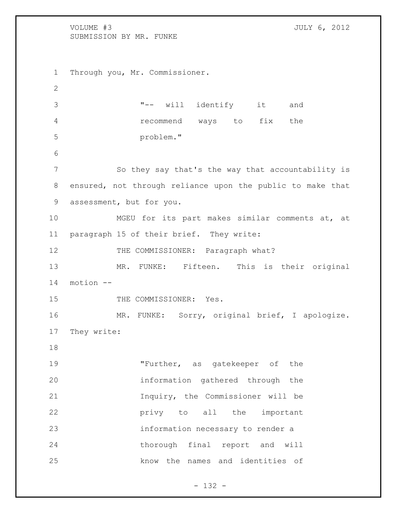VOLUME #3 JULY 6, 2012 SUBMISSION BY MR. FUNKE Through you, Mr. Commissioner. "-- will identify it and recommend ways to fix the problem." 7 So they say that's the way that accountability is ensured, not through reliance upon the public to make that assessment, but for you. MGEU for its part makes similar comments at, at paragraph 15 of their brief. They write: 12 THE COMMISSIONER: Paragraph what? MR. FUNKE: Fifteen. This is their original motion -- 15 THE COMMISSIONER: Yes. MR. FUNKE: Sorry, original brief, I apologize. They write: "Further, as gatekeeper of the information gathered through the Inquiry, the Commissioner will be **privy** to all the important information necessary to render a thorough final report and will know the names and identities of

- 132 -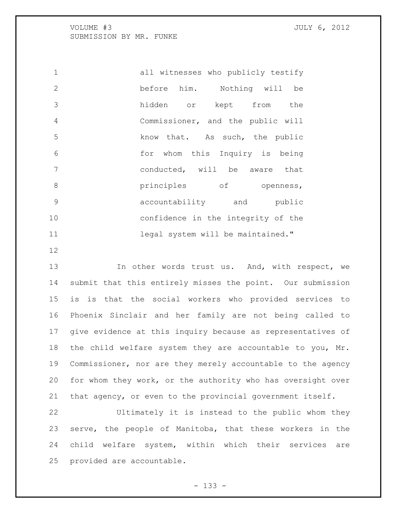| $\mathbf{1}$ | all witnesses who publicly testify |
|--------------|------------------------------------|
| 2            | before him. Nothing will be        |
| 3            | hidden or kept from the            |
| 4            | Commissioner, and the public will  |
| 5            | know that. As such, the public     |
| 6            | for whom this Inquiry is being     |
| 7            | conducted, will be aware that      |
| 8            | principles of openness,            |
| 9            | accountability and public          |
| 10           | confidence in the integrity of the |
| 11           | legal system will be maintained."  |

13 In other words trust us. And, with respect, we submit that this entirely misses the point. Our submission is is that the social workers who provided services to Phoenix Sinclair and her family are not being called to give evidence at this inquiry because as representatives of the child welfare system they are accountable to you, Mr. Commissioner, nor are they merely accountable to the agency for whom they work, or the authority who has oversight over that agency, or even to the provincial government itself.

 Ultimately it is instead to the public whom they serve, the people of Manitoba, that these workers in the child welfare system, within which their services are provided are accountable.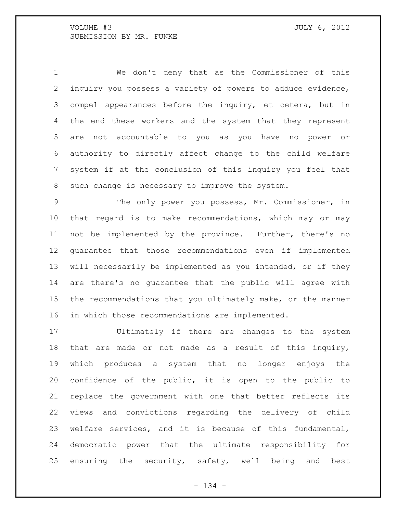We don't deny that as the Commissioner of this inquiry you possess a variety of powers to adduce evidence, compel appearances before the inquiry, et cetera, but in the end these workers and the system that they represent are not accountable to you as you have no power or authority to directly affect change to the child welfare system if at the conclusion of this inquiry you feel that such change is necessary to improve the system.

 The only power you possess, Mr. Commissioner, in that regard is to make recommendations, which may or may not be implemented by the province. Further, there's no guarantee that those recommendations even if implemented will necessarily be implemented as you intended, or if they are there's no guarantee that the public will agree with the recommendations that you ultimately make, or the manner in which those recommendations are implemented.

 Ultimately if there are changes to the system that are made or not made as a result of this inquiry, which produces a system that no longer enjoys the confidence of the public, it is open to the public to replace the government with one that better reflects its views and convictions regarding the delivery of child welfare services, and it is because of this fundamental, democratic power that the ultimate responsibility for ensuring the security, safety, well being and best

- 134 -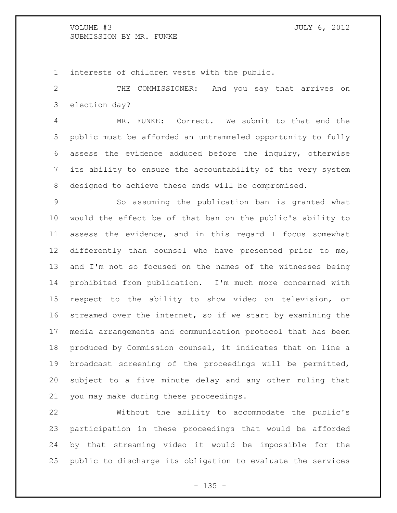interests of children vests with the public.

 THE COMMISSIONER: And you say that arrives on election day?

 MR. FUNKE: Correct. We submit to that end the public must be afforded an untrammeled opportunity to fully assess the evidence adduced before the inquiry, otherwise its ability to ensure the accountability of the very system designed to achieve these ends will be compromised.

 So assuming the publication ban is granted what would the effect be of that ban on the public's ability to assess the evidence, and in this regard I focus somewhat differently than counsel who have presented prior to me, and I'm not so focused on the names of the witnesses being prohibited from publication. I'm much more concerned with respect to the ability to show video on television, or streamed over the internet, so if we start by examining the media arrangements and communication protocol that has been produced by Commission counsel, it indicates that on line a broadcast screening of the proceedings will be permitted, subject to a five minute delay and any other ruling that you may make during these proceedings.

 Without the ability to accommodate the public's participation in these proceedings that would be afforded by that streaming video it would be impossible for the public to discharge its obligation to evaluate the services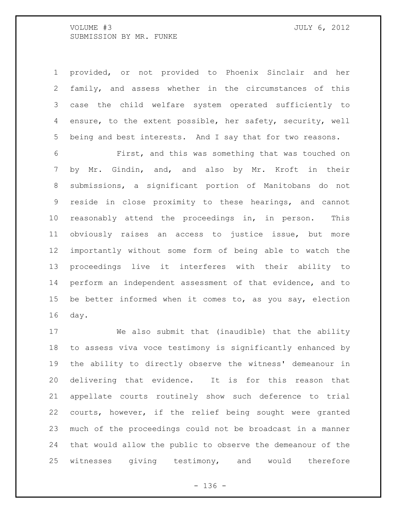provided, or not provided to Phoenix Sinclair and her family, and assess whether in the circumstances of this case the child welfare system operated sufficiently to ensure, to the extent possible, her safety, security, well being and best interests. And I say that for two reasons.

 First, and this was something that was touched on by Mr. Gindin, and, and also by Mr. Kroft in their submissions, a significant portion of Manitobans do not reside in close proximity to these hearings, and cannot reasonably attend the proceedings in, in person. This obviously raises an access to justice issue, but more importantly without some form of being able to watch the proceedings live it interferes with their ability to perform an independent assessment of that evidence, and to be better informed when it comes to, as you say, election day.

 We also submit that (inaudible) that the ability to assess viva voce testimony is significantly enhanced by the ability to directly observe the witness' demeanour in delivering that evidence. It is for this reason that appellate courts routinely show such deference to trial courts, however, if the relief being sought were granted much of the proceedings could not be broadcast in a manner that would allow the public to observe the demeanour of the witnesses giving testimony, and would therefore

- 136 -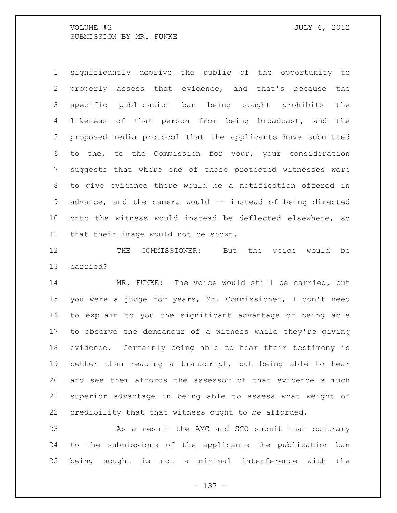significantly deprive the public of the opportunity to properly assess that evidence, and that's because the specific publication ban being sought prohibits the likeness of that person from being broadcast, and the proposed media protocol that the applicants have submitted to the, to the Commission for your, your consideration suggests that where one of those protected witnesses were to give evidence there would be a notification offered in 9 advance, and the camera would -- instead of being directed onto the witness would instead be deflected elsewhere, so that their image would not be shown.

 THE COMMISSIONER: But the voice would be carried?

 MR. FUNKE: The voice would still be carried, but you were a judge for years, Mr. Commissioner, I don't need to explain to you the significant advantage of being able to observe the demeanour of a witness while they're giving evidence. Certainly being able to hear their testimony is better than reading a transcript, but being able to hear and see them affords the assessor of that evidence a much superior advantage in being able to assess what weight or credibility that that witness ought to be afforded.

23 As a result the AMC and SCO submit that contrary to the submissions of the applicants the publication ban being sought is not a minimal interference with the

- 137 -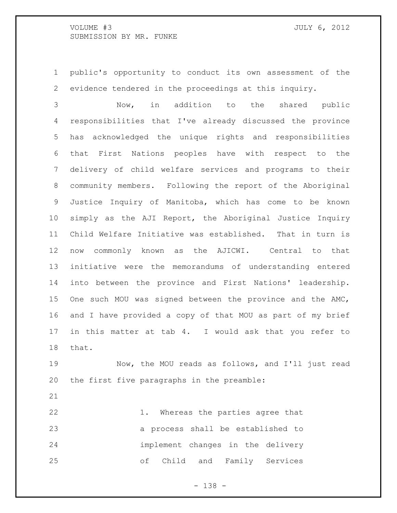public's opportunity to conduct its own assessment of the evidence tendered in the proceedings at this inquiry.

 Now, in addition to the shared public responsibilities that I've already discussed the province has acknowledged the unique rights and responsibilities that First Nations peoples have with respect to the delivery of child welfare services and programs to their community members. Following the report of the Aboriginal Justice Inquiry of Manitoba, which has come to be known simply as the AJI Report, the Aboriginal Justice Inquiry Child Welfare Initiative was established. That in turn is now commonly known as the AJICWI. Central to that initiative were the memorandums of understanding entered into between the province and First Nations' leadership. One such MOU was signed between the province and the AMC, and I have provided a copy of that MOU as part of my brief in this matter at tab 4. I would ask that you refer to that.

 Now, the MOU reads as follows, and I'll just read the first five paragraphs in the preamble:

22 1. Whereas the parties agree that a process shall be established to implement changes in the delivery of Child and Family Services

- 138 -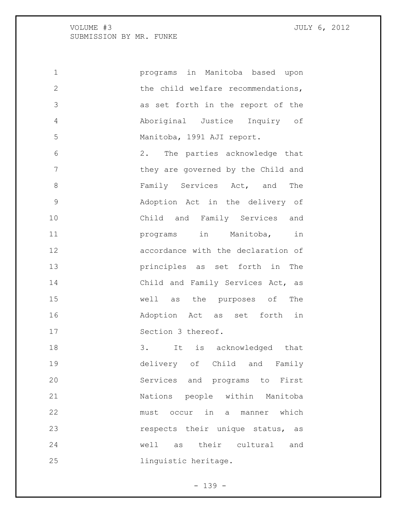programs in Manitoba based upon 2 the child welfare recommendations, as set forth in the report of the Aboriginal Justice Inquiry of Manitoba, 1991 AJI report.

 2. The parties acknowledge that 7 they are governed by the Child and 8 Family Services Act, and The Adoption Act in the delivery of Child and Family Services and **11** programs in Manitoba, in accordance with the declaration of principles as set forth in The 14 Child and Family Services Act, as well as the purposes of The Adoption Act as set forth in 17 Section 3 thereof.

 3. It is acknowledged that delivery of Child and Family Services and programs to First Nations people within Manitoba must occur in a manner which **respects** their unique status, as well as their cultural and linguistic heritage.

 $- 139 -$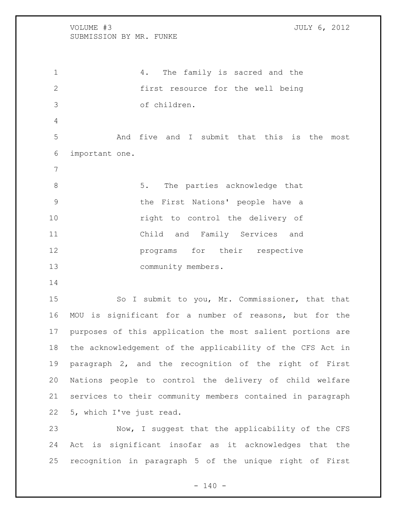4. The family is sacred and the first resource for the well being of children. And five and I submit that this is the most important one. 8 5. The parties acknowledge that the First Nations' people have a **right** to control the delivery of Child and Family Services and **programs** for their respective 13 community members. 15 So I submit to you, Mr. Commissioner, that that MOU is significant for a number of reasons, but for the purposes of this application the most salient portions are the acknowledgement of the applicability of the CFS Act in paragraph 2, and the recognition of the right of First Nations people to control the delivery of child welfare

5, which I've just read.

 Now, I suggest that the applicability of the CFS Act is significant insofar as it acknowledges that the recognition in paragraph 5 of the unique right of First

services to their community members contained in paragraph

 $- 140 -$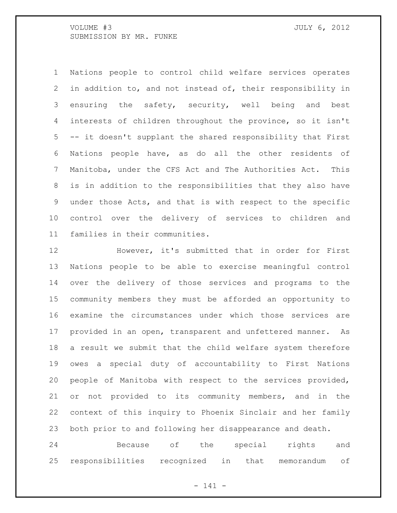Nations people to control child welfare services operates in addition to, and not instead of, their responsibility in ensuring the safety, security, well being and best interests of children throughout the province, so it isn't -- it doesn't supplant the shared responsibility that First Nations people have, as do all the other residents of Manitoba, under the CFS Act and The Authorities Act. This is in addition to the responsibilities that they also have under those Acts, and that is with respect to the specific control over the delivery of services to children and families in their communities.

 However, it's submitted that in order for First Nations people to be able to exercise meaningful control over the delivery of those services and programs to the community members they must be afforded an opportunity to examine the circumstances under which those services are provided in an open, transparent and unfettered manner. As a result we submit that the child welfare system therefore owes a special duty of accountability to First Nations people of Manitoba with respect to the services provided, or not provided to its community members, and in the context of this inquiry to Phoenix Sinclair and her family both prior to and following her disappearance and death.

 Because of the special rights and responsibilities recognized in that memorandum of

- 141 -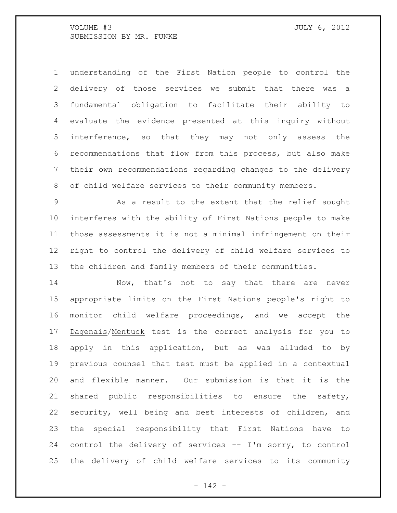understanding of the First Nation people to control the delivery of those services we submit that there was a fundamental obligation to facilitate their ability to evaluate the evidence presented at this inquiry without interference, so that they may not only assess the recommendations that flow from this process, but also make their own recommendations regarding changes to the delivery of child welfare services to their community members.

 As a result to the extent that the relief sought interferes with the ability of First Nations people to make those assessments it is not a minimal infringement on their right to control the delivery of child welfare services to the children and family members of their communities.

14 Now, that's not to say that there are never appropriate limits on the First Nations people's right to monitor child welfare proceedings, and we accept the Dagenais/Mentuck test is the correct analysis for you to apply in this application, but as was alluded to by previous counsel that test must be applied in a contextual and flexible manner. Our submission is that it is the shared public responsibilities to ensure the safety, security, well being and best interests of children, and the special responsibility that First Nations have to control the delivery of services -- I'm sorry, to control the delivery of child welfare services to its community

- 142 -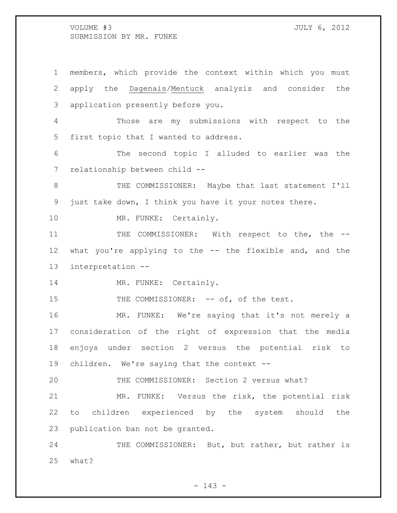members, which provide the context within which you must apply the Dagenais/Mentuck analysis and consider the application presently before you. Those are my submissions with respect to the first topic that I wanted to address. The second topic I alluded to earlier was the relationship between child -- 8 THE COMMISSIONER: Maybe that last statement I'll just take down, I think you have it your notes there. 10 MR. FUNKE: Certainly. 11 THE COMMISSIONER: With respect to the, the -- what you're applying to the -- the flexible and, and the interpretation -- 14 MR. FUNKE: Certainly. 15 THE COMMISSIONER: -- of, of the test. MR. FUNKE: We're saying that it's not merely a consideration of the right of expression that the media enjoys under section 2 versus the potential risk to children. We're saying that the context -- THE COMMISSIONER: Section 2 versus what? MR. FUNKE: Versus the risk, the potential risk to children experienced by the system should the publication ban not be granted. 24 THE COMMISSIONER: But, but rather, but rather is what?

 $- 143 -$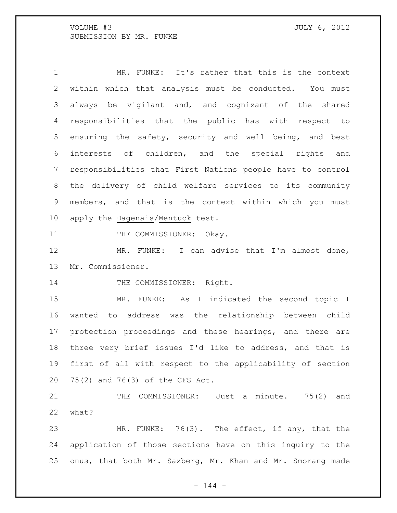1 MR. FUNKE: It's rather that this is the context within which that analysis must be conducted. You must always be vigilant and, and cognizant of the shared responsibilities that the public has with respect to ensuring the safety, security and well being, and best interests of children, and the special rights and responsibilities that First Nations people have to control the delivery of child welfare services to its community members, and that is the context within which you must apply the Dagenais/Mentuck test.

11 THE COMMISSIONER: Okay.

12 MR. FUNKE: I can advise that I'm almost done, Mr. Commissioner.

14 THE COMMISSIONER: Right.

 MR. FUNKE: As I indicated the second topic I wanted to address was the relationship between child protection proceedings and these hearings, and there are three very brief issues I'd like to address, and that is first of all with respect to the applicability of section 75(2) and 76(3) of the CFS Act.

 THE COMMISSIONER: Just a minute. 75(2) and what?

 MR. FUNKE: 76(3). The effect, if any, that the application of those sections have on this inquiry to the onus, that both Mr. Saxberg, Mr. Khan and Mr. Smorang made

 $- 144 -$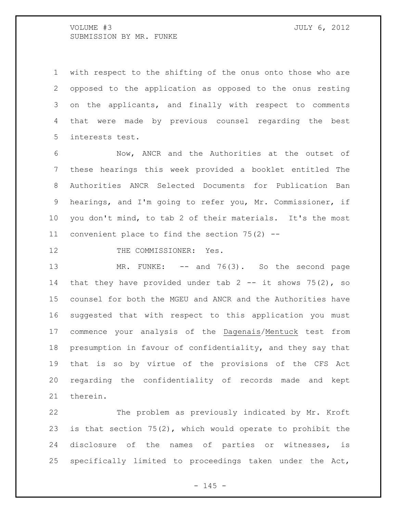with respect to the shifting of the onus onto those who are opposed to the application as opposed to the onus resting on the applicants, and finally with respect to comments that were made by previous counsel regarding the best interests test.

 Now, ANCR and the Authorities at the outset of these hearings this week provided a booklet entitled The Authorities ANCR Selected Documents for Publication Ban hearings, and I'm going to refer you, Mr. Commissioner, if you don't mind, to tab 2 of their materials. It's the most convenient place to find the section 75(2) --

12 THE COMMISSIONER: Yes.

13 MR. FUNKE: -- and 76(3). So the second page 14 that they have provided under tab -- it shows 75(2), so counsel for both the MGEU and ANCR and the Authorities have suggested that with respect to this application you must commence your analysis of the Dagenais/Mentuck test from presumption in favour of confidentiality, and they say that that is so by virtue of the provisions of the CFS Act regarding the confidentiality of records made and kept therein.

 The problem as previously indicated by Mr. Kroft is that section 75(2), which would operate to prohibit the disclosure of the names of parties or witnesses, is specifically limited to proceedings taken under the Act,

 $- 145 -$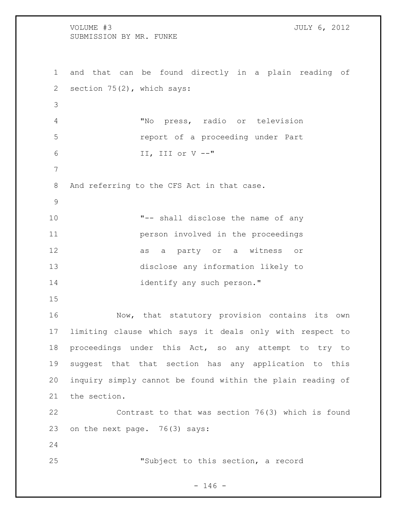VOLUME #3 JULY 6, 2012 SUBMISSION BY MR. FUNKE and that can be found directly in a plain reading of section 75(2), which says: "No press, radio or television report of a proceeding under Part II, III or V --" And referring to the CFS Act in that case. "-- shall disclose the name of any person involved in the proceedings as a party or a witness or disclose any information likely to 14 identify any such person." Now, that statutory provision contains its own limiting clause which says it deals only with respect to proceedings under this Act, so any attempt to try to suggest that that section has any application to this inquiry simply cannot be found within the plain reading of the section. Contrast to that was section 76(3) which is found on the next page. 76(3) says: "Subject to this section, a record

 $- 146 -$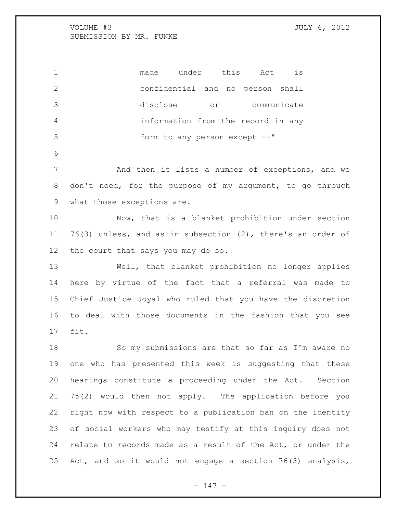made under this Act is confidential and no person shall disclose or communicate information from the record in any 5 form to any person except  $--"$ 

 And then it lists a number of exceptions, and we don't need, for the purpose of my argument, to go through what those exceptions are.

 Now, that is a blanket prohibition under section 76(3) unless, and as in subsection (2), there's an order of the court that says you may do so.

 Well, that blanket prohibition no longer applies here by virtue of the fact that a referral was made to Chief Justice Joyal who ruled that you have the discretion to deal with those documents in the fashion that you see fit.

 So my submissions are that so far as I'm aware no one who has presented this week is suggesting that these hearings constitute a proceeding under the Act. Section 75(2) would then not apply. The application before you right now with respect to a publication ban on the identity of social workers who may testify at this inquiry does not relate to records made as a result of the Act, or under the Act, and so it would not engage a section 76(3) analysis,

- 147 -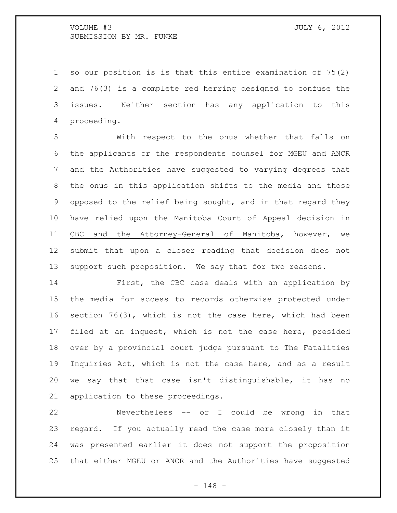so our position is is that this entire examination of 75(2) and 76(3) is a complete red herring designed to confuse the issues. Neither section has any application to this proceeding.

 With respect to the onus whether that falls on the applicants or the respondents counsel for MGEU and ANCR and the Authorities have suggested to varying degrees that the onus in this application shifts to the media and those opposed to the relief being sought, and in that regard they have relied upon the Manitoba Court of Appeal decision in CBC and the Attorney-General of Manitoba, however, we submit that upon a closer reading that decision does not support such proposition. We say that for two reasons.

 First, the CBC case deals with an application by the media for access to records otherwise protected under section 76(3), which is not the case here, which had been filed at an inquest, which is not the case here, presided over by a provincial court judge pursuant to The Fatalities Inquiries Act, which is not the case here, and as a result we say that that case isn't distinguishable, it has no application to these proceedings.

 Nevertheless -- or I could be wrong in that regard. If you actually read the case more closely than it was presented earlier it does not support the proposition that either MGEU or ANCR and the Authorities have suggested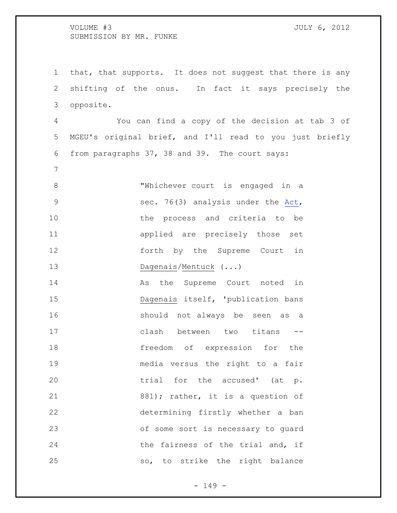that, that supports. It does not suggest that there is any shifting of the onus. In fact it says precisely the opposite.

 You can find a copy of the decision at tab 3 of MGEU's original brief, and I'll read to you just briefly from paragraphs 37, 38 and 39. The court says:

 "Whichever court is engaged in a sec. 76(3) analysis under the [Act,](http://www.canlii.ca/en/mb/laws/stat/ccsm-c-c80/latest/ccsm-c-c80.html) the process and criteria to be applied are precisely those set 12 forth by the Supreme Court in 13 Dagenais/Mentuck (...)

14 As the Supreme Court noted in Dagenais itself, 'publication bans should not always be seen as a clash between two titans -- freedom of expression for the media versus the right to a fair **trial** for the accused' (at p. 21 881); rather, it is a question of determining firstly whether a ban of some sort is necessary to guard 24 the fairness of the trial and, if so, to strike the right balance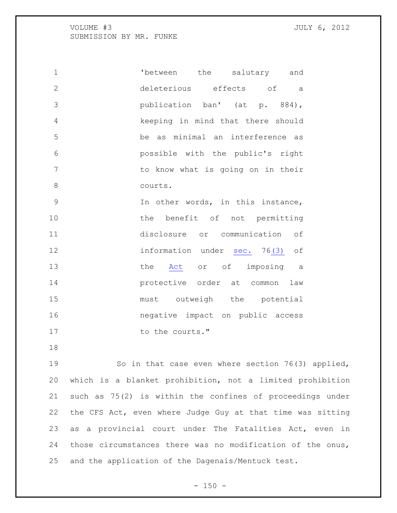| $\mathbf 1$    | 'between the salutary and                                                                                      |
|----------------|----------------------------------------------------------------------------------------------------------------|
| $\overline{2}$ | deleterious effects of a                                                                                       |
| 3              | publication ban' (at p. 884),                                                                                  |
| $\overline{4}$ | keeping in mind that there should                                                                              |
| 5              | be as minimal an interference as                                                                               |
| $\epsilon$     | possible with the public's right                                                                               |
| $\overline{7}$ | to know what is going on in their                                                                              |
| 8              | courts.                                                                                                        |
| 9              | In other words, in this instance,                                                                              |
| 10             | the benefit of not permitting                                                                                  |
| 11             | disclosure or communication of                                                                                 |
| 12             | information under sec. 76(3) of                                                                                |
| 13             | the Act or of imposing a                                                                                       |
| 14             | protective order at common law                                                                                 |
| 15             | must outweigh the potential                                                                                    |
| 16             | negative impact on public access                                                                               |
| 17             | to the courts."                                                                                                |
| 18             |                                                                                                                |
| 19             | So in that case even where section 76(3) applied,                                                              |
|                | 100 - 100 - 100 - 100 - 100 - 100 - 100 - 100 - 100 - 100 - 100 - 100 - 100 - 100 - 100 - 100 - 100 - 100 - 10 |

 which is a blanket prohibition, not a limited prohibition such as 75(2) is within the confines of proceedings under the CFS Act, even where Judge Guy at that time was sitting as a provincial court under The Fatalities Act, even in those circumstances there was no modification of the onus, and the application of the Dagenais/Mentuck test.

 $- 150 -$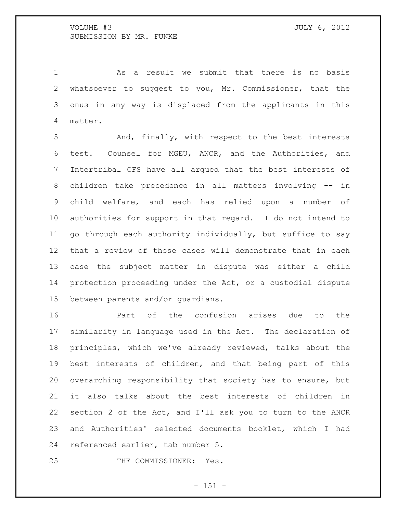As a result we submit that there is no basis whatsoever to suggest to you, Mr. Commissioner, that the onus in any way is displaced from the applicants in this matter.

 And, finally, with respect to the best interests test. Counsel for MGEU, ANCR, and the Authorities, and Intertribal CFS have all argued that the best interests of children take precedence in all matters involving -- in child welfare, and each has relied upon a number of authorities for support in that regard. I do not intend to go through each authority individually, but suffice to say that a review of those cases will demonstrate that in each case the subject matter in dispute was either a child protection proceeding under the Act, or a custodial dispute between parents and/or guardians.

 Part of the confusion arises due to the similarity in language used in the Act. The declaration of principles, which we've already reviewed, talks about the best interests of children, and that being part of this overarching responsibility that society has to ensure, but it also talks about the best interests of children in section 2 of the Act, and I'll ask you to turn to the ANCR and Authorities' selected documents booklet, which I had referenced earlier, tab number 5.

THE COMMISSIONER: Yes.

 $- 151 -$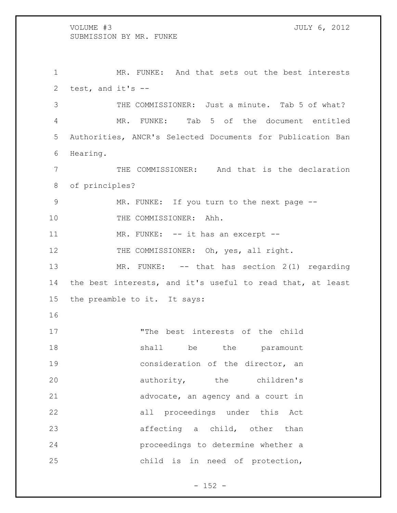MR. FUNKE: And that sets out the best interests test, and it's -- THE COMMISSIONER: Just a minute. Tab 5 of what? MR. FUNKE: Tab 5 of the document entitled Authorities, ANCR's Selected Documents for Publication Ban Hearing. THE COMMISSIONER: And that is the declaration of principles? MR. FUNKE: If you turn to the next page -- 10 THE COMMISSIONER: Ahh. 11 MR. FUNKE: -- it has an excerpt --12 THE COMMISSIONER: Oh, yes, all right. 13 MR. FUNKE: -- that has section 2(1) regarding the best interests, and it's useful to read that, at least the preamble to it. It says: "The best interests of the child 18 shall be the paramount **19** consideration of the director, an 20 authority, the children's 21 advocate, an agency and a court in all proceedings under this Act affecting a child, other than proceedings to determine whether a child is in need of protection,

 $- 152 -$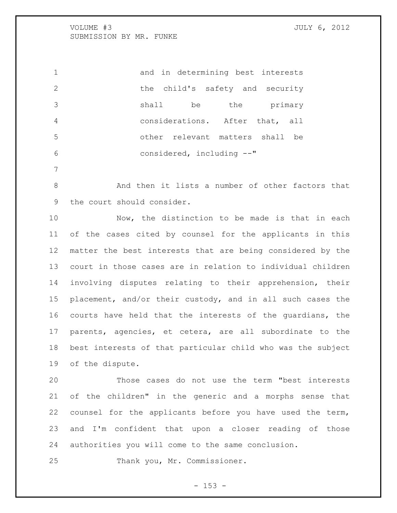and in determining best interests 2 the child's safety and security shall be the primary considerations. After that, all other relevant matters shall be considered, including --"

 And then it lists a number of other factors that the court should consider.

 Now, the distinction to be made is that in each of the cases cited by counsel for the applicants in this matter the best interests that are being considered by the court in those cases are in relation to individual children involving disputes relating to their apprehension, their placement, and/or their custody, and in all such cases the courts have held that the interests of the guardians, the parents, agencies, et cetera, are all subordinate to the best interests of that particular child who was the subject of the dispute.

 Those cases do not use the term "best interests of the children" in the generic and a morphs sense that counsel for the applicants before you have used the term, and I'm confident that upon a closer reading of those authorities you will come to the same conclusion.

Thank you, Mr. Commissioner.

 $- 153 -$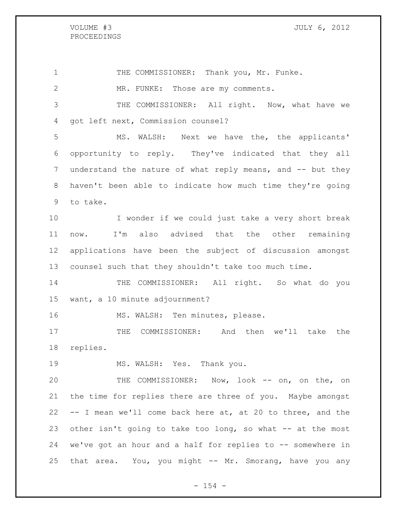## PROCEEDINGS

#### VOLUME #3 JULY 6, 2012

1 THE COMMISSIONER: Thank you, Mr. Funke. MR. FUNKE: Those are my comments. THE COMMISSIONER: All right. Now, what have we got left next, Commission counsel? MS. WALSH: Next we have the, the applicants' opportunity to reply. They've indicated that they all 7 understand the nature of what reply means, and -- but they haven't been able to indicate how much time they're going to take. I wonder if we could just take a very short break now. I'm also advised that the other remaining applications have been the subject of discussion amongst counsel such that they shouldn't take too much time. THE COMMISSIONER: All right. So what do you want, a 10 minute adjournment? 16 MS. WALSH: Ten minutes, please. THE COMMISSIONER: And then we'll take the replies. 19 MS. WALSH: Yes. Thank you. THE COMMISSIONER: Now, look -- on, on the, on the time for replies there are three of you. Maybe amongst -- I mean we'll come back here at, at 20 to three, and the other isn't going to take too long, so what -- at the most we've got an hour and a half for replies to -- somewhere in 25 that area. You, you might -- Mr. Smorang, have you any

 $- 154 -$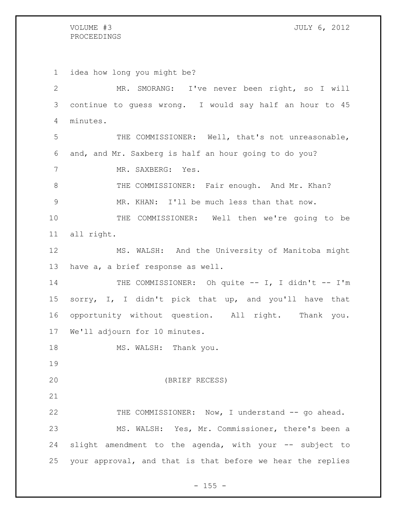# PROCEEDINGS

 idea how long you might be? MR. SMORANG: I've never been right, so I will continue to guess wrong. I would say half an hour to 45 minutes. THE COMMISSIONER: Well, that's not unreasonable, and, and Mr. Saxberg is half an hour going to do you? 7 MR. SAXBERG: Yes. THE COMMISSIONER: Fair enough. And Mr. Khan? MR. KHAN: I'll be much less than that now. THE COMMISSIONER: Well then we're going to be all right. MS. WALSH: And the University of Manitoba might have a, a brief response as well. 14 THE COMMISSIONER: Oh quite -- I, I didn't -- I'm sorry, I, I didn't pick that up, and you'll have that opportunity without question. All right. Thank you. We'll adjourn for 10 minutes. 18 MS. WALSH: Thank you. (BRIEF RECESS) 22 THE COMMISSIONER: Now, I understand -- go ahead. MS. WALSH: Yes, Mr. Commissioner, there's been a 24 slight amendment to the agenda, with your -- subject to your approval, and that is that before we hear the replies

 $- 155 -$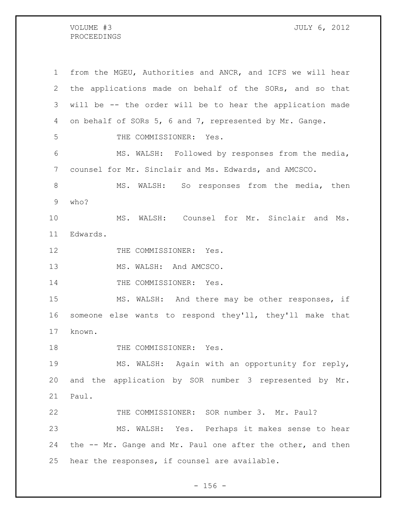### VOLUME #3 JULY 6, 2012 PROCEEDINGS

 from the MGEU, Authorities and ANCR, and ICFS we will hear the applications made on behalf of the SORs, and so that will be -- the order will be to hear the application made on behalf of SORs 5, 6 and 7, represented by Mr. Gange. THE COMMISSIONER: Yes. MS. WALSH: Followed by responses from the media, counsel for Mr. Sinclair and Ms. Edwards, and AMCSCO. 8 MS. WALSH: So responses from the media, then who? MS. WALSH: Counsel for Mr. Sinclair and Ms. Edwards. 12 THE COMMISSIONER: Yes. 13 MS. WALSH: And AMCSCO. 14 THE COMMISSIONER: Yes. MS. WALSH: And there may be other responses, if someone else wants to respond they'll, they'll make that known. 18 THE COMMISSIONER: Yes. MS. WALSH: Again with an opportunity for reply, and the application by SOR number 3 represented by Mr. Paul. THE COMMISSIONER: SOR number 3. Mr. Paul? MS. WALSH: Yes. Perhaps it makes sense to hear the -- Mr. Gange and Mr. Paul one after the other, and then hear the responses, if counsel are available.

 $- 156 -$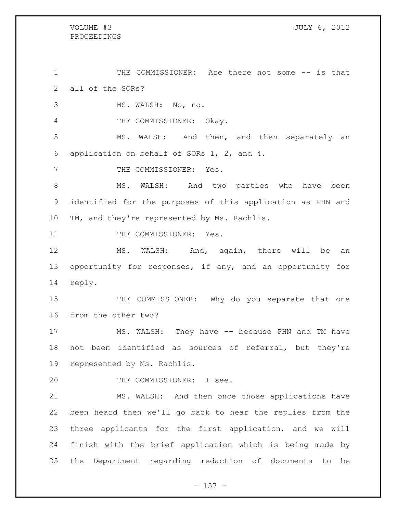PROCEEDINGS THE COMMISSIONER: Are there not some -- is that all of the SORs? MS. WALSH: No, no. 4 THE COMMISSIONER: Okay. MS. WALSH: And then, and then separately an application on behalf of SORs 1, 2, and 4. 7 THE COMMISSIONER: Yes. MS. WALSH: And two parties who have been identified for the purposes of this application as PHN and TM, and they're represented by Ms. Rachlis. 11 THE COMMISSIONER: Yes. MS. WALSH: And, again, there will be an opportunity for responses, if any, and an opportunity for reply. 15 THE COMMISSIONER: Why do you separate that one from the other two? MS. WALSH: They have -- because PHN and TM have not been identified as sources of referral, but they're represented by Ms. Rachlis. THE COMMISSIONER: I see. MS. WALSH: And then once those applications have been heard then we'll go back to hear the replies from the three applicants for the first application, and we will finish with the brief application which is being made by the Department regarding redaction of documents to be

VOLUME #3 JULY 6, 2012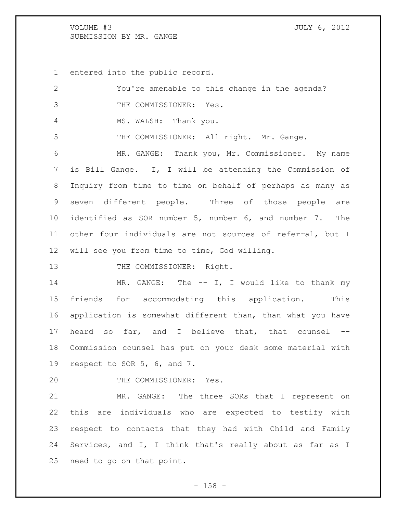entered into the public record.

| 2               | You're amenable to this change in the agenda?              |
|-----------------|------------------------------------------------------------|
| 3               | THE COMMISSIONER: Yes.                                     |
| 4               | MS. WALSH: Thank you.                                      |
| 5               | THE COMMISSIONER: All right. Mr. Gange.                    |
| 6               | MR. GANGE: Thank you, Mr. Commissioner. My name            |
| 7               | is Bill Gange. I, I will be attending the Commission of    |
| 8               | Inquiry from time to time on behalf of perhaps as many as  |
| 9               | seven different people. Three of those people are          |
| 10              | identified as SOR number 5, number 6, and number 7. The    |
| 11              | other four individuals are not sources of referral, but I  |
| 12 <sup>°</sup> | will see you from time to time, God willing.               |
| 13              | THE COMMISSIONER: Right.                                   |
| 14              | MR. GANGE: The $--$ I, I would like to thank my            |
| 15              | friends for accommodating this application. This           |
| 16              | application is somewhat different than, than what you have |
| 17              | heard so far, and I believe that, that counsel --          |
| 18              | Commission counsel has put on your desk some material with |
| 19              | respect to SOR 5, 6, and 7.                                |
| 20              | THE COMMISSIONER: Yes.                                     |
| 21              | MR. GANGE: The three SORs that I represent on              |
| 22              | this are individuals who are expected to testify with      |
| 23              | respect to contacts that they had with Child and Family    |
| 24              | Services, and I, I think that's really about as far as I   |
|                 |                                                            |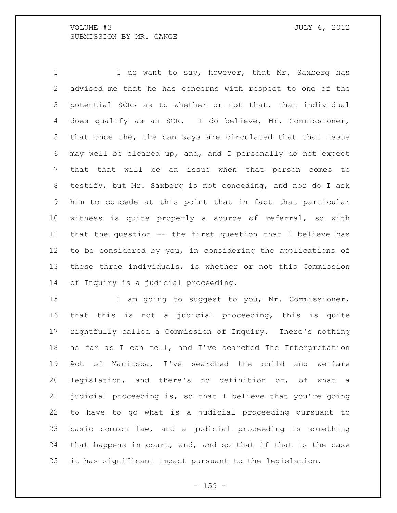I do want to say, however, that Mr. Saxberg has advised me that he has concerns with respect to one of the potential SORs as to whether or not that, that individual does qualify as an SOR. I do believe, Mr. Commissioner, that once the, the can says are circulated that that issue may well be cleared up, and, and I personally do not expect that that will be an issue when that person comes to testify, but Mr. Saxberg is not conceding, and nor do I ask him to concede at this point that in fact that particular witness is quite properly a source of referral, so with that the question -- the first question that I believe has to be considered by you, in considering the applications of these three individuals, is whether or not this Commission of Inquiry is a judicial proceeding.

15 I am going to suggest to you, Mr. Commissioner, that this is not a judicial proceeding, this is quite rightfully called a Commission of Inquiry. There's nothing as far as I can tell, and I've searched The Interpretation Act of Manitoba, I've searched the child and welfare legislation, and there's no definition of, of what a judicial proceeding is, so that I believe that you're going to have to go what is a judicial proceeding pursuant to basic common law, and a judicial proceeding is something that happens in court, and, and so that if that is the case it has significant impact pursuant to the legislation.

 $- 159 -$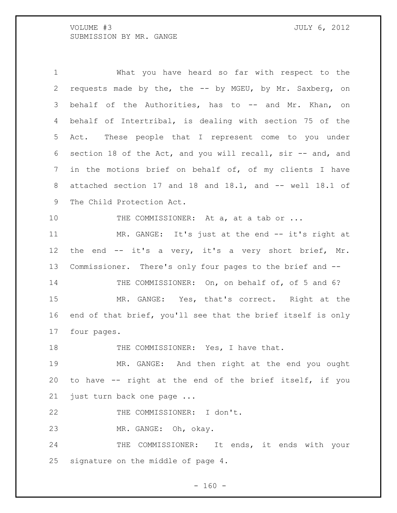What you have heard so far with respect to the requests made by the, the -- by MGEU, by Mr. Saxberg, on behalf of the Authorities, has to -- and Mr. Khan, on behalf of Intertribal, is dealing with section 75 of the Act. These people that I represent come to you under section 18 of the Act, and you will recall, sir -- and, and in the motions brief on behalf of, of my clients I have 8 attached section 17 and 18 and 18.1, and -- well 18.1 of The Child Protection Act. 10 THE COMMISSIONER: At a, at a tab or ... 11 MR. GANGE: It's just at the end -- it's right at 12 the end -- it's a very, it's a very short brief, Mr. Commissioner. There's only four pages to the brief and -- 14 THE COMMISSIONER: On, on behalf of, of 5 and 6? MR. GANGE: Yes, that's correct. Right at the end of that brief, you'll see that the brief itself is only four pages. 18 THE COMMISSIONER: Yes, I have that. MR. GANGE: And then right at the end you ought to have -- right at the end of the brief itself, if you just turn back one page ... 22 THE COMMISSIONER: I don't. MR. GANGE: Oh, okay. 24 THE COMMISSIONER: It ends, it ends with your signature on the middle of page 4.

 $- 160 -$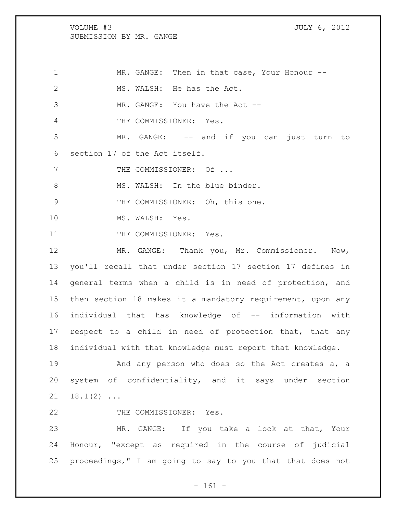MR. GANGE: Then in that case, Your Honour -- 2 MS. WALSH: He has the Act. 3 MR. GANGE: You have the Act -- THE COMMISSIONER: Yes. MR. GANGE: -- and if you can just turn to section 17 of the Act itself. 7 THE COMMISSIONER: Of ... 8 MS. WALSH: In the blue binder. 9 THE COMMISSIONER: Oh, this one. 10 MS. WALSH: Yes. 11 THE COMMISSIONER: Yes. MR. GANGE: Thank you, Mr. Commissioner. Now, you'll recall that under section 17 section 17 defines in general terms when a child is in need of protection, and then section 18 makes it a mandatory requirement, upon any individual that has knowledge of -- information with respect to a child in need of protection that, that any individual with that knowledge must report that knowledge. And any person who does so the Act creates a, a system of confidentiality, and it says under section  $21 \quad 18.1(2) \ldots$ 22 THE COMMISSIONER: Yes. MR. GANGE: If you take a look at that, Your

24 Honour, "except as required in the course of judicial 25 proceedings," I am going to say to you that that does not

- 161 -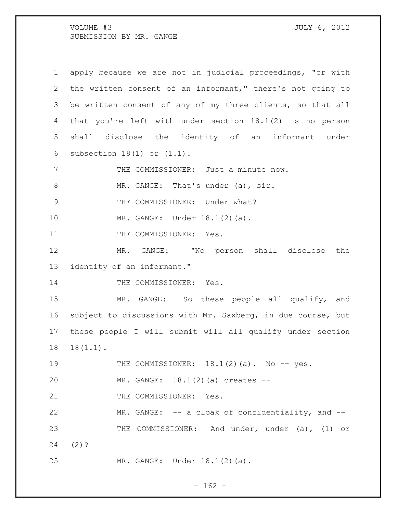| $\mathbf 1$    | apply because we are not in judicial proceedings, "or with  |
|----------------|-------------------------------------------------------------|
| 2              | the written consent of an informant," there's not going to  |
| 3              | be written consent of any of my three clients, so that all  |
| 4              | that you're left with under section $18.1(2)$ is no person  |
| 5              | shall disclose the identity of an informant under           |
| 6              | subsection $18(1)$ or $(1.1)$ .                             |
| 7              | THE COMMISSIONER: Just a minute now.                        |
| $8\,$          | MR. GANGE: That's under (a), sir.                           |
| $\overline{9}$ | THE COMMISSIONER: Under what?                               |
| 10             | MR. GANGE: Under 18.1(2)(a).                                |
| 11             | THE COMMISSIONER: Yes.                                      |
| 12             | MR. GANGE: "No person shall disclose the                    |
| 13             | identity of an informant."                                  |
| 14             | THE COMMISSIONER: Yes.                                      |
| 15             | MR. GANGE: So these people all qualify, and                 |
| 16             | subject to discussions with Mr. Saxberg, in due course, but |
| 17             | these people I will submit will all qualify under section   |
| 18             | $18(1.1)$ .                                                 |
| 19             | THE COMMISSIONER: $18.1(2)(a)$ . No $-$ yes.                |
| 20             | MR. GANGE: 18.1(2)(a) creates --                            |
| 21             | THE COMMISSIONER: Yes.                                      |
| 22             | MR. GANGE: -- a cloak of confidentiality, and --            |
| 23             | THE COMMISSIONER: And under, under (a), (1) or              |
| 24             | $(2)$ ?                                                     |
| 25             | MR. GANGE: Under 18.1(2)(a).                                |

- 162 -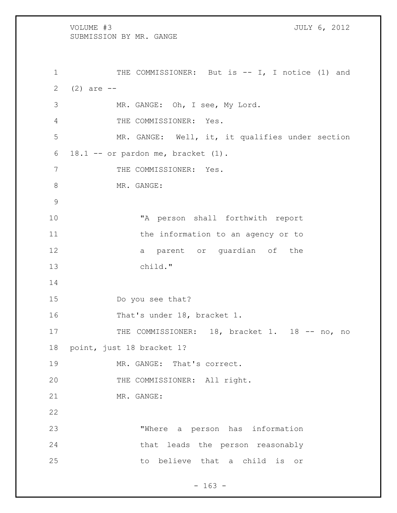VOLUME #3 JULY 6, 2012 SUBMISSION BY MR. GANGE 1 THE COMMISSIONER: But is -- I, I notice (1) and 2  $(2)$  are  $-$  MR. GANGE: Oh, I see, My Lord. THE COMMISSIONER: Yes. MR. GANGE: Well, it, it qualifies under section 18.1 -- or pardon me, bracket (1). 7 THE COMMISSIONER: Yes. 8 MR. GANGE: "A person shall forthwith report 11 the information to an agency or to 12 a parent or guardian of the child." Do you see that? That's under 18, bracket 1. 17 THE COMMISSIONER: 18, bracket 1. 18 -- no, no point, just 18 bracket 1? MR. GANGE: That's correct. 20 THE COMMISSIONER: All right. MR. GANGE: "Where a person has information that leads the person reasonably to believe that a child is or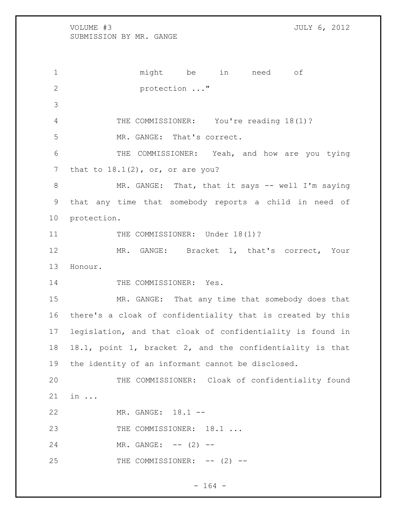might be in need of protection ..." THE COMMISSIONER: You're reading 18(1)? MR. GANGE: That's correct. 6 THE COMMISSIONER: Yeah, and how are you tying 7 that to  $18.1(2)$ , or, or are you? MR. GANGE: That, that it says -- well I'm saying that any time that somebody reports a child in need of protection. 11 THE COMMISSIONER: Under 18(1)? 12 MR. GANGE: Bracket 1, that's correct, Your Honour. 14 THE COMMISSIONER: Yes. MR. GANGE: That any time that somebody does that there's a cloak of confidentiality that is created by this legislation, and that cloak of confidentiality is found in 18.1, point 1, bracket 2, and the confidentiality is that the identity of an informant cannot be disclosed. THE COMMISSIONER: Cloak of confidentiality found in ... MR. GANGE: 18.1 -- 23 THE COMMISSIONER: 18.1 ... 24 MR. GANGE: -- (2) --25 THE COMMISSIONER: -- (2) --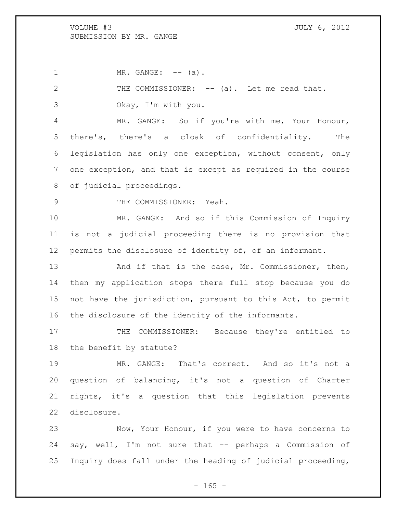1 MR. GANGE: -- (a).

2 THE COMMISSIONER: -- (a). Let me read that.

Okay, I'm with you.

 MR. GANGE: So if you're with me, Your Honour, there's, there's a cloak of confidentiality. The legislation has only one exception, without consent, only one exception, and that is except as required in the course of judicial proceedings.

9 THE COMMISSIONER: Yeah.

 MR. GANGE: And so if this Commission of Inquiry is not a judicial proceeding there is no provision that permits the disclosure of identity of, of an informant.

13 And if that is the case, Mr. Commissioner, then, then my application stops there full stop because you do not have the jurisdiction, pursuant to this Act, to permit the disclosure of the identity of the informants.

17 THE COMMISSIONER: Because they're entitled to the benefit by statute?

 MR. GANGE: That's correct. And so it's not a question of balancing, it's not a question of Charter rights, it's a question that this legislation prevents disclosure.

 Now, Your Honour, if you were to have concerns to say, well, I'm not sure that -- perhaps a Commission of Inquiry does fall under the heading of judicial proceeding,

 $- 165 -$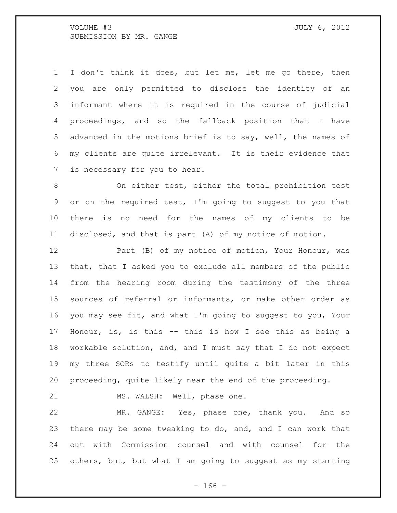I don't think it does, but let me, let me go there, then you are only permitted to disclose the identity of an informant where it is required in the course of judicial proceedings, and so the fallback position that I have advanced in the motions brief is to say, well, the names of my clients are quite irrelevant. It is their evidence that is necessary for you to hear.

 On either test, either the total prohibition test or on the required test, I'm going to suggest to you that there is no need for the names of my clients to be disclosed, and that is part (A) of my notice of motion.

12 Part (B) of my notice of motion, Your Honour, was that, that I asked you to exclude all members of the public from the hearing room during the testimony of the three sources of referral or informants, or make other order as you may see fit, and what I'm going to suggest to you, Your Honour, is, is this -- this is how I see this as being a workable solution, and, and I must say that I do not expect my three SORs to testify until quite a bit later in this proceeding, quite likely near the end of the proceeding.

21 MS. WALSH: Well, phase one.

 MR. GANGE: Yes, phase one, thank you. And so there may be some tweaking to do, and, and I can work that out with Commission counsel and with counsel for the others, but, but what I am going to suggest as my starting

- 166 -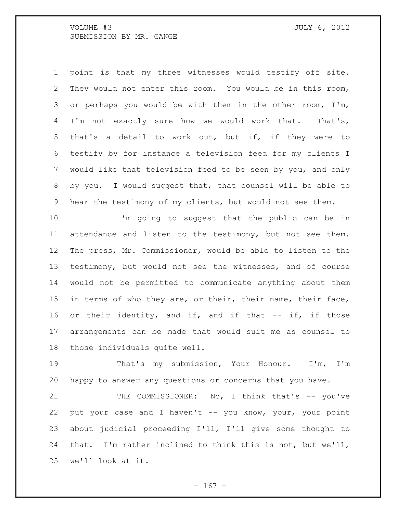point is that my three witnesses would testify off site. They would not enter this room. You would be in this room, or perhaps you would be with them in the other room, I'm, I'm not exactly sure how we would work that. That's, that's a detail to work out, but if, if they were to testify by for instance a television feed for my clients I would like that television feed to be seen by you, and only by you. I would suggest that, that counsel will be able to hear the testimony of my clients, but would not see them.

 I'm going to suggest that the public can be in attendance and listen to the testimony, but not see them. The press, Mr. Commissioner, would be able to listen to the testimony, but would not see the witnesses, and of course would not be permitted to communicate anything about them 15 in terms of who they are, or their, their name, their face, or their identity, and if, and if that -- if, if those arrangements can be made that would suit me as counsel to those individuals quite well.

 That's my submission, Your Honour. I'm, I'm happy to answer any questions or concerns that you have.

 THE COMMISSIONER: No, I think that's -- you've 22 put your case and I haven't -- you know, your, your point about judicial proceeding I'll, I'll give some thought to that. I'm rather inclined to think this is not, but we'll, we'll look at it.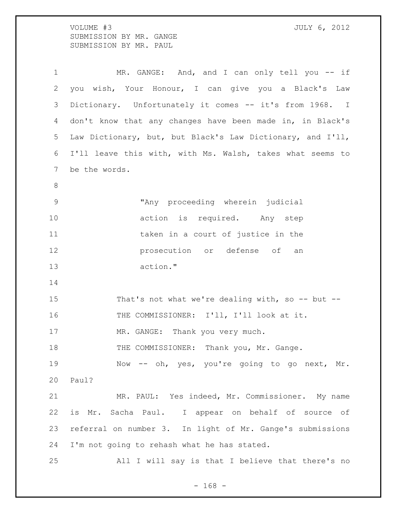VOLUME #3 JULY 6, 2012 SUBMISSION BY MR. GANGE SUBMISSION BY MR. PAUL

1 MR. GANGE: And, and I can only tell you -- if you wish, Your Honour, I can give you a Black's Law Dictionary. Unfortunately it comes -- it's from 1968. I don't know that any changes have been made in, in Black's Law Dictionary, but, but Black's Law Dictionary, and I'll, I'll leave this with, with Ms. Walsh, takes what seems to be the words. "Any proceeding wherein judicial 10 action is required. Any step 11 taken in a court of justice in the prosecution or defense of an action." 15 That's not what we're dealing with, so -- but --16 THE COMMISSIONER: I'll, I'll look at it. 17 MR. GANGE: Thank you very much. 18 THE COMMISSIONER: Thank you, Mr. Gange. Now -- oh, yes, you're going to go next, Mr. Paul? MR. PAUL: Yes indeed, Mr. Commissioner. My name is Mr. Sacha Paul. I appear on behalf of source of referral on number 3. In light of Mr. Gange's submissions I'm not going to rehash what he has stated. All I will say is that I believe that there's no

- 168 -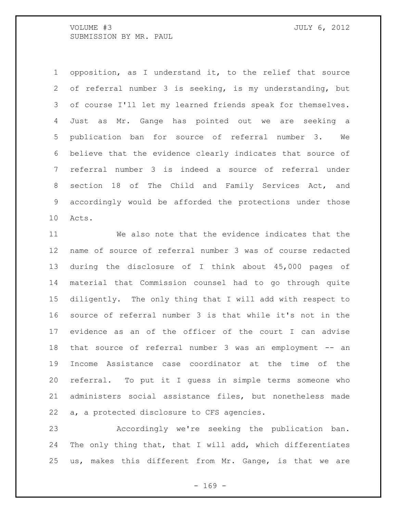opposition, as I understand it, to the relief that source of referral number 3 is seeking, is my understanding, but of course I'll let my learned friends speak for themselves. Just as Mr. Gange has pointed out we are seeking a publication ban for source of referral number 3. We believe that the evidence clearly indicates that source of referral number 3 is indeed a source of referral under section 18 of The Child and Family Services Act, and accordingly would be afforded the protections under those Acts.

 We also note that the evidence indicates that the name of source of referral number 3 was of course redacted during the disclosure of I think about 45,000 pages of material that Commission counsel had to go through quite diligently. The only thing that I will add with respect to source of referral number 3 is that while it's not in the evidence as an of the officer of the court I can advise that source of referral number 3 was an employment -- an Income Assistance case coordinator at the time of the referral. To put it I guess in simple terms someone who administers social assistance files, but nonetheless made a, a protected disclosure to CFS agencies.

 Accordingly we're seeking the publication ban. The only thing that, that I will add, which differentiates us, makes this different from Mr. Gange, is that we are

 $- 169 -$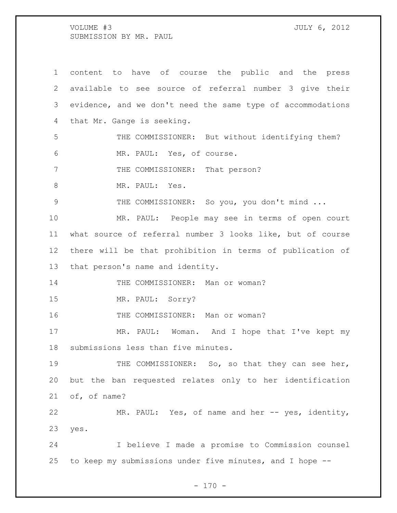content to have of course the public and the press available to see source of referral number 3 give their evidence, and we don't need the same type of accommodations that Mr. Gange is seeking. THE COMMISSIONER: But without identifying them? MR. PAUL: Yes, of course. 7 THE COMMISSIONER: That person? 8 MR. PAUL: Yes. THE COMMISSIONER: So you, you don't mind ... MR. PAUL: People may see in terms of open court what source of referral number 3 looks like, but of course there will be that prohibition in terms of publication of that person's name and identity. 14 THE COMMISSIONER: Man or woman? MR. PAUL: Sorry? 16 THE COMMISSIONER: Man or woman? 17 MR. PAUL: Woman. And I hope that I've kept my submissions less than five minutes. 19 THE COMMISSIONER: So, so that they can see her, but the ban requested relates only to her identification of, of name? MR. PAUL: Yes, of name and her -- yes, identity, yes. I believe I made a promise to Commission counsel to keep my submissions under five minutes, and I hope --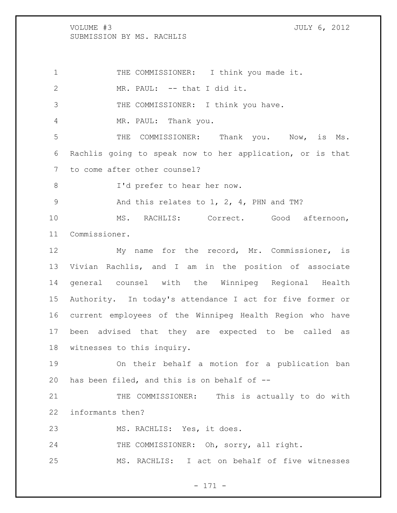1 THE COMMISSIONER: I think you made it. MR. PAUL: -- that I did it. 3 THE COMMISSIONER: I think you have. MR. PAUL: Thank you. THE COMMISSIONER: Thank you. Now, is Ms. Rachlis going to speak now to her application, or is that to come after other counsel? 8 I'd prefer to hear her now. 9 And this relates to 1, 2, 4, PHN and TM? MS. RACHLIS: Correct. Good afternoon, Commissioner. My name for the record, Mr. Commissioner, is Vivian Rachlis, and I am in the position of associate general counsel with the Winnipeg Regional Health Authority. In today's attendance I act for five former or current employees of the Winnipeg Health Region who have been advised that they are expected to be called as witnesses to this inquiry. On their behalf a motion for a publication ban has been filed, and this is on behalf of -- 21 THE COMMISSIONER: This is actually to do with informants then? MS. RACHLIS: Yes, it does. 24 THE COMMISSIONER: Oh, sorry, all right. MS. RACHLIS: I act on behalf of five witnesses

- 171 -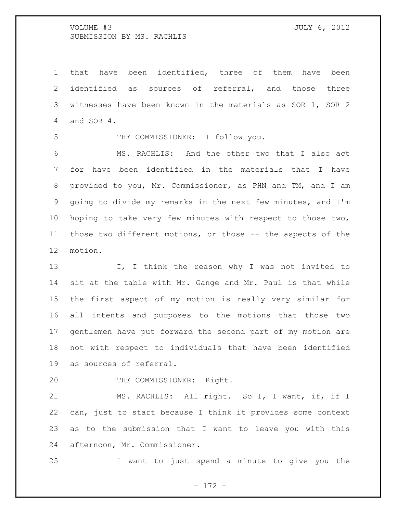that have been identified, three of them have been identified as sources of referral, and those three witnesses have been known in the materials as SOR 1, SOR 2 and SOR 4.

THE COMMISSIONER: I follow you.

 MS. RACHLIS: And the other two that I also act for have been identified in the materials that I have 8 provided to you, Mr. Commissioner, as PHN and TM, and I am going to divide my remarks in the next few minutes, and I'm hoping to take very few minutes with respect to those two, those two different motions, or those -- the aspects of the motion.

13 I, I think the reason why I was not invited to sit at the table with Mr. Gange and Mr. Paul is that while the first aspect of my motion is really very similar for all intents and purposes to the motions that those two gentlemen have put forward the second part of my motion are not with respect to individuals that have been identified as sources of referral.

THE COMMISSIONER: Right.

21 MS. RACHLIS: All right. So I, I want, if, if I can, just to start because I think it provides some context as to the submission that I want to leave you with this afternoon, Mr. Commissioner.

I want to just spend a minute to give you the

- 172 -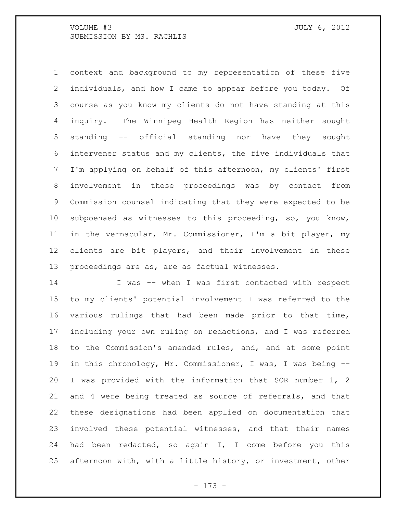context and background to my representation of these five individuals, and how I came to appear before you today. Of course as you know my clients do not have standing at this inquiry. The Winnipeg Health Region has neither sought standing -- official standing nor have they sought intervener status and my clients, the five individuals that I'm applying on behalf of this afternoon, my clients' first involvement in these proceedings was by contact from Commission counsel indicating that they were expected to be subpoenaed as witnesses to this proceeding, so, you know, in the vernacular, Mr. Commissioner, I'm a bit player, my clients are bit players, and their involvement in these proceedings are as, are as factual witnesses.

 I was -- when I was first contacted with respect to my clients' potential involvement I was referred to the various rulings that had been made prior to that time, including your own ruling on redactions, and I was referred to the Commission's amended rules, and, and at some point in this chronology, Mr. Commissioner, I was, I was being -- I was provided with the information that SOR number 1, 2 and 4 were being treated as source of referrals, and that these designations had been applied on documentation that involved these potential witnesses, and that their names had been redacted, so again I, I come before you this afternoon with, with a little history, or investment, other

- 173 -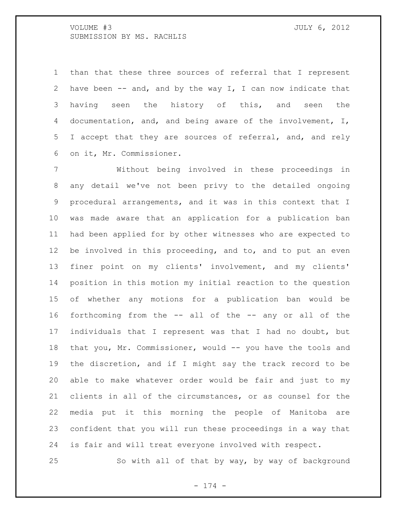than that these three sources of referral that I represent have been -- and, and by the way I, I can now indicate that having seen the history of this, and seen the documentation, and, and being aware of the involvement, I, I accept that they are sources of referral, and, and rely on it, Mr. Commissioner.

 Without being involved in these proceedings in any detail we've not been privy to the detailed ongoing procedural arrangements, and it was in this context that I was made aware that an application for a publication ban had been applied for by other witnesses who are expected to be involved in this proceeding, and to, and to put an even finer point on my clients' involvement, and my clients' position in this motion my initial reaction to the question of whether any motions for a publication ban would be forthcoming from the -- all of the -- any or all of the individuals that I represent was that I had no doubt, but 18 that you, Mr. Commissioner, would -- you have the tools and the discretion, and if I might say the track record to be able to make whatever order would be fair and just to my clients in all of the circumstances, or as counsel for the media put it this morning the people of Manitoba are confident that you will run these proceedings in a way that is fair and will treat everyone involved with respect.

So with all of that by way, by way of background

- 174 -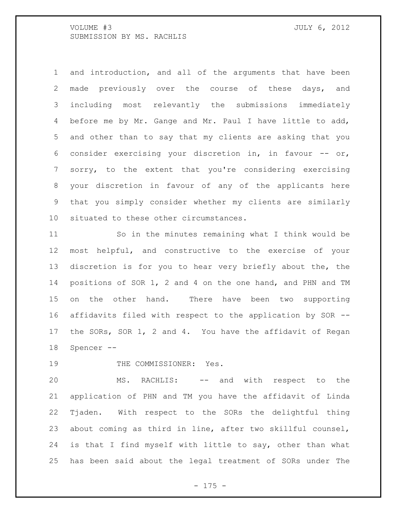and introduction, and all of the arguments that have been made previously over the course of these days, and including most relevantly the submissions immediately before me by Mr. Gange and Mr. Paul I have little to add, and other than to say that my clients are asking that you 6 consider exercising your discretion in, in favour  $--$  or, sorry, to the extent that you're considering exercising your discretion in favour of any of the applicants here that you simply consider whether my clients are similarly situated to these other circumstances.

 So in the minutes remaining what I think would be most helpful, and constructive to the exercise of your discretion is for you to hear very briefly about the, the positions of SOR 1, 2 and 4 on the one hand, and PHN and TM on the other hand. There have been two supporting affidavits filed with respect to the application by SOR -- the SORs, SOR 1, 2 and 4. You have the affidavit of Regan Spencer --

19 THE COMMISSIONER: Yes.

 MS. RACHLIS: -- and with respect to the application of PHN and TM you have the affidavit of Linda Tjaden. With respect to the SORs the delightful thing about coming as third in line, after two skillful counsel, is that I find myself with little to say, other than what has been said about the legal treatment of SORs under The

- 175 -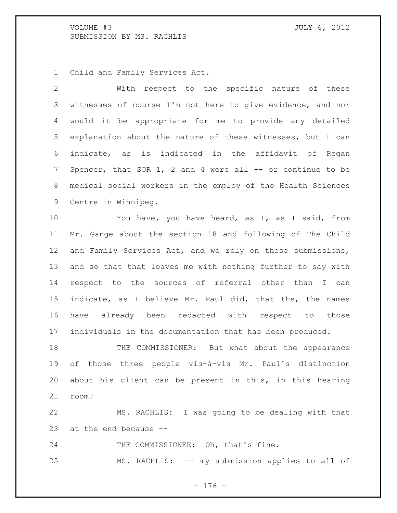Child and Family Services Act.

 With respect to the specific nature of these witnesses of course I'm not here to give evidence, and nor would it be appropriate for me to provide any detailed explanation about the nature of these witnesses, but I can indicate, as is indicated in the affidavit of Regan 7 Spencer, that SOR 1, 2 and 4 were all -- or continue to be medical social workers in the employ of the Health Sciences Centre in Winnipeg.

 You have, you have heard, as I, as I said, from Mr. Gange about the section 18 and following of The Child 12 and Family Services Act, and we rely on those submissions, and so that that leaves me with nothing further to say with respect to the sources of referral other than I can indicate, as I believe Mr. Paul did, that the, the names have already been redacted with respect to those individuals in the documentation that has been produced.

 THE COMMISSIONER: But what about the appearance of those three people vis-à-vis Mr. Paul's distinction about his client can be present in this, in this hearing room?

 MS. RACHLIS: I was going to be dealing with that at the end because --

24 THE COMMISSIONER: Oh, that's fine.

MS. RACHLIS: -- my submission applies to all of

- 176 -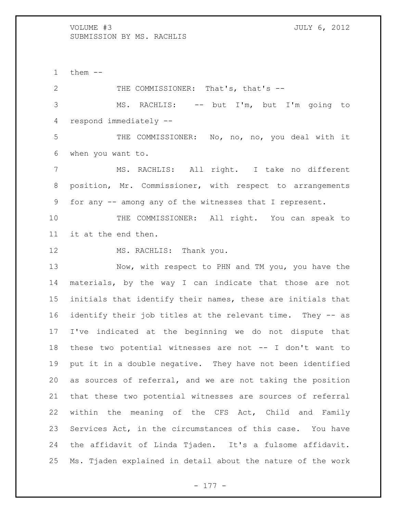them  $-$ 

2 THE COMMISSIONER: That's, that's -- MS. RACHLIS: -- but I'm, but I'm going to respond immediately -- THE COMMISSIONER: No, no, no, you deal with it when you want to. MS. RACHLIS: All right. I take no different position, Mr. Commissioner, with respect to arrangements for any -- among any of the witnesses that I represent. THE COMMISSIONER: All right. You can speak to it at the end then. 12 MS. RACHLIS: Thank you.

 Now, with respect to PHN and TM you, you have the materials, by the way I can indicate that those are not initials that identify their names, these are initials that identify their job titles at the relevant time. They -- as I've indicated at the beginning we do not dispute that these two potential witnesses are not -- I don't want to put it in a double negative. They have not been identified as sources of referral, and we are not taking the position that these two potential witnesses are sources of referral within the meaning of the CFS Act, Child and Family Services Act, in the circumstances of this case. You have the affidavit of Linda Tjaden. It's a fulsome affidavit. Ms. Tjaden explained in detail about the nature of the work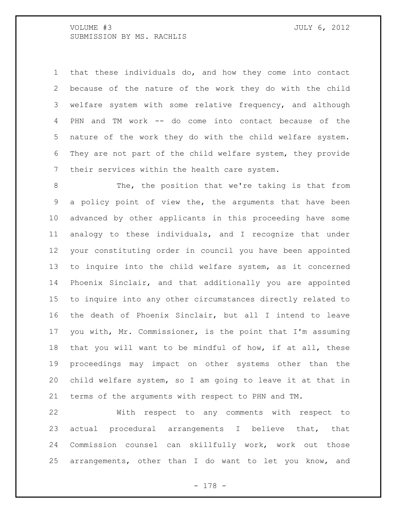VOLUME #3 JULY 6, 2012 SUBMISSION BY MS. RACHLIS

 that these individuals do, and how they come into contact because of the nature of the work they do with the child welfare system with some relative frequency, and although PHN and TM work -- do come into contact because of the nature of the work they do with the child welfare system. They are not part of the child welfare system, they provide their services within the health care system.

8 The, the position that we're taking is that from a policy point of view the, the arguments that have been advanced by other applicants in this proceeding have some analogy to these individuals, and I recognize that under your constituting order in council you have been appointed to inquire into the child welfare system, as it concerned Phoenix Sinclair, and that additionally you are appointed to inquire into any other circumstances directly related to the death of Phoenix Sinclair, but all I intend to leave you with, Mr. Commissioner, is the point that I'm assuming that you will want to be mindful of how, if at all, these proceedings may impact on other systems other than the child welfare system, so I am going to leave it at that in terms of the arguments with respect to PHN and TM.

 With respect to any comments with respect to actual procedural arrangements I believe that, that Commission counsel can skillfully work, work out those arrangements, other than I do want to let you know, and

- 178 -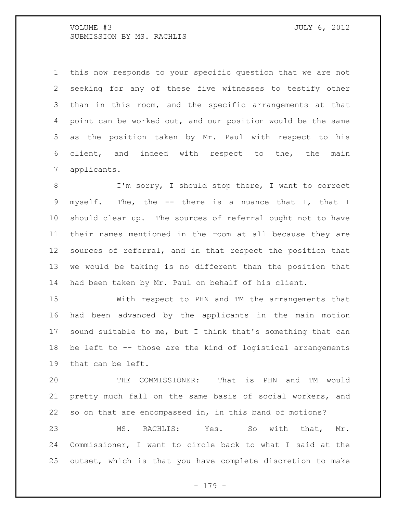VOLUME #3 JULY 6, 2012 SUBMISSION BY MS. RACHLIS

 this now responds to your specific question that we are not seeking for any of these five witnesses to testify other than in this room, and the specific arrangements at that point can be worked out, and our position would be the same as the position taken by Mr. Paul with respect to his client, and indeed with respect to the, the main applicants.

8 I'm sorry, I should stop there, I want to correct myself. The, the -- there is a nuance that I, that I should clear up. The sources of referral ought not to have their names mentioned in the room at all because they are sources of referral, and in that respect the position that we would be taking is no different than the position that had been taken by Mr. Paul on behalf of his client.

 With respect to PHN and TM the arrangements that had been advanced by the applicants in the main motion sound suitable to me, but I think that's something that can be left to -- those are the kind of logistical arrangements that can be left.

 THE COMMISSIONER: That is PHN and TM would pretty much fall on the same basis of social workers, and so on that are encompassed in, in this band of motions? MS. RACHLIS: Yes. So with that, Mr. Commissioner, I want to circle back to what I said at the

outset, which is that you have complete discretion to make

- 179 -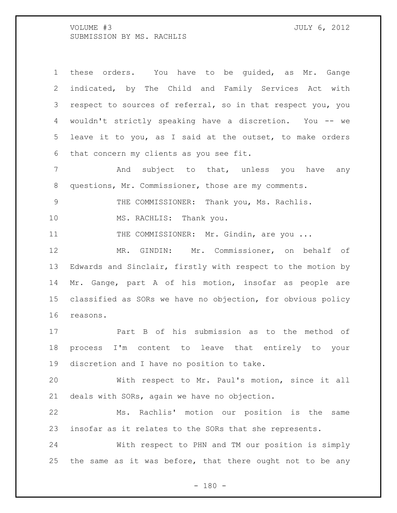VOLUME #3 JULY 6, 2012 SUBMISSION BY MS. RACHLIS

 these orders. You have to be guided, as Mr. Gange indicated, by The Child and Family Services Act with respect to sources of referral, so in that respect you, you wouldn't strictly speaking have a discretion. You -- we leave it to you, as I said at the outset, to make orders that concern my clients as you see fit.

 And subject to that, unless you have any questions, Mr. Commissioner, those are my comments.

9 THE COMMISSIONER: Thank you, Ms. Rachlis.

10 MS. RACHLIS: Thank you.

11 THE COMMISSIONER: Mr. Gindin, are you ...

 MR. GINDIN: Mr. Commissioner, on behalf of Edwards and Sinclair, firstly with respect to the motion by Mr. Gange, part A of his motion, insofar as people are classified as SORs we have no objection, for obvious policy reasons.

 Part B of his submission as to the method of process I'm content to leave that entirely to your discretion and I have no position to take.

 With respect to Mr. Paul's motion, since it all deals with SORs, again we have no objection.

 Ms. Rachlis' motion our position is the same insofar as it relates to the SORs that she represents.

 With respect to PHN and TM our position is simply the same as it was before, that there ought not to be any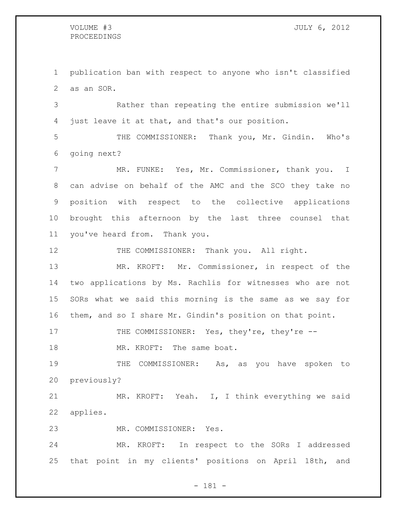## PROCEEDINGS

 publication ban with respect to anyone who isn't classified as an SOR.

 Rather than repeating the entire submission we'll just leave it at that, and that's our position.

 THE COMMISSIONER: Thank you, Mr. Gindin. Who's going next?

 MR. FUNKE: Yes, Mr. Commissioner, thank you. I can advise on behalf of the AMC and the SCO they take no position with respect to the collective applications brought this afternoon by the last three counsel that you've heard from. Thank you.

12 THE COMMISSIONER: Thank you. All right.

 MR. KROFT: Mr. Commissioner, in respect of the two applications by Ms. Rachlis for witnesses who are not SORs what we said this morning is the same as we say for them, and so I share Mr. Gindin's position on that point.

17 THE COMMISSIONER: Yes, they're, they're --

18 MR. KROFT: The same boat.

19 THE COMMISSIONER: As, as you have spoken to previously?

 MR. KROFT: Yeah. I, I think everything we said applies.

MR. COMMISSIONER: Yes.

 MR. KROFT: In respect to the SORs I addressed that point in my clients' positions on April 18th, and

- 181 -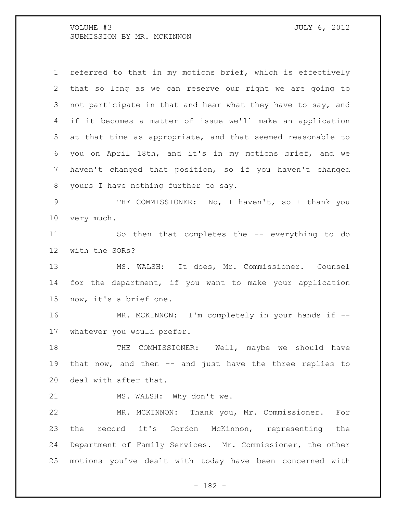VOLUME #3 JULY 6, 2012 SUBMISSION BY MR. MCKINNON

 referred to that in my motions brief, which is effectively that so long as we can reserve our right we are going to not participate in that and hear what they have to say, and if it becomes a matter of issue we'll make an application at that time as appropriate, and that seemed reasonable to you on April 18th, and it's in my motions brief, and we haven't changed that position, so if you haven't changed yours I have nothing further to say. THE COMMISSIONER: No, I haven't, so I thank you very much. So then that completes the -- everything to do with the SORs? MS. WALSH: It does, Mr. Commissioner. Counsel for the department, if you want to make your application now, it's a brief one. 16 MR. MCKINNON: I'm completely in your hands if -- whatever you would prefer. 18 THE COMMISSIONER: Well, maybe we should have that now, and then -- and just have the three replies to deal with after that. 21 MS. WALSH: Why don't we. MR. MCKINNON: Thank you, Mr. Commissioner. For

 the record it's Gordon McKinnon, representing the Department of Family Services. Mr. Commissioner, the other motions you've dealt with today have been concerned with

- 182 -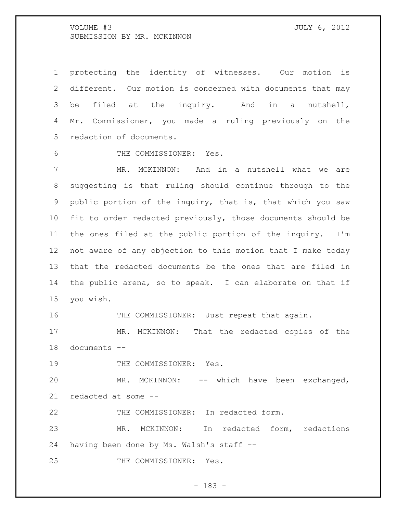VOLUME #3 JULY 6, 2012 SUBMISSION BY MR. MCKINNON

 protecting the identity of witnesses. Our motion is different. Our motion is concerned with documents that may be filed at the inquiry. And in a nutshell, Mr. Commissioner, you made a ruling previously on the redaction of documents.

THE COMMISSIONER: Yes.

 MR. MCKINNON: And in a nutshell what we are suggesting is that ruling should continue through to the public portion of the inquiry, that is, that which you saw fit to order redacted previously, those documents should be the ones filed at the public portion of the inquiry. I'm not aware of any objection to this motion that I make today that the redacted documents be the ones that are filed in the public arena, so to speak. I can elaborate on that if you wish.

16 THE COMMISSIONER: Just repeat that again.

 MR. MCKINNON: That the redacted copies of the documents --

19 THE COMMISSIONER: Yes.

 MR. MCKINNON: -- which have been exchanged, redacted at some --

THE COMMISSIONER: In redacted form.

 MR. MCKINNON: In redacted form, redactions having been done by Ms. Walsh's staff --

THE COMMISSIONER: Yes.

- 183 -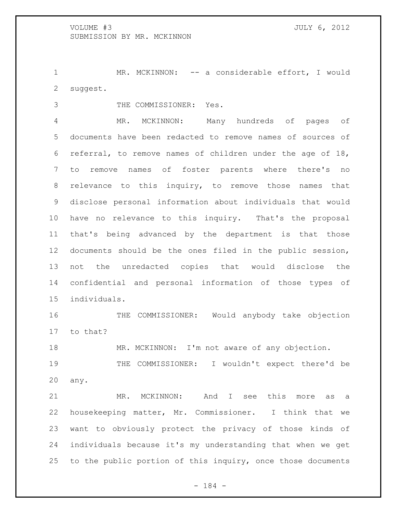1 MR. MCKINNON: -- a considerable effort, I would suggest.

THE COMMISSIONER: Yes.

 MR. MCKINNON: Many hundreds of pages of documents have been redacted to remove names of sources of referral, to remove names of children under the age of 18, to remove names of foster parents where there's no relevance to this inquiry, to remove those names that disclose personal information about individuals that would have no relevance to this inquiry. That's the proposal that's being advanced by the department is that those documents should be the ones filed in the public session, not the unredacted copies that would disclose the confidential and personal information of those types of individuals.

 THE COMMISSIONER: Would anybody take objection to that?

MR. MCKINNON: I'm not aware of any objection.

 THE COMMISSIONER: I wouldn't expect there'd be any.

 MR. MCKINNON: And I see this more as a housekeeping matter, Mr. Commissioner. I think that we want to obviously protect the privacy of those kinds of individuals because it's my understanding that when we get to the public portion of this inquiry, once those documents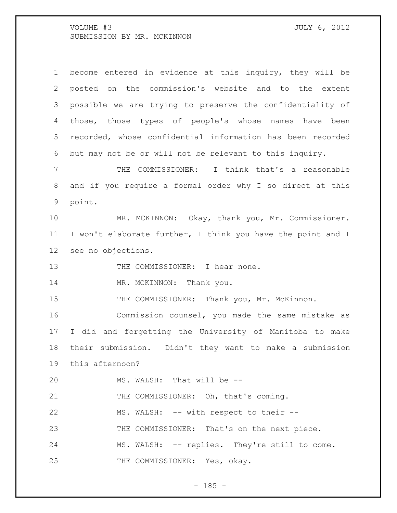VOLUME #3 JULY 6, 2012 SUBMISSION BY MR. MCKINNON

 become entered in evidence at this inquiry, they will be posted on the commission's website and to the extent possible we are trying to preserve the confidentiality of those, those types of people's whose names have been recorded, whose confidential information has been recorded but may not be or will not be relevant to this inquiry.

 THE COMMISSIONER: I think that's a reasonable and if you require a formal order why I so direct at this point.

 MR. MCKINNON: Okay, thank you, Mr. Commissioner. I won't elaborate further, I think you have the point and I see no objections.

13 THE COMMISSIONER: I hear none.

14 MR. MCKINNON: Thank you.

15 THE COMMISSIONER: Thank you, Mr. McKinnon.

 Commission counsel, you made the same mistake as I did and forgetting the University of Manitoba to make their submission. Didn't they want to make a submission this afternoon?

MS. WALSH: That will be --

21 THE COMMISSIONER: Oh, that's coming.

MS. WALSH: -- with respect to their --

23 THE COMMISSIONER: That's on the next piece.

MS. WALSH: -- replies. They're still to come.

25 THE COMMISSIONER: Yes, okay.

 $- 185 -$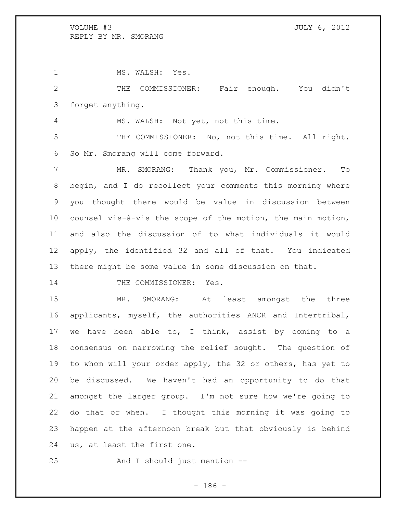1 MS. WALSH: Yes. THE COMMISSIONER: Fair enough. You didn't forget anything. MS. WALSH: Not yet, not this time. THE COMMISSIONER: No, not this time. All right. So Mr. Smorang will come forward. MR. SMORANG: Thank you, Mr. Commissioner. To begin, and I do recollect your comments this morning where you thought there would be value in discussion between counsel vis-à-vis the scope of the motion, the main motion, and also the discussion of to what individuals it would apply, the identified 32 and all of that. You indicated there might be some value in some discussion on that.

14 THE COMMISSIONER: Yes.

 MR. SMORANG: At least amongst the three applicants, myself, the authorities ANCR and Intertribal, we have been able to, I think, assist by coming to a consensus on narrowing the relief sought. The question of to whom will your order apply, the 32 or others, has yet to be discussed. We haven't had an opportunity to do that amongst the larger group. I'm not sure how we're going to do that or when. I thought this morning it was going to happen at the afternoon break but that obviously is behind us, at least the first one.

And I should just mention --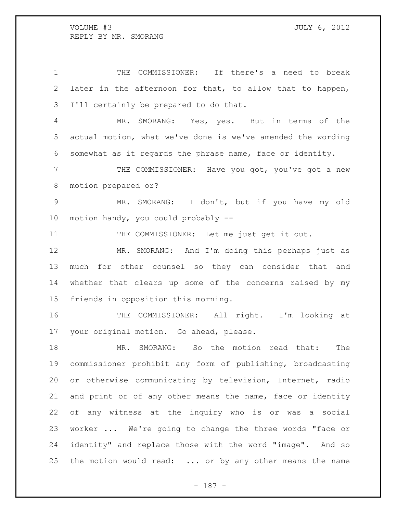THE COMMISSIONER: If there's a need to break later in the afternoon for that, to allow that to happen, I'll certainly be prepared to do that.

 MR. SMORANG: Yes, yes. But in terms of the actual motion, what we've done is we've amended the wording somewhat as it regards the phrase name, face or identity.

 THE COMMISSIONER: Have you got, you've got a new motion prepared or?

 MR. SMORANG: I don't, but if you have my old motion handy, you could probably --

11 THE COMMISSIONER: Let me just get it out.

 MR. SMORANG: And I'm doing this perhaps just as much for other counsel so they can consider that and whether that clears up some of the concerns raised by my friends in opposition this morning.

 THE COMMISSIONER: All right. I'm looking at your original motion. Go ahead, please.

 MR. SMORANG: So the motion read that: The commissioner prohibit any form of publishing, broadcasting or otherwise communicating by television, Internet, radio and print or of any other means the name, face or identity of any witness at the inquiry who is or was a social worker ... We're going to change the three words "face or identity" and replace those with the word "image". And so 25 the motion would read: ... or by any other means the name

- 187 -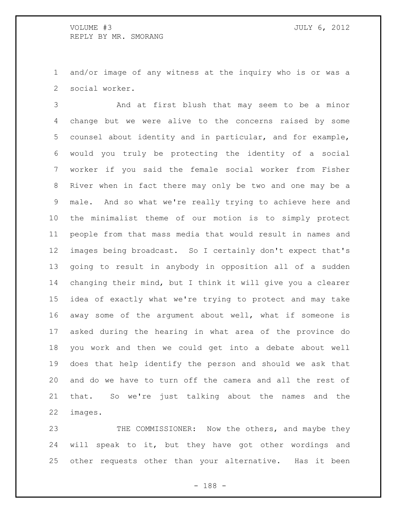and/or image of any witness at the inquiry who is or was a social worker.

 And at first blush that may seem to be a minor change but we were alive to the concerns raised by some counsel about identity and in particular, and for example, would you truly be protecting the identity of a social worker if you said the female social worker from Fisher River when in fact there may only be two and one may be a male. And so what we're really trying to achieve here and the minimalist theme of our motion is to simply protect people from that mass media that would result in names and images being broadcast. So I certainly don't expect that's going to result in anybody in opposition all of a sudden changing their mind, but I think it will give you a clearer idea of exactly what we're trying to protect and may take away some of the argument about well, what if someone is asked during the hearing in what area of the province do you work and then we could get into a debate about well does that help identify the person and should we ask that and do we have to turn off the camera and all the rest of that. So we're just talking about the names and the images.

23 THE COMMISSIONER: Now the others, and maybe they will speak to it, but they have got other wordings and other requests other than your alternative. Has it been

- 188 -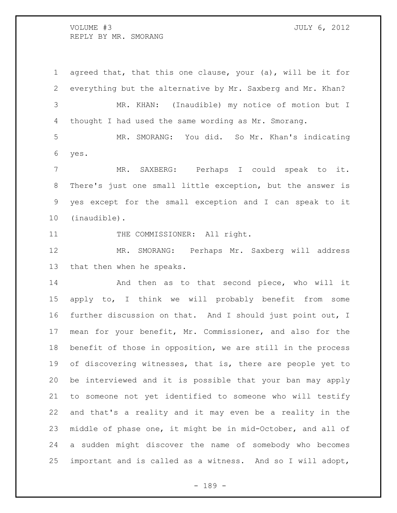agreed that, that this one clause, your (a), will be it for everything but the alternative by Mr. Saxberg and Mr. Khan? MR. KHAN: (Inaudible) my notice of motion but I thought I had used the same wording as Mr. Smorang. MR. SMORANG: You did. So Mr. Khan's indicating yes. MR. SAXBERG: Perhaps I could speak to it. There's just one small little exception, but the answer is yes except for the small exception and I can speak to it (inaudible). 11 THE COMMISSIONER: All right. MR. SMORANG: Perhaps Mr. Saxberg will address that then when he speaks. And then as to that second piece, who will it apply to, I think we will probably benefit from some further discussion on that. And I should just point out, I mean for your benefit, Mr. Commissioner, and also for the benefit of those in opposition, we are still in the process of discovering witnesses, that is, there are people yet to be interviewed and it is possible that your ban may apply to someone not yet identified to someone who will testify and that's a reality and it may even be a reality in the middle of phase one, it might be in mid-October, and all of a sudden might discover the name of somebody who becomes

- 189 -

important and is called as a witness. And so I will adopt,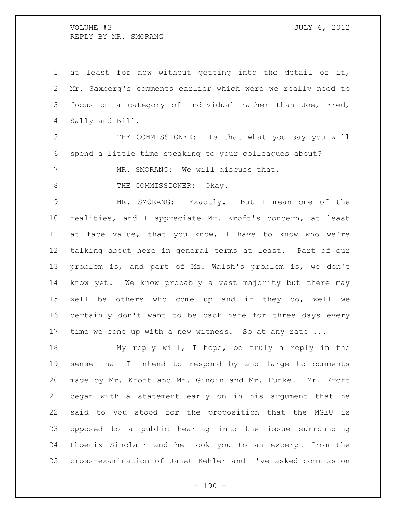at least for now without getting into the detail of it, Mr. Saxberg's comments earlier which were we really need to focus on a category of individual rather than Joe, Fred, Sally and Bill.

 THE COMMISSIONER: Is that what you say you will spend a little time speaking to your colleagues about?

MR. SMORANG: We will discuss that.

8 THE COMMISSIONER: Okay.

 MR. SMORANG: Exactly. But I mean one of the realities, and I appreciate Mr. Kroft's concern, at least at face value, that you know, I have to know who we're talking about here in general terms at least. Part of our problem is, and part of Ms. Walsh's problem is, we don't know yet. We know probably a vast majority but there may well be others who come up and if they do, well we certainly don't want to be back here for three days every 17 time we come up with a new witness. So at any rate ...

 My reply will, I hope, be truly a reply in the sense that I intend to respond by and large to comments made by Mr. Kroft and Mr. Gindin and Mr. Funke. Mr. Kroft began with a statement early on in his argument that he said to you stood for the proposition that the MGEU is opposed to a public hearing into the issue surrounding Phoenix Sinclair and he took you to an excerpt from the cross-examination of Janet Kehler and I've asked commission

 $- 190 -$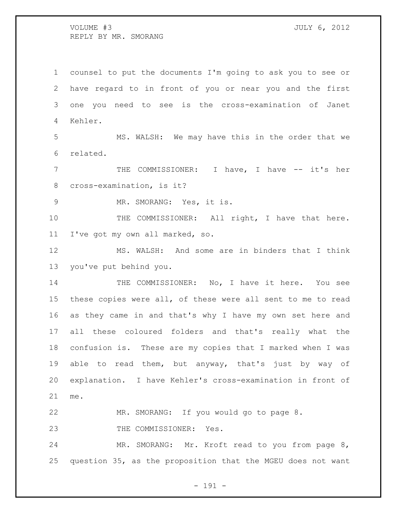counsel to put the documents I'm going to ask you to see or have regard to in front of you or near you and the first one you need to see is the cross-examination of Janet Kehler. MS. WALSH: We may have this in the order that we related. 7 THE COMMISSIONER: I have, I have -- it's her cross-examination, is it? MR. SMORANG: Yes, it is. 10 THE COMMISSIONER: All right, I have that here. I've got my own all marked, so. MS. WALSH: And some are in binders that I think you've put behind you. 14 THE COMMISSIONER: No, I have it here. You see these copies were all, of these were all sent to me to read as they came in and that's why I have my own set here and all these coloured folders and that's really what the confusion is. These are my copies that I marked when I was able to read them, but anyway, that's just by way of explanation. I have Kehler's cross-examination in front of me. MR. SMORANG: If you would go to page 8. 23 THE COMMISSIONER: Yes. MR. SMORANG: Mr. Kroft read to you from page 8, question 35, as the proposition that the MGEU does not want

- 191 -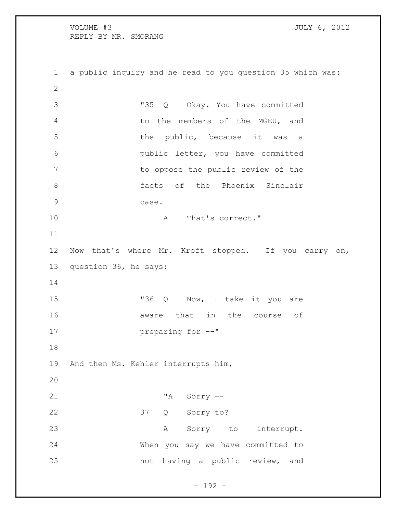VOLUME #3 JULY 6, 2012 REPLY BY MR. SMORANG a public inquiry and he read to you question 35 which was: "35 Q Okay. You have committed to the members of the MGEU, and 5 the public, because it was a public letter, you have committed to oppose the public review of the **6 facts** of the Phoenix Sinclair case. 10 A That's correct." Now that's where Mr. Kroft stopped. If you carry on, question 36, he says: 15 "36 Q Now, I take it you are **16 aware** that in the course of preparing for --" And then Ms. Kehler interrupts him, "A Sorry -- 37 Q Sorry to? 23 A Sorry to interrupt. When you say we have committed to not having a public review, and

- 192 -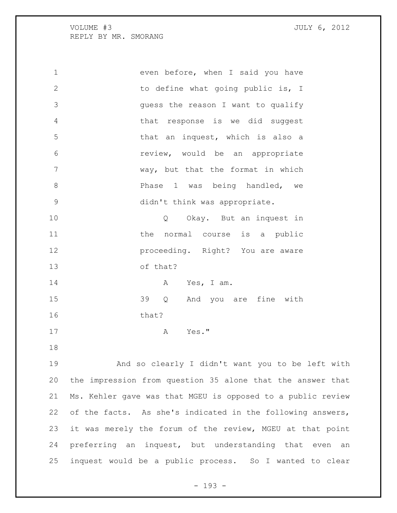| $\mathbf 1$   | even before, when I said you have                           |
|---------------|-------------------------------------------------------------|
| $\mathbf{2}$  | to define what going public is, I                           |
| 3             | guess the reason I want to qualify                          |
| 4             | that response is we did suggest                             |
| 5             | that an inquest, which is also a                            |
| 6             | review, would be an appropriate                             |
| 7             | way, but that the format in which                           |
| 8             | Phase 1 was being handled, we                               |
| $\mathcal{G}$ | didn't think was appropriate.                               |
| 10            | Okay. But an inquest in<br>Q                                |
| 11            | normal course is a public<br>the                            |
| 12            | proceeding. Right? You are aware                            |
| 13            | of that?                                                    |
| 14            | Yes, I am.<br>A                                             |
| 15            | 39<br>And you are fine with<br>Q                            |
| 16            | that?                                                       |
| 17            | Yes."<br>Α                                                  |
| 18            |                                                             |
| 19            | And so clearly I didn't want you to be left with            |
| 20            | the impression from question 35 alone that the answer that  |
| 21            | Ms. Kehler gave was that MGEU is opposed to a public review |
| 22            | of the facts. As she's indicated in the following answers,  |
| 23            | it was merely the forum of the review, MGEU at that point   |
| 24            | preferring an inquest, but understanding that even an       |
| 25            | inquest would be a public process. So I wanted to clear     |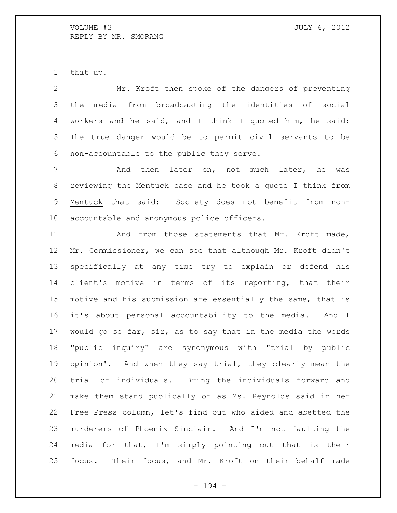that up.

 Mr. Kroft then spoke of the dangers of preventing the media from broadcasting the identities of social workers and he said, and I think I quoted him, he said: The true danger would be to permit civil servants to be non-accountable to the public they serve.

7 and then later on, not much later, he was reviewing the Mentuck case and he took a quote I think from Mentuck that said: Society does not benefit from non-accountable and anonymous police officers.

11 And from those statements that Mr. Kroft made, Mr. Commissioner, we can see that although Mr. Kroft didn't specifically at any time try to explain or defend his client's motive in terms of its reporting, that their motive and his submission are essentially the same, that is it's about personal accountability to the media. And I would go so far, sir, as to say that in the media the words "public inquiry" are synonymous with "trial by public opinion". And when they say trial, they clearly mean the trial of individuals. Bring the individuals forward and make them stand publically or as Ms. Reynolds said in her Free Press column, let's find out who aided and abetted the murderers of Phoenix Sinclair. And I'm not faulting the media for that, I'm simply pointing out that is their focus. Their focus, and Mr. Kroft on their behalf made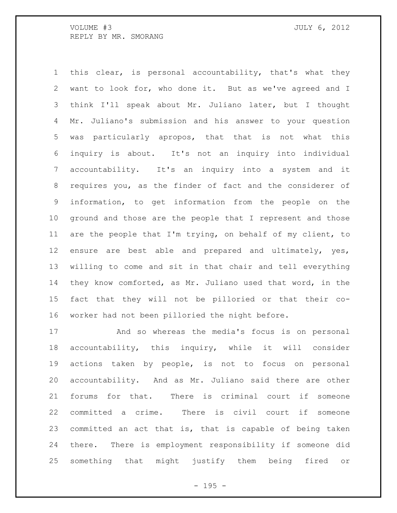this clear, is personal accountability, that's what they want to look for, who done it. But as we've agreed and I think I'll speak about Mr. Juliano later, but I thought Mr. Juliano's submission and his answer to your question was particularly apropos, that that is not what this inquiry is about. It's not an inquiry into individual accountability. It's an inquiry into a system and it requires you, as the finder of fact and the considerer of information, to get information from the people on the ground and those are the people that I represent and those are the people that I'm trying, on behalf of my client, to ensure are best able and prepared and ultimately, yes, willing to come and sit in that chair and tell everything they know comforted, as Mr. Juliano used that word, in the fact that they will not be pilloried or that their co-worker had not been pilloried the night before.

 And so whereas the media's focus is on personal accountability, this inquiry, while it will consider actions taken by people, is not to focus on personal accountability. And as Mr. Juliano said there are other forums for that. There is criminal court if someone committed a crime. There is civil court if someone committed an act that is, that is capable of being taken there. There is employment responsibility if someone did something that might justify them being fired or

 $- 195 -$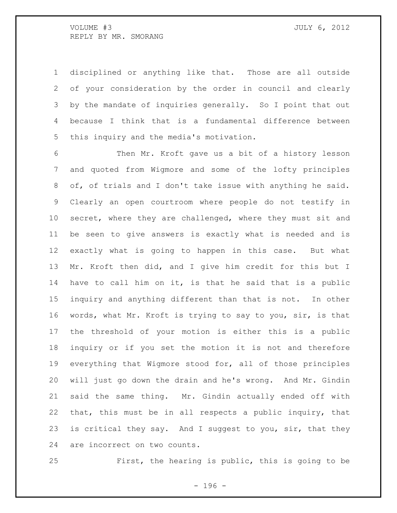disciplined or anything like that. Those are all outside of your consideration by the order in council and clearly by the mandate of inquiries generally. So I point that out because I think that is a fundamental difference between this inquiry and the media's motivation.

 Then Mr. Kroft gave us a bit of a history lesson and quoted from Wigmore and some of the lofty principles of, of trials and I don't take issue with anything he said. Clearly an open courtroom where people do not testify in secret, where they are challenged, where they must sit and be seen to give answers is exactly what is needed and is exactly what is going to happen in this case. But what Mr. Kroft then did, and I give him credit for this but I have to call him on it, is that he said that is a public inquiry and anything different than that is not. In other words, what Mr. Kroft is trying to say to you, sir, is that the threshold of your motion is either this is a public inquiry or if you set the motion it is not and therefore everything that Wigmore stood for, all of those principles will just go down the drain and he's wrong. And Mr. Gindin said the same thing. Mr. Gindin actually ended off with that, this must be in all respects a public inquiry, that is critical they say. And I suggest to you, sir, that they are incorrect on two counts.

First, the hearing is public, this is going to be

- 196 -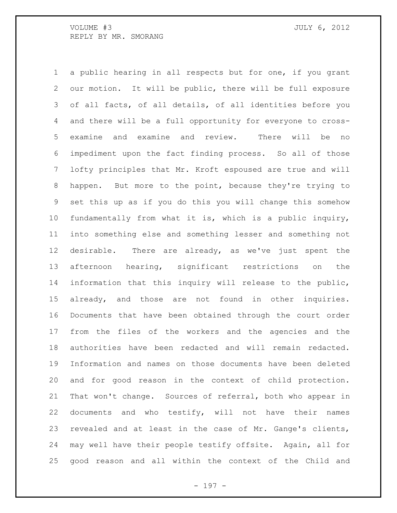a public hearing in all respects but for one, if you grant our motion. It will be public, there will be full exposure of all facts, of all details, of all identities before you and there will be a full opportunity for everyone to cross- examine and examine and review. There will be no impediment upon the fact finding process. So all of those lofty principles that Mr. Kroft espoused are true and will happen. But more to the point, because they're trying to set this up as if you do this you will change this somehow fundamentally from what it is, which is a public inquiry, into something else and something lesser and something not desirable. There are already, as we've just spent the afternoon hearing, significant restrictions on the information that this inquiry will release to the public, already, and those are not found in other inquiries. Documents that have been obtained through the court order from the files of the workers and the agencies and the authorities have been redacted and will remain redacted. Information and names on those documents have been deleted and for good reason in the context of child protection. That won't change. Sources of referral, both who appear in documents and who testify, will not have their names revealed and at least in the case of Mr. Gange's clients, may well have their people testify offsite. Again, all for good reason and all within the context of the Child and

- 197 -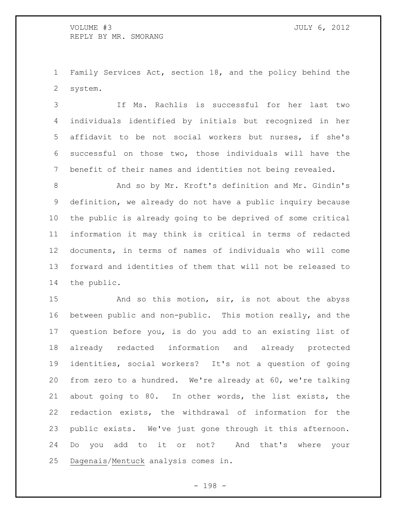Family Services Act, section 18, and the policy behind the system.

 If Ms. Rachlis is successful for her last two individuals identified by initials but recognized in her affidavit to be not social workers but nurses, if she's successful on those two, those individuals will have the benefit of their names and identities not being revealed.

 And so by Mr. Kroft's definition and Mr. Gindin's definition, we already do not have a public inquiry because the public is already going to be deprived of some critical information it may think is critical in terms of redacted documents, in terms of names of individuals who will come forward and identities of them that will not be released to the public.

15 And so this motion, sir, is not about the abyss between public and non-public. This motion really, and the question before you, is do you add to an existing list of already redacted information and already protected identities, social workers? It's not a question of going from zero to a hundred. We're already at 60, we're talking about going to 80. In other words, the list exists, the redaction exists, the withdrawal of information for the public exists. We've just gone through it this afternoon. Do you add to it or not? And that's where your Dagenais/Mentuck analysis comes in.

- 198 -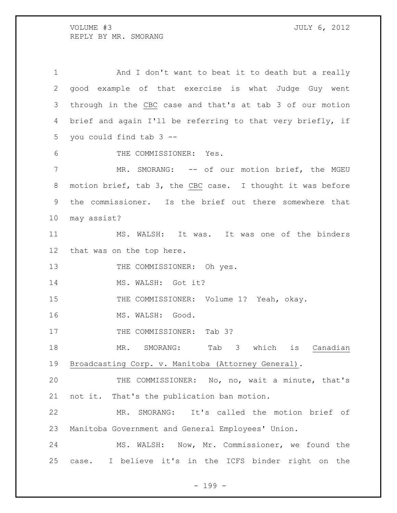And I don't want to beat it to death but a really good example of that exercise is what Judge Guy went through in the CBC case and that's at tab 3 of our motion brief and again I'll be referring to that very briefly, if you could find tab 3 -- THE COMMISSIONER: Yes. 7 MR. SMORANG: -- of our motion brief, the MGEU motion brief, tab 3, the CBC case. I thought it was before the commissioner. Is the brief out there somewhere that may assist? MS. WALSH: It was. It was one of the binders that was on the top here. 13 THE COMMISSIONER: Oh yes. 14 MS. WALSH: Got it? 15 THE COMMISSIONER: Volume 1? Yeah, okay. 16 MS. WALSH: Good. 17 THE COMMISSIONER: Tab 3? 18 MR. SMORANG: Tab 3 which is Canadian Broadcasting Corp. v. Manitoba (Attorney General). THE COMMISSIONER: No, no, wait a minute, that's not it. That's the publication ban motion. MR. SMORANG: It's called the motion brief of Manitoba Government and General Employees' Union. MS. WALSH: Now, Mr. Commissioner, we found the case. I believe it's in the ICFS binder right on the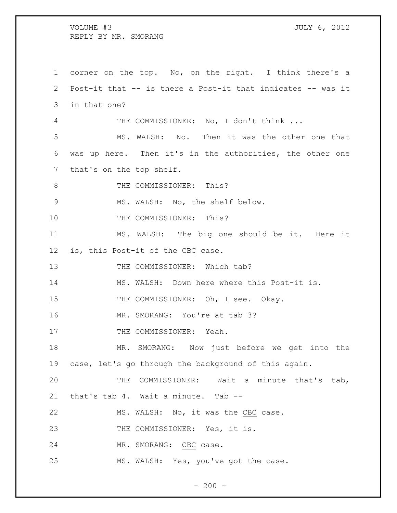corner on the top. No, on the right. I think there's a Post-it that -- is there a Post-it that indicates -- was it in that one? THE COMMISSIONER: No, I don't think ... MS. WALSH: No. Then it was the other one that was up here. Then it's in the authorities, the other one that's on the top shelf. 8 THE COMMISSIONER: This? MS. WALSH: No, the shelf below. 10 THE COMMISSIONER: This? MS. WALSH: The big one should be it. Here it is, this Post-it of the CBC case. 13 THE COMMISSIONER: Which tab? MS. WALSH: Down here where this Post-it is. 15 THE COMMISSIONER: Oh, I see. Okay. 16 MR. SMORANG: You're at tab 3? 17 THE COMMISSIONER: Yeah. MR. SMORANG: Now just before we get into the case, let's go through the background of this again. THE COMMISSIONER: Wait a minute that's tab, that's tab 4. Wait a minute. Tab -- 22 MS. WALSH: No, it was the CBC case. 23 THE COMMISSIONER: Yes, it is. 24 MR. SMORANG: CBC case. MS. WALSH: Yes, you've got the case.

 $-200 -$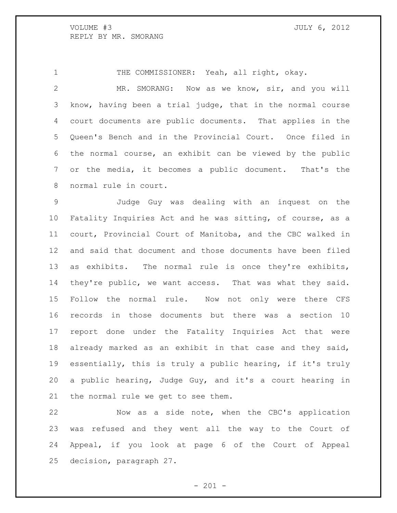THE COMMISSIONER: Yeah, all right, okay.

 MR. SMORANG: Now as we know, sir, and you will know, having been a trial judge, that in the normal course court documents are public documents. That applies in the Queen's Bench and in the Provincial Court. Once filed in the normal course, an exhibit can be viewed by the public or the media, it becomes a public document. That's the normal rule in court.

 Judge Guy was dealing with an inquest on the Fatality Inquiries Act and he was sitting, of course, as a court, Provincial Court of Manitoba, and the CBC walked in and said that document and those documents have been filed as exhibits. The normal rule is once they're exhibits, they're public, we want access. That was what they said. Follow the normal rule. Now not only were there CFS records in those documents but there was a section 10 report done under the Fatality Inquiries Act that were already marked as an exhibit in that case and they said, essentially, this is truly a public hearing, if it's truly a public hearing, Judge Guy, and it's a court hearing in the normal rule we get to see them.

 Now as a side note, when the CBC's application was refused and they went all the way to the Court of Appeal, if you look at page 6 of the Court of Appeal decision, paragraph 27.

 $- 201 -$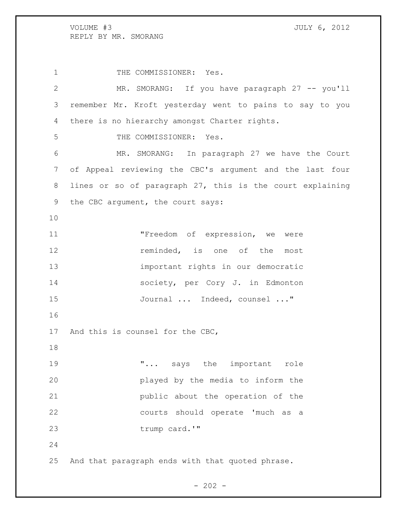1 THE COMMISSIONER: Yes. MR. SMORANG: If you have paragraph 27 -- you'll remember Mr. Kroft yesterday went to pains to say to you there is no hierarchy amongst Charter rights. THE COMMISSIONER: Yes. MR. SMORANG: In paragraph 27 we have the Court of Appeal reviewing the CBC's argument and the last four lines or so of paragraph 27, this is the court explaining the CBC argument, the court says: "Freedom of expression, we were **12 reminded**, is one of the most important rights in our democratic society, per Cory J. in Edmonton Journal ... Indeed, counsel ..." And this is counsel for the CBC, 19 T... says the important role played by the media to inform the public about the operation of the courts should operate 'much as a trump card.'" And that paragraph ends with that quoted phrase.

 $- 202 -$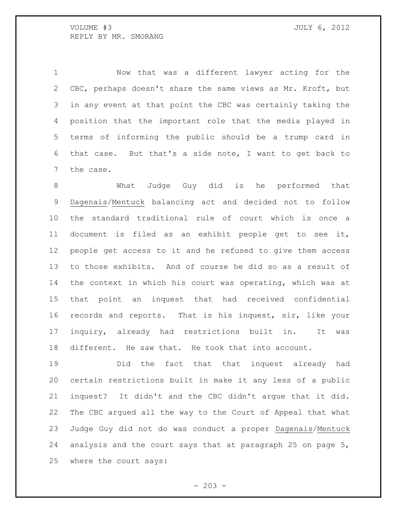Now that was a different lawyer acting for the CBC, perhaps doesn't share the same views as Mr. Kroft, but in any event at that point the CBC was certainly taking the position that the important role that the media played in terms of informing the public should be a trump card in that case. But that's a side note, I want to get back to the case.

 What Judge Guy did is he performed that Dagenais/Mentuck balancing act and decided not to follow the standard traditional rule of court which is once a document is filed as an exhibit people get to see it, people get access to it and he refused to give them access to those exhibits. And of course he did so as a result of the context in which his court was operating, which was at that point an inquest that had received confidential records and reports. That is his inquest, sir, like your inquiry, already had restrictions built in. It was different. He saw that. He took that into account.

 Did the fact that that inquest already had certain restrictions built in make it any less of a public inquest? It didn't and the CBC didn't argue that it did. The CBC argued all the way to the Court of Appeal that what Judge Guy did not do was conduct a proper Dagenais/Mentuck analysis and the court says that at paragraph 25 on page 5, where the court says:

 $-203 -$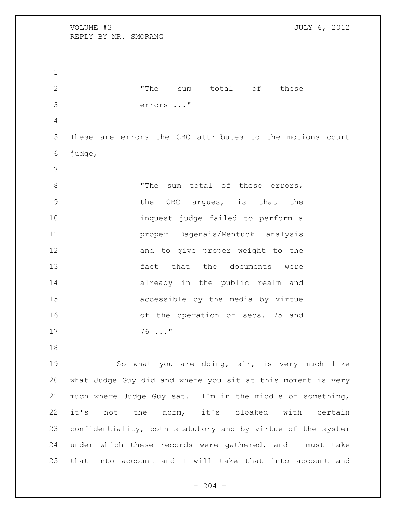VOLUME #3 JULY 6, 2012 REPLY BY MR. SMORANG 2 The sum total of these errors ..." These are errors the CBC attributes to the motions court judge, 8 The sum total of these errors, the CBC argues, is that the inquest judge failed to perform a proper Dagenais/Mentuck analysis 12 and to give proper weight to the **fact** that the documents were already in the public realm and accessible by the media by virtue of the operation of secs. 75 and 76 ..." So what you are doing, sir, is very much like what Judge Guy did and where you sit at this moment is very much where Judge Guy sat. I'm in the middle of something, it's not the norm, it's cloaked with certain confidentiality, both statutory and by virtue of the system under which these records were gathered, and I must take that into account and I will take that into account and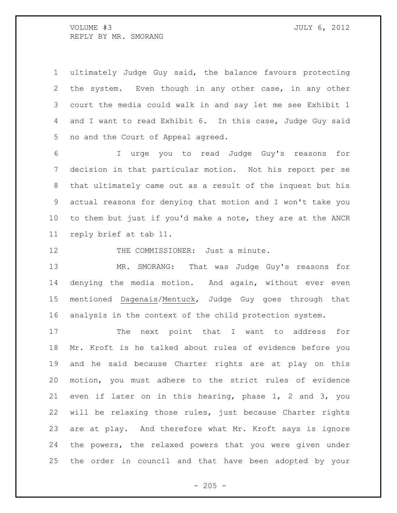ultimately Judge Guy said, the balance favours protecting the system. Even though in any other case, in any other court the media could walk in and say let me see Exhibit 1 and I want to read Exhibit 6. In this case, Judge Guy said no and the Court of Appeal agreed.

 I urge you to read Judge Guy's reasons for decision in that particular motion. Not his report per se that ultimately came out as a result of the inquest but his actual reasons for denying that motion and I won't take you to them but just if you'd make a note, they are at the ANCR reply brief at tab 11.

12 THE COMMISSIONER: Just a minute.

 MR. SMORANG: That was Judge Guy's reasons for denying the media motion. And again, without ever even mentioned Dagenais/Mentuck, Judge Guy goes through that analysis in the context of the child protection system.

17 The next point that I want to address for Mr. Kroft is he talked about rules of evidence before you and he said because Charter rights are at play on this motion, you must adhere to the strict rules of evidence even if later on in this hearing, phase 1, 2 and 3, you will be relaxing those rules, just because Charter rights are at play. And therefore what Mr. Kroft says is ignore the powers, the relaxed powers that you were given under the order in council and that have been adopted by your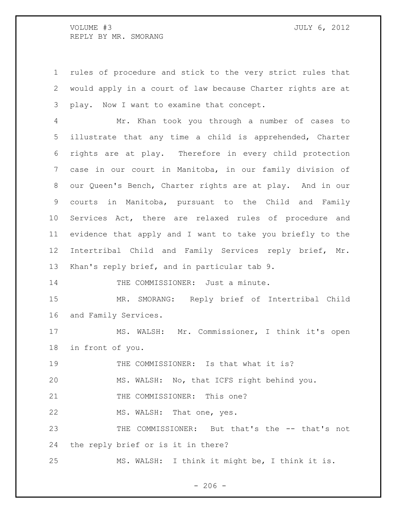rules of procedure and stick to the very strict rules that would apply in a court of law because Charter rights are at play. Now I want to examine that concept.

 Mr. Khan took you through a number of cases to illustrate that any time a child is apprehended, Charter rights are at play. Therefore in every child protection case in our court in Manitoba, in our family division of our Queen's Bench, Charter rights are at play. And in our courts in Manitoba, pursuant to the Child and Family Services Act, there are relaxed rules of procedure and evidence that apply and I want to take you briefly to the Intertribal Child and Family Services reply brief, Mr. Khan's reply brief, and in particular tab 9.

14 THE COMMISSIONER: Just a minute.

 MR. SMORANG: Reply brief of Intertribal Child and Family Services.

 MS. WALSH: Mr. Commissioner, I think it's open in front of you.

19 THE COMMISSIONER: Is that what it is?

MS. WALSH: No, that ICFS right behind you.

21 THE COMMISSIONER: This one?

22 MS. WALSH: That one, yes.

 THE COMMISSIONER: But that's the -- that's not the reply brief or is it in there?

MS. WALSH: I think it might be, I think it is.

 $-206 -$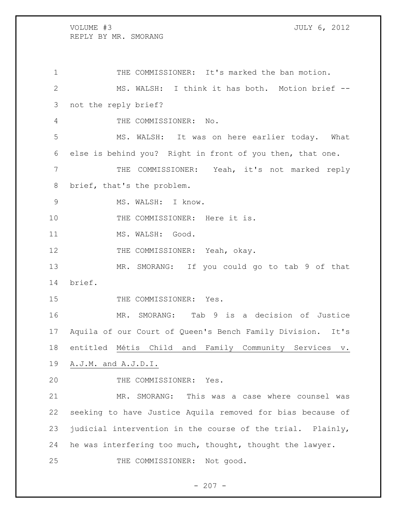THE COMMISSIONER: It's marked the ban motion. MS. WALSH: I think it has both. Motion brief -- not the reply brief? THE COMMISSIONER: No. MS. WALSH: It was on here earlier today. What else is behind you? Right in front of you then, that one. THE COMMISSIONER: Yeah, it's not marked reply brief, that's the problem. MS. WALSH: I know. 10 THE COMMISSIONER: Here it is. 11 MS. WALSH: Good. 12 THE COMMISSIONER: Yeah, okay. MR. SMORANG: If you could go to tab 9 of that brief. 15 THE COMMISSIONER: Yes. MR. SMORANG: Tab 9 is a decision of Justice Aquila of our Court of Queen's Bench Family Division. It's entitled Métis Child and Family Community Services v. A.J.M. and A.J.D.I. 20 THE COMMISSIONER: Yes. MR. SMORANG: This was a case where counsel was seeking to have Justice Aquila removed for bias because of judicial intervention in the course of the trial. Plainly, he was interfering too much, thought, thought the lawyer. THE COMMISSIONER: Not good.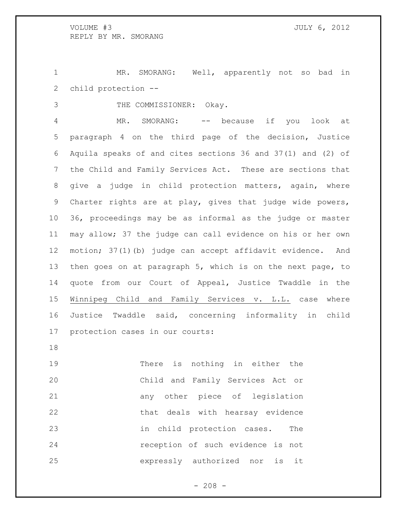MR. SMORANG: Well, apparently not so bad in child protection --

THE COMMISSIONER: Okay.

 MR. SMORANG: -- because if you look at paragraph 4 on the third page of the decision, Justice Aquila speaks of and cites sections 36 and 37(1) and (2) of the Child and Family Services Act. These are sections that give a judge in child protection matters, again, where Charter rights are at play, gives that judge wide powers, 36, proceedings may be as informal as the judge or master may allow; 37 the judge can call evidence on his or her own motion; 37(1)(b) judge can accept affidavit evidence. And then goes on at paragraph 5, which is on the next page, to quote from our Court of Appeal, Justice Twaddle in the Winnipeg Child and Family Services v. L.L. case where Justice Twaddle said, concerning informality in child protection cases in our courts:

 There is nothing in either the Child and Family Services Act or any other piece of legislation 22 that deals with hearsay evidence in child protection cases. The reception of such evidence is not expressly authorized nor is it

 $- 208 -$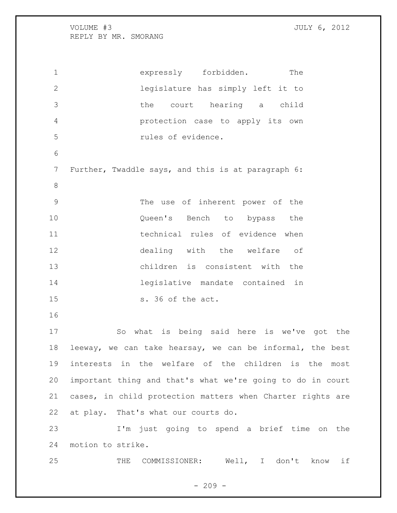expressly forbidden. The legislature has simply left it to the court hearing a child protection case to apply its own rules of evidence. Further, Twaddle says, and this is at paragraph 6: The use of inherent power of the Queen's Bench to bypass the technical rules of evidence when dealing with the welfare of children is consistent with the legislative mandate contained in s. 36 of the act. So what is being said here is we've got the leeway, we can take hearsay, we can be informal, the best interests in the welfare of the children is the most important thing and that's what we're going to do in court cases, in child protection matters when Charter rights are at play. That's what our courts do. I'm just going to spend a brief time on the motion to strike.

THE COMMISSIONER: Well, I don't know if

 $-209 -$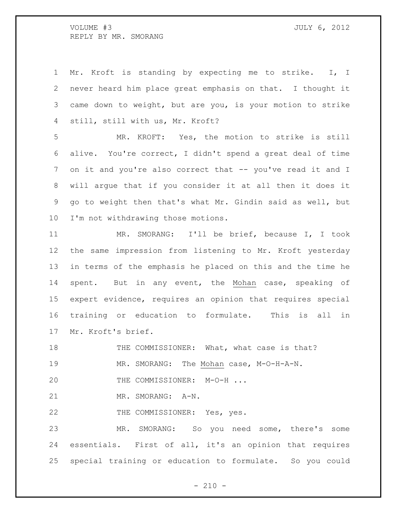Mr. Kroft is standing by expecting me to strike. I, I never heard him place great emphasis on that. I thought it came down to weight, but are you, is your motion to strike still, still with us, Mr. Kroft?

 MR. KROFT: Yes, the motion to strike is still alive. You're correct, I didn't spend a great deal of time 7 on it and you're also correct that -- you've read it and I will argue that if you consider it at all then it does it go to weight then that's what Mr. Gindin said as well, but I'm not withdrawing those motions.

 MR. SMORANG: I'll be brief, because I, I took the same impression from listening to Mr. Kroft yesterday in terms of the emphasis he placed on this and the time he spent. But in any event, the Mohan case, speaking of expert evidence, requires an opinion that requires special training or education to formulate. This is all in Mr. Kroft's brief.

18 THE COMMISSIONER: What, what case is that? MR. SMORANG: The Mohan case, M-O-H-A-N. 20 THE COMMISSIONER: M-O-H ...

MR. SMORANG: A-N.

THE COMMISSIONER: Yes, yes.

 MR. SMORANG: So you need some, there's some essentials. First of all, it's an opinion that requires special training or education to formulate. So you could

 $- 210 -$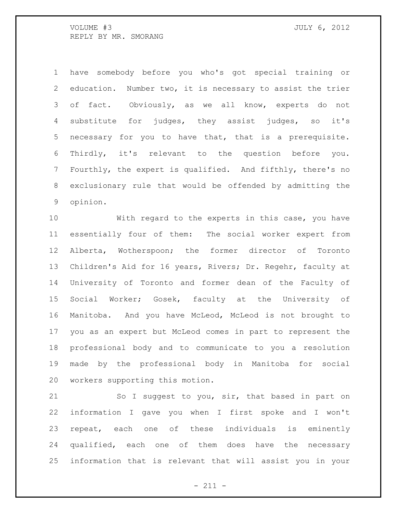have somebody before you who's got special training or education. Number two, it is necessary to assist the trier of fact. Obviously, as we all know, experts do not substitute for judges, they assist judges, so it's necessary for you to have that, that is a prerequisite. Thirdly, it's relevant to the question before you. Fourthly, the expert is qualified. And fifthly, there's no exclusionary rule that would be offended by admitting the opinion.

 With regard to the experts in this case, you have essentially four of them: The social worker expert from Alberta, Wotherspoon; the former director of Toronto Children's Aid for 16 years, Rivers; Dr. Regehr, faculty at University of Toronto and former dean of the Faculty of Social Worker; Gosek, faculty at the University of Manitoba. And you have McLeod, McLeod is not brought to you as an expert but McLeod comes in part to represent the professional body and to communicate to you a resolution made by the professional body in Manitoba for social workers supporting this motion.

21 So I suggest to you, sir, that based in part on information I gave you when I first spoke and I won't repeat, each one of these individuals is eminently qualified, each one of them does have the necessary information that is relevant that will assist you in your

- 211 -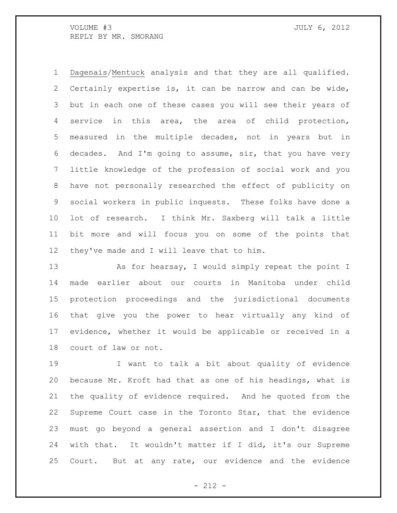Dagenais/Mentuck analysis and that they are all qualified. Certainly expertise is, it can be narrow and can be wide, but in each one of these cases you will see their years of service in this area, the area of child protection, measured in the multiple decades, not in years but in decades. And I'm going to assume, sir, that you have very little knowledge of the profession of social work and you have not personally researched the effect of publicity on social workers in public inquests. These folks have done a lot of research. I think Mr. Saxberg will talk a little bit more and will focus you on some of the points that they've made and I will leave that to him.

13 As for hearsay, I would simply repeat the point I made earlier about our courts in Manitoba under child protection proceedings and the jurisdictional documents that give you the power to hear virtually any kind of evidence, whether it would be applicable or received in a court of law or not.

 I want to talk a bit about quality of evidence because Mr. Kroft had that as one of his headings, what is the quality of evidence required. And he quoted from the Supreme Court case in the Toronto Star, that the evidence must go beyond a general assertion and I don't disagree with that. It wouldn't matter if I did, it's our Supreme Court. But at any rate, our evidence and the evidence

- 212 -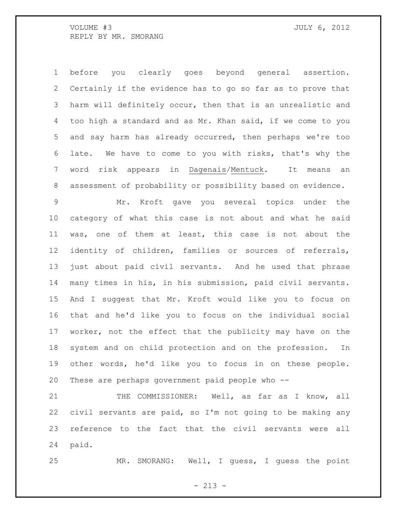before you clearly goes beyond general assertion. Certainly if the evidence has to go so far as to prove that harm will definitely occur, then that is an unrealistic and too high a standard and as Mr. Khan said, if we come to you and say harm has already occurred, then perhaps we're too late. We have to come to you with risks, that's why the word risk appears in Dagenais/Mentuck. It means an assessment of probability or possibility based on evidence.

 Mr. Kroft gave you several topics under the category of what this case is not about and what he said was, one of them at least, this case is not about the identity of children, families or sources of referrals, just about paid civil servants. And he used that phrase many times in his, in his submission, paid civil servants. And I suggest that Mr. Kroft would like you to focus on that and he'd like you to focus on the individual social worker, not the effect that the publicity may have on the system and on child protection and on the profession. In other words, he'd like you to focus in on these people. These are perhaps government paid people who --

21 THE COMMISSIONER: Well, as far as I know, all civil servants are paid, so I'm not going to be making any reference to the fact that the civil servants were all paid.

MR. SMORANG: Well, I guess, I guess the point

 $- 213 -$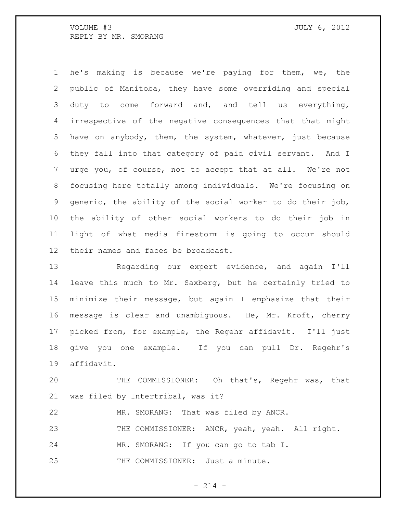he's making is because we're paying for them, we, the public of Manitoba, they have some overriding and special duty to come forward and, and tell us everything, irrespective of the negative consequences that that might have on anybody, them, the system, whatever, just because they fall into that category of paid civil servant. And I urge you, of course, not to accept that at all. We're not focusing here totally among individuals. We're focusing on generic, the ability of the social worker to do their job, the ability of other social workers to do their job in light of what media firestorm is going to occur should their names and faces be broadcast.

 Regarding our expert evidence, and again I'll leave this much to Mr. Saxberg, but he certainly tried to minimize their message, but again I emphasize that their message is clear and unambiguous. He, Mr. Kroft, cherry picked from, for example, the Regehr affidavit. I'll just give you one example. If you can pull Dr. Regehr's affidavit.

 THE COMMISSIONER: Oh that's, Regehr was, that was filed by Intertribal, was it?

MR. SMORANG: That was filed by ANCR.

THE COMMISSIONER: ANCR, yeah, yeah. All right.

MR. SMORANG: If you can go to tab I.

25 THE COMMISSIONER: Just a minute.

 $- 214 -$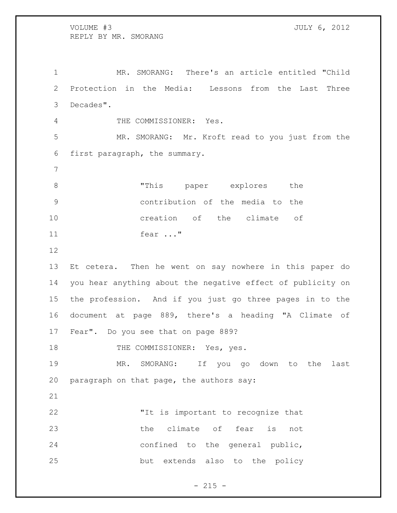MR. SMORANG: There's an article entitled "Child Protection in the Media: Lessons from the Last Three Decades". THE COMMISSIONER: Yes. MR. SMORANG: Mr. Kroft read to you just from the first paragraph, the summary. "This paper explores the contribution of the media to the creation of the climate of fear ..." Et cetera. Then he went on say nowhere in this paper do you hear anything about the negative effect of publicity on the profession. And if you just go three pages in to the document at page 889, there's a heading "A Climate of Fear". Do you see that on page 889? 18 THE COMMISSIONER: Yes, yes.

 MR. SMORANG: If you go down to the last paragraph on that page, the authors say:

 "It is important to recognize that 23 the climate of fear is not confined to the general public, but extends also to the policy

 $- 215 -$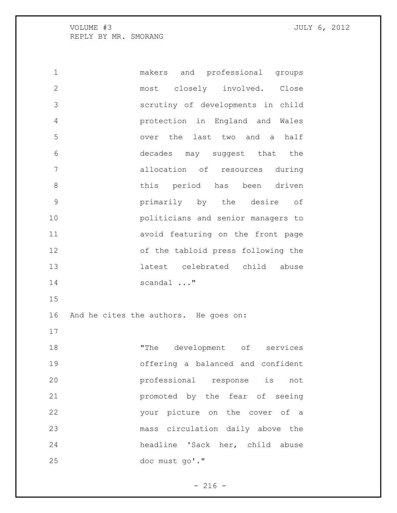makers and professional groups most closely involved. Close scrutiny of developments in child protection in England and Wales over the last two and a half decades may suggest that the allocation of resources during this period has been driven primarily by the desire of politicians and senior managers to avoid featuring on the front page of the tabloid press following the latest celebrated child abuse scandal ..." And he cites the authors. He goes on: 18 The development of services offering a balanced and confident professional response is not promoted by the fear of seeing your picture on the cover of a mass circulation daily above the headline 'Sack her, child abuse doc must go'."

 $- 216 -$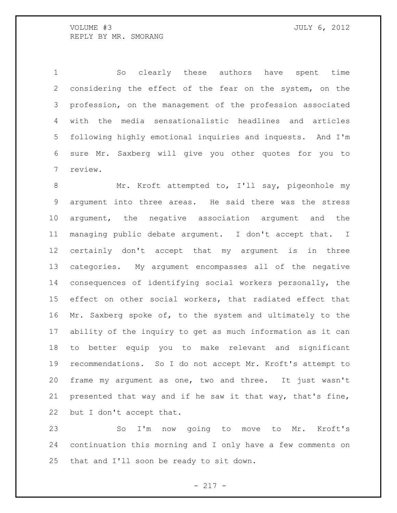So clearly these authors have spent time considering the effect of the fear on the system, on the profession, on the management of the profession associated with the media sensationalistic headlines and articles following highly emotional inquiries and inquests. And I'm sure Mr. Saxberg will give you other quotes for you to review.

8 Mr. Kroft attempted to, I'll say, pigeonhole my argument into three areas. He said there was the stress argument, the negative association argument and the managing public debate argument. I don't accept that. I certainly don't accept that my argument is in three categories. My argument encompasses all of the negative consequences of identifying social workers personally, the effect on other social workers, that radiated effect that Mr. Saxberg spoke of, to the system and ultimately to the ability of the inquiry to get as much information as it can to better equip you to make relevant and significant recommendations. So I do not accept Mr. Kroft's attempt to frame my argument as one, two and three. It just wasn't presented that way and if he saw it that way, that's fine, but I don't accept that.

 So I'm now going to move to Mr. Kroft's continuation this morning and I only have a few comments on that and I'll soon be ready to sit down.

- 217 -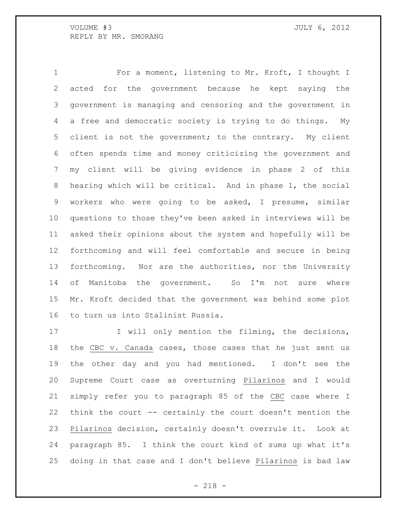For a moment, listening to Mr. Kroft, I thought I acted for the government because he kept saying the government is managing and censoring and the government in a free and democratic society is trying to do things. My client is not the government; to the contrary. My client often spends time and money criticizing the government and my client will be giving evidence in phase 2 of this hearing which will be critical. And in phase 1, the social workers who were going to be asked, I presume, similar questions to those they've been asked in interviews will be asked their opinions about the system and hopefully will be forthcoming and will feel comfortable and secure in being forthcoming. Nor are the authorities, nor the University of Manitoba the government. So I'm not sure where Mr. Kroft decided that the government was behind some plot to turn us into Stalinist Russia.

17 I will only mention the filming, the decisions, 18 the CBC v. Canada cases, those cases that he just sent us the other day and you had mentioned. I don't see the Supreme Court case as overturning Pilarinos and I would simply refer you to paragraph 85 of the CBC case where I think the court -- certainly the court doesn't mention the Pilarinos decision, certainly doesn't overrule it. Look at paragraph 85. I think the court kind of sums up what it's doing in that case and I don't believe Pilarinos is bad law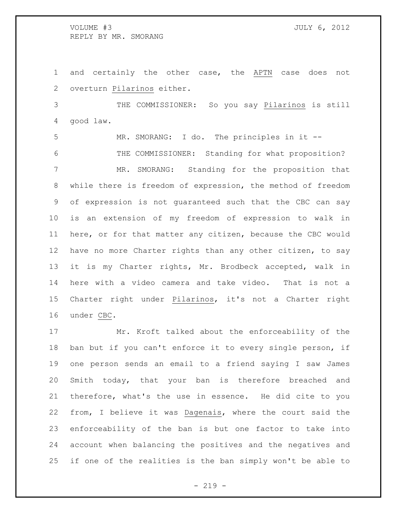and certainly the other case, the APTN case does not overturn Pilarinos either.

 THE COMMISSIONER: So you say Pilarinos is still good law.

 MR. SMORANG: I do. The principles in it -- THE COMMISSIONER: Standing for what proposition? MR. SMORANG: Standing for the proposition that while there is freedom of expression, the method of freedom of expression is not guaranteed such that the CBC can say is an extension of my freedom of expression to walk in here, or for that matter any citizen, because the CBC would have no more Charter rights than any other citizen, to say it is my Charter rights, Mr. Brodbeck accepted, walk in here with a video camera and take video. That is not a Charter right under Pilarinos, it's not a Charter right under CBC.

 Mr. Kroft talked about the enforceability of the ban but if you can't enforce it to every single person, if one person sends an email to a friend saying I saw James Smith today, that your ban is therefore breached and therefore, what's the use in essence. He did cite to you from, I believe it was Dagenais, where the court said the enforceability of the ban is but one factor to take into account when balancing the positives and the negatives and if one of the realities is the ban simply won't be able to

 $-219 -$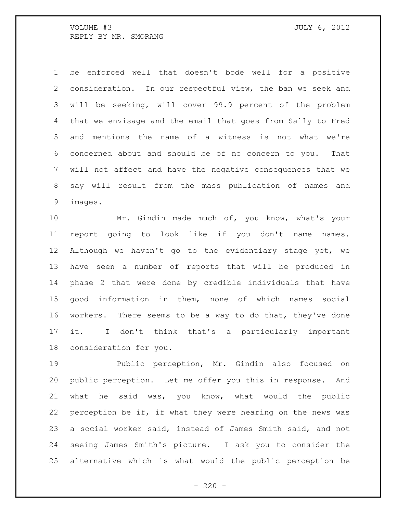be enforced well that doesn't bode well for a positive consideration. In our respectful view, the ban we seek and will be seeking, will cover 99.9 percent of the problem that we envisage and the email that goes from Sally to Fred and mentions the name of a witness is not what we're concerned about and should be of no concern to you. That will not affect and have the negative consequences that we say will result from the mass publication of names and images.

 Mr. Gindin made much of, you know, what's your report going to look like if you don't name names. Although we haven't go to the evidentiary stage yet, we have seen a number of reports that will be produced in phase 2 that were done by credible individuals that have good information in them, none of which names social workers. There seems to be a way to do that, they've done it. I don't think that's a particularly important consideration for you.

 Public perception, Mr. Gindin also focused on public perception. Let me offer you this in response. And what he said was, you know, what would the public perception be if, if what they were hearing on the news was a social worker said, instead of James Smith said, and not seeing James Smith's picture. I ask you to consider the alternative which is what would the public perception be

 $- 220 -$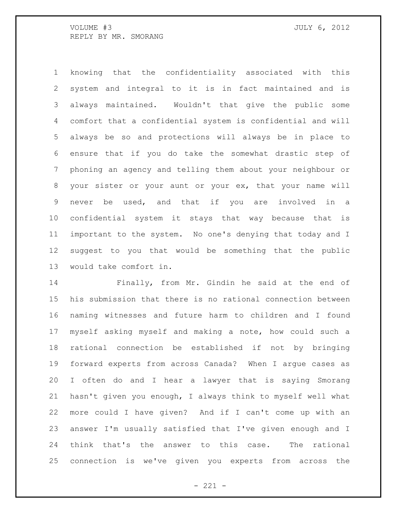knowing that the confidentiality associated with this system and integral to it is in fact maintained and is always maintained. Wouldn't that give the public some comfort that a confidential system is confidential and will always be so and protections will always be in place to ensure that if you do take the somewhat drastic step of phoning an agency and telling them about your neighbour or your sister or your aunt or your ex, that your name will never be used, and that if you are involved in a confidential system it stays that way because that is important to the system. No one's denying that today and I suggest to you that would be something that the public would take comfort in.

 Finally, from Mr. Gindin he said at the end of his submission that there is no rational connection between naming witnesses and future harm to children and I found myself asking myself and making a note, how could such a rational connection be established if not by bringing forward experts from across Canada? When I argue cases as I often do and I hear a lawyer that is saying Smorang hasn't given you enough, I always think to myself well what more could I have given? And if I can't come up with an answer I'm usually satisfied that I've given enough and I think that's the answer to this case. The rational connection is we've given you experts from across the

 $- 221 -$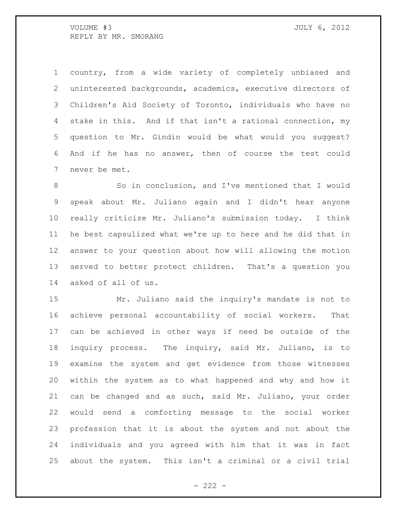country, from a wide variety of completely unbiased and uninterested backgrounds, academics, executive directors of Children's Aid Society of Toronto, individuals who have no stake in this. And if that isn't a rational connection, my question to Mr. Gindin would be what would you suggest? And if he has no answer, then of course the test could never be met.

 So in conclusion, and I've mentioned that I would speak about Mr. Juliano again and I didn't hear anyone really criticize Mr. Juliano's submission today. I think he best capsulized what we're up to here and he did that in answer to your question about how will allowing the motion served to better protect children. That's a question you asked of all of us.

 Mr. Juliano said the inquiry's mandate is not to achieve personal accountability of social workers. That can be achieved in other ways if need be outside of the inquiry process. The inquiry, said Mr. Juliano, is to examine the system and get evidence from those witnesses within the system as to what happened and why and how it can be changed and as such, said Mr. Juliano, your order would send a comforting message to the social worker profession that it is about the system and not about the individuals and you agreed with him that it was in fact about the system. This isn't a criminal or a civil trial

 $- 222 -$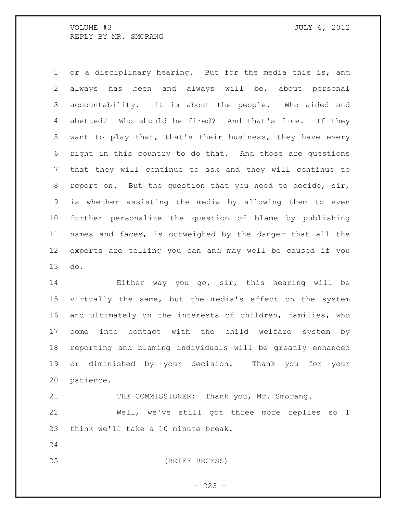or a disciplinary hearing. But for the media this is, and always has been and always will be, about personal accountability. It is about the people. Who aided and abetted? Who should be fired? And that's fine. If they want to play that, that's their business, they have every right in this country to do that. And those are questions that they will continue to ask and they will continue to report on. But the question that you need to decide, sir, is whether assisting the media by allowing them to even further personalize the question of blame by publishing names and faces, is outweighed by the danger that all the experts are telling you can and may well be caused if you do.

 Either way you go, sir, this hearing will be virtually the same, but the media's effect on the system and ultimately on the interests of children, families, who come into contact with the child welfare system by reporting and blaming individuals will be greatly enhanced or diminished by your decision. Thank you for your patience.

21 THE COMMISSIONER: Thank you, Mr. Smorang.

 Well, we've still got three more replies so I think we'll take a 10 minute break.

(BRIEF RECESS)

 $- 223 -$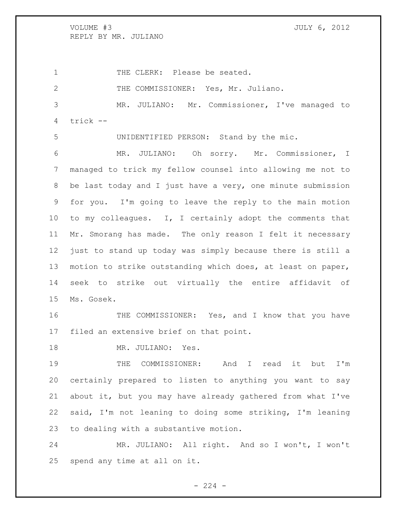VOLUME #3 JULY 6, 2012 REPLY BY MR. JULIANO

1 THE CLERK: Please be seated. 2 THE COMMISSIONER: Yes, Mr. Juliano. MR. JULIANO: Mr. Commissioner, I've managed to trick --

UNIDENTIFIED PERSON: Stand by the mic.

 MR. JULIANO: Oh sorry. Mr. Commissioner, I managed to trick my fellow counsel into allowing me not to be last today and I just have a very, one minute submission for you. I'm going to leave the reply to the main motion to my colleagues. I, I certainly adopt the comments that Mr. Smorang has made. The only reason I felt it necessary just to stand up today was simply because there is still a motion to strike outstanding which does, at least on paper, seek to strike out virtually the entire affidavit of Ms. Gosek.

16 THE COMMISSIONER: Yes, and I know that you have filed an extensive brief on that point.

18 MR. JULIANO: Yes.

 THE COMMISSIONER: And I read it but I'm certainly prepared to listen to anything you want to say about it, but you may have already gathered from what I've said, I'm not leaning to doing some striking, I'm leaning to dealing with a substantive motion.

 MR. JULIANO: All right. And so I won't, I won't spend any time at all on it.

 $-224 -$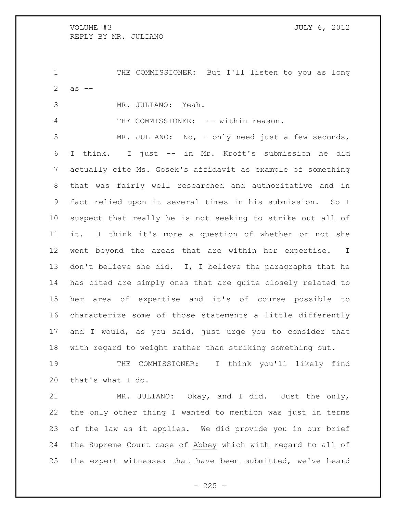VOLUME #3 JULY 6, 2012 REPLY BY MR. JULIANO

 THE COMMISSIONER: But I'll listen to you as long 2  $as --$ 

MR. JULIANO: Yeah.

4 THE COMMISSIONER: -- within reason.

 MR. JULIANO: No, I only need just a few seconds, I think. I just -- in Mr. Kroft's submission he did actually cite Ms. Gosek's affidavit as example of something that was fairly well researched and authoritative and in fact relied upon it several times in his submission. So I suspect that really he is not seeking to strike out all of it. I think it's more a question of whether or not she went beyond the areas that are within her expertise. I 13 don't believe she did. I, I believe the paragraphs that he has cited are simply ones that are quite closely related to her area of expertise and it's of course possible to characterize some of those statements a little differently and I would, as you said, just urge you to consider that with regard to weight rather than striking something out.

 THE COMMISSIONER: I think you'll likely find that's what I do.

 MR. JULIANO: Okay, and I did. Just the only, the only other thing I wanted to mention was just in terms of the law as it applies. We did provide you in our brief the Supreme Court case of Abbey which with regard to all of the expert witnesses that have been submitted, we've heard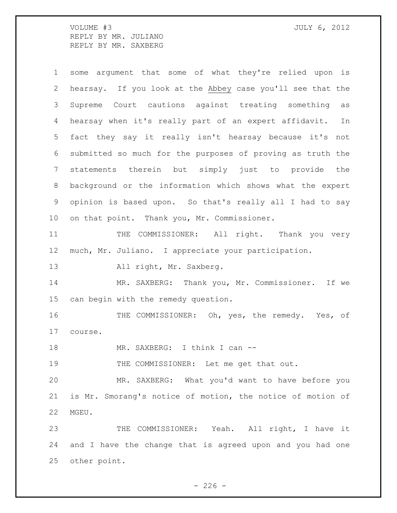VOLUME #3 JULY 6, 2012 REPLY BY MR. JULIANO REPLY BY MR. SAXBERG

| $\mathbf 1$     | some argument that some of what they're relied upon is      |
|-----------------|-------------------------------------------------------------|
| 2               | hearsay. If you look at the Abbey case you'll see that the  |
| 3               | Supreme Court cautions against treating something<br>as     |
| 4               | hearsay when it's really part of an expert affidavit.<br>In |
| 5               | fact they say it really isn't hearsay because it's not      |
| 6               | submitted so much for the purposes of proving as truth the  |
| $7\phantom{.0}$ | statements therein but simply just to provide the           |
| 8               | background or the information which shows what the expert   |
| 9               | opinion is based upon. So that's really all I had to say    |
| 10 <sub>o</sub> | on that point. Thank you, Mr. Commissioner.                 |
| 11              | THE COMMISSIONER: All right. Thank you very                 |
| 12              | much, Mr. Juliano. I appreciate your participation.         |
| 13              | All right, Mr. Saxberg.                                     |
| 14              | MR. SAXBERG: Thank you, Mr. Commissioner. If we             |
| 15              | can begin with the remedy question.                         |
| 16              | THE COMMISSIONER: Oh, yes, the remedy. Yes, of              |
| 17              | course.                                                     |
| 18              | MR. SAXBERG: I think I can --                               |
| 19              | THE COMMISSIONER: Let me get that out.                      |
| 20              | MR. SAXBERG: What you'd want to have before you             |
| 21              | is Mr. Smorang's notice of motion, the notice of motion of  |
| 22              | MGEU.                                                       |
| 23              | THE COMMISSIONER: Yeah. All right, I have it                |
| 24              | and I have the change that is agreed upon and you had one   |
| 25              | other point.                                                |

- 226 -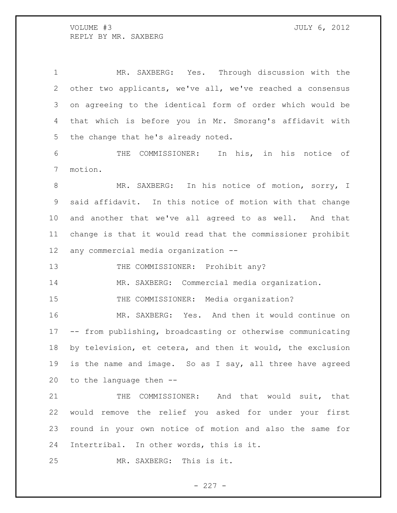MR. SAXBERG: Yes. Through discussion with the other two applicants, we've all, we've reached a consensus on agreeing to the identical form of order which would be that which is before you in Mr. Smorang's affidavit with the change that he's already noted.

 THE COMMISSIONER: In his, in his notice of motion.

 MR. SAXBERG: In his notice of motion, sorry, I said affidavit. In this notice of motion with that change and another that we've all agreed to as well. And that change is that it would read that the commissioner prohibit any commercial media organization --

13 THE COMMISSIONER: Prohibit any?

MR. SAXBERG: Commercial media organization.

15 THE COMMISSIONER: Media organization?

 MR. SAXBERG: Yes. And then it would continue on -- from publishing, broadcasting or otherwise communicating by television, et cetera, and then it would, the exclusion is the name and image. So as I say, all three have agreed to the language then --

 THE COMMISSIONER: And that would suit, that would remove the relief you asked for under your first round in your own notice of motion and also the same for Intertribal. In other words, this is it.

MR. SAXBERG: This is it.

 $- 227 -$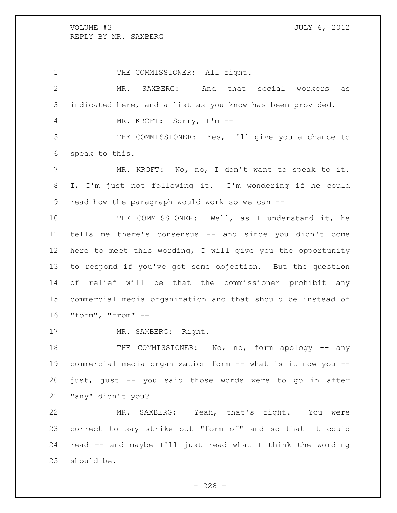1 THE COMMISSIONER: All right. MR. SAXBERG: And that social workers as indicated here, and a list as you know has been provided. MR. KROFT: Sorry, I'm -- THE COMMISSIONER: Yes, I'll give you a chance to speak to this. 7 MR. KROFT: No, no, I don't want to speak to it. I, I'm just not following it. I'm wondering if he could read how the paragraph would work so we can -- THE COMMISSIONER: Well, as I understand it, he tells me there's consensus -- and since you didn't come here to meet this wording, I will give you the opportunity to respond if you've got some objection. But the question of relief will be that the commissioner prohibit any commercial media organization and that should be instead of "form", "from" -- 17 MR. SAXBERG: Right. 18 THE COMMISSIONER: No, no, form apology -- any commercial media organization form -- what is it now you -- just, just -- you said those words were to go in after "any" didn't you? MR. SAXBERG: Yeah, that's right. You were

 correct to say strike out "form of" and so that it could read -- and maybe I'll just read what I think the wording should be.

 $- 228 -$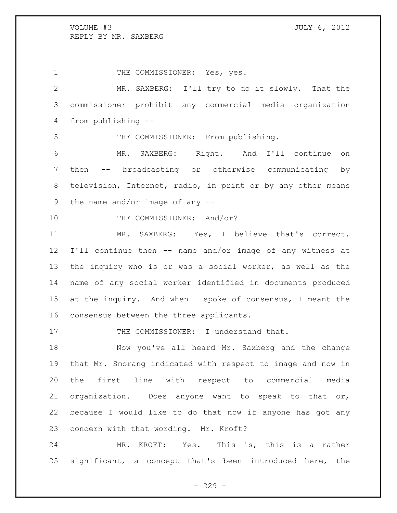1 THE COMMISSIONER: Yes, yes. MR. SAXBERG: I'll try to do it slowly. That the commissioner prohibit any commercial media organization from publishing -- THE COMMISSIONER: From publishing. MR. SAXBERG: Right. And I'll continue on then -- broadcasting or otherwise communicating by television, Internet, radio, in print or by any other means the name and/or image of any -- 10 THE COMMISSIONER: And/or? MR. SAXBERG: Yes, I believe that's correct. I'll continue then -- name and/or image of any witness at the inquiry who is or was a social worker, as well as the name of any social worker identified in documents produced at the inquiry. And when I spoke of consensus, I meant the consensus between the three applicants.

17 THE COMMISSIONER: I understand that.

 Now you've all heard Mr. Saxberg and the change that Mr. Smorang indicated with respect to image and now in the first line with respect to commercial media organization. Does anyone want to speak to that or, because I would like to do that now if anyone has got any concern with that wording. Mr. Kroft?

 MR. KROFT: Yes. This is, this is a rather significant, a concept that's been introduced here, the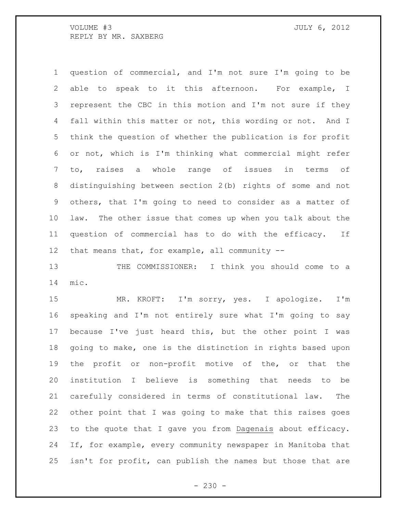question of commercial, and I'm not sure I'm going to be able to speak to it this afternoon. For example, I represent the CBC in this motion and I'm not sure if they fall within this matter or not, this wording or not. And I think the question of whether the publication is for profit or not, which is I'm thinking what commercial might refer to, raises a whole range of issues in terms of distinguishing between section 2(b) rights of some and not others, that I'm going to need to consider as a matter of law. The other issue that comes up when you talk about the question of commercial has to do with the efficacy. If that means that, for example, all community --

 THE COMMISSIONER: I think you should come to a mic.

 MR. KROFT: I'm sorry, yes. I apologize. I'm speaking and I'm not entirely sure what I'm going to say because I've just heard this, but the other point I was going to make, one is the distinction in rights based upon the profit or non-profit motive of the, or that the institution I believe is something that needs to be carefully considered in terms of constitutional law. The other point that I was going to make that this raises goes to the quote that I gave you from Dagenais about efficacy. If, for example, every community newspaper in Manitoba that isn't for profit, can publish the names but those that are

 $-230 -$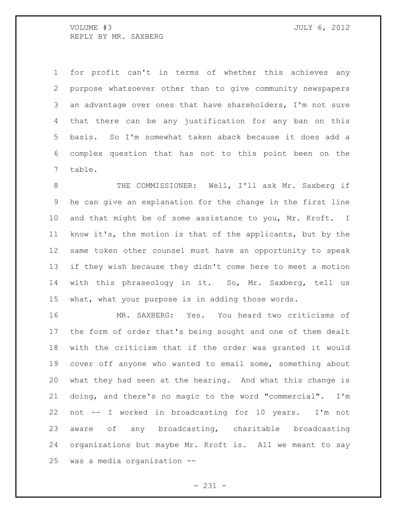for profit can't in terms of whether this achieves any purpose whatsoever other than to give community newspapers an advantage over ones that have shareholders, I'm not sure that there can be any justification for any ban on this basis. So I'm somewhat taken aback because it does add a complex question that has not to this point been on the table.

 THE COMMISSIONER: Well, I'll ask Mr. Saxberg if he can give an explanation for the change in the first line 10 and that might be of some assistance to you, Mr. Kroft. I know it's, the motion is that of the applicants, but by the same token other counsel must have an opportunity to speak if they wish because they didn't come here to meet a motion with this phraseology in it. So, Mr. Saxberg, tell us what, what your purpose is in adding those words.

 MR. SAXBERG: Yes. You heard two criticisms of the form of order that's being sought and one of them dealt with the criticism that if the order was granted it would cover off anyone who wanted to email some, something about what they had seen at the hearing. And what this change is doing, and there's no magic to the word "commercial". I'm not -- I worked in broadcasting for 10 years. I'm not aware of any broadcasting, charitable broadcasting organizations but maybe Mr. Kroft is. All we meant to say was a media organization --

- 231 -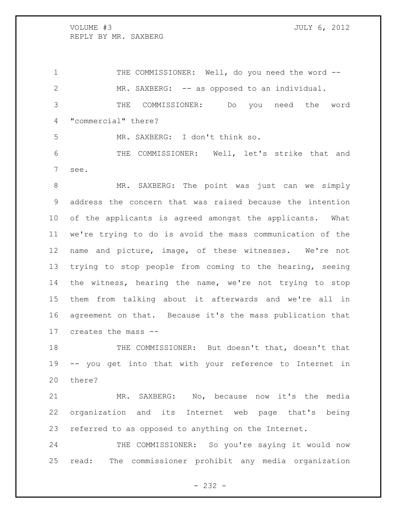1 THE COMMISSIONER: Well, do you need the word -- MR. SAXBERG: -- as opposed to an individual. THE COMMISSIONER: Do you need the word "commercial" there? MR. SAXBERG: I don't think so.

 THE COMMISSIONER: Well, let's strike that and see.

 MR. SAXBERG: The point was just can we simply address the concern that was raised because the intention of the applicants is agreed amongst the applicants. What we're trying to do is avoid the mass communication of the name and picture, image, of these witnesses. We're not trying to stop people from coming to the hearing, seeing the witness, hearing the name, we're not trying to stop them from talking about it afterwards and we're all in agreement on that. Because it's the mass publication that creates the mass --

 THE COMMISSIONER: But doesn't that, doesn't that -- you get into that with your reference to Internet in there?

 MR. SAXBERG: No, because now it's the media organization and its Internet web page that's being referred to as opposed to anything on the Internet.

24 THE COMMISSIONER: So you're saying it would now read: The commissioner prohibit any media organization

 $- 232 -$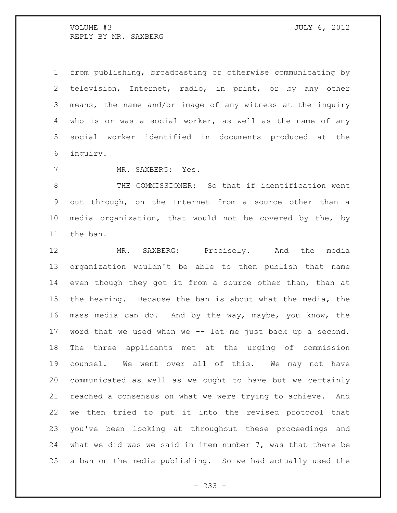from publishing, broadcasting or otherwise communicating by television, Internet, radio, in print, or by any other means, the name and/or image of any witness at the inquiry who is or was a social worker, as well as the name of any social worker identified in documents produced at the inquiry.

MR. SAXBERG: Yes.

 THE COMMISSIONER: So that if identification went out through, on the Internet from a source other than a media organization, that would not be covered by the, by the ban.

 MR. SAXBERG: Precisely. And the media organization wouldn't be able to then publish that name even though they got it from a source other than, than at the hearing. Because the ban is about what the media, the mass media can do. And by the way, maybe, you know, the word that we used when we -- let me just back up a second. The three applicants met at the urging of commission counsel. We went over all of this. We may not have communicated as well as we ought to have but we certainly reached a consensus on what we were trying to achieve. And we then tried to put it into the revised protocol that you've been looking at throughout these proceedings and what we did was we said in item number 7, was that there be a ban on the media publishing. So we had actually used the

- 233 -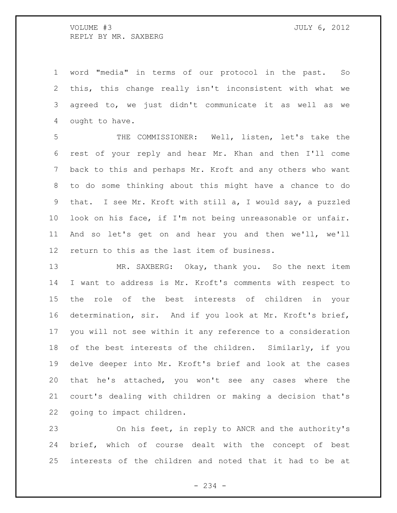word "media" in terms of our protocol in the past. So this, this change really isn't inconsistent with what we agreed to, we just didn't communicate it as well as we ought to have.

 THE COMMISSIONER: Well, listen, let's take the rest of your reply and hear Mr. Khan and then I'll come back to this and perhaps Mr. Kroft and any others who want to do some thinking about this might have a chance to do that. I see Mr. Kroft with still a, I would say, a puzzled look on his face, if I'm not being unreasonable or unfair. And so let's get on and hear you and then we'll, we'll return to this as the last item of business.

13 MR. SAXBERG: Okay, thank you. So the next item I want to address is Mr. Kroft's comments with respect to the role of the best interests of children in your determination, sir. And if you look at Mr. Kroft's brief, you will not see within it any reference to a consideration of the best interests of the children. Similarly, if you delve deeper into Mr. Kroft's brief and look at the cases that he's attached, you won't see any cases where the court's dealing with children or making a decision that's going to impact children.

 On his feet, in reply to ANCR and the authority's brief, which of course dealt with the concept of best interests of the children and noted that it had to be at

- 234 -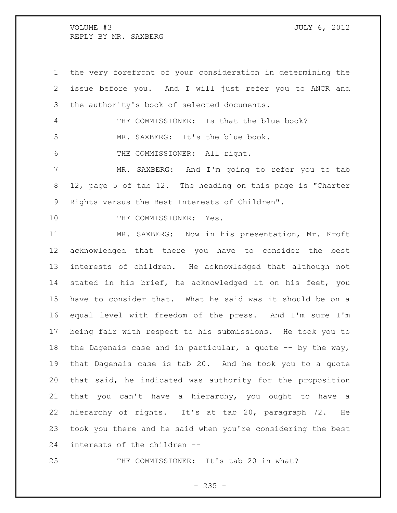the very forefront of your consideration in determining the issue before you. And I will just refer you to ANCR and the authority's book of selected documents.

 THE COMMISSIONER: Is that the blue book? MR. SAXBERG: It's the blue book.

THE COMMISSIONER: All right.

 MR. SAXBERG: And I'm going to refer you to tab 12, page 5 of tab 12. The heading on this page is "Charter Rights versus the Best Interests of Children".

10 THE COMMISSIONER: Yes.

 MR. SAXBERG: Now in his presentation, Mr. Kroft acknowledged that there you have to consider the best interests of children. He acknowledged that although not stated in his brief, he acknowledged it on his feet, you have to consider that. What he said was it should be on a equal level with freedom of the press. And I'm sure I'm being fair with respect to his submissions. He took you to 18 the Dagenais case and in particular, a quote  $-$ - by the way, that Dagenais case is tab 20. And he took you to a quote that said, he indicated was authority for the proposition that you can't have a hierarchy, you ought to have a hierarchy of rights. It's at tab 20, paragraph 72. He took you there and he said when you're considering the best interests of the children --

THE COMMISSIONER: It's tab 20 in what?

 $- 235 -$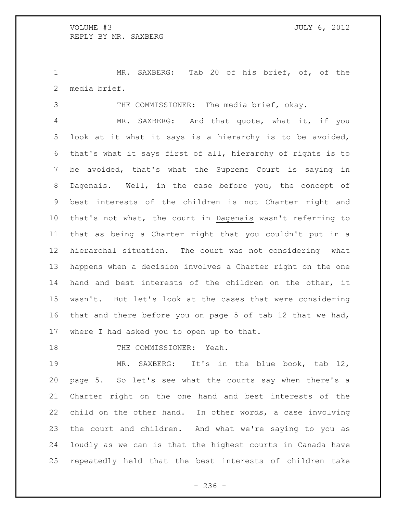MR. SAXBERG: Tab 20 of his brief, of, of the media brief.

THE COMMISSIONER: The media brief, okay.

 MR. SAXBERG: And that quote, what it, if you look at it what it says is a hierarchy is to be avoided, that's what it says first of all, hierarchy of rights is to be avoided, that's what the Supreme Court is saying in Dagenais. Well, in the case before you, the concept of best interests of the children is not Charter right and that's not what, the court in Dagenais wasn't referring to that as being a Charter right that you couldn't put in a hierarchal situation. The court was not considering what happens when a decision involves a Charter right on the one hand and best interests of the children on the other, it wasn't. But let's look at the cases that were considering that and there before you on page 5 of tab 12 that we had, where I had asked you to open up to that.

18 THE COMMISSIONER: Yeah.

 MR. SAXBERG: It's in the blue book, tab 12, page 5. So let's see what the courts say when there's a Charter right on the one hand and best interests of the child on the other hand. In other words, a case involving the court and children. And what we're saying to you as loudly as we can is that the highest courts in Canada have repeatedly held that the best interests of children take

 $-236 -$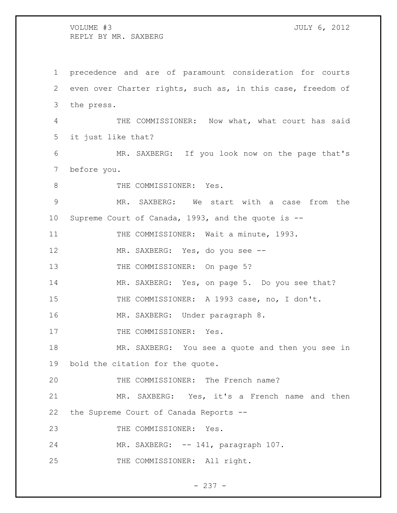precedence and are of paramount consideration for courts even over Charter rights, such as, in this case, freedom of the press. THE COMMISSIONER: Now what, what court has said it just like that? MR. SAXBERG: If you look now on the page that's before you. 8 THE COMMISSIONER: Yes. MR. SAXBERG: We start with a case from the Supreme Court of Canada, 1993, and the quote is -- 11 THE COMMISSIONER: Wait a minute, 1993. MR. SAXBERG: Yes, do you see -- 13 THE COMMISSIONER: On page 5? MR. SAXBERG: Yes, on page 5. Do you see that? 15 THE COMMISSIONER: A 1993 case, no, I don't. MR. SAXBERG: Under paragraph 8. 17 THE COMMISSIONER: Yes. MR. SAXBERG: You see a quote and then you see in bold the citation for the quote. THE COMMISSIONER: The French name? MR. SAXBERG: Yes, it's a French name and then the Supreme Court of Canada Reports -- 23 THE COMMISSIONER: Yes. MR. SAXBERG: -- 141, paragraph 107. 25 THE COMMISSIONER: All right.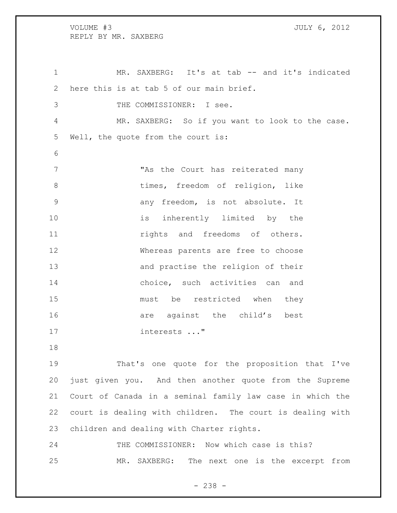1 MR. SAXBERG: It's at tab -- and it's indicated here this is at tab 5 of our main brief. THE COMMISSIONER: I see. MR. SAXBERG: So if you want to look to the case. Well, the quote from the court is: 7 The Court has reiterated many 8 times, freedom of religion, like any freedom, is not absolute. It 10 is inherently limited by the **11 rights** and freedoms of others. Whereas parents are free to choose and practise the religion of their choice, such activities can and must be restricted when they 16 are against the child's best interests ..."

 That's one quote for the proposition that I've just given you. And then another quote from the Supreme Court of Canada in a seminal family law case in which the court is dealing with children. The court is dealing with children and dealing with Charter rights.

 THE COMMISSIONER: Now which case is this? MR. SAXBERG: The next one is the excerpt from

- 238 -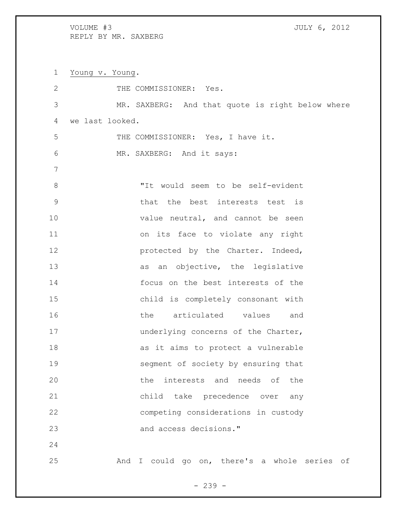Young v. Young. 2 THE COMMISSIONER: Yes. MR. SAXBERG: And that quote is right below where we last looked. THE COMMISSIONER: Yes, I have it. MR. SAXBERG: And it says: "It would seem to be self-evident that the best interests test is 10 value neutral, and cannot be seen on its face to violate any right **protected by the Charter. Indeed,** 13 as an objective, the legislative focus on the best interests of the child is completely consonant with the articulated values and 17 underlying concerns of the Charter, as it aims to protect a vulnerable segment of society by ensuring that the interests and needs of the child take precedence over any competing considerations in custody and access decisions." And I could go on, there's a whole series of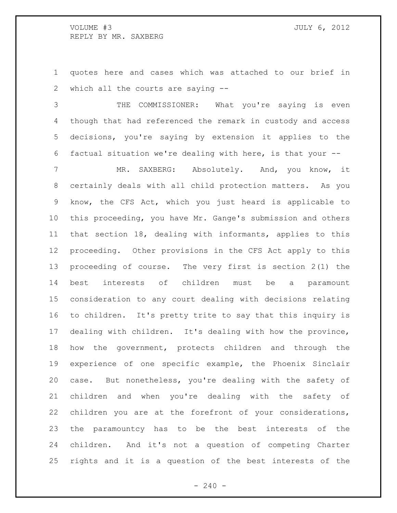quotes here and cases which was attached to our brief in which all the courts are saying --

 THE COMMISSIONER: What you're saying is even though that had referenced the remark in custody and access decisions, you're saying by extension it applies to the factual situation we're dealing with here, is that your --

 MR. SAXBERG: Absolutely. And, you know, it certainly deals with all child protection matters. As you know, the CFS Act, which you just heard is applicable to this proceeding, you have Mr. Gange's submission and others that section 18, dealing with informants, applies to this proceeding. Other provisions in the CFS Act apply to this proceeding of course. The very first is section 2(1) the best interests of children must be a paramount consideration to any court dealing with decisions relating to children. It's pretty trite to say that this inquiry is dealing with children. It's dealing with how the province, how the government, protects children and through the experience of one specific example, the Phoenix Sinclair case. But nonetheless, you're dealing with the safety of children and when you're dealing with the safety of children you are at the forefront of your considerations, the paramountcy has to be the best interests of the children. And it's not a question of competing Charter rights and it is a question of the best interests of the

 $-240 -$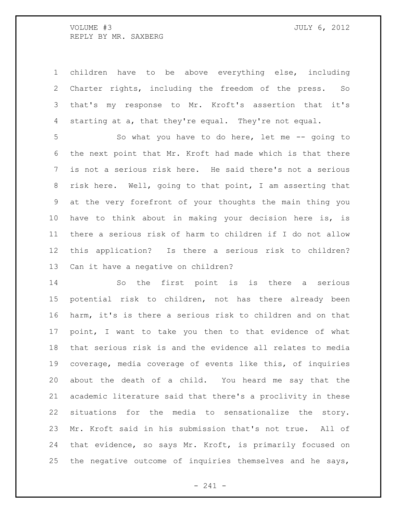children have to be above everything else, including Charter rights, including the freedom of the press. So that's my response to Mr. Kroft's assertion that it's starting at a, that they're equal. They're not equal.

 So what you have to do here, let me -- going to the next point that Mr. Kroft had made which is that there is not a serious risk here. He said there's not a serious risk here. Well, going to that point, I am asserting that at the very forefront of your thoughts the main thing you have to think about in making your decision here is, is there a serious risk of harm to children if I do not allow this application? Is there a serious risk to children? Can it have a negative on children?

 So the first point is is there a serious potential risk to children, not has there already been harm, it's is there a serious risk to children and on that point, I want to take you then to that evidence of what that serious risk is and the evidence all relates to media coverage, media coverage of events like this, of inquiries about the death of a child. You heard me say that the academic literature said that there's a proclivity in these situations for the media to sensationalize the story. Mr. Kroft said in his submission that's not true. All of that evidence, so says Mr. Kroft, is primarily focused on the negative outcome of inquiries themselves and he says,

- 241 -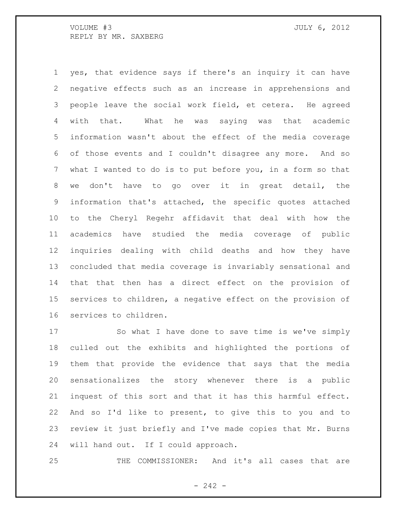yes, that evidence says if there's an inquiry it can have negative effects such as an increase in apprehensions and people leave the social work field, et cetera. He agreed with that. What he was saying was that academic information wasn't about the effect of the media coverage of those events and I couldn't disagree any more. And so what I wanted to do is to put before you, in a form so that we don't have to go over it in great detail, the information that's attached, the specific quotes attached to the Cheryl Regehr affidavit that deal with how the academics have studied the media coverage of public inquiries dealing with child deaths and how they have concluded that media coverage is invariably sensational and that that then has a direct effect on the provision of services to children, a negative effect on the provision of services to children.

 So what I have done to save time is we've simply culled out the exhibits and highlighted the portions of them that provide the evidence that says that the media sensationalizes the story whenever there is a public inquest of this sort and that it has this harmful effect. And so I'd like to present, to give this to you and to review it just briefly and I've made copies that Mr. Burns will hand out. If I could approach.

THE COMMISSIONER: And it's all cases that are

 $-242 -$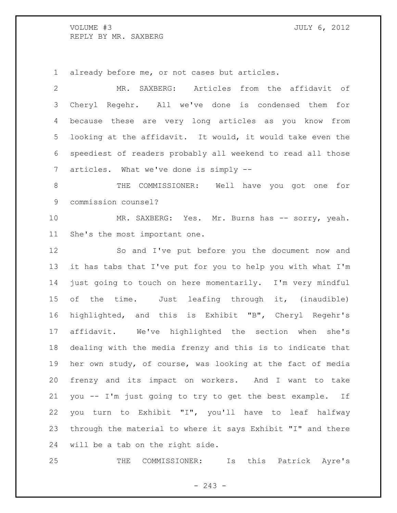already before me, or not cases but articles.

 MR. SAXBERG: Articles from the affidavit of Cheryl Regehr. All we've done is condensed them for because these are very long articles as you know from looking at the affidavit. It would, it would take even the speediest of readers probably all weekend to read all those articles. What we've done is simply --

 THE COMMISSIONER: Well have you got one for commission counsel?

10 MR. SAXBERG: Yes. Mr. Burns has -- sorry, yeah. She's the most important one.

 So and I've put before you the document now and it has tabs that I've put for you to help you with what I'm just going to touch on here momentarily. I'm very mindful of the time. Just leafing through it, (inaudible) highlighted, and this is Exhibit "B", Cheryl Regehr's affidavit. We've highlighted the section when she's dealing with the media frenzy and this is to indicate that her own study, of course, was looking at the fact of media frenzy and its impact on workers. And I want to take you -- I'm just going to try to get the best example. If you turn to Exhibit "I", you'll have to leaf halfway through the material to where it says Exhibit "I" and there will be a tab on the right side.

THE COMMISSIONER: Is this Patrick Ayre's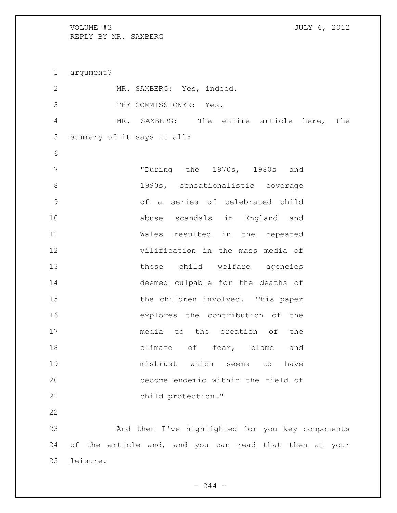argument? MR. SAXBERG: Yes, indeed. THE COMMISSIONER: Yes. MR. SAXBERG: The entire article here, the summary of it says it all: "During the 1970s, 1980s and 1990s, sensationalistic coverage of a series of celebrated child abuse scandals in England and Wales resulted in the repeated vilification in the mass media of 13 those child welfare agencies deemed culpable for the deaths of 15 the children involved. This paper explores the contribution of the media to the creation of the climate of fear, blame and mistrust which seems to have become endemic within the field of child protection." And then I've highlighted for you key components of the article and, and you can read that then at your leisure.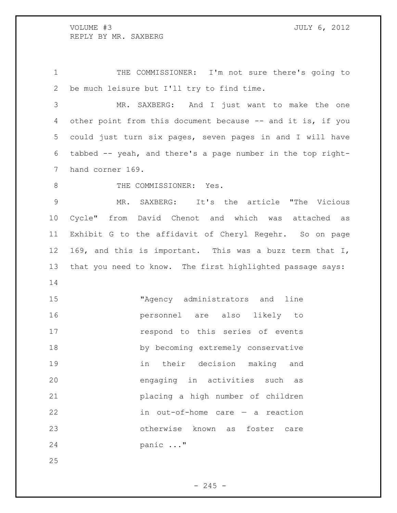THE COMMISSIONER: I'm not sure there's going to be much leisure but I'll try to find time.

 MR. SAXBERG: And I just want to make the one 4 other point from this document because -- and it is, if you could just turn six pages, seven pages in and I will have tabbed -- yeah, and there's a page number in the top right-hand corner 169.

8 THE COMMISSIONER: Yes.

 MR. SAXBERG: It's the article "The Vicious Cycle" from David Chenot and which was attached as Exhibit G to the affidavit of Cheryl Regehr. So on page 169, and this is important. This was a buzz term that I, that you need to know. The first highlighted passage says: 

 "Agency administrators and line personnel are also likely to **respond to this series of events**  by becoming extremely conservative in their decision making and engaging in activities such as placing a high number of children in out-of-home care — a reaction otherwise known as foster care panic ..."

 $- 245 -$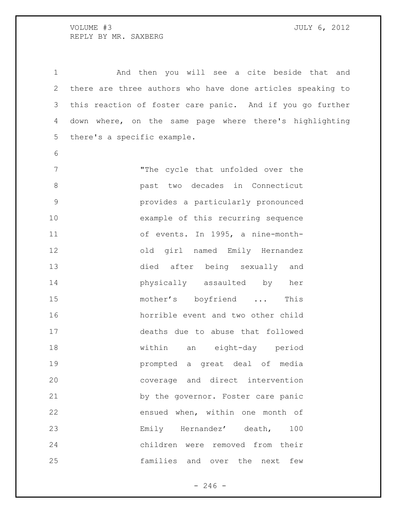And then you will see a cite beside that and there are three authors who have done articles speaking to this reaction of foster care panic. And if you go further down where, on the same page where there's highlighting there's a specific example. "The cycle that unfolded over the past two decades in Connecticut provides a particularly pronounced example of this recurring sequence of events. In 1995, a nine-month- old girl named Emily Hernandez died after being sexually and physically assaulted by her 15 mother's boyfriend ... This horrible event and two other child deaths due to abuse that followed within an eight-day period prompted a great deal of media

 coverage and direct intervention by the governor. Foster care panic ensued when, within one month of Emily Hernandez' death, 100 children were removed from their families and over the next few

 $-246 -$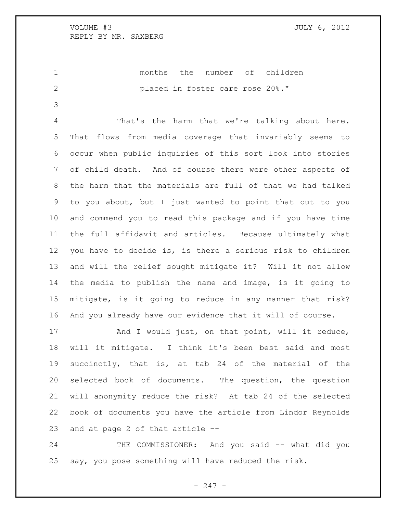months the number of children placed in foster care rose 20%."

 That's the harm that we're talking about here. That flows from media coverage that invariably seems to occur when public inquiries of this sort look into stories of child death. And of course there were other aspects of the harm that the materials are full of that we had talked to you about, but I just wanted to point that out to you and commend you to read this package and if you have time the full affidavit and articles. Because ultimately what you have to decide is, is there a serious risk to children and will the relief sought mitigate it? Will it not allow the media to publish the name and image, is it going to mitigate, is it going to reduce in any manner that risk? And you already have our evidence that it will of course.

17 And I would just, on that point, will it reduce, will it mitigate. I think it's been best said and most succinctly, that is, at tab 24 of the material of the selected book of documents. The question, the question will anonymity reduce the risk? At tab 24 of the selected book of documents you have the article from Lindor Reynolds and at page 2 of that article --

 THE COMMISSIONER: And you said -- what did you say, you pose something will have reduced the risk.

- 247 -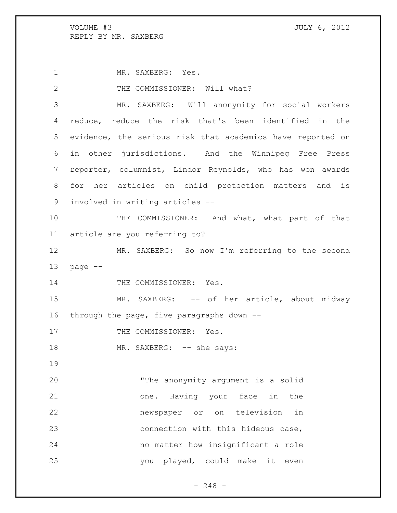1 MR. SAXBERG: Yes. 2 THE COMMISSIONER: Will what? MR. SAXBERG: Will anonymity for social workers reduce, reduce the risk that's been identified in the evidence, the serious risk that academics have reported on in other jurisdictions. And the Winnipeg Free Press reporter, columnist, Lindor Reynolds, who has won awards for her articles on child protection matters and is involved in writing articles -- 10 THE COMMISSIONER: And what, what part of that article are you referring to? MR. SAXBERG: So now I'm referring to the second page -- 14 THE COMMISSIONER: Yes. 15 MR. SAXBERG: -- of her article, about midway through the page, five paragraphs down -- 17 THE COMMISSIONER: Yes. 18 MR. SAXBERG: -- she says: "The anonymity argument is a solid one. Having your face in the newspaper or on television in connection with this hideous case, no matter how insignificant a role you played, could make it even

- 248 -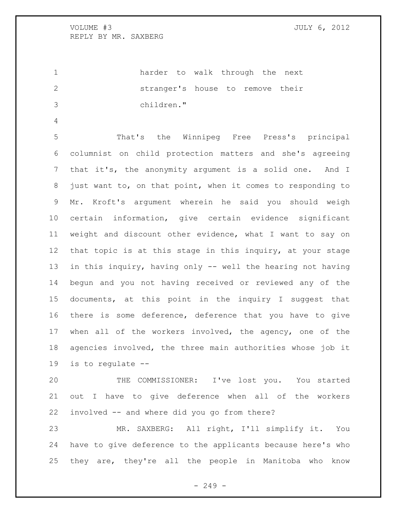harder to walk through the next stranger's house to remove their children."

 That's the Winnipeg Free Press's principal columnist on child protection matters and she's agreeing that it's, the anonymity argument is a solid one. And I just want to, on that point, when it comes to responding to Mr. Kroft's argument wherein he said you should weigh certain information, give certain evidence significant weight and discount other evidence, what I want to say on that topic is at this stage in this inquiry, at your stage in this inquiry, having only -- well the hearing not having begun and you not having received or reviewed any of the documents, at this point in the inquiry I suggest that there is some deference, deference that you have to give when all of the workers involved, the agency, one of the agencies involved, the three main authorities whose job it is to regulate --

 THE COMMISSIONER: I've lost you. You started out I have to give deference when all of the workers involved -- and where did you go from there?

 MR. SAXBERG: All right, I'll simplify it. You have to give deference to the applicants because here's who they are, they're all the people in Manitoba who know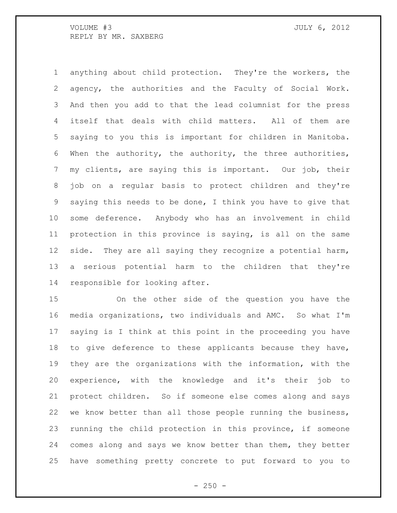VOLUME #3 JULY 6, 2012 REPLY BY MR. SAXBERG

 anything about child protection. They're the workers, the agency, the authorities and the Faculty of Social Work. And then you add to that the lead columnist for the press itself that deals with child matters. All of them are saying to you this is important for children in Manitoba. When the authority, the authority, the three authorities, my clients, are saying this is important. Our job, their job on a regular basis to protect children and they're saying this needs to be done, I think you have to give that some deference. Anybody who has an involvement in child protection in this province is saying, is all on the same 12 side. They are all saying they recognize a potential harm, a serious potential harm to the children that they're responsible for looking after.

 On the other side of the question you have the media organizations, two individuals and AMC. So what I'm saying is I think at this point in the proceeding you have to give deference to these applicants because they have, they are the organizations with the information, with the experience, with the knowledge and it's their job to protect children. So if someone else comes along and says we know better than all those people running the business, running the child protection in this province, if someone comes along and says we know better than them, they better have something pretty concrete to put forward to you to

 $- 250 -$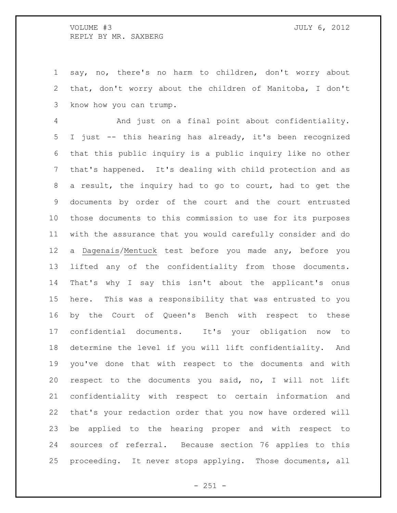## VOLUME #3 JULY 6, 2012 REPLY BY MR. SAXBERG

 say, no, there's no harm to children, don't worry about that, don't worry about the children of Manitoba, I don't know how you can trump.

 And just on a final point about confidentiality. I just -- this hearing has already, it's been recognized that this public inquiry is a public inquiry like no other that's happened. It's dealing with child protection and as a result, the inquiry had to go to court, had to get the documents by order of the court and the court entrusted those documents to this commission to use for its purposes with the assurance that you would carefully consider and do a Dagenais/Mentuck test before you made any, before you lifted any of the confidentiality from those documents. That's why I say this isn't about the applicant's onus here. This was a responsibility that was entrusted to you by the Court of Queen's Bench with respect to these confidential documents. It's your obligation now to determine the level if you will lift confidentiality. And you've done that with respect to the documents and with respect to the documents you said, no, I will not lift confidentiality with respect to certain information and that's your redaction order that you now have ordered will be applied to the hearing proper and with respect to sources of referral. Because section 76 applies to this proceeding. It never stops applying. Those documents, all

 $- 251 -$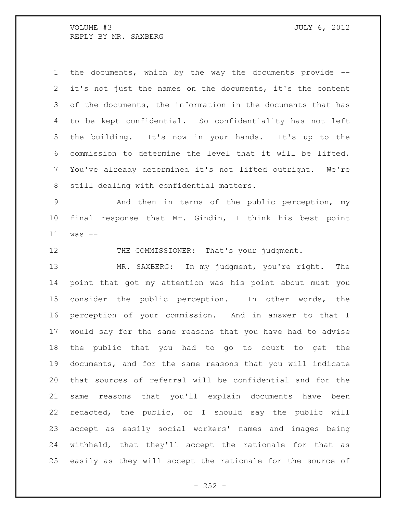VOLUME #3 JULY 6, 2012 REPLY BY MR. SAXBERG

 the documents, which by the way the documents provide -- it's not just the names on the documents, it's the content of the documents, the information in the documents that has to be kept confidential. So confidentiality has not left the building. It's now in your hands. It's up to the commission to determine the level that it will be lifted. You've already determined it's not lifted outright. We're still dealing with confidential matters.

 And then in terms of the public perception, my final response that Mr. Gindin, I think his best point was --

12 THE COMMISSIONER: That's your judgment.

 MR. SAXBERG: In my judgment, you're right. The point that got my attention was his point about must you consider the public perception. In other words, the perception of your commission. And in answer to that I would say for the same reasons that you have had to advise the public that you had to go to court to get the documents, and for the same reasons that you will indicate that sources of referral will be confidential and for the same reasons that you'll explain documents have been redacted, the public, or I should say the public will accept as easily social workers' names and images being withheld, that they'll accept the rationale for that as easily as they will accept the rationale for the source of

 $- 252 -$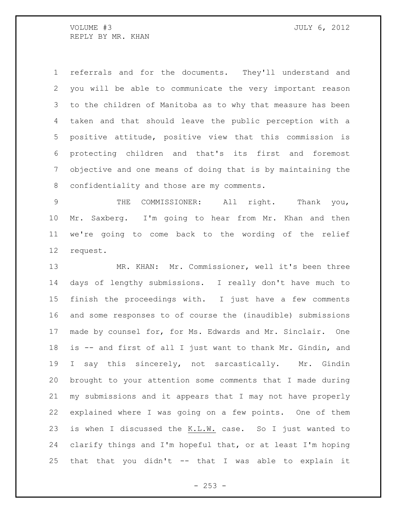referrals and for the documents. They'll understand and you will be able to communicate the very important reason to the children of Manitoba as to why that measure has been taken and that should leave the public perception with a positive attitude, positive view that this commission is protecting children and that's its first and foremost objective and one means of doing that is by maintaining the 8 confidentiality and those are my comments.

 THE COMMISSIONER: All right. Thank you, Mr. Saxberg. I'm going to hear from Mr. Khan and then we're going to come back to the wording of the relief request.

 MR. KHAN: Mr. Commissioner, well it's been three days of lengthy submissions. I really don't have much to finish the proceedings with. I just have a few comments and some responses to of course the (inaudible) submissions made by counsel for, for Ms. Edwards and Mr. Sinclair. One is -- and first of all I just want to thank Mr. Gindin, and I say this sincerely, not sarcastically. Mr. Gindin brought to your attention some comments that I made during my submissions and it appears that I may not have properly explained where I was going on a few points. One of them is when I discussed the K.L.W. case. So I just wanted to clarify things and I'm hopeful that, or at least I'm hoping that that you didn't -- that I was able to explain it

 $-253 -$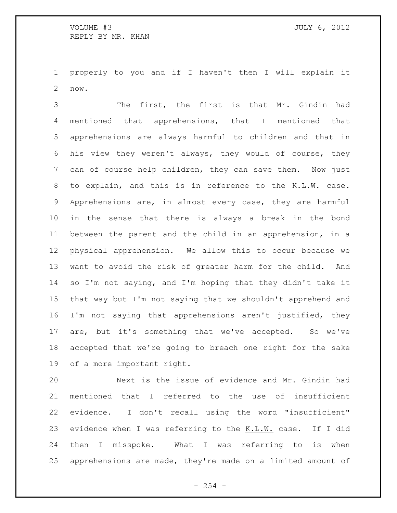properly to you and if I haven't then I will explain it now.

 The first, the first is that Mr. Gindin had mentioned that apprehensions, that I mentioned that apprehensions are always harmful to children and that in his view they weren't always, they would of course, they can of course help children, they can save them. Now just to explain, and this is in reference to the K.L.W. case. Apprehensions are, in almost every case, they are harmful in the sense that there is always a break in the bond between the parent and the child in an apprehension, in a physical apprehension. We allow this to occur because we want to avoid the risk of greater harm for the child. And so I'm not saying, and I'm hoping that they didn't take it that way but I'm not saying that we shouldn't apprehend and I'm not saying that apprehensions aren't justified, they are, but it's something that we've accepted. So we've accepted that we're going to breach one right for the sake of a more important right.

 Next is the issue of evidence and Mr. Gindin had mentioned that I referred to the use of insufficient evidence. I don't recall using the word "insufficient" evidence when I was referring to the K.L.W. case. If I did then I misspoke. What I was referring to is when apprehensions are made, they're made on a limited amount of

 $-254 -$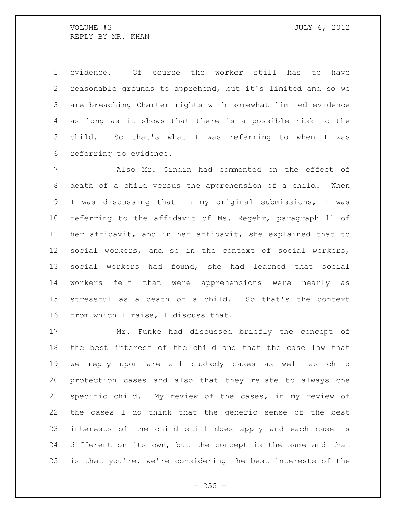evidence. Of course the worker still has to have reasonable grounds to apprehend, but it's limited and so we are breaching Charter rights with somewhat limited evidence as long as it shows that there is a possible risk to the child. So that's what I was referring to when I was referring to evidence.

 Also Mr. Gindin had commented on the effect of death of a child versus the apprehension of a child. When I was discussing that in my original submissions, I was referring to the affidavit of Ms. Regehr, paragraph 11 of her affidavit, and in her affidavit, she explained that to social workers, and so in the context of social workers, social workers had found, she had learned that social workers felt that were apprehensions were nearly as stressful as a death of a child. So that's the context from which I raise, I discuss that.

 Mr. Funke had discussed briefly the concept of the best interest of the child and that the case law that we reply upon are all custody cases as well as child protection cases and also that they relate to always one specific child. My review of the cases, in my review of the cases I do think that the generic sense of the best interests of the child still does apply and each case is different on its own, but the concept is the same and that is that you're, we're considering the best interests of the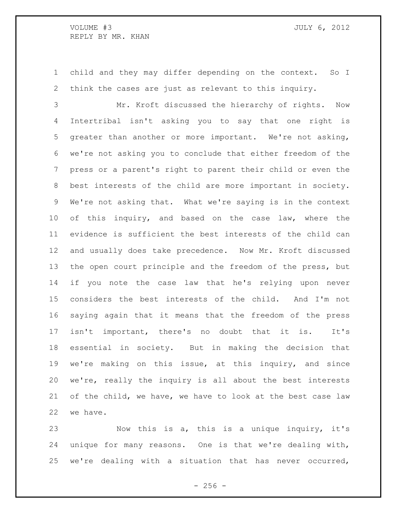child and they may differ depending on the context. So I think the cases are just as relevant to this inquiry.

 Mr. Kroft discussed the hierarchy of rights. Now Intertribal isn't asking you to say that one right is greater than another or more important. We're not asking, we're not asking you to conclude that either freedom of the press or a parent's right to parent their child or even the best interests of the child are more important in society. We're not asking that. What we're saying is in the context 10 of this inquiry, and based on the case law, where the evidence is sufficient the best interests of the child can and usually does take precedence. Now Mr. Kroft discussed the open court principle and the freedom of the press, but if you note the case law that he's relying upon never considers the best interests of the child. And I'm not saying again that it means that the freedom of the press isn't important, there's no doubt that it is. It's essential in society. But in making the decision that we're making on this issue, at this inquiry, and since we're, really the inquiry is all about the best interests of the child, we have, we have to look at the best case law we have.

 Now this is a, this is a unique inquiry, it's unique for many reasons. One is that we're dealing with, we're dealing with a situation that has never occurred,

 $- 256 -$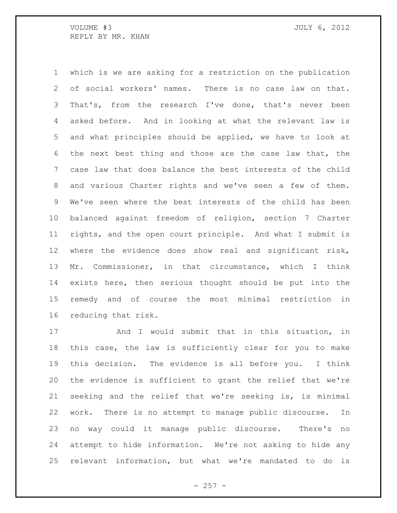which is we are asking for a restriction on the publication of social workers' names. There is no case law on that. That's, from the research I've done, that's never been asked before. And in looking at what the relevant law is and what principles should be applied, we have to look at the next best thing and those are the case law that, the case law that does balance the best interests of the child and various Charter rights and we've seen a few of them. We've seen where the best interests of the child has been balanced against freedom of religion, section 7 Charter rights, and the open court principle. And what I submit is where the evidence does show real and significant risk, Mr. Commissioner, in that circumstance, which I think exists here, then serious thought should be put into the remedy and of course the most minimal restriction in reducing that risk.

17 And I would submit that in this situation, in this case, the law is sufficiently clear for you to make this decision. The evidence is all before you. I think the evidence is sufficient to grant the relief that we're seeking and the relief that we're seeking is, is minimal work. There is no attempt to manage public discourse. In no way could it manage public discourse. There's no attempt to hide information. We're not asking to hide any relevant information, but what we're mandated to do is

 $-257 -$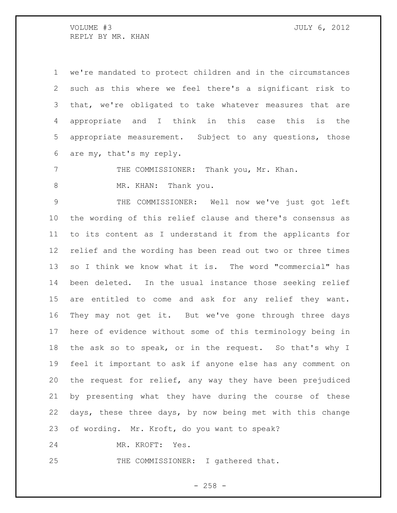we're mandated to protect children and in the circumstances such as this where we feel there's a significant risk to that, we're obligated to take whatever measures that are appropriate and I think in this case this is the appropriate measurement. Subject to any questions, those are my, that's my reply.

7 THE COMMISSIONER: Thank you, Mr. Khan.

8 MR. KHAN: Thank you.

 THE COMMISSIONER: Well now we've just got left the wording of this relief clause and there's consensus as to its content as I understand it from the applicants for relief and the wording has been read out two or three times so I think we know what it is. The word "commercial" has been deleted. In the usual instance those seeking relief are entitled to come and ask for any relief they want. They may not get it. But we've gone through three days here of evidence without some of this terminology being in the ask so to speak, or in the request. So that's why I feel it important to ask if anyone else has any comment on the request for relief, any way they have been prejudiced by presenting what they have during the course of these days, these three days, by now being met with this change of wording. Mr. Kroft, do you want to speak?

MR. KROFT: Yes.

25 THE COMMISSIONER: I gathered that.

 $- 258 -$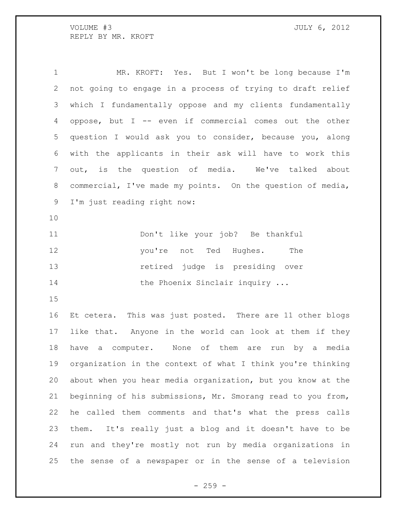MR. KROFT: Yes. But I won't be long because I'm not going to engage in a process of trying to draft relief which I fundamentally oppose and my clients fundamentally oppose, but I -- even if commercial comes out the other question I would ask you to consider, because you, along with the applicants in their ask will have to work this out, is the question of media. We've talked about commercial, I've made my points. On the question of media, I'm just reading right now: Don't like your job? Be thankful

12 you're not Ted Hughes. The retired judge is presiding over 14 the Phoenix Sinclair inquiry ...

 Et cetera. This was just posted. There are 11 other blogs like that. Anyone in the world can look at them if they have a computer. None of them are run by a media organization in the context of what I think you're thinking about when you hear media organization, but you know at the beginning of his submissions, Mr. Smorang read to you from, he called them comments and that's what the press calls them. It's really just a blog and it doesn't have to be run and they're mostly not run by media organizations in the sense of a newspaper or in the sense of a television

 $- 259 -$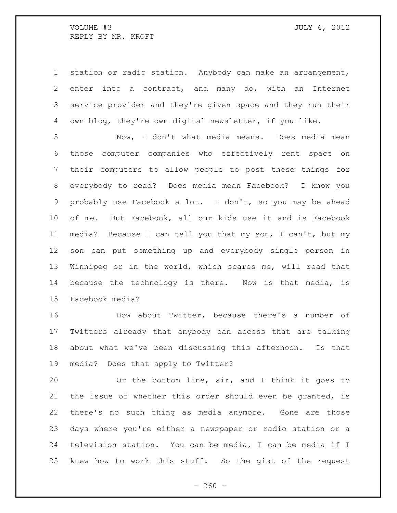station or radio station. Anybody can make an arrangement, enter into a contract, and many do, with an Internet service provider and they're given space and they run their own blog, they're own digital newsletter, if you like.

 Now, I don't what media means. Does media mean those computer companies who effectively rent space on their computers to allow people to post these things for everybody to read? Does media mean Facebook? I know you probably use Facebook a lot. I don't, so you may be ahead of me. But Facebook, all our kids use it and is Facebook media? Because I can tell you that my son, I can't, but my son can put something up and everybody single person in Winnipeg or in the world, which scares me, will read that because the technology is there. Now is that media, is Facebook media?

 How about Twitter, because there's a number of Twitters already that anybody can access that are talking about what we've been discussing this afternoon. Is that media? Does that apply to Twitter?

 Or the bottom line, sir, and I think it goes to the issue of whether this order should even be granted, is there's no such thing as media anymore. Gone are those days where you're either a newspaper or radio station or a television station. You can be media, I can be media if I knew how to work this stuff. So the gist of the request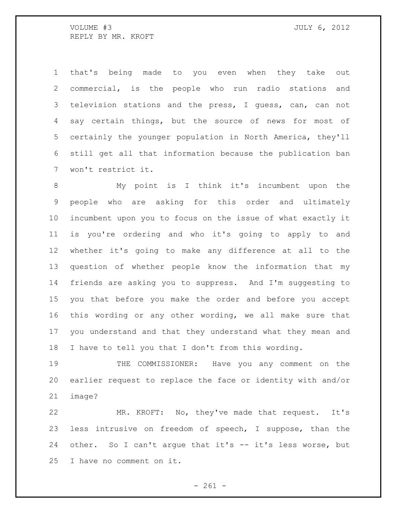that's being made to you even when they take out commercial, is the people who run radio stations and television stations and the press, I guess, can, can not say certain things, but the source of news for most of certainly the younger population in North America, they'll still get all that information because the publication ban won't restrict it.

 My point is I think it's incumbent upon the people who are asking for this order and ultimately incumbent upon you to focus on the issue of what exactly it is you're ordering and who it's going to apply to and whether it's going to make any difference at all to the question of whether people know the information that my friends are asking you to suppress. And I'm suggesting to you that before you make the order and before you accept this wording or any other wording, we all make sure that you understand and that they understand what they mean and I have to tell you that I don't from this wording.

 THE COMMISSIONER: Have you any comment on the earlier request to replace the face or identity with and/or image?

 MR. KROFT: No, they've made that request. It's less intrusive on freedom of speech, I suppose, than the other. So I can't argue that it's -- it's less worse, but I have no comment on it.

 $- 261 -$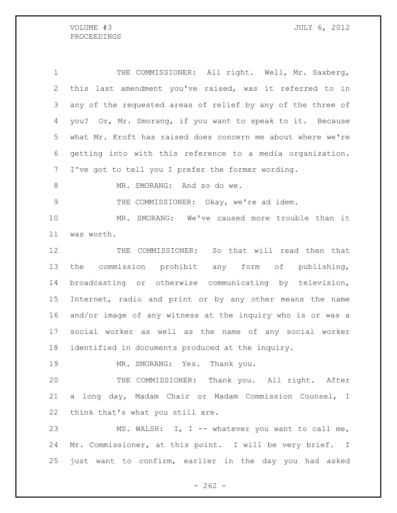PROCEEDINGS

VOLUME #3 JULY 6, 2012

 THE COMMISSIONER: All right. Well, Mr. Saxberg, this last amendment you've raised, was it referred to in any of the requested areas of relief by any of the three of you? Or, Mr. Smorang, if you want to speak to it. Because what Mr. Kroft has raised does concern me about where we're getting into with this reference to a media organization. I've got to tell you I prefer the former wording.

8 MR. SMORANG: And so do we.

9 THE COMMISSIONER: Okay, we're ad idem.

 MR. SMORANG: We've caused more trouble than it was worth.

 THE COMMISSIONER: So that will read then that the commission prohibit any form of publishing, broadcasting or otherwise communicating by television, Internet, radio and print or by any other means the name and/or image of any witness at the inquiry who is or was a social worker as well as the name of any social worker identified in documents produced at the inquiry.

MR. SMORANG: Yes. Thank you.

 THE COMMISSIONER: Thank you. All right. After a long day, Madam Chair or Madam Commission Counsel, I think that's what you still are.

 MS. WALSH: I, I -- whatever you want to call me, Mr. Commissioner, at this point. I will be very brief. I just want to confirm, earlier in the day you had asked

 $- 262 -$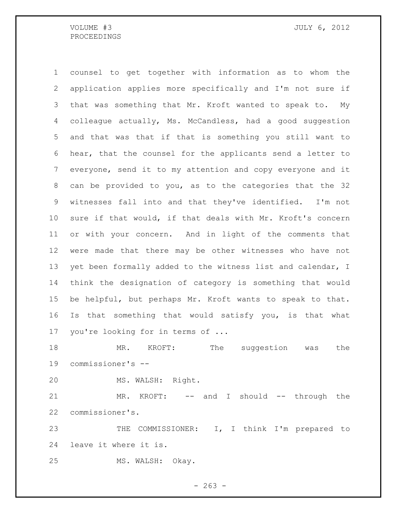## PROCEEDINGS

 counsel to get together with information as to whom the application applies more specifically and I'm not sure if that was something that Mr. Kroft wanted to speak to. My colleague actually, Ms. McCandless, had a good suggestion and that was that if that is something you still want to hear, that the counsel for the applicants send a letter to everyone, send it to my attention and copy everyone and it can be provided to you, as to the categories that the 32 witnesses fall into and that they've identified. I'm not sure if that would, if that deals with Mr. Kroft's concern or with your concern. And in light of the comments that were made that there may be other witnesses who have not 13 yet been formally added to the witness list and calendar, I think the designation of category is something that would be helpful, but perhaps Mr. Kroft wants to speak to that. Is that something that would satisfy you, is that what you're looking for in terms of ...

 MR. KROFT: The suggestion was the commissioner's --

MS. WALSH: Right.

21 MR. KROFT: -- and I should -- through the commissioner's.

 THE COMMISSIONER: I, I think I'm prepared to leave it where it is.

MS. WALSH: Okay.

 $- 263 -$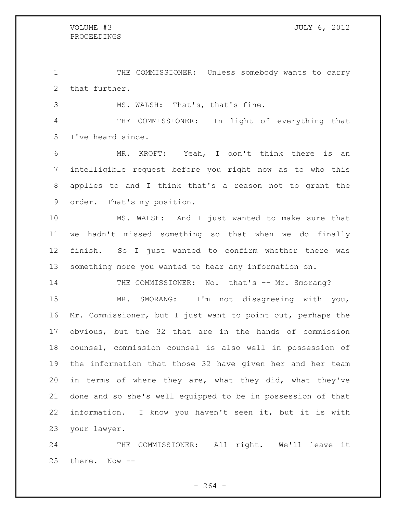THE COMMISSIONER: Unless somebody wants to carry that further.

MS. WALSH: That's, that's fine.

 THE COMMISSIONER: In light of everything that I've heard since.

 MR. KROFT: Yeah, I don't think there is an intelligible request before you right now as to who this applies to and I think that's a reason not to grant the order. That's my position.

 MS. WALSH: And I just wanted to make sure that we hadn't missed something so that when we do finally finish. So I just wanted to confirm whether there was something more you wanted to hear any information on.

14 THE COMMISSIONER: No. that's -- Mr. Smorang?

 MR. SMORANG: I'm not disagreeing with you, Mr. Commissioner, but I just want to point out, perhaps the obvious, but the 32 that are in the hands of commission counsel, commission counsel is also well in possession of the information that those 32 have given her and her team in terms of where they are, what they did, what they've done and so she's well equipped to be in possession of that information. I know you haven't seen it, but it is with your lawyer.

 THE COMMISSIONER: All right. We'll leave it there. Now --

 $- 264 -$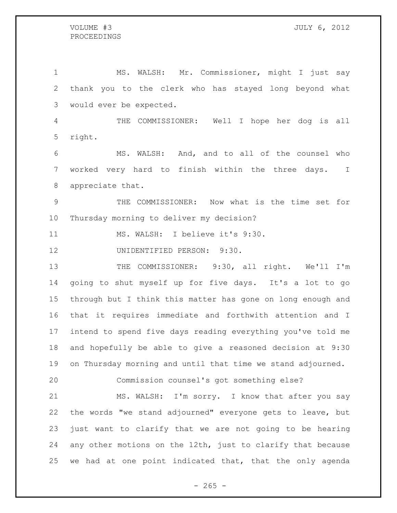## PROCEEDINGS

 MS. WALSH: Mr. Commissioner, might I just say thank you to the clerk who has stayed long beyond what would ever be expected. THE COMMISSIONER: Well I hope her dog is all right. MS. WALSH: And, and to all of the counsel who worked very hard to finish within the three days. I appreciate that. THE COMMISSIONER: Now what is the time set for Thursday morning to deliver my decision? MS. WALSH: I believe it's 9:30. UNIDENTIFIED PERSON: 9:30. 13 THE COMMISSIONER: 9:30, all right. We'll I'm going to shut myself up for five days. It's a lot to go through but I think this matter has gone on long enough and that it requires immediate and forthwith attention and I intend to spend five days reading everything you've told me and hopefully be able to give a reasoned decision at 9:30 on Thursday morning and until that time we stand adjourned. Commission counsel's got something else? 21 MS. WALSH: I'm sorry. I know that after you say the words "we stand adjourned" everyone gets to leave, but just want to clarify that we are not going to be hearing any other motions on the 12th, just to clarify that because we had at one point indicated that, that the only agenda